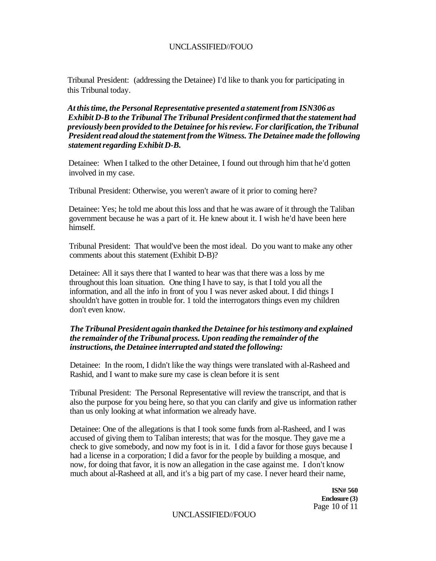Tribunal President: (addressing the Detainee) I'd like to thank you for participating in this Tribunal today.

*At this time, the Personal Representative presented a statement from ISN306 as Exhibit D-B to the Tribunal The Tribunal President confirmed that the statement had previously been provided to the Detainee for his review. For clarification, the Tribunal President read aloud the statement from the Witness. The Detainee made the following statement regarding Exhibit D-B.* 

Detainee: When I talked to the other Detainee, I found out through him that he'd gotten involved in my case.

Tribunal President: Otherwise, you weren't aware of it prior to coming here?

Detainee: Yes; he told me about this loss and that he was aware of it through the Taliban government because he was a part of it. He knew about it. I wish he'd have been here himself.

Tribunal President: That would've been the most ideal. Do you want to make any other comments about this statement (Exhibit D-B)?

Detainee: All it says there that I wanted to hear was that there was a loss by me throughout this loan situation. One thing I have to say, is that I told you all the information, and all the info in front of you I was never asked about. I did things I shouldn't have gotten in trouble for. 1 told the interrogators things even my children don't even know.

#### *The Tribunal President again thanked the Detainee for his testimony and explained the remainder of the Tribunal process. Upon reading the remainder of the instructions, the Detainee interrupted and stated the following:*

Detainee: In the room, I didn't like the way things were translated with al-Rasheed and Rashid, and I want to make sure my case is clean before it is sent

Tribunal President: The Personal Representative will review the transcript, and that is also the purpose for you being here, so that you can clarify and give us information rather than us only looking at what information we already have.

Detainee: One of the allegations is that I took some funds from al-Rasheed, and I was accused of giving them to Taliban interests; that was for the mosque. They gave me a check to give somebody, and now my foot is in it. I did a favor for those guys because I had a license in a corporation; I did a favor for the people by building a mosque, and now, for doing that favor, it is now an allegation in the case against me. I don't know much about al-Rasheed at all, and it's a big part of my case. I never heard their name,

> **ISN# 560 Enclosure (3)**  Page 10 of 11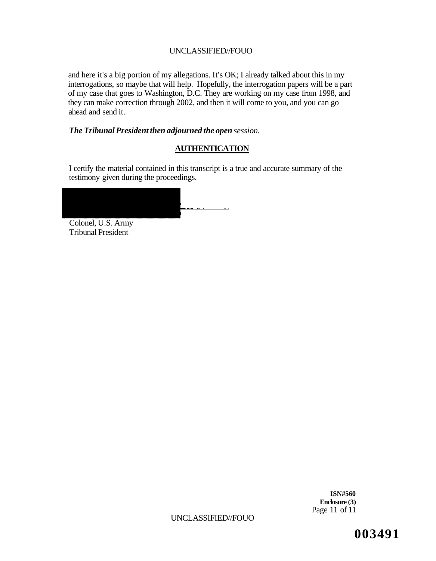and here it's a big portion of my allegations. It's OK; I already talked about this in my interrogations, so maybe that will help. Hopefully, the interrogation papers will be a part of my case that goes to Washington, D.C. They are working on my case from 1998, and they can make correction through 2002, and then it will come to you, and you can go ahead and send it.

## *The Tribunal President then adjourned the open session.*

## **AUTHENTICATION**

I certify the material contained in this transcript is a true and accurate summary of the testimony given during the proceedings.

|          |                                        |  |  | --- |
|----------|----------------------------------------|--|--|-----|
|          |                                        |  |  |     |
|          |                                        |  |  |     |
|          |                                        |  |  |     |
|          |                                        |  |  |     |
|          |                                        |  |  |     |
| $\sim$ 1 | $\mathbf{1}$ $\mathbf{1}$ $\mathbf{1}$ |  |  |     |

Colonel, U.S. Army Tribunal President

> **ISN#560 Enclosure (3)**  Page 11 of 11

UNCLASSIFIED//FOUO

**003491**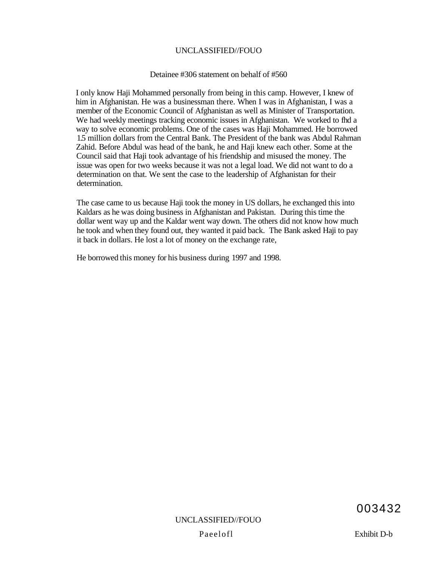#### Detainee #306 statement on behalf of #560

I only know Haji Mohammed personally from being in this camp. However, I knew of him in Afghanistan. He was a businessman there. When I was in Afghanistan, I was a member of the Economic Council of Afghanistan as well as Minister of Transportation. We had weekly meetings tracking economic issues in Afghanistan. We worked to fhd a way to solve economic problems. One of the cases was Haji Mohammed. He borrowed 1.5 million dollars from the Central Bank. The President of the bank was Abdul Rahman Zahid. Before Abdul was head of the bank, he and Haji knew each other. Some at the Council said that Haji took advantage of his friendship and misused the money. The issue was open for two weeks because it was not a legal load. We did not want to do a determination on that. We sent the case to the leadership of Afghanistan for their determination.

The case came to us because Haji took the money in US dollars, he exchanged this into Kaldars as he was doing business in Afghanistan and Pakistan. During this time the dollar went way up and the Kaldar went way down. The others did not know how much he took and when they found out, they wanted it paid back. The Bank asked Haji to pay it back in dollars. He lost a lot of money on the exchange rate,

He borrowed this money for his business during 1997 and 1998.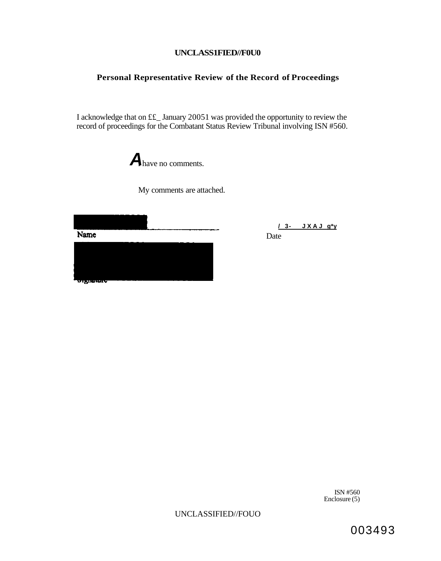## **UNCLASS1FIED//F0U0**

# **Personal Representative Review of the Record of Proceedings**

I acknowledge that on ££\_ January 20051 was provided the opportunity to review the record of proceedings for the Combatant Status Review Tribunal involving ISN #560.



My comments are attached.

Name

**/ 3- JXA J g\*y**  Date



ISN #560 Enclosure (5)

UNCLASSIFIED//FOUO

003493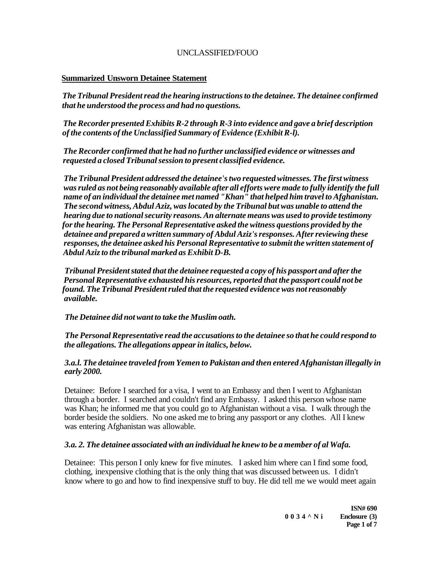### **Summarized Unsworn Detainee Statement**

*The Tribunal President read the hearing instructions to the detainee. The detainee confirmed that he understood the process and had no questions.* 

*The Recorder presented Exhibits R-2 through R-3 into evidence and gave a brief description of the contents of the Unclassified Summary of Evidence (Exhibit R-l).* 

*The Recorder confirmed that he had no further unclassified evidence or witnesses and requested a closed Tribunal session to present classified evidence.* 

*The Tribunal President addressed the detainee's two requested witnesses. The first witness was ruled as not being reasonably available after all efforts were made to fully identify the full name of an individual the detainee met named "Khan" that helped him travel to Afghanistan. The second witness, Abdul Aziz, was located by the Tribunal but was unable to attend the hearing due to national security reasons. An alternate means was used to provide testimony for the hearing. The Personal Representative asked the witness questions provided by the detainee and prepared a written summary of Abdul Aziz's responses. After reviewing these responses, the detainee asked his Personal Representative to submit the written statement of Abdul Aziz to the tribunal marked as Exhibit D-B.* 

*Tribunal President stated that the detainee requested a copy of his passport and after the Personal Representative exhausted his resources, reported that the passport could not be found. The Tribunal President ruled that the requested evidence was not reasonably available.* 

*The Detainee did not want to take the Muslim oath.* 

*The Personal Representative read the accusations to the detainee so that he could respond to the allegations. The allegations appear in italics, below.* 

### *3.a.l. The detainee traveled from Yemen to Pakistan and then entered Afghanistan illegally in early 2000.*

Detainee: Before I searched for a visa, I went to an Embassy and then I went to Afghanistan through a border. I searched and couldn't find any Embassy. I asked this person whose name was Khan; he informed me that you could go to Afghanistan without a visa. I walk through the border beside the soldiers. No one asked me to bring any passport or any clothes. All I knew was entering Afghanistan was allowable.

#### *3.a. 2. The detainee associated with an individual he knew to be a member of al Wafa.*

Detainee: This person I only knew for five minutes. I asked him where can I find some food, clothing, inexpensive clothing that is the only thing that was discussed between us. I didn't know where to go and how to find inexpensive stuff to buy. He did tell me we would meet again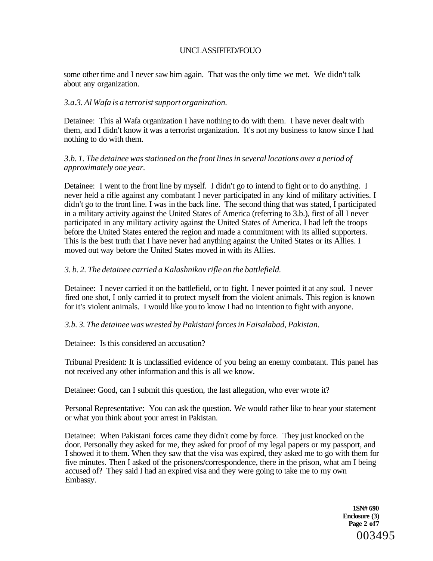some other time and I never saw him again. That was the only time we met. We didn't talk about any organization.

#### *3.a.3. Al Wafa is a terrorist support organization.*

Detainee: This al Wafa organization I have nothing to do with them. I have never dealt with them, and I didn't know it was a terrorist organization. It's not my business to know since I had nothing to do with them.

### *3.b. 1. The detainee was stationed on the front lines in several locations over a period of approximately one year.*

Detainee: I went to the front line by myself. I didn't go to intend to fight or to do anything. I never held a rifle against any combatant I never participated in any kind of military activities. I didn't go to the front line. I was in the back line. The second thing that was stated, I participated in a military activity against the United States of America (referring to 3.b.), first of all I never participated in any military activity against the United States of America. I had left the troops before the United States entered the region and made a commitment with its allied supporters. This is the best truth that I have never had anything against the United States or its Allies. I moved out way before the United States moved in with its Allies.

## *3. b. 2. The detainee carried a Kalashnikov rifle on the battlefield.*

Detainee: I never carried it on the battlefield, or to fight. I never pointed it at any soul. I never fired one shot, I only carried it to protect myself from the violent animals. This region is known for it's violent animals. I would like you to know I had no intention to fight with anyone.

#### *3.b. 3. The detainee was wrested by Pakistani forces in Faisalabad, Pakistan.*

Detainee: Is this considered an accusation?

Tribunal President: It is unclassified evidence of you being an enemy combatant. This panel has not received any other information and this is all we know.

Detainee: Good, can I submit this question, the last allegation, who ever wrote it?

Personal Representative: You can ask the question. We would rather like to hear your statement or what you think about your arrest in Pakistan.

Detainee: When Pakistani forces came they didn't come by force. They just knocked on the door. Personally they asked for me, they asked for proof of my legal papers or my passport, and I showed it to them. When they saw that the visa was expired, they asked me to go with them for five minutes. Then I asked of the prisoners/correspondence, there in the prison, what am I being accused of? They said I had an expired visa and they were going to take me to my own Embassy.

> **1SN# 690 Enclosure (3) Page 2 of7**  003495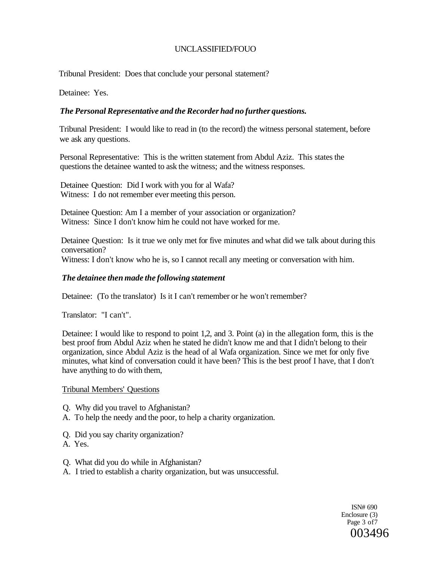Tribunal President: Does that conclude your personal statement?

Detainee: Yes.

# *The Personal Representative and the Recorder had no further questions.*

Tribunal President: I would like to read in (to the record) the witness personal statement, before we ask any questions.

Personal Representative: This is the written statement from Abdul Aziz. This states the questions the detainee wanted to ask the witness; and the witness responses.

Detainee Question: Did I work with you for al Wafa? Witness: I do not remember ever meeting this person.

Detainee Question: Am I a member of your association or organization? Witness: Since I don't know him he could not have worked for me.

Detainee Question: Is it true we only met for five minutes and what did we talk about during this conversation?

Witness: I don't know who he is, so I cannot recall any meeting or conversation with him.

## *The detainee then made the following statement*

Detainee: (To the translator) Is it I can't remember or he won't remember?

Translator: "I can't".

Detainee: I would like to respond to point 1,2, and 3. Point (a) in the allegation form, this is the best proof from Abdul Aziz when he stated he didn't know me and that I didn't belong to their organization, since Abdul Aziz is the head of al Wafa organization. Since we met for only five minutes, what kind of conversation could it have been? This is the best proof I have, that I don't have anything to do with them,

## Tribunal Members' Questions

- Q. Why did you travel to Afghanistan?
- A. To help the needy and the poor, to help a charity organization.
- Q. Did you say charity organization?
- A. Yes.
- Q. What did you do while in Afghanistan?
- A. I tried to establish a charity organization, but was unsuccessful.

ISN# 690 Enclosure (3) Page 3 of7 003496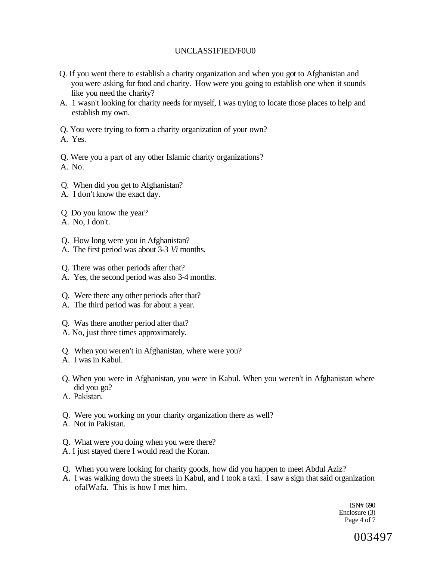## UNCLASS1FIED/F0U0

- Q. If you went there to establish a charity organization and when you got to Afghanistan and you were asking for food and charity. How were you going to establish one when it sounds like you need the charity?
- A. 1 wasn't looking for charity needs for myself, I was trying to locate those places to help and establish my own.
- Q. You were trying to form a charity organization of your own?

A. Yes.

Q. Were you a part of any other Islamic charity organizations?

A. No.

- Q. When did you get to Afghanistan?
- A. I don't know the exact day.

Q. Do you know the year?

A. No, I don't.

- Q. How long were you in Afghanistan?
- A. The first period was about 3-3 *Vi* months.
- Q. There was other periods after that?
- A. Yes, the second period was also 3-4 months.
- Q. Were there any other periods after that?
- A. The third period was for about a year.
- Q. Was there another period after that?
- A. No, just three times approximately.
- Q. When you weren't in Afghanistan, where were you?
- A. I was in Kabul.
- Q. When you were in Afghanistan, you were in Kabul. When you weren't in Afghanistan where did you go?
- A. Pakistan.
- Q. Were you working on your charity organization there as well?
- A. Not in Pakistan.
- Q. What were you doing when you were there?
- A. I just stayed there I would read the Koran.
- Q. When you were looking for charity goods, how did you happen to meet Abdul Aziz?
- A. I was walking down the streets in Kabul, and I took a taxi. I saw a sign that said organization ofalWafa. This is how I met him.

ISN# 690 Enclosure (3) Page 4 of 7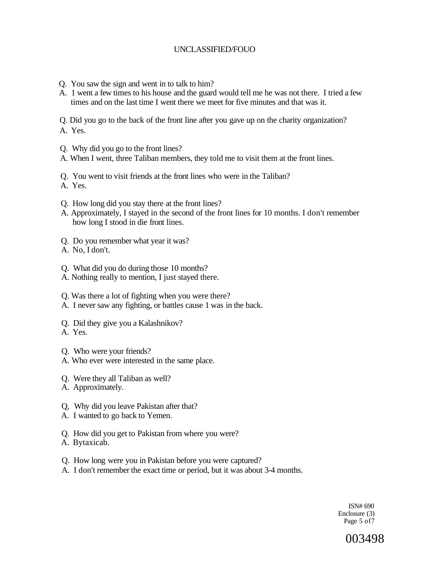- Q. You saw the sign and went in to talk to him?
- A. 1 went a few times to his house and the guard would tell me he was not there. I tried a few times and on the last time I went there we meet for five minutes and that was it.

Q. Did you go to the back of the front line after you gave up on the charity organization? A. Yes.

- Q. Why did you go to the front lines?
- A. When I went, three Taliban members, they told me to visit them at the front lines.
- Q. You went to visit friends at the front lines who were in the Taliban?
- A. Yes.
- Q. How long did you stay there at the front lines?
- A. Approximately, I stayed in the second of the front lines for 10 months. I don't remember how long I stood in die front lines.
- Q. Do you remember what year it was?
- A. No, I don't.
- Q. What did you do during those 10 months?
- A. Nothing really to mention, I just stayed there.
- Q. Was there a lot of fighting when you were there?
- A. I never saw any fighting, or battles cause 1 was in the back.
- Q. Did they give you a Kalashnikov?
- A. Yes.

Q. Who were your friends?

- A. Who ever were interested in the same place.
- Q. Were they all Taliban as well?
- A. Approximately.
- Q, Why did you leave Pakistan after that?
- A. I wanted to go back to Yemen.
- Q. How did you get to Pakistan from where you were?
- A. Bytaxicab.
- Q. How long were you in Pakistan before you were captured?
- A. I don't remember the exact time or period, but it was about 3-4 months.

ISN# 690 Enclosure (3) Page 5 of7

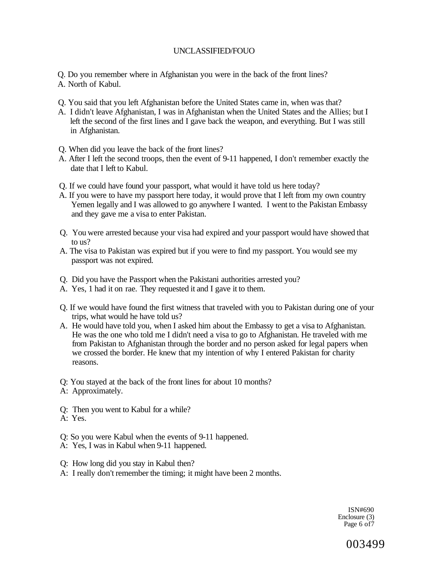Q. Do you remember where in Afghanistan you were in the back of the front lines? A. North of Kabul.

- Q. You said that you left Afghanistan before the United States came in, when was that?
- A. I didn't leave Afghanistan, I was in Afghanistan when the United States and the Allies; but I left the second of the first lines and I gave back the weapon, and everything. But I was still in Afghanistan.
- Q. When did you leave the back of the front lines?
- A. After I left the second troops, then the event of 9-11 happened, I don't remember exactly the date that I left to Kabul.
- Q. If we could have found your passport, what would it have told us here today?
- A. If you were to have my passport here today, it would prove that I left from my own country Yemen legally and I was allowed to go anywhere I wanted. I went to the Pakistan Embassy and they gave me a visa to enter Pakistan.
- Q. You were arrested because your visa had expired and your passport would have showed that to us?
- A. The visa to Pakistan was expired but if you were to find my passport. You would see my passport was not expired.
- Q. Did you have the Passport when the Pakistani authorities arrested you?
- A. Yes, 1 had it on rae. They requested it and I gave it to them.
- Q. If we would have found the first witness that traveled with you to Pakistan during one of your trips, what would he have told us?
- A. He would have told you, when I asked him about the Embassy to get a visa to Afghanistan. He was the one who told me I didn't need a visa to go to Afghanistan. He traveled with me from Pakistan to Afghanistan through the border and no person asked for legal papers when we crossed the border. He knew that my intention of why I entered Pakistan for charity reasons.
- Q: You stayed at the back of the front lines for about 10 months?
- A: Approximately.
- Q: Then you went to Kabul for a while?
- A: Yes.
- Q: So you were Kabul when the events of 9-11 happened.
- A: Yes, I was in Kabul when 9-11 happened.
- Q: How long did you stay in Kabul then?
- A: I really don't remember the timing; it might have been 2 months.

ISN#690 Enclosure (3) Page 6 of7

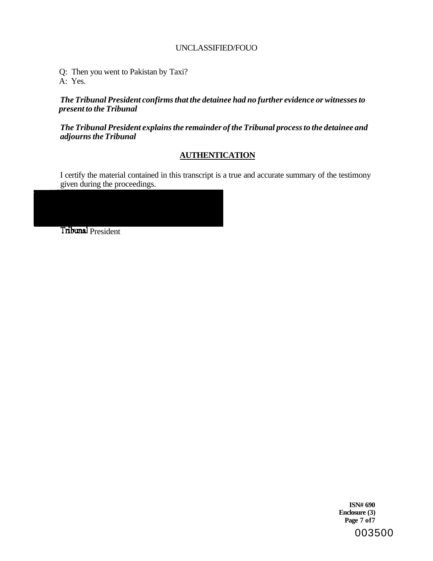Q: Then you went to Pakistan by Taxi? A: Yes.

*The Tribunal President confirms that the detainee had no further evidence or witnesses to present to the Tribunal* 

*The Tribunal President explains the remainder of the Tribunal process to the detainee and adjourns the Tribunal* 

## **AUTHENTICATION**

I certify the material contained in this transcript is a true and accurate summary of the testimony given during the proceedings.

Tribunal President

**ISN# 690 Enclosure (3) Page 7 of7**  003500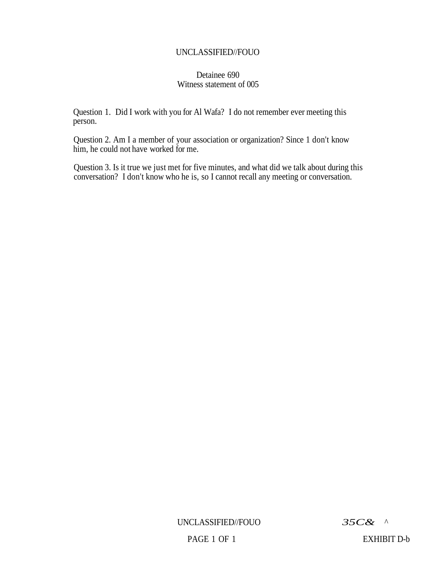## Detainee 690 Witness statement of 005

Question 1. Did I work with you for Al Wafa? I do not remember ever meeting this person.

Question 2. Am I a member of your association or organization? Since 1 don't know him, he could not have worked for me.

Question 3. Is it true we just met for five minutes, and what did we talk about during this conversation? I don't know who he is, so I cannot recall any meeting or conversation.

UNCLASSIFIED//FOUO *35C& ^* 

PAGE 1 OF 1 EXHIBIT D-b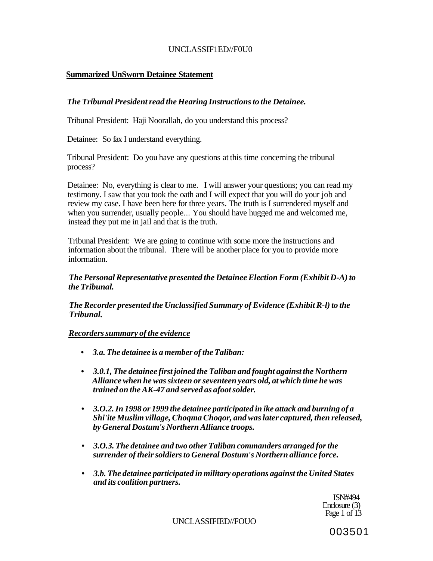## UNCLASSIF1ED//F0U0

## **Summarized UnSworn Detainee Statement**

## *The Tribunal President read the Hearing Instructions to the Detainee.*

Tribunal President: Haji Noorallah, do you understand this process?

Detainee: So fax I understand everything.

Tribunal President: Do you have any questions at this time concerning the tribunal process?

Detainee: No, everything is clear to me. I will answer your questions; you can read my testimony. I saw that you took the oath and I will expect that you will do your job and review my case. I have been here for three years. The truth is I surrendered myself and when you surrender, usually people... You should have hugged me and welcomed me, instead they put me in jail and that is the truth.

Tribunal President: We are going to continue with some more the instructions and information about the tribunal. There will be another place for you to provide more information.

*The Personal Representative presented the Detainee Election Form (Exhibit D-A) to the Tribunal.* 

*The Recorder presented the Unclassified Summary of Evidence (Exhibit R-l) to the Tribunal.* 

## *Recorders summary of the evidence*

- **•** *3.a. The detainee is a member of the Taliban:*
- **•** *3.0.1, The detainee first joined the Taliban and fought against the Northern Alliance when he was sixteen or seventeen years old, at which time he was trained on the AK-47 and served as afoot solder.*
- **•** *3.O.2. In 1998 or 1999 the detainee participated in ike attack and burning of a Shi'ite Muslim village, Choqma Choqor, and was later captured, then released, by General Dostum's Northern Alliance troops.*
- **•** *3.O.3. The detainee and two other Taliban commanders arranged for the surrender of their soldiers to General Dostum's Northern alliance force.*
- *3.b. The detainee participated in military operations against the United States and its coalition partners.*

ISN#494 Enclosure (3) Page 1 of 13

UNCLASSIFIED//FOUO

003501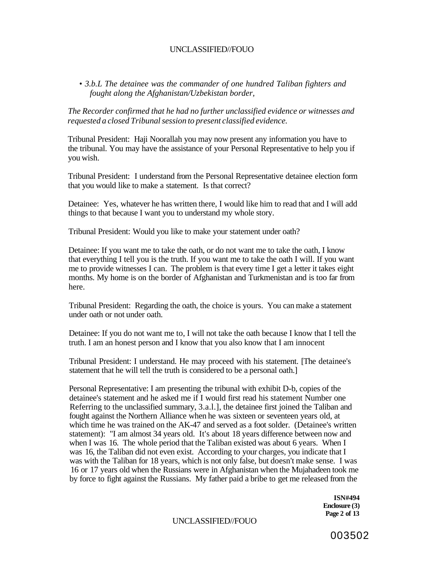• *3.b.L The detainee was the commander of one hundred Taliban fighters and fought along the Afghanistan/Uzbekistan border,* 

*The Recorder confirmed that he had no further unclassified evidence or witnesses and requested a closed Tribunal session to present classified evidence.* 

Tribunal President: Haji Noorallah you may now present any information you have to the tribunal. You may have the assistance of your Personal Representative to help you if you wish.

Tribunal President: I understand from the Personal Representative detainee election form that you would like to make a statement. Is that correct?

Detainee: Yes, whatever he has written there, I would like him to read that and I will add things to that because I want you to understand my whole story.

Tribunal President: Would you like to make your statement under oath?

Detainee: If you want me to take the oath, or do not want me to take the oath, I know that everything I tell you is the truth. If you want me to take the oath I will. If you want me to provide witnesses I can. The problem is that every time I get a letter it takes eight months. My home is on the border of Afghanistan and Turkmenistan and is too far from here.

Tribunal President: Regarding the oath, the choice is yours. You can make a statement under oath or not under oath.

Detainee: If you do not want me to, I will not take the oath because I know that I tell the truth. I am an honest person and I know that you also know that I am innocent

Tribunal President: I understand. He may proceed with his statement. [The detainee's statement that he will tell the truth is considered to be a personal oath.]

Personal Representative: I am presenting the tribunal with exhibit D-b, copies of the detainee's statement and he asked me if I would first read his statement Number one Referring to the unclassified summary, 3.a.l.], the detainee first joined the Taliban and fought against the Northern Alliance when he was sixteen or seventeen years old, at which time he was trained on the AK-47 and served as a foot solder. (Detainee's written statement): "I am almost 34 years old. It's about 18 years difference between now and when I was 16. The whole period that the Taliban existed was about 6 years. When I was 16, the Taliban did not even exist. According to your charges, you indicate that I was with the Taliban for 18 years, which is not only false, but doesn't make sense. I was 16 or 17 years old when the Russians were in Afghanistan when the Mujahadeen took me by force to fight against the Russians. My father paid a bribe to get me released from the

> **ISN#494 Enclosure (3) Page 2 of 13**

UNCLASSIFIED//FOUO

003502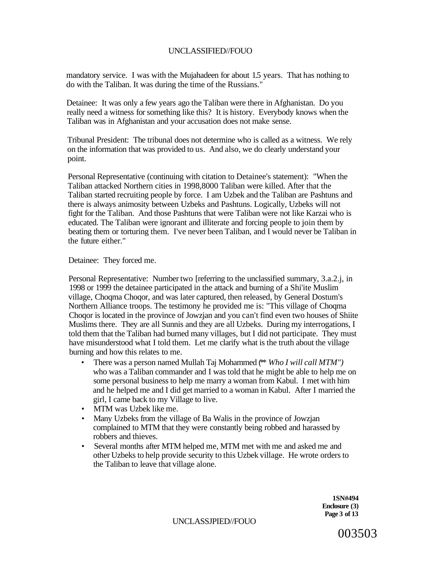mandatory service. I was with the Mujahadeen for about 1.5 years. That has nothing to do with the Taliban. It was during the time of the Russians."

Detainee: It was only a few years ago the Taliban were there in Afghanistan. Do you really need a witness for something like this? It is history. Everybody knows when the Taliban was in Afghanistan and your accusation does not make sense.

Tribunal President: The tribunal does not determine who is called as a witness. We rely on the information that was provided to us. And also, we do clearly understand your point.

Personal Representative (continuing with citation to Detainee's statement): "When the Taliban attacked Northern cities in 1998,8000 Taliban were killed. After that the Taliban started recruiting people by force. I am Uzbek and the Taliban are Pashtuns and there is always animosity between Uzbeks and Pashtuns. Logically, Uzbeks will not fight for the Taliban. And those Pashtuns that were Taliban were not like Karzai who is educated. The Taliban were ignorant and illiterate and forcing people to join them by beating them or torturing them. I've never been Taliban, and I would never be Taliban in the future either."

Detainee: They forced me.

Personal Representative: Number two [referring to the unclassified summary, 3.a.2.j, in 1998 or 1999 the detainee participated in the attack and burning of a Shi'ite Muslim village, Choqma Choqor, and was later captured, then released, by General Dostum's Northern Alliance troops. The testimony he provided me is: "This village of Choqma Choqor is located in the province of Jowzjan and you can't find even two houses of Shiite Muslims there. They are all Sunnis and they are all Uzbeks. During my interrogations, I told them that the Taliban had burned many villages, but I did not participate. They must have misunderstood what I told them. Let me clarify what is the truth about the village burning and how this relates to me.

- There was a person named Mullah Taj Mohammed (\*\* *Who I will call MTM")*  who was a Taliban commander and I was told that he might be able to help me on some personal business to help me marry a woman from Kabul. I met with him and he helped me and I did get married to a woman in Kabul. After I married the girl, I came back to my Village to live.
- MTM was Uzbek like me.
- Many Uzbeks from the village of Ba Walis in the province of Jowzjan complained to MTM that they were constantly being robbed and harassed by robbers and thieves.
- Several months after MTM helped me, MTM met with me and asked me and other Uzbeks to help provide security to this Uzbek village. He wrote orders to the Taliban to leave that village alone.

**1SN#494 Enclosure (3) Page 3 of 13** 

UNCLASSJPIED//FOUO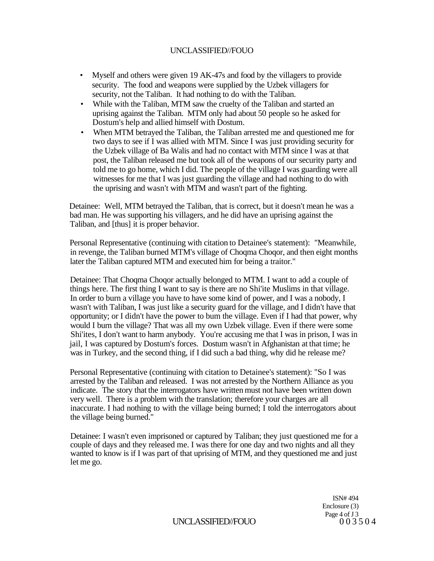- Myself and others were given 19 AK-47s and food by the villagers to provide security. The food and weapons were supplied by the Uzbek villagers for security, not the Taliban. It had nothing to do with the Taliban.
- While with the Taliban, MTM saw the cruelty of the Taliban and started an uprising against the Taliban. MTM only had about 50 people so he asked for Dostum's help and allied himself with Dostum.
- When MTM betrayed the Taliban, the Taliban arrested me and questioned me for two days to see if I was allied with MTM. Since I was just providing security for the Uzbek village of Ba Walis and had no contact with MTM since I was at that post, the Taliban released me but took all of the weapons of our security party and told me to go home, which I did. The people of the village I was guarding were all witnesses for me that I was just guarding the village and had nothing to do with the uprising and wasn't with MTM and wasn't part of the fighting.

Detainee: Well, MTM betrayed the Taliban, that is correct, but it doesn't mean he was a bad man. He was supporting his villagers, and he did have an uprising against the Taliban, and [thus] it is proper behavior.

Personal Representative (continuing with citation to Detainee's statement): "Meanwhile, in revenge, the Taliban burned MTM's village of Choqma Choqor, and then eight months later the Taliban captured MTM and executed him for being a traitor."

Detainee: That Choqma Choqor actually belonged to MTM. I want to add a couple of things here. The first thing I want to say is there are no Shi'ite Muslims in that village. In order to burn a village you have to have some kind of power, and I was a nobody, I wasn't with Taliban, I was just like a security guard for the village, and I didn't have that opportunity; or I didn't have the power to bum the village. Even if I had that power, why would I burn the village? That was all my own Uzbek village. Even if there were some Shi'ites, I don't want to harm anybody. You're accusing me that I was in prison, I was in jail, I was captured by Dostum's forces. Dostum wasn't in Afghanistan at that time; he was in Turkey, and the second thing, if I did such a bad thing, why did he release me?

Personal Representative (continuing with citation to Detainee's statement): "So I was arrested by the Taliban and released. I was not arrested by the Northern Alliance as you indicate. The story that the interrogators have written must not have been written down very well. There is a problem with the translation; therefore your charges are all inaccurate. I had nothing to with the village being burned; I told the interrogators about the village being burned."

Detainee: I wasn't even imprisoned or captured by Taliban; they just questioned me for a couple of days and they released me. I was there for one day and two nights and all they wanted to know is if I was part of that uprising of MTM, and they questioned me and just let me go.

> ISN# 494 Enclosure (3) Page 4 of J 3<br>0 0 3 5 0 4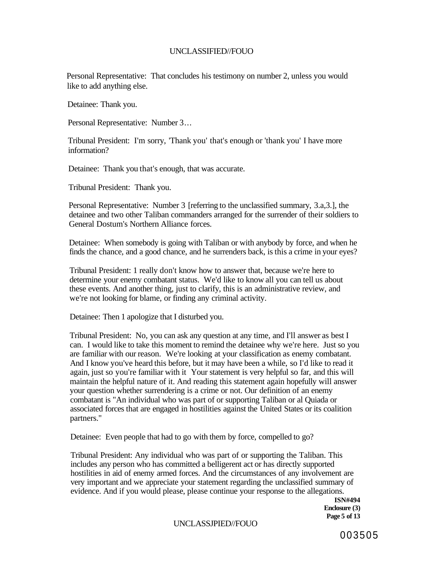Personal Representative: That concludes his testimony on number 2, unless you would like to add anything else.

Detainee: Thank you.

Personal Representative: Number 3...

Tribunal President: I'm sorry, 'Thank you' that's enough or 'thank you' I have more information?

Detainee: Thank you that's enough, that was accurate.

Tribunal President: Thank you.

Personal Representative: Number 3 [referring to the unclassified summary, 3.a,3.], the detainee and two other Taliban commanders arranged for the surrender of their soldiers to General Dostum's Northern Alliance forces.

Detainee: When somebody is going with Taliban or with anybody by force, and when he finds the chance, and a good chance, and he surrenders back, is this a crime in your eyes?

Tribunal President: 1 really don't know how to answer that, because we're here to determine your enemy combatant status. We'd like to know all you can tell us about these events. And another thing, just to clarify, this is an administrative review, and we're not looking for blame, or finding any criminal activity.

Detainee: Then 1 apologize that I disturbed you.

Tribunal President: No, you can ask any question at any time, and I'll answer as best I can. I would like to take this moment to remind the detainee why we're here. Just so you are familiar with our reason. We're looking at your classification as enemy combatant. And I know you've heard this before, but it may have been a while, so I'd like to read it again, just so you're familiar with it Your statement is very helpful so far, and this will maintain the helpful nature of it. And reading this statement again hopefully will answer your question whether surrendering is a crime or not. Our definition of an enemy combatant is "An individual who was part of or supporting Taliban or al Quiada or associated forces that are engaged in hostilities against the United States or its coalition partners."

Detainee: Even people that had to go with them by force, compelled to go?

Tribunal President: Any individual who was part of or supporting the Taliban. This includes any person who has committed a belligerent act or has directly supported hostilities in aid of enemy armed forces. And the circumstances of any involvement are very important and we appreciate your statement regarding the unclassified summary of evidence. And if you would please, please continue your response to the allegations.

> **ISN#494 Enclosure (3) Page 5 of 13**

UNCLASSJPIED//FOUO

003505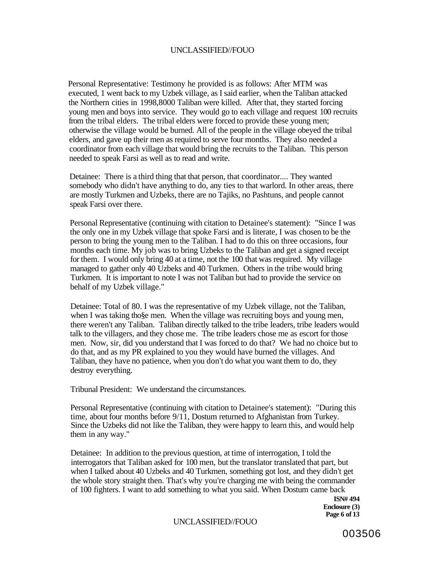Personal Representative: Testimony he provided is as follows: After MTM was executed, 1 went back to my Uzbek village, as I said earlier, when the Taliban attacked the Northern cities in 1998,8000 Taliban were killed. After that, they started forcing young men and boys into service. They would go to each village and request 100 recruits from the tribal elders. The tribal elders were forced to provide these young men; otherwise the village would be burned. All of the people in the village obeyed the tribal elders, and gave up their men as required to serve four months. They also needed a coordinator from each village that would bring the recruits to the Taliban. This person needed to speak Farsi as well as to read and write.

Detainee: There is a third thing that that person, that coordinator.... They wanted somebody who didn't have anything to do, any ties to that warlord. In other areas, there are mostly Turkmen and Uzbeks, there are no Tajiks, no Pashtuns, and people cannot speak Farsi over there.

Personal Representative (continuing with citation to Detainee's statement): "Since I was the only one in my Uzbek village that spoke Farsi and is literate, I was chosen to be the person to bring the young men to the Taliban. I had to do this on three occasions, four months each time. My job was to bring Uzbeks to the Taliban and get a signed receipt for them. I would only bring 40 at a time, not the 100 that was required. My village managed to gather only 40 Uzbeks and 40 Turkmen. Others in the tribe would bring Turkmen. It is important to note I was not Taliban but had to provide the service on behalf of my Uzbek village."

Detainee: Total of 80. I was the representative of my Uzbek village, not the Taliban, when I was taking tho§e men. When the village was recruiting boys and young men, there weren't any Taliban. Taliban directly talked to the tribe leaders, tribe leaders would talk to the villagers, and they chose me. The tribe leaders chose me as escort for those men. Now, sir, did you understand that I was forced to do that? We had no choice but to do that, and as my PR explained to you they would have burned the villages. And Taliban, they have no patience, when you don't do what you want them to do, they destroy everything.

Tribunal President: We understand the circumstances.

Personal Representative (continuing with citation to Detainee's statement): "During this time, about four months before 9/11, Dostum returned to Afghanistan from Turkey. Since the Uzbeks did not like the Taliban, they were happy to learn this, and would help them in any way."

Detainee: In addition to the previous question, at time of interrogation, I told the interrogators that Taliban asked for 100 men, but the translator translated that part, but when I talked about 40 Uzbeks and 40 Turkmen, something got lost, and they didn't get the whole story straight then. That's why you're charging me with being the commander of 100 fighters. I want to add something to what you said. When Dostum came back

> **ISN# 494 Enclosure (3) Page 6 of 13**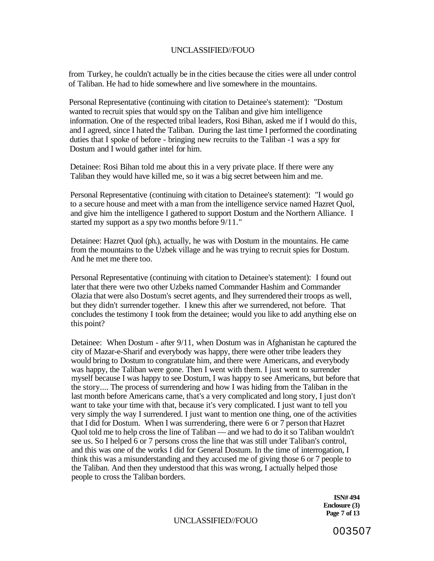from Turkey, he couldn't actually be in the cities because the cities were all under control of Taliban. He had to hide somewhere and live somewhere in the mountains.

Personal Representative (continuing with citation to Detainee's statement): "Dostum wanted to recruit spies that would spy on the Taliban and give him intelligence information. One of the respected tribal leaders, Rosi Bihan, asked me if I would do this, and I agreed, since I hated the Taliban. During the last time I performed the coordinating duties that I spoke of before - bringing new recruits to the Taliban -1 was a spy for Dostum and I would gather intel for him.

Detainee: Rosi Bihan told me about this in a very private place. If there were any Taliban they would have killed me, so it was a big secret between him and me.

Personal Representative (continuing with citation to Detainee's statement): "I would go to a secure house and meet with a man from the intelligence service named Hazret Quol, and give him the intelligence I gathered to support Dostum and the Northern Alliance. I started my support as a spy two months before 9/11."

Detainee: Hazret Quol (ph.), actually, he was with Dostum in the mountains. He came from the mountains to the Uzbek village and he was trying to recruit spies for Dostum. And he met me there too.

Personal Representative (continuing with citation to Detainee's statement): I found out later that there were two other Uzbeks named Commander Hashim and Commander Olazia that were also Dostum's secret agents, and Ihey surrendered their troops as well, but they didn't surrender together. I knew this after we surrendered, not before. That concludes the testimony I took from the detainee; would you like to add anything else on this point?

Detainee: When Dostum - after 9/11, when Dostum was in Afghanistan he captured the city of Mazar-e-Sharif and everybody was happy, there were other tribe leaders they would bring to Dostum to congratulate him, and there were Americans, and everybody was happy, the Taliban were gone. Then I went with them. I just went to surrender myself because I was happy to see Dostum, I was happy to see Americans, but before that the story.... The process of surrendering and how I was hiding from the Taliban in the last month before Americans came, that's a very complicated and long story, I just don't want to take your time with that, because it's very complicated. I just want to tell you very simply the way I surrendered. I just want to mention one thing, one of the activities that I did for Dostum. When I was surrendering, there were 6 or 7 person that Hazret Quol told me to help cross the line of Taliban — and we had to do it so Taliban wouldn't see us. So I helped 6 or 7 persons cross the line that was still under Taliban's control, and this was one of the works I did for General Dostum. In the time of interrogation, I think this was a misunderstanding and they accused me of giving those 6 or 7 people to the Taliban. And then they understood that this was wrong, I actually helped those people to cross the Taliban borders.

> **ISN# 494 Enclosure (3) Page 7 of 13**

UNCLASSIFIED//FOUO

003507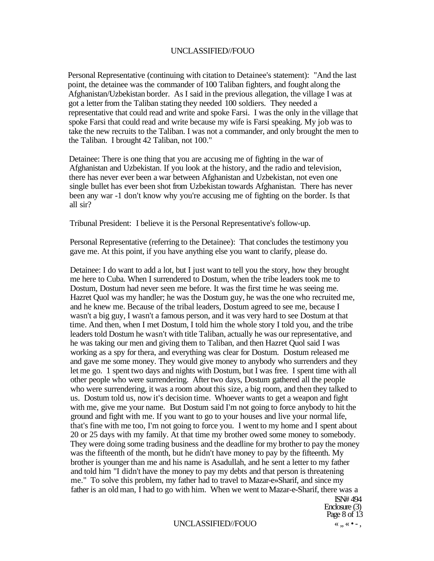Personal Representative (continuing with citation to Detainee's statement): "And the last point, the detainee was the commander of 100 Taliban fighters, and fought along the Afghanistan/Uzbekistan border. As I said in the previous allegation, the village I was at got a letter from the Taliban stating they needed 100 soldiers. They needed a representative that could read and write and spoke Farsi. I was the only in the village that spoke Farsi that could read and write because my wife is Farsi speaking. My job was to take the new recruits to the Taliban. I was not a commander, and only brought the men to the Taliban. I brought 42 Taliban, not 100."

Detainee: There is one thing that you are accusing me of fighting in the war of Afghanistan and Uzbekistan. If you look at the history, and the radio and television, there has never ever been a war between Afghanistan and Uzbekistan, not even one single bullet has ever been shot from Uzbekistan towards Afghanistan. There has never been any war -1 don't know why you're accusing me of fighting on the border. Is that all sir?

Tribunal President: I believe it is the Personal Representative's follow-up.

Personal Representative (referring to the Detainee): That concludes the testimony you gave me. At this point, if you have anything else you want to clarify, please do.

Detainee: I do want to add a lot, but I just want to tell you the story, how they brought me here to Cuba. When I surrendered to Dostum, when the tribe leaders took me to Dostum, Dostum had never seen me before. It was the first time he was seeing me. Hazret Quol was my handler; he was the Dostum guy, he was the one who recruited me, and he knew me. Because of the tribal leaders, Dostum agreed to see me, because I wasn't a big guy, I wasn't a famous person, and it was very hard to see Dostum at that time. And then, when I met Dostum, I told him the whole story I told you, and the tribe leaders told Dostum he wasn't with title Taliban, actually he was our representative, and he was taking our men and giving them to Taliban, and then Hazret Quol said I was working as a spy for thera, and everything was clear for Dostum. Dostum released me and gave me some money. They would give money to anybody who surrenders and they let me go. 1 spent two days and nights with Dostum, but I was free. I spent time with all other people who were surrendering. After two days, Dostum gathered all the people who were surrendering, it was a room about this size, a big room, and then they talked to us. Dostum told us, now it's decision time. Whoever wants to get a weapon and fight with me, give me your name. But Dostum said I'm not going to force anybody to hit the ground and fight with me. If you want to go to your houses and live your normal life, that's fine with me too, I'm not going to force you. I went to my home and I spent about 20 or 25 days with my family. At that time my brother owed some money to somebody. They were doing some trading business and the deadline for my brother to pay the money was the fifteenth of the month, but he didn't have money to pay by the fifteenth. My brother is younger than me and his name is Asadullah, and he sent a letter to my father and told him "I didn't have the money to pay my debts and that person is threatening me." To solve this problem, my father had to travel to Mazar-e»Sharif, and since my father is an old man, I had to go with him. When we went to Mazar-e-Sharif, there was a

#### UNCLASSIFIED//FOUO «
...« • -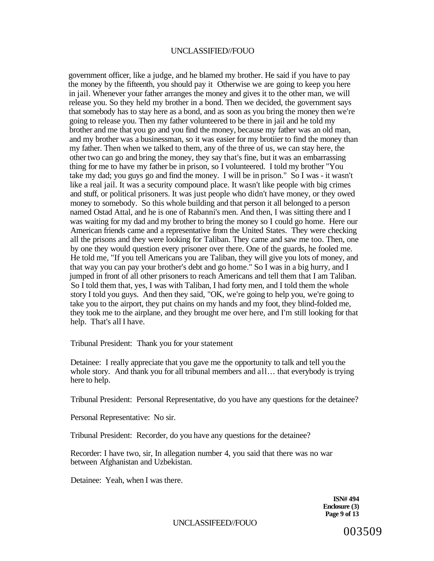government officer, like a judge, and he blamed my brother. He said if you have to pay the money by the fifteenth, you should pay it Otherwise we are going to keep you here in jail. Whenever your father arranges the money and gives it to the other man, we will release you. So they held my brother in a bond. Then we decided, the government says that somebody has to stay here as a bond, and as soon as you bring the money then we're going to release you. Then my father volunteered to be there in jail and he told my brother and me that you go and you find the money, because my father was an old man, and my brother was a businessman, so it was easier for my brotiier to find the money than my father. Then when we talked to them, any of the three of us, we can stay here, the other two can go and bring the money, they say that's fine, but it was an embarrassing thing for me to have my father be in prison, so I volunteered. I told my brother "You take my dad; you guys go and find the money. I will be in prison." So I was - it wasn't like a real jail. It was a security compound place. It wasn't like people with big crimes and stuff, or political prisoners. It was just people who didn't have money, or they owed money to somebody. So this whole building and that person it all belonged to a person named Ostad Attal, and he is one of Rabanni's men. And then, I was sitting there and I was waiting for my dad and my brother to bring the money so I could go home. Here our American friends came and a representative from the United States. They were checking all the prisons and they were looking for Taliban. They came and saw me too. Then, one by one they would question every prisoner over there. One of the guards, he fooled me. He told me, "If you tell Americans you are Taliban, they will give you lots of money, and that way you can pay your brother's debt and go home." So I was in a big hurry, and I jumped in front of all other prisoners to reach Americans and tell them that I am Taliban. So I told them that, yes, I was with Taliban, I had forty men, and I told them the whole story I told you guys. And then they said, "OK, we're going to help you, we're going to take you to the airport, they put chains on my hands and my foot, they blind-folded me, they took me to the airplane, and they brought me over here, and I'm still looking for that help. That's all I have.

Tribunal President: Thank you for your statement

Detainee: I really appreciate that you gave me the opportunity to talk and tell you the whole story. And thank you for all tribunal members and all... that everybody is trying here to help.

Tribunal President: Personal Representative, do you have any questions for the detainee?

Personal Representative: No sir.

Tribunal President: Recorder, do you have any questions for the detainee?

Recorder: I have two, sir, In allegation number 4, you said that there was no war between Afghanistan and Uzbekistan.

Detainee: Yeah, when I was there.

**ISN# 494 Enclosure (3) Page 9 of 13** 

UNCLASSIFEED//FOUO

003509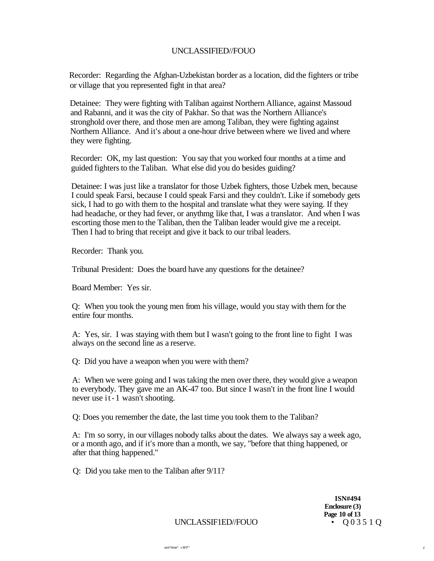Recorder: Regarding the Afghan-Uzbekistan border as a location, did the fighters or tribe or village that you represented fight in that area?

Detainee: They were fighting with Taliban against Northern Alliance, against Massoud and Rabanni, and it was the city of Pakhar. So that was the Northern Alliance's stronghold over there, and those men are among Taliban, they were fighting against Northern Alliance. And it's about a one-hour drive between where we lived and where they were fighting.

Recorder: OK, my last question: You say that you worked four months at a time and guided fighters to the Taliban. What else did you do besides guiding?

Detainee: I was just like a translator for those Uzbek fighters, those Uzbek men, because I could speak Farsi, because I could speak Farsi and they couldn't. Like if somebody gets sick, I had to go with them to the hospital and translate what they were saying. If they had headache, or they had fever, or anythmg like that, I was a translator. And when I was escorting those men to the Taliban, then the Taliban leader would give me a receipt. Then I had to bring that receipt and give it back to our tribal leaders.

Recorder: Thank you.

Tribunal President: Does the board have any questions for the detainee?

Board Member: Yes sir.

Q: When you took the young men from his village, would you stay with them for the entire four months.

A: Yes, sir. I was staying with them but I wasn't going to the front line to fight I was always on the second line as a reserve.

Q: Did you have a weapon when you were with them?

A: When we were going and I was taking the men over there, they would give a weapon to everybody. They gave me an AK-47 too. But since I wasn't in the front line I would never use it- 1 wasn't shooting.

Q: Does you remember the date, the last time you took them to the Taliban?

A: I'm so sorry, in our villages nobody talks about the dates. We always say a week ago, or a month ago, and if it's more than a month, we say, "before that thing happened, or after that thing happened."

Q: Did you take men to the Taliban after 9/11?

**ISN#494 Enclosure (3) Page 10 of 13**<br>•  $003510$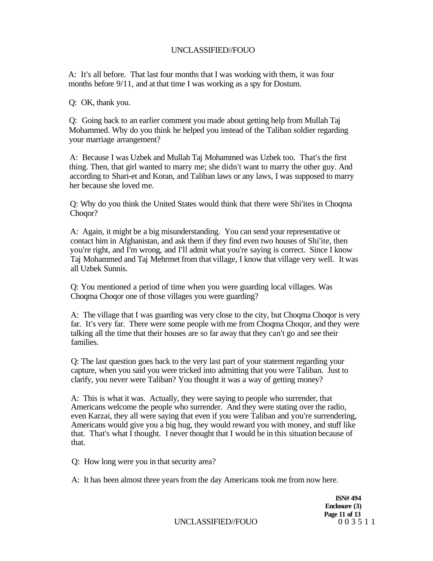A: It's all before. That last four months that I was working with them, it was four months before 9/11, and at that time I was working as a spy for Dostum.

Q: OK, thank you.

Q: Going back to an earlier comment you made about getting help from Mullah Taj Mohammed. Why do you think he helped you instead of the Taliban soldier regarding your marriage arrangement?

A: Because I was Uzbek and Mullah Taj Mohammed was Uzbek too. That's the first thing. Then, that girl wanted to marry me; she didn't want to marry the other guy. And according to Shari-et and Koran, and Taliban laws or any laws, I was supposed to marry her because she loved me.

Q: Why do you think the United States would think that there were Shi'ites in Choqma Choqor?

A: Again, it might be a big misunderstanding. You can send your representative or contact him in Afghanistan, and ask them if they find even two houses of Shi'ite, then you're right, and I'm wrong, and I'll admit what you're saying is correct. Since I know Taj Mohammed and Taj Mehrmet from that village, I know that village very well. It was all Uzbek Sunnis.

Q: You mentioned a period of time when you were guarding local villages. Was Choqma Choqor one of those villages you were guarding?

A: The village that I was guarding was very close to the city, but Choqma Choqor is very far. It's very far. There were some people with me from Choqma Choqor, and they were talking all the time that their houses are so far away that they can't go and see their families.

Q: The last question goes back to the very last part of your statement regarding your capture, when you said you were tricked into admitting that you were Taliban. Just to clarify, you never were Taliban? You thought it was a way of getting money?

A: This is what it was. Actually, they were saying to people who surrender, that Americans welcome the people who surrender. And they were stating over the radio, even Karzai, they all were saying that even if you were Taliban and you're surrendering, Americans would give you a big hug, they would reward you with money, and stuff like that. That's what I thought. I never thought that I would be in this situation because of that.

Q: How long were you in that security area?

A: It has been almost three years from the day Americans took me from now here.

**ISN# 494 Enclosure (3) Page 11 of 13**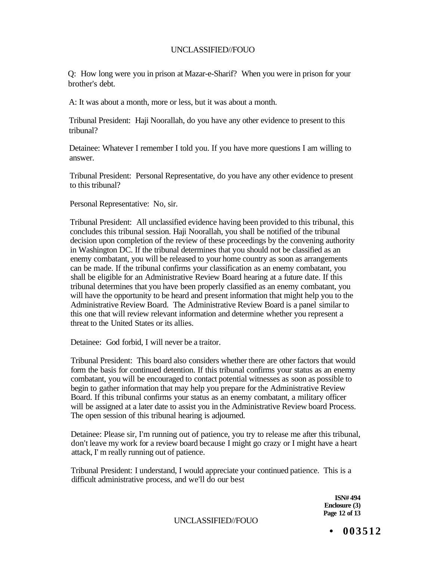Q: How long were you in prison at Mazar-e-Sharif? When you were in prison for your brother's debt.

A: It was about a month, more or less, but it was about a month.

Tribunal President: Haji Noorallah, do you have any other evidence to present to this tribunal?

Detainee: Whatever I remember I told you. If you have more questions I am willing to answer.

Tribunal President: Personal Representative, do you have any other evidence to present to this tribunal?

Personal Representative: No, sir.

Tribunal President: All unclassified evidence having been provided to this tribunal, this concludes this tribunal session. Haji Noorallah, you shall be notified of the tribunal decision upon completion of the review of these proceedings by the convening authority in Washington DC. If the tribunal determines that you should not be classified as an enemy combatant, you will be released to your home country as soon as arrangements can be made. If the tribunal confirms your classification as an enemy combatant, you shall be eligible for an Administrative Review Board hearing at a future date. If this tribunal determines that you have been properly classified as an enemy combatant, you will have the opportunity to be heard and present information that might help you to the Administrative Review Board. The Administrative Review Board is a panel similar to this one that will review relevant information and determine whether you represent a threat to the United States or its allies.

Detainee: God forbid, I will never be a traitor.

Tribunal President: This board also considers whether there are other factors that would form the basis for continued detention. If this tribunal confirms your status as an enemy combatant, you will be encouraged to contact potential witnesses as soon as possible to begin to gather information that may help you prepare for the Administrative Review Board. If this tribunal confirms your status as an enemy combatant, a military officer will be assigned at a later date to assist you in the Administrative Review board Process. The open session of this tribunal hearing is adjourned.

Detainee: Please sir, I'm running out of patience, you try to release me after this tribunal, don't leave my work for a review board because I might go crazy or I might have a heart attack, I' m really running out of patience.

Tribunal President: I understand, I would appreciate your continued patience. This is a difficult administrative process, and we'll do our best

> **ISN# 494 Enclosure (3) Page 12 of 13**

UNCLASSIFIED//FOUO

**• 003512**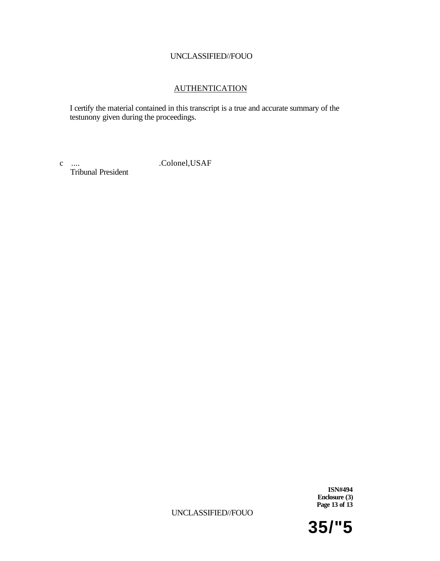## AUTHENTICATION

I certify the material contained in this transcript is a true and accurate summary of the testunony given during the proceedings.

Tribunal President

c .... .Colonel,USAF

**ISN#494 Enclosure (3) Page 13 of 13** 

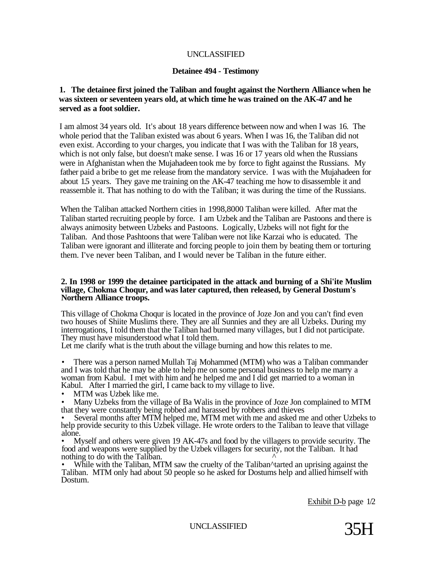## UNCLASSIFIED

#### **Detainee 494 - Testimony**

## **1. The detainee first joined the Taliban and fought against the Northern Alliance when he was sixteen or seventeen years old, at which time he was trained on the AK-47 and he served as a foot soldier.**

I am almost 34 years old. It's about 18 years difference between now and when I was 16. The whole period that the Taliban existed was about 6 years. When I was 16, the Taliban did not even exist. According to your charges, you indicate that I was with the Taliban for 18 years, which is not only false, but doesn't make sense. I was 16 or 17 years old when the Russians were in Afghanistan when the Mujahadeen took me by force to fight against the Russians. My father paid a bribe to get me release from the mandatory service. I was with the Mujahadeen for about 1.5 years. They gave me training on the AK-47 teaching me how to disassemble it and reassemble it. That has nothing to do with the Taliban; it was during the time of the Russians.

When the Taliban attacked Northern cities in 1998,8000 Taliban were killed. After mat the Taliban started recruiting people by force. I am Uzbek and the Taliban are Pastoons and there is always animosity between Uzbeks and Pastoons. Logically, Uzbeks will not fight for the Taliban. And those Pashtoons that were Taliban were not like Karzai who is educated. The Taliban were ignorant and illiterate and forcing people to join them by beating them or torturing them. I've never been Taliban, and I would never be Taliban in the future either.

#### **2. In 1998 or 1999 the detainee participated in the attack and burning of a Shi'ite Muslim village, Chokma Choqur, and was later captured, then released, by General Dostum's Northern Alliance troops.**

This village of Chokma Choqur is located in the province of Joze Jon and you can't find even two houses of Shiite Muslims there. They are all Sunnies and they are all Uzbeks. During my interrogations, I told them that the Taliban had burned many villages, but I did not participate. They must have misunderstood what I told them.

Let me clarify what is the truth about the village burning and how this relates to me.

• There was a person named Mullah Taj Mohammed (MTM) who was a Taliban commander and I was told that he may be able to help me on some personal business to help me marry a woman from Kabul. I met with him and he helped me and I did get married to a woman in Kabul. After I married the girl, I came back to my village to live.

MTM was Uzbek like me.

• Many Uzbeks from the village of Ba Walis in the province of Joze Jon complained to MTM that they were constantly being robbed and harassed by robbers and thieves

Several months after MTM helped me, MTM met with me and asked me and other Uzbeks to help provide security to this Uzbek village. He wrote orders to the Taliban to leave that village alone.

• Myself and others were given 19 AK-47s and food by the villagers to provide security. The food and weapons were supplied by the Uzbek villagers for security, not the Taliban. It had nothing to do with the Taliban.  $\sim$ 

While with the Taliban, MTM saw the cruelty of the Taliban^tarted an uprising against the Taliban. MTM only had about 50 people so he asked for Dostums help and allied himself with Dostum.

Exhibit D-b page 1/2

UNCLASSIFIED 35H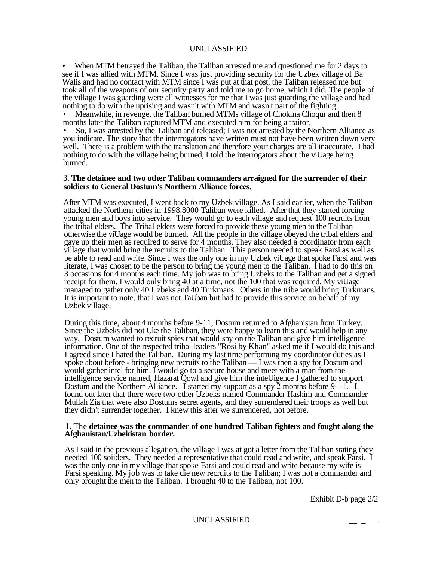#### UNCLASSIFIED

• When MTM betrayed the Taliban, the Taliban arrested me and questioned me for 2 days to see if I was allied with MTM. Since I was just providing security for the Uzbek village of Ba Walis and had no contact with MTM since I was put at that post, the Taliban released me but took all of the weapons of our security party and told me to go home, which I did. The people of the village I was guarding were all witnesses for me that I was just guarding the village and had nothing to do with the uprising and wasn't with MTM and wasn't part of the fighting.

• Meanwhile, in revenge, the Taliban burned MTMs village of Chokma Choqur and then 8 months later the Taliban captured MTM and executed him for being a traitor.

• So, I was arrested by the Taliban and released; I was not arrested by the Northern Alliance as you indicate. The story that the interrogators have written must not have been written down very well. There is a problem with the translation and therefore your charges are all inaccurate. I had nothing to do with the village being burned, I told the interrogators about the viUage being burned.

#### 3. **The detainee and two other Taliban commanders arraigned for the surrender of their soldiers to General Dostum's Northern Alliance forces.**

After MTM was executed, I went back to my Uzbek village. As I said earlier, when the Taliban attacked the Northern cities in 1998,8000 Taliban were killed. After that they started forcing young men and boys into service. They would go to each village and request 100 recruits from the tribal elders. The Tribal elders were forced to provide these young men to the Taliban otherwise the viUage would be burned. All the people in the village obeyed the tribal elders and gave up their men as required to serve for 4 months. They also needed a coordinator from each village that would bring the recruits to the Taliban. This person needed to speak Farsi as well as be able to read and write. Since I was the only one in my Uzbek viUage that spoke Farsi and was literate, I was chosen to be the person to bring the young men to the Taliban. I had to do this on 3 occasions for 4 months each time. My job was to bring Uzbeks to the Taliban and get a signed receipt for them. I would only bring 40 at a time, not the 100 that was required. My viUage managed to gather only 40 Uzbeks and 40 Turkmans. Others in the tribe would bring Turkmans. It is important to note, that I was not TaUban but had to provide this service on behalf of my Uzbek village.

During this time, about 4 months before 9-11, Dostum returned to Afghanistan from Turkey. Since the Uzbeks did not Uke the Taliban, they were happy to learn this and would help in any way. Dostum wanted to recruit spies that would spy on the Taliban and give him intelligence information. One of the respected tribal leaders "Rosi by Khan" asked me if I would do this and I agreed since I hated the Taliban. During my last time performing my coordinator duties as I spoke about before - bringing new recruits to the Taliban — I was then a spy for Dostum and would gather intel for him. I would go to a secure house and meet with a man from the intelligence service named, Hazarat Qowl and give him the inteUigence I gathered to support Dostum and the Northern Alliance. I started my support as a spy 2 months before 9-11. I found out later that there were two other Uzbeks named Commander Hashim and Commander Mullah Zia that were also Dostums secret agents, and they surrendered their troops as well but they didn't surrender together. I knew this after we surrendered, not before.

#### **1.** The **detainee was the commander of one hundred Taliban fighters and fought along the Afghanistan/Uzbekistan border.**

As I said in the previous allegation, the village I was at got a letter from the Taliban stating they needed 100 soiiders. They needed a representative that could read and write, and speak Farsi. I was the only one in my village that spoke Farsi and could read and write because my wife is Farsi speaking. My job was to take die new recruits to the Taliban; I was not a commander and only brought the men to the Taliban. I brought 40 to the Taliban, not 100.

Exhibit D-b page 2/2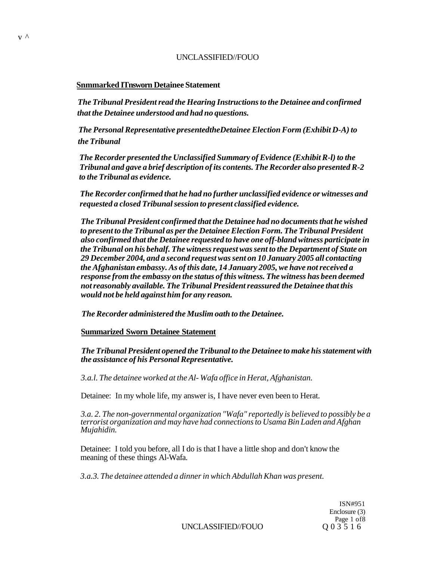#### **Snmmarked ITnsworn Detainee Statement**

*The Tribunal President read the Hearing Instructions to the Detainee and confirmed that the Detainee understood and had no questions.* 

*The Personal Representative presentedtheDetainee Election Form (Exhibit D-A) to the Tribunal* 

*The Recorder presented the Unclassified Summary of Evidence (Exhibit R-l) to the Tribunal and gave a brief description of its contents. The Recorder also presented R-2 to the Tribunal as evidence.* 

*The Recorder confirmed that he had no further unclassified evidence or witnesses and requested a closed Tribunal session to present classified evidence.* 

*The Tribunal President confirmed that the Detainee had no documents that he wished to present to the Tribunal as per the Detainee Election Form. The Tribunal President also confirmed that the Detainee requested to have one off-bland witness participate in the Tribunal on his behalf. The witness request was sent to the Department of State on 29 December 2004, and a second request was sent on 10 January 2005 all contacting the Afghanistan embassy. As of this date, 14 January 2005, we have not received a response from the embassy on the status of this witness. The witness has been deemed not reasonably available. The Tribunal President reassured the Detainee that this would not be held against him for any reason.* 

*The Recorder administered the Muslim oath to the Detainee.* 

**Summarized Sworn Detainee Statement** 

*The Tribunal President opened the Tribunal to the Detainee to make his statement with the assistance of his Personal Representative.* 

*3.a.l. The detainee worked at the Al- Wafa office in Herat, Afghanistan.* 

Detainee: In my whole life, my answer is, I have never even been to Herat.

*3.a. 2. The non-governmental organization "Wafa" reportedly is believed to possibly be a terrorist organization and may have had connections to Usama Bin Laden and Afghan Mujahidin.* 

Detainee: I told you before, all I do is that I have a little shop and don't know the meaning of these things Al-Wafa.

*3.a.3. The detainee attended a dinner in which Abdullah Khan was present.* 

ISN#951 Enclosure (3) Page 1 of 8<br>Q 0 3 5 1 6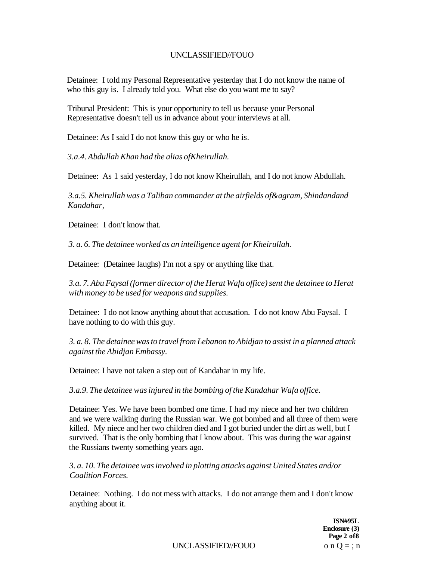Detainee: I told my Personal Representative yesterday that I do not know the name of who this guy is. I already told you. What else do you want me to say?

Tribunal President: This is your opportunity to tell us because your Personal Representative doesn't tell us in advance about your interviews at all.

Detainee: As I said I do not know this guy or who he is.

*3.a.4. Abdullah Khan had the alias ofKheirullah.* 

Detainee: As 1 said yesterday, I do not know Kheirullah, and I do not know Abdullah.

*3.a.5. Kheirullah was a Taliban commander at the airfields of&agram, Shindandand Kandahar,* 

Detainee: I don't know that.

*3. a. 6. The detainee worked as an intelligence agent for Kheirullah.* 

Detainee: (Detainee laughs) I'm not a spy or anything like that.

*3.a. 7. Abu Faysal (former director of the Herat Wafa office) sent the detainee to Herat with money to be used for weapons and supplies.* 

Detainee: I do not know anything about that accusation. I do not know Abu Faysal. I have nothing to do with this guy.

*3. a. 8. The detainee was to travel from Lebanon to Abidjan to assist in a planned attack against the Abidjan Embassy.* 

Detainee: I have not taken a step out of Kandahar in my life.

*3.a.9. The detainee was injured in the bombing of the Kandahar Wafa office.* 

Detainee: Yes. We have been bombed one time. I had my niece and her two children and we were walking during the Russian war. We got bombed and all three of them were killed. My niece and her two children died and I got buried under the dirt as well, but I survived. That is the only bombing that I know about. This was during the war against the Russians twenty something years ago.

*3. a. 10. The detainee was involved in plotting attacks against United States and/or Coalition Forces.* 

Detainee: Nothing. I do not mess with attacks. I do not arrange them and I don't know anything about it.

> **ISN#95L Enclosure (3) Page 2 of8**

UNCLASSIFIED//FOUO  $o n Q = ; n$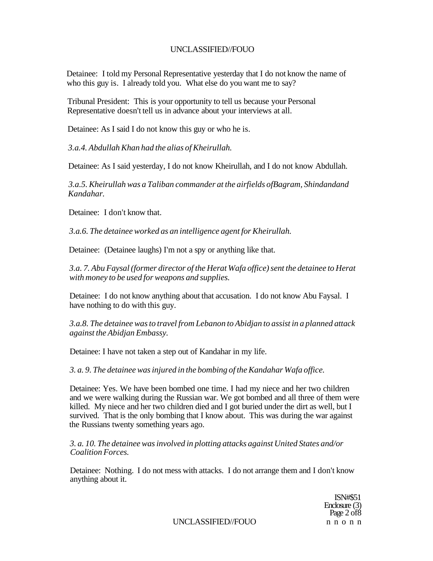Detainee: I told my Personal Representative yesterday that I do not know the name of who this guy is. I already told you. What else do you want me to say?

Tribunal President: This is your opportunity to tell us because your Personal Representative doesn't tell us in advance about your interviews at all.

Detainee: As I said I do not know this guy or who he is.

*3.a.4. Abdullah Khan had the alias of Kheirullah.* 

Detainee: As I said yesterday, I do not know Kheirullah, and I do not know Abdullah.

*3.a.5. Kheirullah was a Taliban commander at the airfields ofBagram, Shindandand Kandahar.* 

Detainee: I don't know that.

*3.a.6. The detainee worked as an intelligence agent for Kheirullah.* 

Detainee: (Detainee laughs) I'm not a spy or anything like that.

*3.a. 7. Abu Faysal (former director of the Herat Wafa office) sent the detainee to Herat with money to be used for weapons and supplies.* 

Detainee: I do not know anything about that accusation. I do not know Abu Faysal. I have nothing to do with this guy.

*3.a.8. The detainee was to travel from Lebanon to Abidjan to assist in a planned attack against the Abidjan Embassy.* 

Detainee: I have not taken a step out of Kandahar in my life.

*3. a. 9. The detainee was injured in the bombing of the Kandahar Wafa office.* 

Detainee: Yes. We have been bombed one time. I had my niece and her two children and we were walking during the Russian war. We got bombed and all three of them were killed. My niece and her two children died and I got buried under the dirt as well, but I survived. That is the only bombing that I know about. This was during the war against the Russians twenty something years ago.

*3. a. 10. The detainee was involved in plotting attacks against United States and/or Coalition Forces.* 

Detainee: Nothing. I do not mess with attacks. I do not arrange them and I don't know anything about it.

> ISN#\$51 Enclosure (3) Page 2 of 8

UNCLASSIFIED//FOUO nnon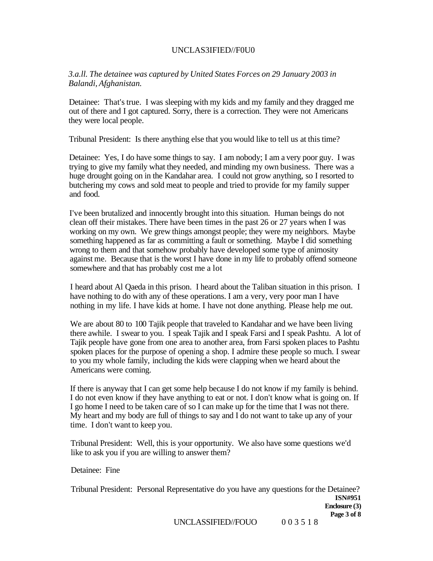## UNCLAS3IFIED//F0U0

*3.a.ll. The detainee was captured by United States Forces on 29 January 2003 in Balandi, Afghanistan.* 

Detainee: That's true. I was sleeping with my kids and my family and they dragged me out of there and I got captured. Sorry, there is a correction. They were not Americans they were local people.

Tribunal President: Is there anything else that you would like to tell us at this time?

Detainee: Yes, I do have some things to say. I am nobody; I am a very poor guy. I was trying to give my family what they needed, and minding my own business. There was a huge drought going on in the Kandahar area. I could not grow anything, so I resorted to butchering my cows and sold meat to people and tried to provide for my family supper and food.

I've been brutalized and innocently brought into this situation. Human beings do not clean off their mistakes. There have been times in the past 26 or 27 years when I was working on my own. We grew things amongst people; they were my neighbors. Maybe something happened as far as committing a fault or something. Maybe I did something wrong to them and that somehow probably have developed some type of animosity against me. Because that is the worst I have done in my life to probably offend someone somewhere and that has probably cost me a lot

I heard about Al Qaeda in this prison. I heard about the Taliban situation in this prison. I have nothing to do with any of these operations. I am a very, very poor man I have nothing in my life. I have kids at home. I have not done anything. Please help me out.

We are about 80 to 100 Tajik people that traveled to Kandahar and we have been living there awhile. I swear to you. I speak Tajik and I speak Farsi and I speak Pashtu. A lot of Tajik people have gone from one area to another area, from Farsi spoken places to Pashtu spoken places for the purpose of opening a shop. I admire these people so much. I swear to you my whole family, including the kids were clapping when we heard about the Americans were coming.

If there is anyway that I can get some help because I do not know if my family is behind. I do not even know if they have anything to eat or not. I don't know what is going on. If I go home I need to be taken care of so I can make up for the time that I was not there. My heart and my body are full of things to say and I do not want to take up any of your time. I don't want to keep you.

Tribunal President: Well, this is your opportunity. We also have some questions we'd like to ask you if you are willing to answer them?

Detainee: Fine

Tribunal President: Personal Representative do you have any questions for the Detainee? **ISN#951 Enclosure (3) Page 3 of 8**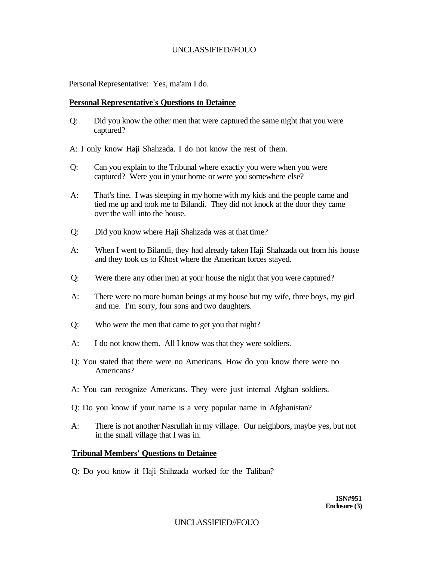Personal Representative: Yes, ma'am I do.

### **Personal Representative's Questions to Detainee**

Q: Did you know the other men that were captured the same night that you were captured?

A: I only know Haji Shahzada. I do not know the rest of them.

- Q: Can you explain to the Tribunal where exactly you were when you were captured? Were you in your home or were you somewhere else?
- A: That's fine. I was sleeping in my home with my kids and the people came and tied me up and took me to Bilandi. They did not knock at the door they came over the wall into the house.
- Q: Did you know where Haji Shahzada was at that time?
- A: When I went to Bilandi, they had already taken Haji Shahzada out from his house and they took us to Khost where the American forces stayed.
- Q: Were there any other men at your house the night that you were captured?
- A: There were no more human beings at my house but my wife, three boys, my girl and me. I'm sorry, four sons and two daughters.
- Q: Who were the men that came to get you that night?
- A: I do not know them. All I know was that they were soldiers.
- Q: You stated that there were no Americans. How do you know there were no Americans?
- A: You can recognize Americans. They were just internal Afghan soldiers.
- Q: Do you know if your name is a very popular name in Afghanistan?
- A: There is not another Nasrullah in my village. Our neighbors, maybe yes, but not in the small village that I was in.

## **Tribunal Members' Questions to Detainee**

Q: Do you know if Haji Shihzada worked for the Taliban?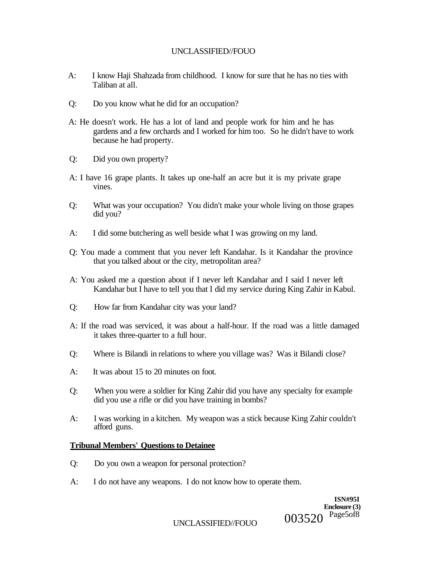- A: I know Haji Shahzada from childhood. I know for sure that he has no ties with Taliban at all.
- Q: Do you know what he did for an occupation?
- A: He doesn't work. He has a lot of land and people work for him and he has gardens and a few orchards and I worked for him too. So he didn't have to work because he had property.
- Q: Did you own property?
- A: I have 16 grape plants. It takes up one-half an acre but it is my private grape vines.
- Q: What was your occupation? You didn't make your whole living on those grapes did you?
- A: I did some butchering as well beside what I was growing on my land.
- Q: You made a comment that you never left Kandahar. Is it Kandahar the province that you talked about or the city, metropolitan area?
- A: You asked me a question about if I never left Kandahar and I said I never left Kandahar but I have to tell you that I did my service during King Zahir in Kabul.
- Q: How far from Kandahar city was your land?
- A: If the road was serviced, it was about a half-hour. If the road was a little damaged it takes three-quarter to a full hour.
- Q: Where is Bilandi in relations to where you village was? Was it Bilandi close?
- A: It was about 15 to 20 minutes on foot.
- Q: When you were a soldier for King Zahir did you have any specialty for example did you use a rifle or did you have training in bombs?
- A: I was working in a kitchen. My weapon was a stick because King Zahir couldn't afford guns.

#### **Tribunal Members' Questions to Detainee**

- Q: Do you own a weapon for personal protection?
- A: I do not have any weapons. I do not know how to operate them.

**ISN#95I Enclosure (3)**  003520 Page5of8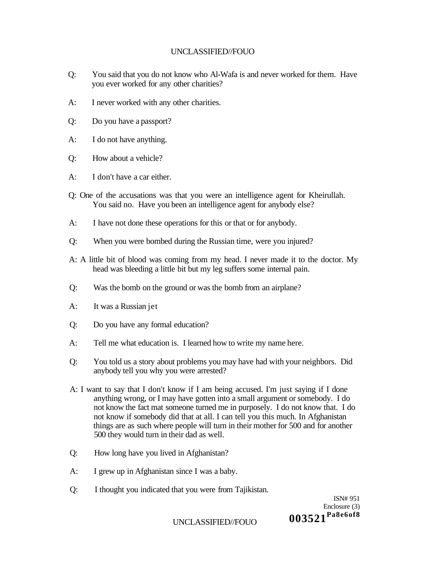- Q: You said that you do not know who Al-Wafa is and never worked for them. Have you ever worked for any other charities?
- A: I never worked with any other charities.
- Q: Do you have a passport?
- A: I do not have anything.
- Q: How about a vehicle?
- A: I don't have a car either.
- Q: One of the accusations was that you were an intelligence agent for Kheirullah. You said no. Have you been an intelligence agent for anybody else?
- A: I have not done these operations for this or that or for anybody.
- Q: When you were bombed during the Russian time, were you injured?
- A: A little bit of blood was coming from my head. I never made it to the doctor. My head was bleeding a little bit but my leg suffers some internal pain.
- Q: Was the bomb on the ground or was the bomb from an airplane?
- A: It was a Russian jet
- Q: Do you have any formal education?
- A: Tell me what education is. I learned how to write my name here.
- Q: You told us a story about problems you may have had with your neighbors. Did anybody tell you why you were arrested?
- A: I want to say that I don't know if I am being accused. I'm just saying if I done anything wrong, or I may have gotten into a small argument or somebody. I do not know the fact mat someone turned me in purposely. I do not know that. I do not know if somebody did that at all. I can tell you this much. In Afghanistan things are as such where people will turn in their mother for 500 and for another 500 they would turn in their dad as well.
- Q: How long have you lived in Afghanistan?
- A: I grew up in Afghanistan since I was a baby.
- Q: I thought you indicated that you were from Tajikistan.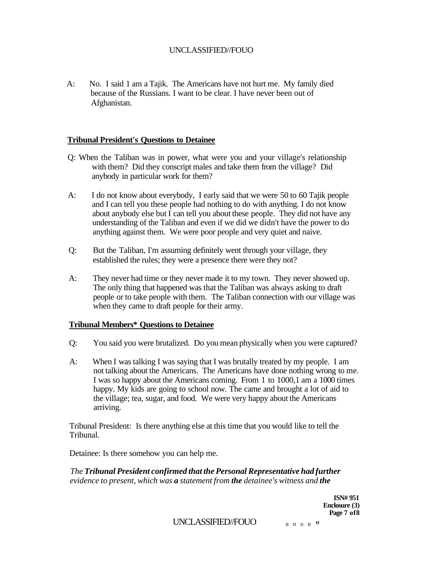A: No. I said 1 am a Tajik. The Americans have not hurt me. My family died because of the Russians. I want to be clear. I have never been out of Afghanistan.

## **Tribunal President's Questions to Detainee**

- Q: When the Taliban was in power, what were you and your village's relationship with them? Did they conscript males and take them from the village? Did anybody in particular work for them?
- A: I do not know about everybody, I early said that we were 50 to 60 Tajik people and I can tell you these people had nothing to do with anything. I do not know about anybody else but  $\overline{I}$  can tell you about these people. They did not have any understanding of the Taliban and even if we did we didn't have the power to do anything against them. We were poor people and very quiet and naive.
- Q: But the Taliban, I'm assuming definitely went through your village, they established the rules; they were a presence there were they not?
- A: They never had time or they never made it to my town. They never showed up. The only thing that happened was that the Taliban was always asking to draft people or to take people with them. The Taliban connection with our village was when they came to draft people for their army.

#### **Tribunal Members\* Questions to Detainee**

- Q: You said you were brutalized. Do you mean physically when you were captured?
- A: When I was talking I was saying that I was brutally treated by my people. I am not talking about the Americans. The Americans have done nothing wrong to me. I was so happy about the Americans coming. From 1 to 1000,1 am a 1000 times happy. My kids are going to school now. The came and brought a lot of aid to the village; tea, sugar, and food. We were very happy about the Americans arriving.

Tribunal President: Is there anything else at this time that you would like to tell the Tribunal.

Detainee: Is there somehow you can help me.

*The Tribunal President confirmed that the Personal Representative had further evidence to present, which was a statement from the detainee's witness and the* 

> **ISN# 951 Enclosure (3) Page 7 of8**

UNCLASSIFIED//FOUO  $n n o n$  «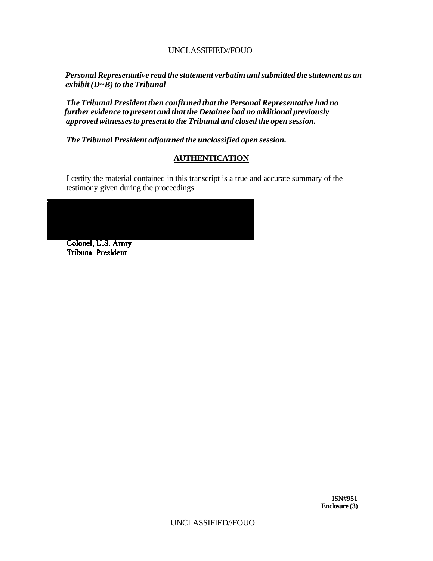*Personal Representative read the statement verbatim and submitted the statement as an exhibit (D~B) to the Tribunal* 

*The Tribunal President then confirmed that the Personal Representative had no further evidence to present and that the Detainee had no additional previously approved witnesses to present to the Tribunal and closed the open session.* 

*The Tribunal President adjourned the unclassified open session.* 

# **AUTHENTICATION**

I certify the material contained in this transcript is a true and accurate summary of the testimony given during the proceedings.



Tribunal President

**ISN#951 Enclosure (3)**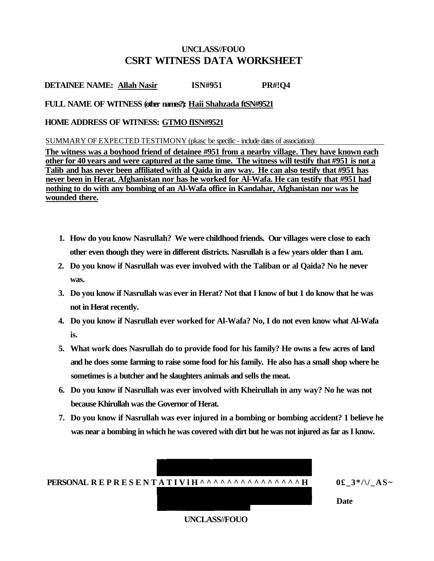## **UNCLASS//FOUO CSRT WITNESS DATA WORKSHEET**

**DETAINEE NAME: Allah Nasir ISN#951 PR#!Q4** 

### **FULL NAME OF WITNESS (other names?): Haii Shahzada ftSN#9521**

### **HOME ADDRESS OF WITNESS: GTMO fISN#9521**

SUMMARY OF EXPECTED TESTIMONY (pkasc be specific - include dates of association):

**The witness was a boyhood friend of detainee #951 from a nearby village. They have known each other for 40 years and were captured at the same time. The witness will testify that #951 is not a Talib and has never been affiliated with al Qaida in anv way. He can also testify that #951 has never been in Herat. Afghanistan nor has he worked for Al-Wafa. He can testify that #951 had nothing to do with any bombing of an Al-Wafa office in Kandahar, Afghanistan nor was he wounded there.** 

- **1. How do you know Nasrullah? We were childhood friends. Our villages were close to each other even though they were in different districts. Nasrullah is a few years older than I am.**
- **2. Do you know if Nasrullah was ever involved with the Taliban or al Qaida? No he never was.**
- **3. Do you know if Nasrullah was ever in Herat? Not that I know of but 1 do know that he was not in Herat recently.**
- **4. Do you know if Nasrullah ever worked for Al-Wafa? No, I do not even know what Al-Wafa is.**
- **5. What work does Nasrullah do to provide food for his family? He owns a few acres of land and he does some farming to raise some food for his family. He also has a small shop where he sometimes is a butcher and he slaughters animals and sells the meat.**
- **6. Do you know if Nasrullah was ever involved with Kheirullah in any way? No he was not because Khirullah was the Governor of Herat.**
- **7. Do you know if Nasrullah was ever injured in a bombing or bombing accident? 1 believe he was near a bombing in which he was covered with dirt but he was not injured as far as I know.**



**UNCLASS//FOUO**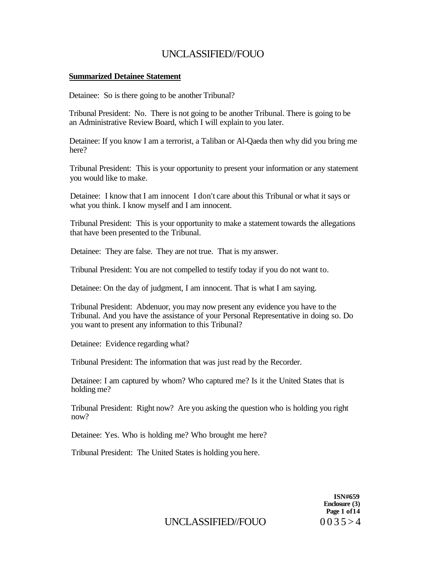#### **Summarized Detainee Statement**

Detainee: So is there going to be another Tribunal?

Tribunal President: No. There is not going to be another Tribunal. There is going to be an Administrative Review Board, which I will explain to you later.

Detainee: If you know I am a terrorist, a Taliban or Al-Qaeda then why did you bring me here?

Tribunal President: This is your opportunity to present your information or any statement you would like to make.

Detainee: I know that I am innocent I don't care about this Tribunal or what it says or what you think. I know myself and I am innocent.

Tribunal President: This is your opportunity to make a statement towards the allegations that have been presented to the Tribunal.

Detainee: They are false. They are not true. That is my answer.

Tribunal President: You are not compelled to testify today if you do not want to.

Detainee: On the day of judgment, I am innocent. That is what I am saying.

Tribunal President: Abdenuor, you may now present any evidence you have to the Tribunal. And you have the assistance of your Personal Representative in doing so. Do you want to present any information to this Tribunal?

Detainee: Evidence regarding what?

Tribunal President: The information that was just read by the Recorder.

Detainee: I am captured by whom? Who captured me? Is it the United States that is holding me?

Tribunal President: Right now? Are you asking the question who is holding you right now?

Detainee: Yes. Who is holding me? Who brought me here?

Tribunal President: The United States is holding you here.

**ISN#659 Enclosure (3) Page 1 of14** 

UNCLASSIFIED//FOUO  $0.035 > 4$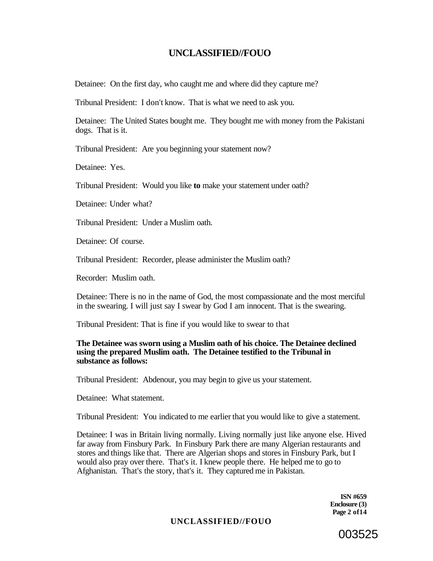Detainee: On the first day, who caught me and where did they capture me?

Tribunal President: I don't know. That is what we need to ask you.

Detainee: The United States bought me. They bought me with money from the Pakistani dogs. That is it.

Tribunal President: Are you beginning your statement now?

Detainee: Yes.

Tribunal President: Would you like **to** make your statement under oath?

Detainee: Under what?

Tribunal President: Under a Muslim oath.

Detainee: Of course.

Tribunal President: Recorder, please administer the Muslim oath?

Recorder: Muslim oath.

Detainee: There is no in the name of God, the most compassionate and the most merciful in the swearing. I will just say I swear by God I am innocent. That is the swearing.

Tribunal President: That is fine if you would like to swear to that

#### **The Detainee was sworn using a Muslim oath of his choice. The Detainee declined using the prepared Muslim oath. The Detainee testified to the Tribunal in substance as follows:**

Tribunal President: Abdenour, you may begin to give us your statement.

Detainee: What statement.

Tribunal President: You indicated to me earlier that you would like to give a statement.

Detainee: I was in Britain living normally. Living normally just like anyone else. Hived far away from Finsbury Park. In Finsbury Park there are many Algerian restaurants and stores and things like that. There are Algerian shops and stores in Finsbury Park, but I would also pray over there. That's it. I knew people there. He helped me to go to Afghanistan. That's the story, that's it. They captured me in Pakistan.

> **ISN #659 Enclosure (3) Page 2 of14**

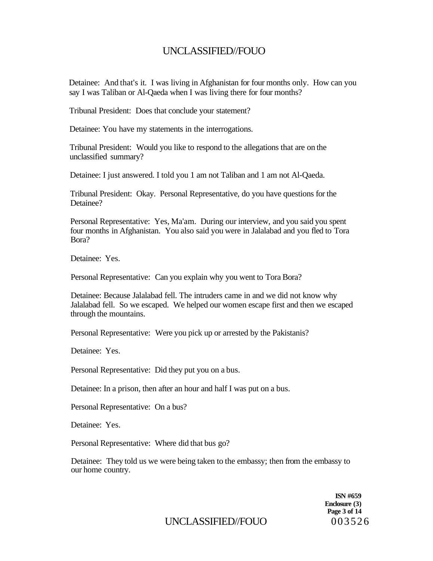Detainee: And that's it. I was living in Afghanistan for four months only. How can you say I was Taliban or Al-Qaeda when I was living there for four months?

Tribunal President: Does that conclude your statement?

Detainee: You have my statements in the interrogations.

Tribunal President: Would you like to respond to the allegations that are on the unclassified summary?

Detainee: I just answered. I told you 1 am not Taliban and 1 am not Al-Qaeda.

Tribunal President: Okay. Personal Representative, do you have questions for the Detainee?

Personal Representative: Yes, Ma'am. During our interview, and you said you spent four months in Afghanistan. You also said you were in Jalalabad and you fled to Tora Bora?

Detainee: Yes.

Personal Representative: Can you explain why you went to Tora Bora?

Detainee: Because Jalalabad fell. The intruders came in and we did not know why Jalalabad fell. So we escaped. We helped our women escape first and then we escaped through the mountains.

Personal Representative: Were you pick up or arrested by the Pakistanis?

Detainee: Yes.

Personal Representative: Did they put you on a bus.

Detainee: In a prison, then after an hour and half I was put on a bus.

Personal Representative: On a bus?

Detainee: Yes.

Personal Representative: Where did that bus go?

Detainee: They told us we were being taken to the embassy; then from the embassy to our home country.

> **ISN #659 Enclosure (3) Page 3 of 14**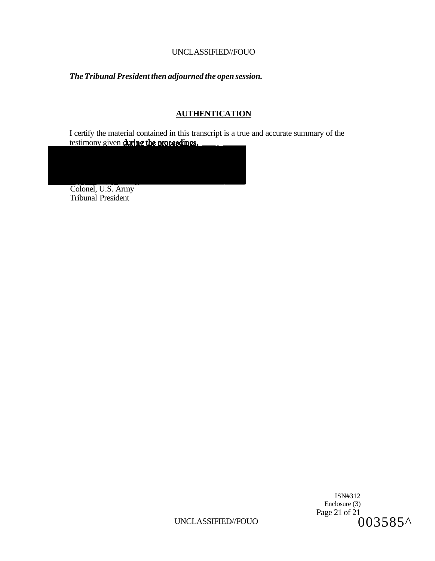## *The Tribunal President then adjourned the open session.*

## **AUTHENTICATION**

I certify the material contained in this transcript is a true and accurate summary of the testimony given **d** 

Colonel, U.S. Army Tribunal President

> ISN#312 Enclosure (3) Page 21 of 21 003585^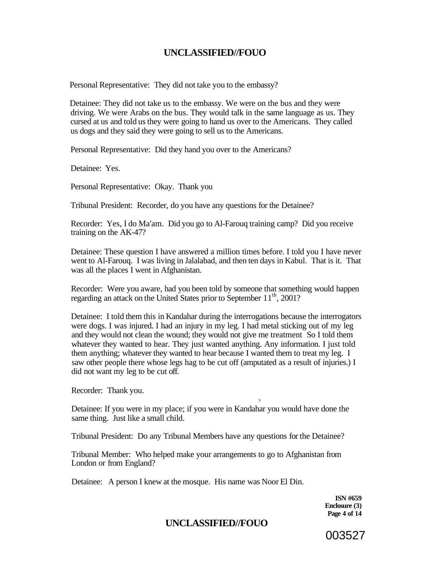Personal Representative: They did not take you to the embassy?

Detainee: They did not take us to the embassy. We were on the bus and they were driving. We were Arabs on the bus. They would talk in the same language as us. They cursed at us and told us they were going to hand us over to the Americans. They called us dogs and they said they were going to sell us to the Americans.

Personal Representative: Did they hand you over to the Americans?

Detainee: Yes.

Personal Representative: Okay. Thank you

Tribunal President: Recorder, do you have any questions for the Detainee?

Recorder: Yes, I do Ma'am. Did you go to Al-Farouq training camp? Did you receive training on the AK-47?

Detainee: These question I have answered a million times before. I told you I have never went to Al-Farouq. I was living in Jalalabad, and then ten days in Kabul. That is it. That was all the places I went in Afghanistan.

Recorder: Were you aware, had you been told by someone that something would happen regarding an attack on the United States prior to September 11<sup>th</sup>, 2001?

Detainee: I told them this in Kandahar during the interrogations because the interrogators were dogs. I was injured. I had an injury in my leg. I had metal sticking out of my leg and they would not clean the wound; they would not give me treatment So I told them whatever they wanted to hear. They just wanted anything. Any information. I just told them anything; whatever they wanted to hear because I wanted them to treat my leg. I saw other people there whose legs hag to be cut off (amputated as a result of injuries.) I did not want my leg to be cut off.

Recorder: Thank you.

Detainee: If you were in my place; if you were in Kandahar you would have done the same thing. Just like a small child.

**>** 

Tribunal President: Do any Tribunal Members have any questions for the Detainee?

Tribunal Member: Who helped make your arrangements to go to Afghanistan from London or from England?

Detainee: A person I knew at the mosque. His name was Noor El Din.

**ISN #659 Enclosure (3) Page 4 of 14** 

003527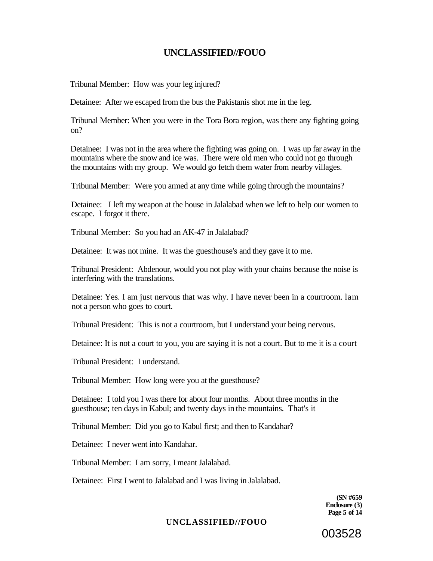Tribunal Member: How was your leg injured?

Detainee: After we escaped from the bus the Pakistanis shot me in the leg.

Tribunal Member: When you were in the Tora Bora region, was there any fighting going on?

Detainee: I was not in the area where the fighting was going on. I was up far away in the mountains where the snow and ice was. There were old men who could not go through the mountains with my group. We would go fetch them water from nearby villages.

Tribunal Member: Were you armed at any time while going through the mountains?

Detainee: I left my weapon at the house in Jalalabad when we left to help our women to escape. I forgot it there.

Tribunal Member: So you had an AK-47 in Jalalabad?

Detainee: It was not mine. It was the guesthouse's and they gave it to me.

Tribunal President: Abdenour, would you not play with your chains because the noise is interfering with the translations.

Detainee: Yes. I am just nervous that was why. I have never been in a courtroom. lam not a person who goes to court.

Tribunal President: This is not a courtroom, but I understand your being nervous.

Detainee: It is not a court to you, you are saying it is not a court. But to me it is a court

Tribunal President: I understand.

Tribunal Member: How long were you at the guesthouse?

Detainee: I told you I was there for about four months. About three months in the guesthouse; ten days in Kabul; and twenty days in the mountains. That's it

Tribunal Member: Did you go to Kabul first; and then to Kandahar?

Detainee: I never went into Kandahar.

Tribunal Member: I am sorry, I meant Jalalabad.

Detainee: First I went to Jalalabad and I was living in Jalalabad.

**(SN #659 Enclosure (3) Page 5 of 14** 

003528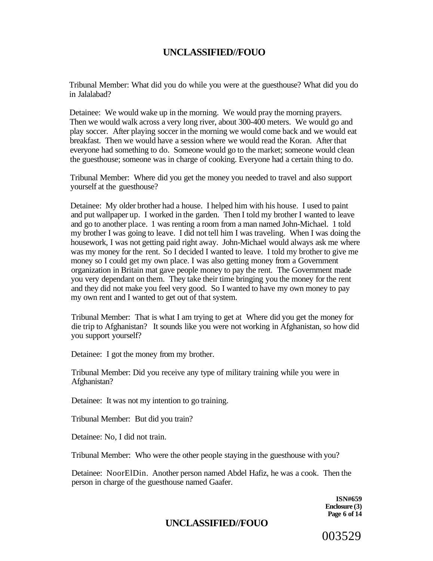Tribunal Member: What did you do while you were at the guesthouse? What did you do in Jalalabad?

Detainee: We would wake up in the morning. We would pray the morning prayers. Then we would walk across a very long river, about 300-400 meters. We would go and play soccer. After playing soccer in the morning we would come back and we would eat breakfast. Then we would have a session where we would read the Koran. After that everyone had something to do. Someone would go to the market; someone would clean the guesthouse; someone was in charge of cooking. Everyone had a certain thing to do.

Tribunal Member: Where did you get the money you needed to travel and also support yourself at the guesthouse?

Detainee: My older brother had a house. I helped him with his house. I used to paint and put wallpaper up. I worked in the garden. Then I told my brother I wanted to leave and go to another place. 1 was renting a room from a man named John-Michael. 1 told my brother I was going to leave. I did not tell him I was traveling. When I was doing the housework, I was not getting paid right away. John-Michael would always ask me where was my money for the rent. So I decided I wanted to leave. I told my brother to give me money so I could get my own place. I was also getting money from a Government organization in Britain mat gave people money to pay the rent. The Government made you very dependant on them. They take their time bringing you the money for the rent and they did not make you feel very good. So I wanted to have my own money to pay my own rent and I wanted to get out of that system.

Tribunal Member: That is what I am trying to get at Where did you get the money for die trip to Afghanistan? It sounds like you were not working in Afghanistan, so how did you support yourself?

Detainee: I got the money from my brother.

Tribunal Member: Did you receive any type of military training while you were in Afghanistan?

Detainee: It was not my intention to go training.

Tribunal Member: But did you train?

Detainee: No, I did not train.

Tribunal Member: Who were the other people staying in the guesthouse with you?

Detainee: NoorElDin. Another person named Abdel Hafiz, he was a cook. Then the person in charge of the guesthouse named Gaafer.

> **ISN#659 Enclosure (3) Page 6 of 14**

## **UNCLASSIFIED//FOUO**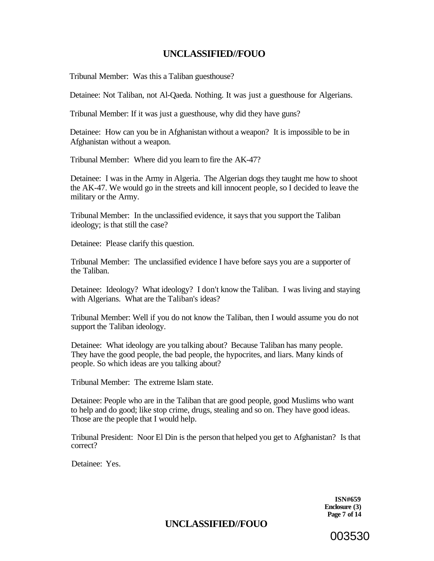Tribunal Member: Was this a Taliban guesthouse?

Detainee: Not Taliban, not Al-Qaeda. Nothing. It was just a guesthouse for Algerians.

Tribunal Member: If it was just a guesthouse, why did they have guns?

Detainee: How can you be in Afghanistan without a weapon? It is impossible to be in Afghanistan without a weapon.

Tribunal Member: Where did you learn to fire the AK-47?

Detainee: I was in the Army in Algeria. The Algerian dogs they taught me how to shoot the AK-47. We would go in the streets and kill innocent people, so I decided to leave the military or the Army.

Tribunal Member: In the unclassified evidence, it says that you support the Taliban ideology; is that still the case?

Detainee: Please clarify this question.

Tribunal Member: The unclassified evidence I have before says you are a supporter of the Taliban.

Detainee: Ideology? What ideology? I don't know the Taliban. I was living and staying with Algerians. What are the Taliban's ideas?

Tribunal Member: Well if you do not know the Taliban, then I would assume you do not support the Taliban ideology.

Detainee: What ideology are you talking about? Because Taliban has many people. They have the good people, the bad people, the hypocrites, and liars. Many kinds of people. So which ideas are you talking about?

Tribunal Member: The extreme Islam state.

Detainee: People who are in the Taliban that are good people, good Muslims who want to help and do good; like stop crime, drugs, stealing and so on. They have good ideas. Those are the people that I would help.

Tribunal President: Noor El Din is the person that helped you get to Afghanistan? Is that correct?

Detainee: Yes.

**ISN#659 Enclosure (3) Page 7 of 14** 

# **UNCLASSIFIED//FOUO**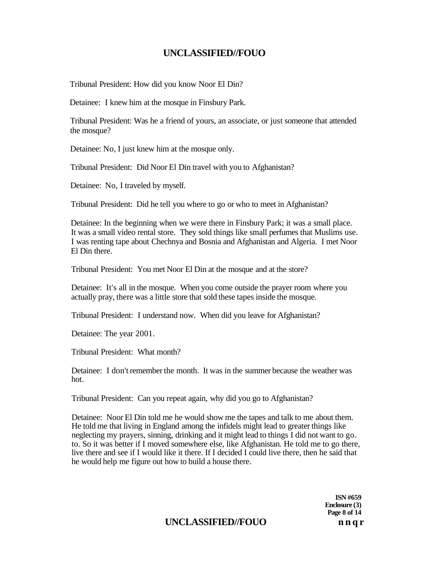Tribunal President: How did you know Noor El Din?

Detainee: I knew him at the mosque in Finsbury Park.

Tribunal President: Was he a friend of yours, an associate, or just someone that attended the mosque?

Detainee: No, I just knew him at the mosque only.

Tribunal President: Did Noor El Din travel with you to Afghanistan?

Detainee: No, I traveled by myself.

Tribunal President: Did he tell you where to go or who to meet in Afghanistan?

Detainee: In the beginning when we were there in Finsbury Park; it was a small place. It was a small video rental store. They sold things like small perfumes that Muslims use. I was renting tape about Chechnya and Bosnia and Afghanistan and Algeria. I met Noor El Din there.

Tribunal President: You met Noor El Din at the mosque and at the store?

Detainee: It's all in the mosque. When you come outside the prayer room where you actually pray, there was a little store that sold these tapes inside the mosque.

Tribunal President: I understand now. When did you leave for Afghanistan?

Detainee: The year 2001.

Tribunal President: What month?

Detainee: I don't remember the month. It was in the summer because the weather was hot.

Tribunal President: Can you repeat again, why did you go to Afghanistan?

Detainee: Noor El Din told me he would show me the tapes and talk to me about them. He told me that living in England among the infidels might lead to greater things like neglecting my prayers, sinning, drinking and it might lead to things I did not want to go. to. So it was better if I moved somewhere else, like Afghanistan. He told me to go there, live there and see if I would like it there. If I decided I could live there, then he said that he would help me figure out how to build a house there.

> **Enclosure (3) Page 8 of 14**

**ISN #659** 

# UNCLASSIFIED//FOUO nnqr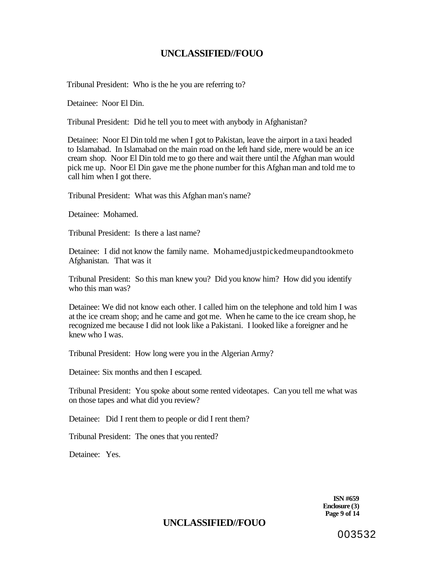Tribunal President: Who is the he you are referring to?

Detainee: Noor El Din.

Tribunal President: Did he tell you to meet with anybody in Afghanistan?

Detainee: Noor El Din told me when I got to Pakistan, leave the airport in a taxi headed to Islamabad. In Islamabad on the main road on the left hand side, mere would be an ice cream shop. Noor El Din told me to go there and wait there until the Afghan man would pick me up. Noor El Din gave me the phone number for this Afghan man and told me to call him when I got there.

Tribunal President: What was this Afghan man's name?

Detainee: Mohamed.

Tribunal President: Is there a last name?

Detainee: I did not know the family name. Mohamedjustpickedmeupandtookmeto Afghanistan. That was it

Tribunal President: So this man knew you? Did you know him? How did you identify who this man was?

Detainee: We did not know each other. I called him on the telephone and told him I was at the ice cream shop; and he came and got me. When he came to the ice cream shop, he recognized me because I did not look like a Pakistani. I looked like a foreigner and he knew who I was.

Tribunal President: How long were you in the Algerian Army?

Detainee: Six months and then I escaped.

Tribunal President: You spoke about some rented videotapes. Can you tell me what was on those tapes and what did you review?

Detainee: Did I rent them to people or did I rent them?

Tribunal President: The ones that you rented?

Detainee: Yes.

**ISN #659 Enclosure (3) Page 9 of 14** 

## **UNCLASSIFIED//FOUO**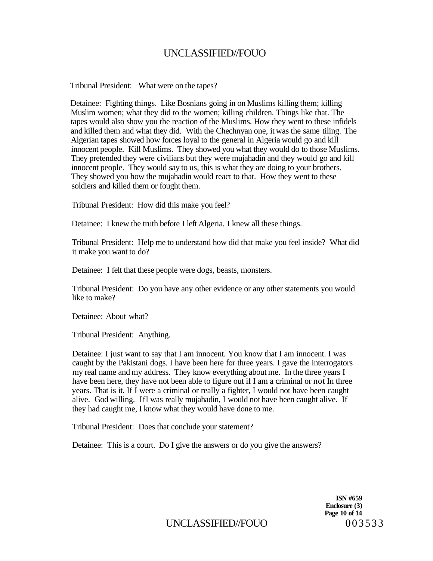Tribunal President: What were on the tapes?

Detainee: Fighting things. Like Bosnians going in on Muslims killing them; killing Muslim women; what they did to the women; killing children. Things like that. The tapes would also show you the reaction of the Muslims. How they went to these infidels and killed them and what they did. With the Chechnyan one, it was the same tiling. The Algerian tapes showed how forces loyal to the general in Algeria would go and kill innocent people. Kill Muslims. They showed you what they would do to those Muslims. They pretended they were civilians but they were mujahadin and they would go and kill innocent people. They would say to us, this is what they are doing to your brothers. They showed you how the mujahadin would react to that. How they went to these soldiers and killed them or fought them.

Tribunal President: How did this make you feel?

Detainee: I knew the truth before I left Algeria. I knew all these things.

Tribunal President: Help me to understand how did that make you feel inside? What did it make you want to do?

Detainee: I felt that these people were dogs, beasts, monsters.

Tribunal President: Do you have any other evidence or any other statements you would like to make?

Detainee: About what?

Tribunal President: Anything.

Detainee: I just want to say that I am innocent. You know that I am innocent. I was caught by the Pakistani dogs. I have been here for three years. I gave the interrogators my real name and my address. They know everything about me. In the three years I have been here, they have not been able to figure out if I am a criminal or not In three years. That is it. If I were a criminal or really a fighter, I would not have been caught alive. God willing. Ifl was really mujahadin, I would not have been caught alive. If they had caught me, I know what they would have done to me.

Tribunal President: Does that conclude your statement?

Detainee: This is a court. Do I give the answers or do you give the answers?

**ISN #659 Enclosure (3) Page 10 of 14**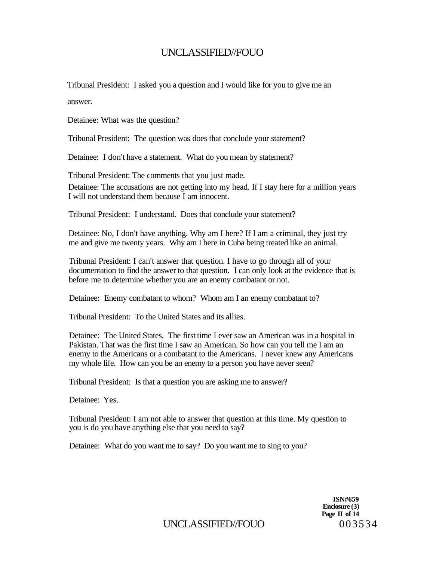Tribunal President: I asked you a question and I would like for you to give me an answer.

Detainee: What was the question?

Tribunal President: The question was does that conclude your statement?

Detainee: I don't have a statement. What do you mean by statement?

Tribunal President: The comments that you just made. Detainee: The accusations are not getting into my head. If I stay here for a million years I will not understand them because I am innocent.

Tribunal President: I understand. Does that conclude your statement?

Detainee: No, I don't have anything. Why am I here? If I am a criminal, they just try me and give me twenty years. Why am I here in Cuba being treated like an animal.

Tribunal President: I can't answer that question. I have to go through all of your documentation to find the answer to that question. I can only look at the evidence that is before me to determine whether you are an enemy combatant or not.

Detainee: Enemy combatant to whom? Whom am I an enemy combatant to?

Tribunal President: To the United States and its allies.

Detainee: The United States, The first time I ever saw an American was in a hospital in Pakistan. That was the first time I saw an American. So how can you tell me I am an enemy to the Americans or a combatant to the Americans. I never knew any Americans my whole life. How can you be an enemy to a person you have never seen?

Tribunal President: Is that a question you are asking me to answer?

Detainee: Yes.

Tribunal President: I am not able to answer that question at this time. My question to you is do you have anything else that you need to say?

Detainee: What do you want me to say? Do you want me to sing to you?

**ISN#659 Enclosure (3) Page II of 14**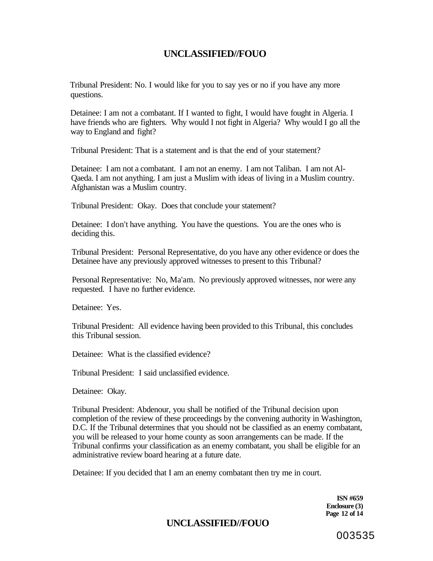Tribunal President: No. I would like for you to say yes or no if you have any more questions.

Detainee: I am not a combatant. If I wanted to fight, I would have fought in Algeria. I have friends who are fighters. Why would I not fight in Algeria? Why would I go all the way to England and fight?

Tribunal President: That is a statement and is that the end of your statement?

Detainee: I am not a combatant. I am not an enemy. I am not Taliban. I am not Al-Qaeda. I am not anything. I am just a Muslim with ideas of living in a Muslim country. Afghanistan was a Muslim country.

Tribunal President: Okay. Does that conclude your statement?

Detainee: I don't have anything. You have the questions. You are the ones who is deciding this.

Tribunal President: Personal Representative, do you have any other evidence or does the Detainee have any previously approved witnesses to present to this Tribunal?

Personal Representative: No, Ma'am. No previously approved witnesses, nor were any requested. I have no further evidence.

Detainee: Yes.

Tribunal President: All evidence having been provided to this Tribunal, this concludes this Tribunal session.

Detainee: What is the classified evidence?

Tribunal President: I said unclassified evidence.

Detainee: Okay.

Tribunal President: Abdenour, you shall be notified of the Tribunal decision upon completion of the review of these proceedings by the convening authority in Washington, D.C. If the Tribunal determines that you should not be classified as an enemy combatant, you will be released to your home county as soon arrangements can be made. If the Tribunal confirms your classification as an enemy combatant, you shall be eligible for an administrative review board hearing at a future date.

Detainee: If you decided that I am an enemy combatant then try me in court.

**ISN #659 Enclosure (3) Page 12 of 14** 

# **UNCLASSIFIED//FOUO**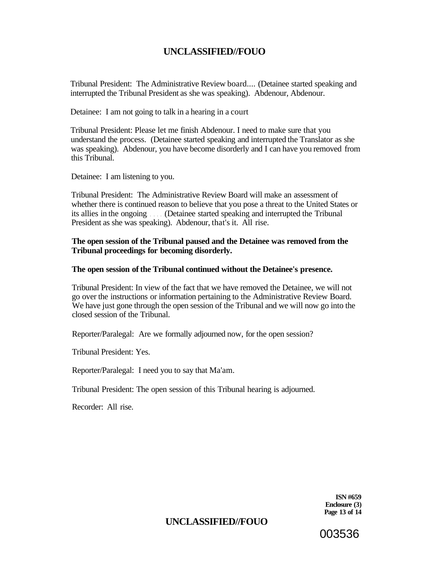Tribunal President: The Administrative Review board.... (Detainee started speaking and interrupted the Tribunal President as she was speaking). Abdenour, Abdenour.

Detainee: I am not going to talk in a hearing in a court

Tribunal President: Please let me finish Abdenour. I need to make sure that you understand the process. (Detainee started speaking and interrupted the Translator as she was speaking). Abdenour, you have become disorderly and I can have you removed from this Tribunal.

Detainee: I am listening to you.

Tribunal President: The Administrative Review Board will make an assessment of whether there is continued reason to believe that you pose a threat to the United States or its allies in the ongoing (Detainee started speaking and interrupted the Tribunal President as she was speaking). Abdenour, that's it. All rise.

### **The open session of the Tribunal paused and the Detainee was removed from the Tribunal proceedings for becoming disorderly.**

#### **The open session of the Tribunal continued without the Detainee's presence.**

Tribunal President: In view of the fact that we have removed the Detainee, we will not go over the instructions or information pertaining to the Administrative Review Board. We have just gone through the open session of the Tribunal and we will now go into the closed session of the Tribunal.

Reporter/Paralegal: Are we formally adjourned now, for the open session?

Tribunal President: Yes.

Reporter/Paralegal: I need you to say that Ma'am.

Tribunal President: The open session of this Tribunal hearing is adjourned.

Recorder: All rise.

**ISN #659 Enclosure (3) Page 13 of 14** 

003536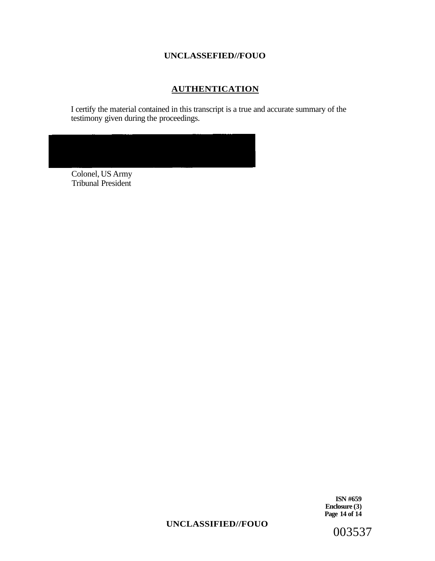## **AUTHENTICATION**

I certify the material contained in this transcript is a true and accurate summary of the testimony given during the proceedings.

Colonel, US Army Tribunal President

> **ISN #659 Enclosure (3) Page 14 of 14**

### **UNCLASSIFIED//FOUO**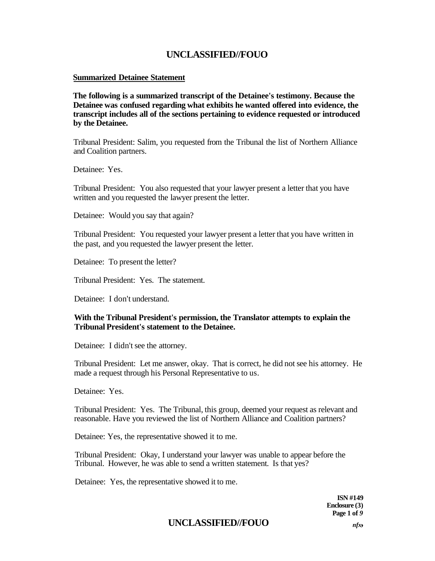#### **Summarized Detainee Statement**

**The following is a summarized transcript of the Detainee's testimony. Because the Detainee was confused regarding what exhibits he wanted offered into evidence, the transcript includes all of the sections pertaining to evidence requested or introduced by the Detainee.** 

Tribunal President: Salim, you requested from the Tribunal the list of Northern Alliance and Coalition partners.

Detainee: Yes.

Tribunal President: You also requested that your lawyer present a letter that you have written and you requested the lawyer present the letter.

Detainee: Would you say that again?

Tribunal President: You requested your lawyer present a letter that you have written in the past, and you requested the lawyer present the letter.

Detainee: To present the letter?

Tribunal President: Yes. The statement.

Detainee: I don't understand.

### **With the Tribunal President's permission, the Translator attempts to explain the Tribunal President's statement to the Detainee.**

Detainee: I didn't see the attorney.

Tribunal President: Let me answer, okay. That is correct, he did not see his attorney. He made a request through his Personal Representative to us.

Detainee: Yes.

Tribunal President: Yes. The Tribunal, this group, deemed your request as relevant and reasonable. Have you reviewed the list of Northern Alliance and Coalition partners?

Detainee: Yes, the representative showed it to me.

Tribunal President: Okay, I understand your lawyer was unable to appear before the Tribunal. However, he was able to send a written statement. Is that yes?

Detainee: Yes, the representative showed it to me.

**ISN #149 Enclosure (3) Page 1 of** *9* 

# **UNCLASSIFIED//FOUO** *nfx,*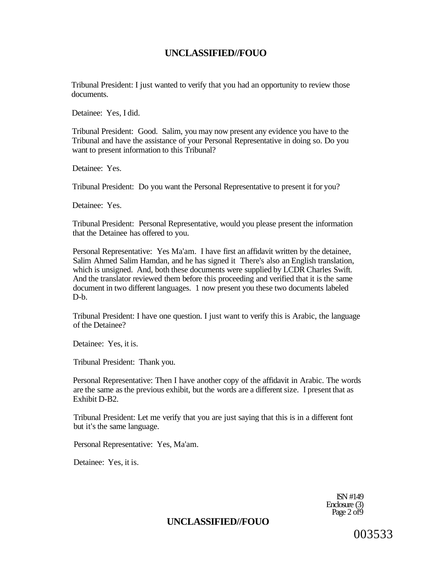Tribunal President: I just wanted to verify that you had an opportunity to review those documents.

Detainee: Yes, I did.

Tribunal President: Good. Salim, you may now present any evidence you have to the Tribunal and have the assistance of your Personal Representative in doing so. Do you want to present information to this Tribunal?

Detainee: Yes.

Tribunal President: Do you want the Personal Representative to present it for you?

Detainee: Yes.

Tribunal President: Personal Representative, would you please present the information that the Detainee has offered to you.

Personal Representative: Yes Ma'am. I have first an affidavit written by the detainee, Salim Ahmed Salim Hamdan, and he has signed it There's also an English translation, which is unsigned. And, both these documents were supplied by LCDR Charles Swift. And the translator reviewed them before this proceeding and verified that it is the same document in two different languages. 1 now present you these two documents labeled D-b.

Tribunal President: I have one question. I just want to verify this is Arabic, the language of the Detainee?

Detainee: Yes, it is.

Tribunal President: Thank you.

Personal Representative: Then I have another copy of the affidavit in Arabic. The words are the same as the previous exhibit, but the words are a different size. I present that as Exhibit D-B2.

Tribunal President: Let me verify that you are just saying that this is in a different font but it's the same language.

Personal Representative: Yes, Ma'am.

Detainee: Yes, it is.

ISN #149 Enclosure (3) Page  $2$  of  $\overline{9}$ 

## **UNCLASSIFIED//FOUO**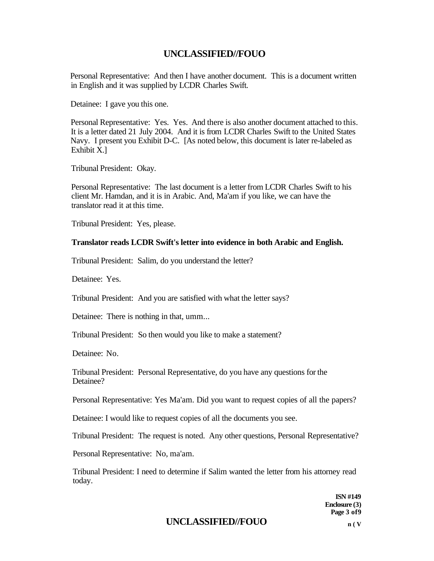Personal Representative: And then I have another document. This is a document written in English and it was supplied by LCDR Charles Swift.

Detainee: I gave you this one.

Personal Representative: Yes. Yes. And there is also another document attached to this. It is a letter dated 21 July 2004. And it is from LCDR Charles Swift to the United States Navy. I present you Exhibit D-C. [As noted below, this document is later re-labeled as Exhibit X.]

Tribunal President: Okay.

Personal Representative: The last document is a letter from LCDR Charles Swift to his client Mr. Hamdan, and it is in Arabic. And, Ma'am if you like, we can have the translator read it at this time.

Tribunal President: Yes, please.

#### **Translator reads LCDR Swift's letter into evidence in both Arabic and English.**

Tribunal President: Salim, do you understand the letter?

Detainee: Yes.

Tribunal President: And you are satisfied with what the letter says?

Detainee: There is nothing in that, umm...

Tribunal President: So then would you like to make a statement?

Detainee: No.

Tribunal President: Personal Representative, do you have any questions for the Detainee?

Personal Representative: Yes Ma'am. Did you want to request copies of all the papers?

Detainee: I would like to request copies of all the documents you see.

Tribunal President: The request is noted. Any other questions, Personal Representative?

Personal Representative: No, ma'am.

Tribunal President: I need to determine if Salim wanted the letter from his attorney read today.

> **ISN #149 Enclosure (3) Page 3 of9**

## **UNCLASSIFIED//FOUO n ( <sup>V</sup>**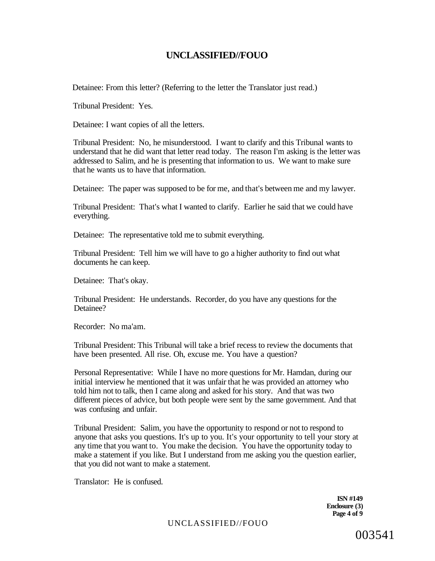Detainee: From this letter? (Referring to the letter the Translator just read.)

Tribunal President: Yes.

Detainee: I want copies of all the letters.

Tribunal President: No, he misunderstood. I want to clarify and this Tribunal wants to understand that he did want that letter read today. The reason I'm asking is the letter was addressed to Salim, and he is presenting that information to us. We want to make sure that he wants us to have that information.

Detainee: The paper was supposed to be for me, and that's between me and my lawyer.

Tribunal President: That's what I wanted to clarify. Earlier he said that we could have everything.

Detainee: The representative told me to submit everything.

Tribunal President: Tell him we will have to go a higher authority to find out what documents he can keep.

Detainee: That's okay.

Tribunal President: He understands. Recorder, do you have any questions for the Detainee?

Recorder: No ma'am.

Tribunal President: This Tribunal will take a brief recess to review the documents that have been presented. All rise. Oh, excuse me. You have a question?

Personal Representative: While I have no more questions for Mr. Hamdan, during our initial interview he mentioned that it was unfair that he was provided an attorney who told him not to talk, then I came along and asked for his story. And that was two different pieces of advice, but both people were sent by the same government. And that was confusing and unfair.

Tribunal President: Salim, you have the opportunity to respond or not to respond to anyone that asks you questions. It's up to you. It's your opportunity to tell your story at any time that you want to. You make the decision. You have the opportunity today to make a statement if you like. But I understand from me asking you the question earlier, that you did not want to make a statement.

Translator: He is confused.

**ISN #149 Enclosure (3) Page 4 of 9**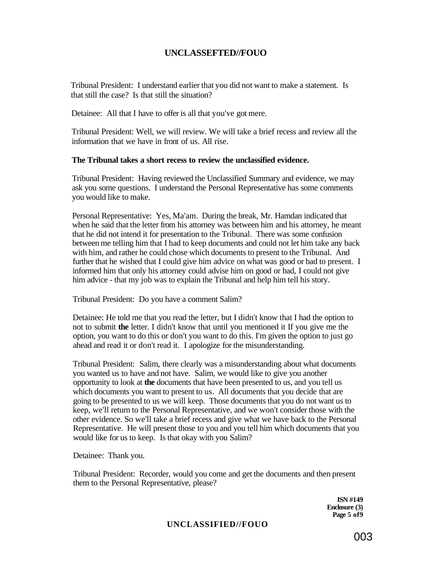## **UNCLASSEFTED//FOUO**

Tribunal President: I understand earlier that you did not want to make a statement. Is that still the case? Is that still the situation?

Detainee: All that I have to offer is all that you've got mere.

Tribunal President: Well, we will review. We will take a brief recess and review all the information that we have in front of us. All rise.

### **The Tribunal takes a short recess to review the unclassified evidence.**

Tribunal President: Having reviewed the Unclassified Summary and evidence, we may ask you some questions. I understand the Personal Representative has some comments you would like to make.

Personal Representative: Yes, Ma'am. During the break, Mr. Hamdan indicated that when he said that the letter from his attorney was between him and his attorney, he meant that he did not intend it for presentation to the Tribunal. There was some confusion between me telling him that I had to keep documents and could not let him take any back with him, and rather he could chose which documents to present to the Tribunal. And further that he wished that I could give him advice on what was good or bad to present. I informed him that only his attorney could advise him on good or bad, I could not give him advice - that my job was to explain the Tribunal and help him tell his story.

Tribunal President: Do you have a comment Salim?

Detainee: He told me that you read the letter, but I didn't know that I had the option to not to submit **the** letter. I didn't know that until you mentioned it If you give me the option, you want to do this or don't you want to do this. I'm given the option to just go ahead and read it or don't read it. I apologize for the misunderstanding.

Tribunal President: Salim, there clearly was a misunderstanding about what documents you wanted us to have and not have. Salim, we would like to give you another opportunity to look at **the** documents that have been presented to us, and you tell us which documents you want to present to us. All documents that you decide that are going to be presented to us we will keep. Those documents that you do not want us to keep, we'll return to the Personal Representative, and we won't consider those with the other evidence. So we'll take a brief recess and give what we have back to the Personal Representative. He will present those to you and you tell him which documents that you would like for us to keep. Is that okay with you Salim?

Detainee: Thank you.

Tribunal President: Recorder, would you come and get the documents and then present them to the Personal Representative, please?

> **ISN #149 Enclosure (3) Page 5 of9**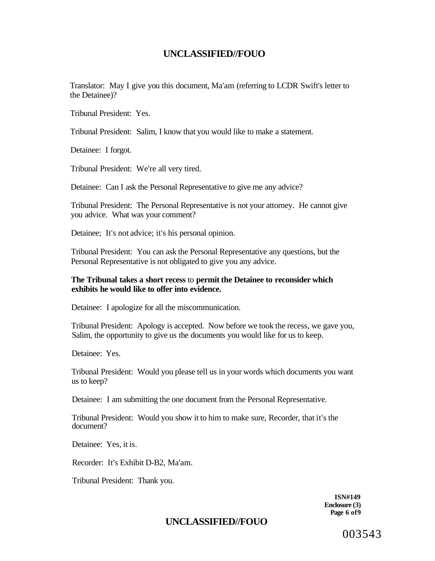Translator: May I give you this document, Ma'am (referring to LCDR Swift's letter to the Detainee)?

Tribunal President: Yes.

Tribunal President: Salim, I know that you would like to make a statement.

Detainee: I forgot.

Tribunal President: We're all very tired.

Detainee: Can I ask the Personal Representative to give me any advice?

Tribunal President: The Personal Representative is not your attorney. He cannot give you advice. What was your comment?

Detainee; It's not advice; it's his personal opinion.

Tribunal President: You can ask the Personal Representative any questions, but the Personal Representative is not obligated to give you any advice.

### **The Tribunal takes a short recess** to **permit the Detainee to reconsider which exhibits he would like to offer into evidence.**

Detainee: I apologize for all the miscommunication.

Tribunal President: Apology is accepted. Now before we took the recess, we gave you, Salim, the opportunity to give us the documents you would like for us to keep.

Detainee: Yes.

Tribunal President: Would you please tell us in your words which documents you want us to keep?

Detainee: I am submitting the one document from the Personal Representative.

Tribunal President: Would you show it to him to make sure, Recorder, that it's the document?

Detainee: Yes, it is.

Recorder: It's Exhibit D-B2, Ma'am.

Tribunal President: Thank you.

**ISN#149 Enclosure (3) Page 6 of9** 

# **UNCLASSIFIED//FOUO**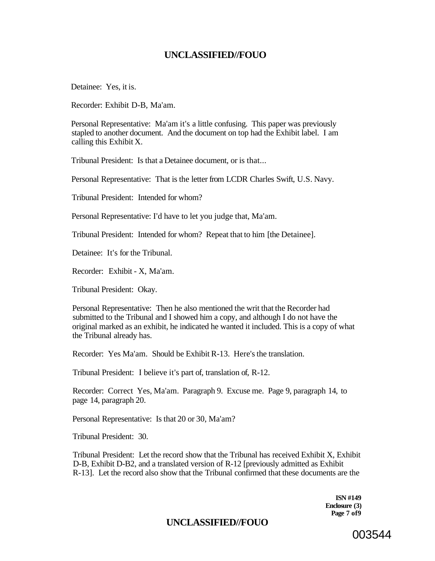Detainee: Yes, it is.

Recorder: Exhibit D-B, Ma'am.

Personal Representative: Ma'am it's a little confusing. This paper was previously stapled to another document. And the document on top had the Exhibit label. I am calling this Exhibit X.

Tribunal President: Is that a Detainee document, or is that...

Personal Representative: That is the letter from LCDR Charles Swift, U.S. Navy.

Tribunal President: Intended for whom?

Personal Representative: I'd have to let you judge that, Ma'am.

Tribunal President: Intended for whom? Repeat that to him [the Detainee].

Detainee: It's for the Tribunal.

Recorder: Exhibit - X, Ma'am.

Tribunal President: Okay.

Personal Representative: Then he also mentioned the writ that the Recorder had submitted to the Tribunal and I showed him a copy, and although I do not have the original marked as an exhibit, he indicated he wanted it included. This is a copy of what the Tribunal already has.

Recorder: Yes Ma'am. Should be Exhibit R-13. Here's the translation.

Tribunal President: I believe it's part of, translation of, R-12.

Recorder: Correct Yes, Ma'am. Paragraph 9. Excuse me. Page 9, paragraph 14, to page 14, paragraph 20.

Personal Representative: Is that 20 or 30, Ma'am?

Tribunal President: 30.

Tribunal President: Let the record show that the Tribunal has received Exhibit X, Exhibit D-B, Exhibit D-B2, and a translated version of R-12 [previously admitted as Exhibit R-13]. Let the record also show that the Tribunal confirmed that these documents are the

> **ISN #149 Enclosure (3) Page 7 of9**

## **UNCLASSIFIED//FOUO**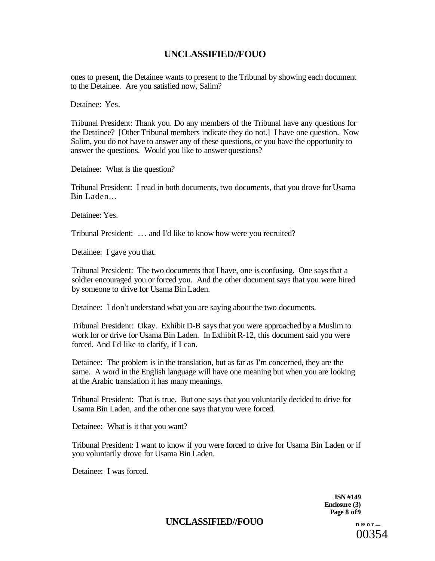ones to present, the Detainee wants to present to the Tribunal by showing each document to the Detainee. Are you satisfied now, Salim?

Detainee: Yes.

Tribunal President: Thank you. Do any members of the Tribunal have any questions for the Detainee? [Other Tribunal members indicate they do not.] I have one question. Now Salim, you do not have to answer any of these questions, or you have the opportunity to answer the questions. Would you like to answer questions?

Detainee: What is the question?

Tribunal President: I read in both documents, two documents, that you drove for Usama Bin Laden...

Detainee: Yes.

Tribunal President: .. . and I'd like to know how were you recruited?

Detainee: I gave you that.

Tribunal President: The two documents that I have, one is confusing. One says that a soldier encouraged you or forced you. And the other document says that you were hired by someone to drive for Usama Bin Laden.

Detainee: I don't understand what you are saying about the two documents.

Tribunal President: Okay. Exhibit D-B says that you were approached by a Muslim to work for or drive for Usama Bin Laden. In Exhibit R-12, this document said you were forced. And I'd like to clarify, if I can.

Detainee: The problem is in the translation, but as far as I'm concerned, they are the same. A word in the English language will have one meaning but when you are looking at the Arabic translation it has many meanings.

Tribunal President: That is true. But one says that you voluntarily decided to drive for Usama Bin Laden, and the other one says that you were forced.

Detainee: What is it that you want?

Tribunal President: I want to know if you were forced to drive for Usama Bin Laden or if you voluntarily drove for Usama Bin Laden.

Detainee: I was forced.

**ISN #149 Enclosure (3) Page 8 of9** 

UNCLASSIFIED//FOUO **n** *n n n n n*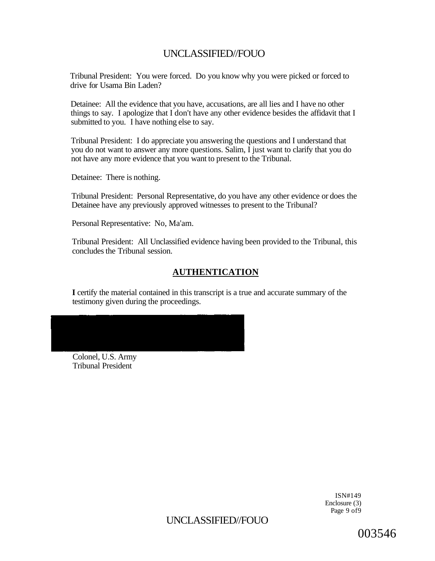Tribunal President: You were forced. Do you know why you were picked or forced to drive for Usama Bin Laden?

Detainee: All the evidence that you have, accusations, are all lies and I have no other things to say. I apologize that I don't have any other evidence besides the affidavit that I submitted to you. I have nothing else to say.

Tribunal President: I do appreciate you answering the questions and I understand that you do not want to answer any more questions. Salim, I just want to clarify that you do not have any more evidence that you want to present to the Tribunal.

Detainee: There is nothing.

Tribunal President: Personal Representative, do you have any other evidence or does the Detainee have any previously approved witnesses to present to the Tribunal?

Personal Representative: No, Ma'am.

Tribunal President: All Unclassified evidence having been provided to the Tribunal, this concludes the Tribunal session.

## **AUTHENTICATION**

**I** certify the material contained in this transcript is a true and accurate summary of the testimony given during the proceedings.

Colonel, U.S. Army Tribunal President

> ISN#149 Enclosure (3) Page 9 of9

UNCLASSIFIED//FOUO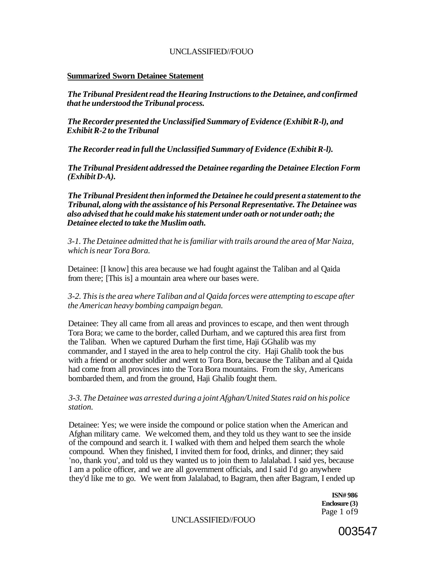#### **Summarized Sworn Detainee Statement**

*The Tribunal President read the Hearing Instructions to the Detainee, and confirmed that he understood the Tribunal process.* 

*The Recorder presented the Unclassified Summary of Evidence (Exhibit R-l), and Exhibit R-2 to the Tribunal* 

*The Recorder read in full the Unclassified Summary of Evidence (Exhibit R-l).* 

*The Tribunal President addressed the Detainee regarding the Detainee Election Form (Exhibit D-A).* 

*The Tribunal President then informed the Detainee he could present a statement to the Tribunal, along with the assistance of his Personal Representative. The Detainee was also advised that he could make his statement under oath or not under oath; the Detainee elected to take the Muslim oath.* 

*3-1. The Detainee admitted that he is familiar with trails around the area of Mar Naiza, which is near Tora Bora.* 

Detainee: [I know] this area because we had fought against the Taliban and al Qaida from there; [This is] a mountain area where our bases were.

*3-2. This is the area where Taliban and al Qaida forces were attempting to escape after the American heavy bombing campaign began.* 

Detainee: They all came from all areas and provinces to escape, and then went through Tora Bora; we came to the border, called Durham, and we captured this area first from the Taliban. When we captured Durham the first time, Haji GGhalib was my commander, and I stayed in the area to help control the city. Haji Ghalib took the bus with a friend or another soldier and went to Tora Bora, because the Taliban and al Qaida had come from all provinces into the Tora Bora mountains. From the sky, Americans bombarded them, and from the ground, Haji Ghalib fought them.

### *3-3. The Detainee was arrested during a joint Afghan/United States raid on his police station.*

Detainee: Yes; we were inside the compound or police station when the American and Afghan military came. We welcomed them, and they told us they want to see the inside of the compound and search it. I walked with them and helped them search the whole compound. When they finished, I invited them for food, drinks, and dinner; they said 'no, thank you', and told us they wanted us to join them to Jalalabad. I said yes, because I am a police officer, and we are all government officials, and I said I'd go anywhere they'd like me to go. We went from Jalalabad, to Bagram, then after Bagram, I ended up

> **ISN# 986 Enclosure (3)**  Page 1 of9

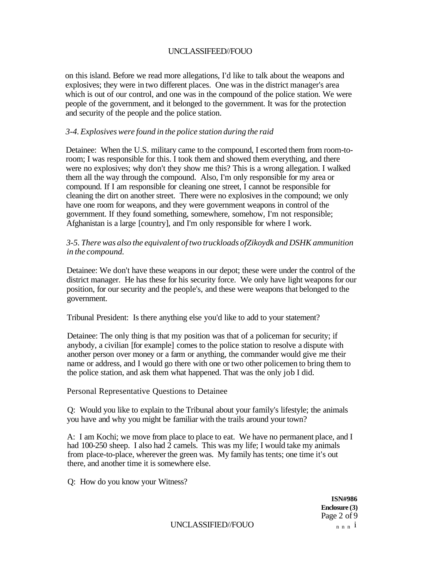on this island. Before we read more allegations, I'd like to talk about the weapons and explosives; they were in two different places. One was in the district manager's area which is out of our control, and one was in the compound of the police station. We were people of the government, and it belonged to the government. It was for the protection and security of the people and the police station.

### *3-4. Explosives were found in the police station during the raid*

Detainee: When the U.S. military came to the compound, I escorted them from room-toroom; I was responsible for this. I took them and showed them everything, and there were no explosives; why don't they show me this? This is a wrong allegation. I walked them all the way through the compound. Also, I'm only responsible for my area or compound. If I am responsible for cleaning one street, I cannot be responsible for cleaning the dirt on another street. There were no explosives in the compound; we only have one room for weapons, and they were government weapons in control of the government. If they found something, somewhere, somehow, I'm not responsible; Afghanistan is a large [country], and I'm only responsible for where I work.

### *3-5. There was also the equivalent of two truckloads ofZikoydk and DSHK ammunition in the compound.*

Detainee: We don't have these weapons in our depot; these were under the control of the district manager. He has these for his security force. We only have light weapons for our position, for our security and the people's, and these were weapons that belonged to the government.

Tribunal President: Is there anything else you'd like to add to your statement?

Detainee: The only thing is that my position was that of a policeman for security; if anybody, a civilian [for example] comes to the police station to resolve a dispute with another person over money or a farm or anything, the commander would give me their name or address, and I would go there with one or two other policemen to bring them to the police station, and ask them what happened. That was the only job I did.

Personal Representative Questions to Detainee

Q: Would you like to explain to the Tribunal about your family's lifestyle; the animals you have and why you might be familiar with the trails around your town?

A: I am Kochi; we move from place to place to eat. We have no permanent place, and I had 100-250 sheep. I also had 2 camels. This was my life; I would take my animals from place-to-place, wherever the green was. My family has tents; one time it's out there, and another time it is somewhere else.

Q: How do you know your Witness?

**ISN#986 Enclosure (3)**  Page 2 of 9

UNCLASSIFIED//FOUO  $n n n i$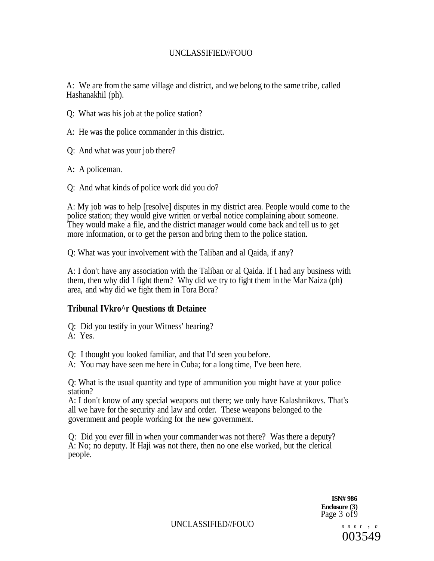A: We are from the same village and district, and we belong to the same tribe, called Hashanakhil (ph).

- Q: What was his job at the police station?
- A: He was the police commander in this district.
- Q: And what was your job there?
- A: A policeman.
- Q: And what kinds of police work did you do?

A: My job was to help [resolve] disputes in my district area. People would come to the police station; they would give written or verbal notice complaining about someone. They would make a file, and the district manager would come back and tell us to get more information, or to get the person and bring them to the police station.

Q: What was your involvement with the Taliban and al Qaida, if any?

A: I don't have any association with the Taliban or al Qaida. If I had any business with them, then why did I fight them? Why did we try to fight them in the Mar Naiza (ph) area, and why did we fight them in Tora Bora?

## **Tribunal IVkro^r Questions tft Detainee**

Q: Did you testify in your Witness' hearing?

- A: Yes.
- Q: I thought you looked familiar, and that I'd seen you before.
- A: You may have seen me here in Cuba; for a long time, I've been here.

Q: What is the usual quantity and type of ammunition you might have at your police station?

A: I don't know of any special weapons out there; we only have Kalashnikovs. That's all we have for the security and law and order. These weapons belonged to the government and people working for the new government.

Q: Did you ever fill in when your commander was not there? Was there a deputy? A: No; no deputy. If Haji was not there, then no one else worked, but the clerical people.

> **ISN# 986 Enclosure (3)**  Page 3 of9

UNCLASSIFIED//FOUO *n n n*<sup>r</sup> , *<sup>n</sup>*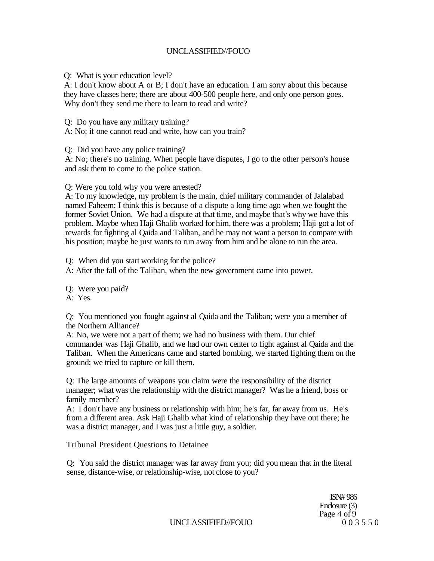Q: What is your education level?

A: I don't know about A or B; I don't have an education. I am sorry about this because they have classes here; there are about 400-500 people here, and only one person goes. Why don't they send me there to learn to read and write?

Q: Do you have any military training?

A: No; if one cannot read and write, how can you train?

Q: Did you have any police training?

A: No; there's no training. When people have disputes, I go to the other person's house and ask them to come to the police station.

Q: Were you told why you were arrested?

A: To my knowledge, my problem is the main, chief military commander of Jalalabad named Faheem; I think this is because of a dispute a long time ago when we fought the former Soviet Union. We had a dispute at that time, and maybe that's why we have this problem. Maybe when Haji Ghalib worked for him, there was a problem; Haji got a lot of rewards for fighting al Qaida and Taliban, and he may not want a person to compare with his position; maybe he just wants to run away from him and be alone to run the area.

Q: When did you start working for the police?

A: After the fall of the Taliban, when the new government came into power.

Q: Were you paid?

A: Yes.

Q: You mentioned you fought against al Qaida and the Taliban; were you a member of the Northern Alliance?

A: No, we were not a part of them; we had no business with them. Our chief commander was Haji Ghalib, and we had our own center to fight against al Qaida and the Taliban. When the Americans came and started bombing, we started fighting them on the ground; we tried to capture or kill them.

Q: The large amounts of weapons you claim were the responsibility of the district manager; what was the relationship with the district manager? Was he a friend, boss or family member?

A: I don't have any business or relationship with him; he's far, far away from us. He's from a different area. Ask Haji Ghalib what kind of relationship they have out there; he was a district manager, and I was just a little guy, a soldier.

Tribunal President Questions to Detainee

Q: You said the district manager was far away from you; did you mean that in the literal sense, distance-wise, or relationship-wise, not close to you?

> ISN# 986 Enclosure (3) Page  $\frac{4 \text{ of } 9}{0.03550}$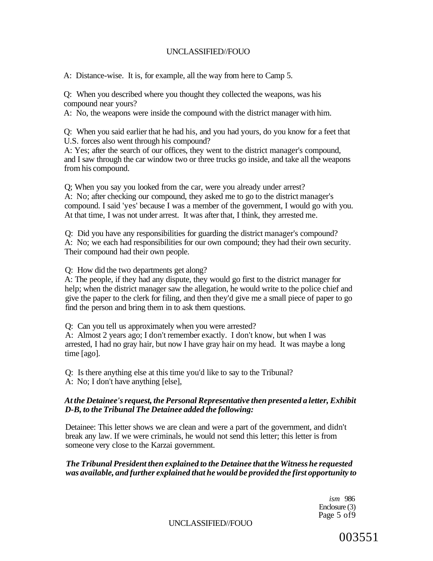A: Distance-wise. It is, for example, all the way from here to Camp 5.

Q: When you described where you thought they collected the weapons, was his compound near yours?

A: No, the weapons were inside the compound with the district manager with him.

Q: When you said earlier that he had his, and you had yours, do you know for a feet that U.S. forces also went through his compound?

A: Yes; after the search of our offices, they went to the district manager's compound, and I saw through the car window two or three trucks go inside, and take all the weapons from his compound.

Q; When you say you looked from the car, were you already under arrest? A: No; after checking our compound, they asked me to go to the district manager's compound. I said 'yes' because I was a member of the government, I would go with you. At that time, I was not under arrest. It was after that, I think, they arrested me.

Q: Did you have any responsibilities for guarding the district manager's compound? A: No; we each had responsibilities for our own compound; they had their own security. Their compound had their own people.

Q: How did the two departments get along?

A: The people, if they had any dispute, they would go first to the district manager for help; when the district manager saw the allegation, he would write to the police chief and give the paper to the clerk for filing, and then they'd give me a small piece of paper to go find the person and bring them in to ask them questions.

Q: Can you tell us approximately when you were arrested?

A: Almost 2 years ago; I don't remember exactly. I don't know, but when I was arrested, I had no gray hair, but now I have gray hair on my head. It was maybe a long time [ago].

Q: Is there anything else at this time you'd like to say to the Tribunal? A: No; I don't have anything [else],

### *At the Detainee's request, the Personal Representative then presented a letter, Exhibit D-B, to the Tribunal The Detainee added the following:*

Detainee: This letter shows we are clean and were a part of the government, and didn't break any law. If we were criminals, he would not send this letter; this letter is from someone very close to the Karzai government.

### *The Tribunal President then explained to the Detainee that the Witness he requested was available, and further explained that he would be provided the first opportunity to*

*ism* 986 Enclosure (3) Page 5 of9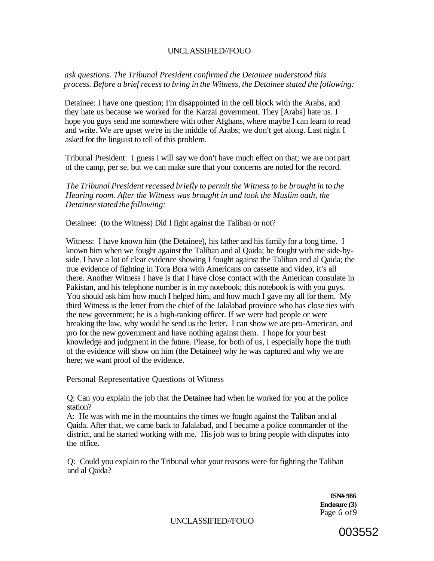### *ask questions. The Tribunal President confirmed the Detainee understood this process. Before a brief recess to bring in the Witness, the Detainee stated the following:*

Detainee: I have one question; I'm disappointed in the cell block with the Arabs, and they hate us because we worked for the Karzai government. They [Arabs] hate us. I hope you guys send me somewhere with other Afghans, where maybe I can learn to read and write. We are upset we're in the middle of Arabs; we don't get along. Last night I asked for the linguist to tell of this problem.

Tribunal President: I guess I will say we don't have much effect on that; we are not part of the camp, per se, but we can make sure that your concerns are noted for the record.

*The Tribunal President recessed briefly to permit the Witness to be brought in to the Hearing room. After the Witness was brought in and took the Muslim oath, the Detainee stated the following:* 

Detainee: (to the Witness) Did I fight against the Taliban or not?

Witness: I have known him (the Detainee), his father and his family for a long time. I known him when we fought against the Taliban and al Qaida; he fought with me side-byside. I have a lot of clear evidence showing I fought against the Taliban and al Qaida; the true evidence of fighting in Tora Bora with Americans on cassette and video, it's all there. Another Witness I have is that I have close contact with the American consulate in Pakistan, and his telephone number is in my notebook; this notebook is with you guys. You should ask him how much I helped him, and how much I gave my all for them. My third Witness is the letter from the chief of the Jalalabad province who has close ties with the new government; he is a high-ranking officer. If we were bad people or were breaking the law, why would he send us the letter. I can show we are pro-American, and pro for the new government and have nothing against them. I hope for your best knowledge and judgment in the future. Please, for both of us, I especially hope the truth of the evidence will show on him (the Detainee) why he was captured and why we are here; we want proof of the evidence.

Personal Representative Questions of Witness

Q: Can you explain the job that the Detainee had when he worked for you at the police station?

A: He was with me in the mountains the times we fought against the Taliban and al Qaida. After that, we came back to Jalalabad, and I became a police commander of the district, and he started working with me. His job was to bring people with disputes into the office.

Q: Could you explain to the Tribunal what your reasons were for fighting the Taliban and al Qaida?

> **ISN# 986 Enclosure (3)**  Page 6 of9

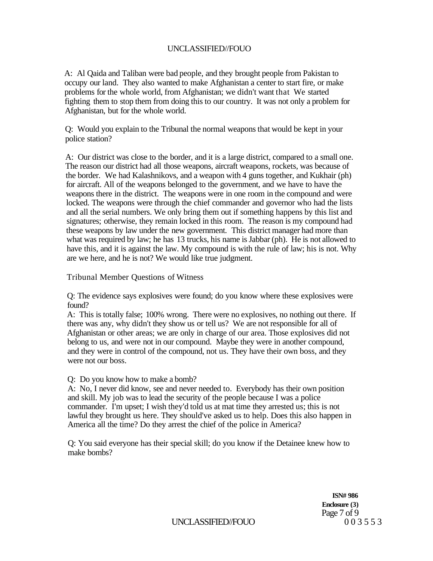A: Al Qaida and Taliban were bad people, and they brought people from Pakistan to occupy our land. They also wanted to make Afghanistan a center to start fire, or make problems for the whole world, from Afghanistan; we didn't want that We started fighting them to stop them from doing this to our country. It was not only a problem for Afghanistan, but for the whole world.

Q: Would you explain to the Tribunal the normal weapons that would be kept in your police station?

A: Our district was close to the border, and it is a large district, compared to a small one. The reason our district had all those weapons, aircraft weapons, rockets, was because of the border. We had Kalashnikovs, and a weapon with 4 guns together, and Kukhair (ph) for aircraft. All of the weapons belonged to the government, and we have to have the weapons there in the district. The weapons were in one room in the compound and were locked. The weapons were through the chief commander and governor who had the lists and all the serial numbers. We only bring them out if something happens by this list and signatures; otherwise, they remain locked in this room. The reason is my compound had these weapons by law under the new government. This district manager had more than what was required by law; he has 13 trucks, his name is Jabbar (ph). He is not allowed to have this, and it is against the law. My compound is with the rule of law; his is not. Why are we here, and he is not? We would like true judgment.

Tribunal Member Questions of Witness

Q: The evidence says explosives were found; do you know where these explosives were found?

A: This is totally false; 100% wrong. There were no explosives, no nothing out there. If there was any, why didn't they show us or tell us? We are not responsible for all of Afghanistan or other areas; we are only in charge of our area. Those explosives did not belong to us, and were not in our compound. Maybe they were in another compound, and they were in control of the compound, not us. They have their own boss, and they were not our boss.

Q: Do you know how to make a bomb?

A: No, I never did know, see and never needed to. Everybody has their own position and skill. My job was to lead the security of the people because I was a police commander. I'm upset; I wish they'd told us at mat time they arrested us; this is not lawful they brought us here. They should've asked us to help. Does this also happen in America all the time? Do they arrest the chief of the police in America?

Q: You said everyone has their special skill; do you know if the Detainee knew how to make bombs?

> **ISN# 986 Enclosure (3)**  Page 7 of 9<br>0 0 3 5 5 3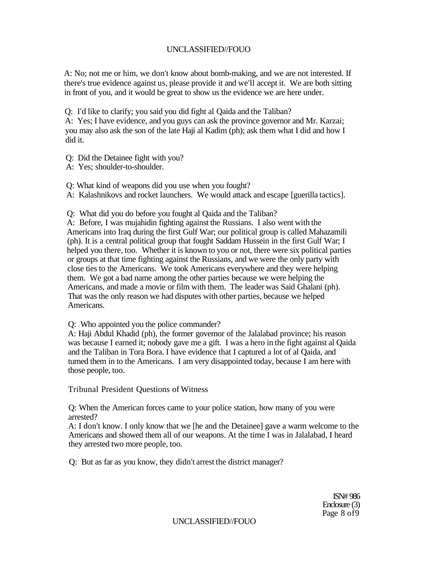A: No; not me or him, we don't know about bomb-making, and we are not interested. If there's true evidence against us, please provide it and we'll accept it. We are both sitting in front of you, and it would be great to show us the evidence we are here under.

Q: I'd like to clarify; you said you did fight al Qaida and the Taliban?

A: Yes; I have evidence, and you guys can ask the province governor and Mr. Karzai; you may also ask the son of the late Haji al Kadim (ph); ask them what I did and how I did it.

Q: Did the Detainee fight with you?

A: Yes; shoulder-to-shoulder.

Q: What kind of weapons did you use when you fought?

A: Kalashnikovs and rocket launchers. We would attack and escape [guerilla tactics].

Q: What did you do before you fought al Qaida and the Taliban?

A: Before, I was mujahidin fighting against the Russians. I also went with the Americans into Iraq during the first Gulf War; our political group is called Mahazamili (ph). It is a central political group that fought Saddam Hussein in the first Gulf War; I helped you there, too. Whether it is known to you or not, there were six political parties or groups at that time fighting against the Russians, and we were the only party with close ties to the Americans. We took Americans everywhere and they were helping them. We got a bad name among the other parties because we were helping the Americans, and made a movie or film with them. The leader was Said Ghalani (ph). That was the only reason we had disputes with other parties, because we helped Americans.

Q: Who appointed you the police commander?

A: Haji Abdul Khadid (ph), the former governor of the Jalalabad province; his reason was because I earned it; nobody gave me a gift. I was a hero in the fight against al Qaida and the Taliban in Tora Bora. I have evidence that I captured a lot of al Qaida, and turned them in to the Americans. I am very disappointed today, because I am here with those people, too.

Tribunal President Questions of Witness

Q: When the American forces came to your police station, how many of you were arrested?

A: I don't know. I only know that we [he and the Detainee] gave a warm welcome to the Americans and showed them all of our weapons. At the time I was in Jalalabad, I heard they arrested two more people, too.

Q: But as far as you know, they didn't arrest the district manager?

ISN# 986 Enclosure (3) Page 8 of9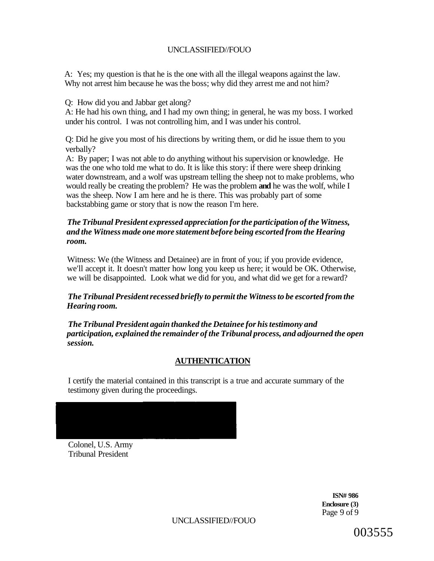A: Yes; my question is that he is the one with all the illegal weapons against the law. Why not arrest him because he was the boss; why did they arrest me and not him?

Q: How did you and Jabbar get along?

A: He had his own thing, and I had my own thing; in general, he was my boss. I worked under his control. I was not controlling him, and I was under his control.

Q: Did he give you most of his directions by writing them, or did he issue them to you verbally?

A: By paper; I was not able to do anything without his supervision or knowledge. He was the one who told me what to do. It is like this story: if there were sheep drinking water downstream, and a wolf was upstream telling the sheep not to make problems, who would really be creating the problem? He was the problem **and** he was the wolf, while I was the sheep. Now I am here and he is there. This was probably part of some backstabbing game or story that is now the reason I'm here.

### *The Tribunal President expressed appreciation for the participation of the Witness, and the Witness made one more statement before being escorted from the Hearing room.*

Witness: We (the Witness and Detainee) are in front of you; if you provide evidence, we'll accept it. It doesn't matter how long you keep us here; it would be OK. Otherwise, we will be disappointed. Look what we did for you, and what did we get for a reward?

### *The Tribunal President recessed briefly to permit the Witness to be escorted from the Hearing room.*

*The Tribunal President again thanked the Detainee for his testimony and participation, explained the remainder of the Tribunal process, and adjourned the open session.* 

## **AUTHENTICATION**

I certify the material contained in this transcript is a true and accurate summary of the testimony given during the proceedings.

Colonel, U.S. Army Tribunal President

> **ISN# 986 Enclosure (3)**  Page 9 of 9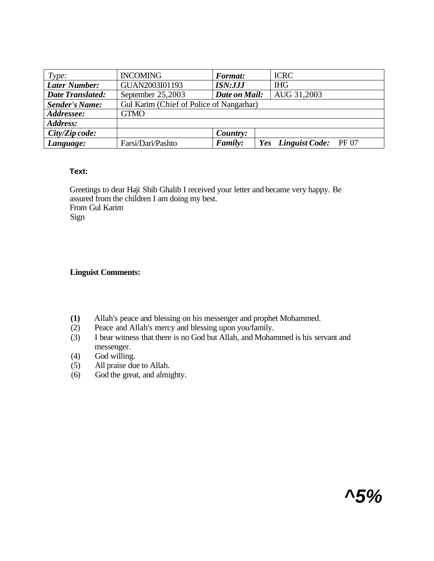| Type:                   | <b>INCOMING</b>                          | <b>Format:</b> | <b>ICRC</b>              |
|-------------------------|------------------------------------------|----------------|--------------------------|
| <b>Later Number:</b>    | GUAN2003I01193                           | <b>ISN:JJJ</b> | <b>IHG</b>               |
| <b>Date Translated:</b> | September 25,2003                        | Date on Mail:  | AUG 31,2003              |
| <b>Sender's Name:</b>   | Gul Karim (Chief of Police of Nangarhar) |                |                          |
| Addressee:              | <b>GTMO</b>                              |                |                          |
| Address:                |                                          |                |                          |
| $City/Zipcode$ :        |                                          | Country:       |                          |
| Language:               | Farsi/Dari/Pashto                        | <b>Family:</b> | Yes Linguist Code: PF 07 |

### **Text:**

Greetings to dear Haji Shib Ghalib I received your letter and became very happy. Be assured from the children I am doing my best. From Gul Karim Sign

### **Linguist Comments:**

- **(1)** Allah's peace and blessing on his messenger and prophet Mohammed.
- (2) Peace and Allah's mercy and blessing upon you/family.
- (3) I bear witness that there is no God but Allah, and Mohammed is his servant and messenger.
- (4) God willing.<br>(5) All praise du
- All praise due to Allah.
- $(6)$  God the great, and almighty.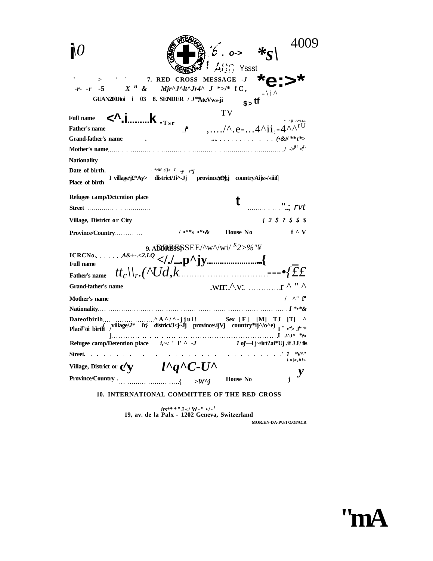|                                                                                                                                                                                                                                                                                                          | $ 6.0-\sqrt{8}$<br>$Aff$ Yssst                                                                                                |  |  |  |
|----------------------------------------------------------------------------------------------------------------------------------------------------------------------------------------------------------------------------------------------------------------------------------------------------------|-------------------------------------------------------------------------------------------------------------------------------|--|--|--|
| > ' ' 7. RED CROSS MESSAGE -J<br>-r- -r -5 $X$ $\overset{H}{\sim}$ & $Mjr^{\wedge}J^{\wedge}lr4^{\wedge} J \overset{*}{\sim} l^*$ f C ,<br>GUAN200Jtoi i 03 8. SENDER / J**AteVws-ji                                                                                                                     | $s$ = tf $\sqrt{i}$                                                                                                           |  |  |  |
| $\langle$ ^.ik . $_{\text{Tsr}}$<br><b>Full name</b><br><b>Father's name</b><br>Grand-father's name                                                                                                                                                                                                      | TV<br>$I$ ,/^.e-4^ii.-4^^r <sup>U</sup>                                                                                       |  |  |  |
| <b>Nationality</b>                                                                                                                                                                                                                                                                                       |                                                                                                                               |  |  |  |
| Date of birth.<br>$\cdot$ *rM (!j> I -y r*j<br>I village/j£*Ay> district/Ji^-Jj province/tOy,j countryAijs>/>iiif<br>Place of birth                                                                                                                                                                      |                                                                                                                               |  |  |  |
| Refugee camp/Dctcntion place                                                                                                                                                                                                                                                                             | $"$ : $rvt$                                                                                                                   |  |  |  |
| Street                                                                                                                                                                                                                                                                                                   |                                                                                                                               |  |  |  |
|                                                                                                                                                                                                                                                                                                          |                                                                                                                               |  |  |  |
| <b>Full name</b>                                                                                                                                                                                                                                                                                         | 9. ADDRESS SEE/^w^/wi/ $K2 > \%$ "¥                                                                                           |  |  |  |
| <b>Grand-father's name</b>                                                                                                                                                                                                                                                                               | $WT:\Lambda,V:$ $\qquad \qquad \Gamma \wedge " \wedge"$                                                                       |  |  |  |
| Mother's name                                                                                                                                                                                                                                                                                            | $/$ $\wedge$ " $f^{\text{u}}$                                                                                                 |  |  |  |
| Date of birth $\ldots$ $\wedge$ A $\wedge$ / $\wedge$ -j j u i !<br>Place" of birth $\int$ <sup>village/<math>J^*</math></sup> It} district/J <j-jj country*ij<math="" ijvj="" province="">\wedge/o<math>\wedge</math>e) <math>\int</math> <math>\cdots</math> <math>\int</math> <math>J^*</math></j-jj> |                                                                                                                               |  |  |  |
|                                                                                                                                                                                                                                                                                                          |                                                                                                                               |  |  |  |
| Street                                                                                                                                                                                                                                                                                                   | $\cdots$ $\cdots$ $\cdots$ $\cdots$ $\cdots$ $\cdots$ $\cdots$ $\cdots$ $\cdots$ $\cdots$ $\cdots$ $\cdots$                   |  |  |  |
| Village, District or $cy$ $l^{\wedge}q^{\wedge}C\text{-}U^{\wedge}$<br><b>Province/Country.</b>                                                                                                                                                                                                          |                                                                                                                               |  |  |  |
| 10. INTERNATIONAL COMMITTEE OF THE RED CROSS                                                                                                                                                                                                                                                             | $\cdots$ $\cdots$ $\cdots$ $\cdots$ $\cdots$ $\cdots$ $\cdots$ $\cdots$ $\cdots$ $\cdots$ $\cdots$ $\cdots$ $\cdots$ $\cdots$ |  |  |  |
|                                                                                                                                                                                                                                                                                                          |                                                                                                                               |  |  |  |
| $irs***''J\ll W$ -" $\cdot/$ - <sup>1</sup><br>19, av. de la Palx - 1202 Geneva, Switzerland                                                                                                                                                                                                             |                                                                                                                               |  |  |  |

**MOR/EN-DA-PU/1 O.OI/ACR** 

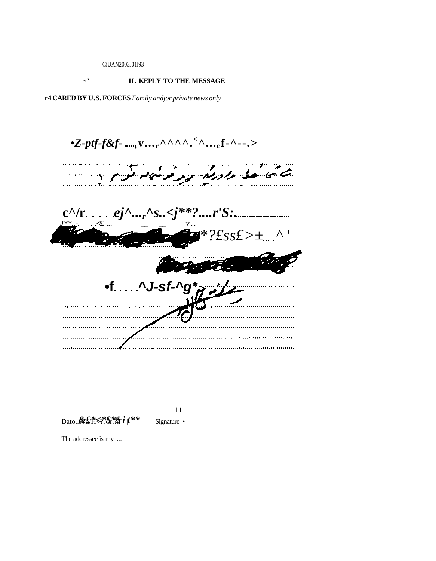CiUAN2003J01l93

# *~"* **II. KEPLY TO THE MESSAGE r4 CARED BY U.S. FORCES** *Family andjor private news only*

*•Z-ptf-f&f-* **;v...r^^^^.<sup>&</sup>lt; ^...cf-^--.>**  and the property of the contract of the contract of the contract of the contract of the contract of the contract of the contract of the contract of the contract of the contract of the contract of the contract of the contra  $c^{\wedge}/r$ ....*ej*^...*r*^s.. $\langle j^{**}$ ?....*r*'S:. *J\*\*..-* **<£** ... \_\_ \_\_ v. . *\*?£ss£>±* ^ ' **•f ^J-sf-^g\***  . . . . . . . . . . . . . . . . 

11 Signature •

Dato..**&£**\***\*\*** \$\*\* *f* i<sup>\*\*</sup>

The addressee is my ...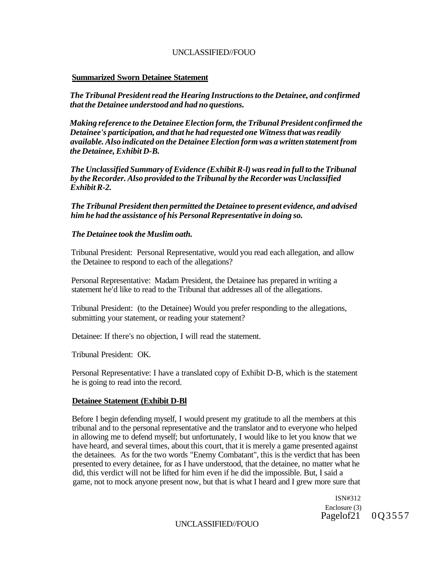#### **Summarized Sworn Detainee Statement**

*The Tribunal President read the Hearing Instructions to the Detainee, and confirmed that the Detainee understood and had no questions.* 

*Making reference to the Detainee Election form, the Tribunal President confirmed the Detainee's participation, and that he had requested one Witness that was readily available. Also indicated on the Detainee Election form was a written statement from the Detainee, Exhibit D-B.* 

*The Unclassified Summary of Evidence (Exhibit R-l) was read in full to the Tribunal by the Recorder. Also provided to the Tribunal by the Recorder was Unclassified Exhibit R-2.* 

*The Tribunal President then permitted the Detainee to present evidence, and advised him he had the assistance of his Personal Representative in doing so.* 

#### *The Detainee took the Muslim oath.*

Tribunal President: Personal Representative, would you read each allegation, and allow the Detainee to respond to each of the allegations?

Personal Representative: Madam President, the Detainee has prepared in writing a statement he'd like to read to the Tribunal that addresses all of the allegations.

Tribunal President: (to the Detainee) Would you prefer responding to the allegations, submitting your statement, or reading your statement?

Detainee: If there's no objection, I will read the statement.

Tribunal President: OK.

Personal Representative: I have a translated copy of Exhibit D-B, which is the statement he is going to read into the record.

#### **Detainee Statement (Exhibit D-Bl**

Before I begin defending myself, I would present my gratitude to all the members at this tribunal and to the personal representative and the translator and to everyone who helped in allowing me to defend myself; but unfortunately, I would like to let you know that we have heard, and several times, about this court, that it is merely a game presented against the detainees. As for the two words "Enemy Combatant", this is the verdict that has been presented to every detainee, for as I have understood, that the detainee, no matter what he did, this verdict will not be lifted for him even if he did the impossible. But, I said a game, not to mock anyone present now, but that is what I heard and I grew more sure that

> ISN#312 Enclosure (3) Pagelof21 0Q3557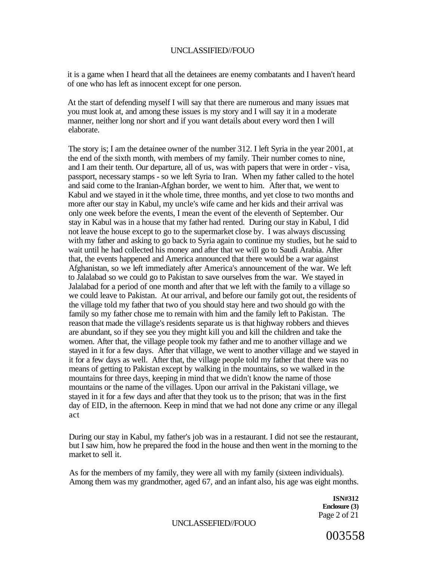it is a game when I heard that all the detainees are enemy combatants and I haven't heard of one who has left as innocent except for one person.

At the start of defending myself I will say that there are numerous and many issues mat you must look at, and among these issues is my story and I will say it in a moderate manner, neither long nor short and if you want details about every word then I will elaborate.

The story is; I am the detainee owner of the number 312. I left Syria in the year 2001, at the end of the sixth month, with members of my family. Their number comes to nine, and I am their tenth. Our departure, all of us, was with papers that were in order - visa, passport, necessary stamps - so we left Syria to Iran. When my father called to the hotel and said come to the Iranian-Afghan border, we went to him. After that, we went to Kabul and we stayed in it the whole time, three months, and yet close to two months and more after our stay in Kabul, my uncle's wife came and her kids and their arrival was only one week before the events, I mean the event of the eleventh of September. Our stay in Kabul was in a house that my father had rented. During our stay in Kabul, I did not leave the house except to go to the supermarket close by. I was always discussing with my father and asking to go back to Syria again to continue my studies, but he said to wait until he had collected his money and after that we will go to Saudi Arabia. After that, the events happened and America announced that there would be a war against Afghanistan, so we left immediately after America's announcement of the war. We left to Jalalabad so we could go to Pakistan to save ourselves from the war. We stayed in Jalalabad for a period of one month and after that we left with the family to a village so we could leave to Pakistan. At our arrival, and before our family got out, the residents of the village told my father that two of you should stay here and two should go with the family so my father chose me to remain with him and the family left to Pakistan. The reason that made the village's residents separate us is that highway robbers and thieves are abundant, so if they see you they might kill you and kill the children and take the women. After that, the village people took my father and me to another village and we stayed in it for a few days. After that village, we went to another village and we stayed in it for a few days as well. After that, the village people told my father that there was no means of getting to Pakistan except by walking in the mountains, so we walked in the mountains for three days, keeping in mind that we didn't know the name of those mountains or the name of the villages. Upon our arrival in the Pakistani village, we stayed in it for a few days and after that they took us to the prison; that was in the first day of EID, in the afternoon. Keep in mind that we had not done any crime or any illegal act

During our stay in Kabul, my father's job was in a restaurant. I did not see the restaurant, but I saw him, how he prepared the food in the house and then went in the morning to the market to sell it.

As for the members of my family, they were all with my family (sixteen individuals). Among them was my grandmother, aged 67, and an infant also, his age was eight months.

> **ISN#312 Enclosure (3)**  Page 2 of 21

UNCLASSEFIED//FOUO

003558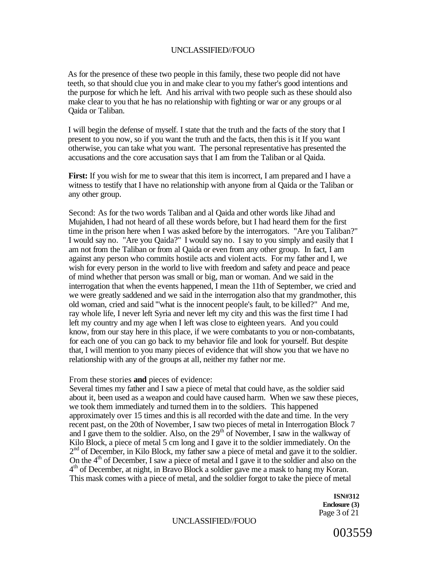As for the presence of these two people in this family, these two people did not have teeth, so that should clue you in and make clear to you my father's good intentions and the purpose for which he left. And his arrival with two people such as these should also make clear to you that he has no relationship with fighting or war or any groups or al Qaida or Taliban.

I will begin the defense of myself. I state that the truth and the facts of the story that I present to you now, so if you want the truth and the facts, then this is it If you want otherwise, you can take what you want. The personal representative has presented the accusations and the core accusation says that I am from the Taliban or al Qaida.

**First:** If you wish for me to swear that this item is incorrect, I am prepared and I have a witness to testify that I have no relationship with anyone from al Qaida or the Taliban or any other group.

Second: As for the two words Taliban and al Qaida and other words like Jihad and Mujahiden, I had not heard of all these words before, but I had heard them for the first time in the prison here when I was asked before by the interrogators. "Are you Taliban?" I would say no. "Are you Qaida?" I would say no. I say to you simply and easily that I am not from the Taliban or from al Qaida or even from any other group. In fact, I am against any person who commits hostile acts and violent acts. For my father and I, we wish for every person in the world to live with freedom and safety and peace and peace of mind whether that person was small or big, man or woman. And we said in the interrogation that when the events happened, I mean the 11th of September, we cried and we were greatly saddened and we said in the interrogation also that my grandmother, this old woman, cried and said '"what is the innocent people's fault, to be killed?" And me, ray whole life, I never left Syria and never left my city and this was the first time I had left my country and my age when I left was close to eighteen years. And you could know, from our stay here in this place, if we were combatants to you or non-combatants, for each one of you can go back to my behavior file and look for yourself. But despite that, I will mention to you many pieces of evidence that will show you that we have no relationship with any of the groups at all, neither my father nor me.

From these stories **and** pieces of evidence:

Several times my father and I saw a piece of metal that could have, as the soldier said about it, been used as a weapon and could have caused harm. When we saw these pieces, we took them immediately and turned them in to the soldiers. This happened approximately over 15 times and this is all recorded with the date and time. In the very recent past, on the 20th of November, I saw two pieces of metal in Interrogation Block 7 and I gave them to the soldier. Also, on the  $29<sup>th</sup>$  of November, I saw in the walkway of Kilo Block, a piece of metal 5 cm long and I gave it to the soldier immediately. On the 2<sup>nd</sup> of December, in Kilo Block, my father saw a piece of metal and gave it to the soldier. On the 4<sup>th</sup> of December, I saw a piece of metal and I gave it to the soldier and also on the 4<sup>th</sup> of December, at night, in Bravo Block a soldier gave me a mask to hang my Koran. This mask comes with a piece of metal, and the soldier forgot to take the piece of metal

> **ISN#312 Enclosure (3)**  Page 3 of 21

UNCLASSIFIED//FOUO

003559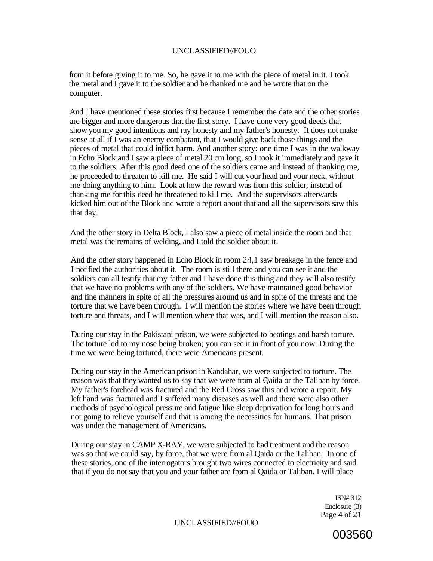from it before giving it to me. So, he gave it to me with the piece of metal in it. I took the metal and I gave it to the soldier and he thanked me and he wrote that on the computer.

And I have mentioned these stories first because I remember the date and the other stories are bigger and more dangerous that the first story. I have done very good deeds that show you my good intentions and ray honesty and my father's honesty. It does not make sense at all if I was an enemy combatant, that I would give back those things and the pieces of metal that could inflict harm. And another story: one time I was in the walkway in Echo Block and I saw a piece of metal 20 cm long, so I took it immediately and gave it to the soldiers. After this good deed one of the soldiers came and instead of thanking me, he proceeded to threaten to kill me. He said I will cut your head and your neck, without me doing anything to him. Look at how the reward was from this soldier, instead of thanking me for this deed he threatened to kill me. And the supervisors afterwards kicked him out of the Block and wrote a report about that and all the supervisors saw this that day.

And the other story in Delta Block, I also saw a piece of metal inside the room and that metal was the remains of welding, and I told the soldier about it.

And the other story happened in Echo Block in room 24,1 saw breakage in the fence and I notified the authorities about it. The room is still there and you can see it and the soldiers can all testify that my father and I have done this thing and they will also testify that we have no problems with any of the soldiers. We have maintained good behavior and fine manners in spite of all the pressures around us and in spite of the threats and the torture that we have been through. I will mention the stories where we have been through torture and threats, and I will mention where that was, and I will mention the reason also.

During our stay in the Pakistani prison, we were subjected to beatings and harsh torture. The torture led to my nose being broken; you can see it in front of you now. During the time we were being tortured, there were Americans present.

During our stay in the American prison in Kandahar, we were subjected to torture. The reason was that they wanted us to say that we were from al Qaida or the Taliban by force. My father's forehead was fractured and the Red Cross saw this and wrote a report. My left hand was fractured and I suffered many diseases as well and there were also other methods of psychological pressure and fatigue like sleep deprivation for long hours and not going to relieve yourself and that is among the necessities for humans. That prison was under the management of Americans.

During our stay in CAMP X-RAY, we were subjected to bad treatment and the reason was so that we could say, by force, that we were from al Qaida or the Taliban. In one of these stories, one of the interrogators brought two wires connected to electricity and said that if you do not say that you and your father are from al Qaida or Taliban, I will place

> ISN# 312 Enclosure (3) Page 4 of 21

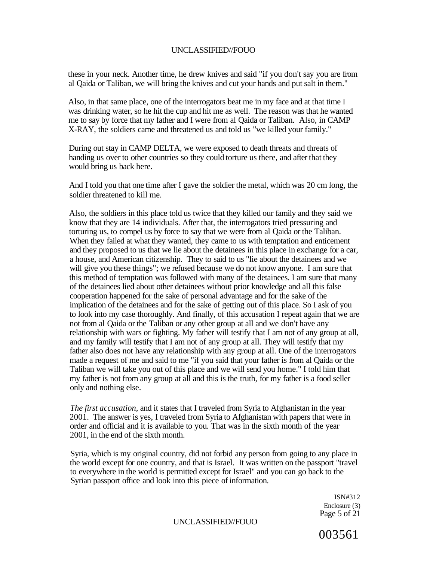these in your neck. Another time, he drew knives and said "if you don't say you are from al Qaida or Taliban, we will bring the knives and cut your hands and put salt in them."

Also, in that same place, one of the interrogators beat me in my face and at that time I was drinking water, so he hit the cup and hit me as well. The reason was that he wanted me to say by force that my father and I were from al Qaida or Taliban. Also, in CAMP X-RAY, the soldiers came and threatened us and told us "we killed your family."

During out stay in CAMP DELTA, we were exposed to death threats and threats of handing us over to other countries so they could torture us there, and after that they would bring us back here.

And I told you that one time after I gave the soldier the metal, which was 20 cm long, the soldier threatened to kill me.

Also, the soldiers in this place told us twice that they killed our family and they said we know that they are 14 individuals. After that, the interrogators tried pressuring and torturing us, to compel us by force to say that we were from al Qaida or the Taliban. When they failed at what they wanted, they came to us with temptation and enticement and they proposed to us that we lie about the detainees in this place in exchange for a car, a house, and American citizenship. They to said to us "lie about the detainees and we will give you these things"; we refused because we do not know anyone. I am sure that this method of temptation was followed with many of the detainees. I am sure that many of the detainees lied about other detainees without prior knowledge and all this false cooperation happened for the sake of personal advantage and for the sake of the implication of the detainees and for the sake of getting out of this place. So I ask of you to look into my case thoroughly. And finally, of this accusation I repeat again that we are not from al Qaida or the Taliban or any other group at all and we don't have any relationship with wars or fighting. My father will testify that I am not of any group at all, and my family will testify that I am not of any group at all. They will testify that my father also does not have any relationship with any group at all. One of the interrogators made a request of me and said to me "if you said that your father is from al Qaida or the Taliban we will take you out of this place and we will send you home." I told him that my father is not from any group at all and this is the truth, for my father is a food seller only and nothing else.

*The first accusation,* and it states that I traveled from Syria to Afghanistan in the year 2001. The answer is yes, I traveled from Syria to Afghanistan with papers that were in order and official and it is available to you. That was in the sixth month of the year 2001, in the end of the sixth month.

Syria, which is my original country, did not forbid any person from going to any place in the world except for one country, and that is Israel. It was written on the passport "travel to everywhere in the world is permitted except for Israel" and you can go back to the Syrian passport office and look into this piece of information.

> ISN#312 Enclosure (3) Page 5 of 21

UNCLASSIFIED//FOUO

003561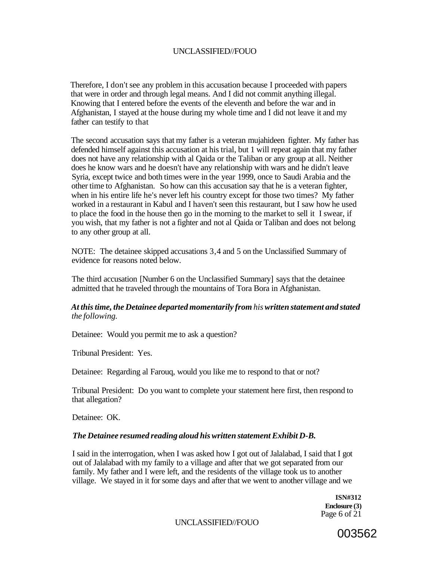Therefore, I don't see any problem in this accusation because I proceeded with papers that were in order and through legal means. And I did not commit anything illegal. Knowing that I entered before the events of the eleventh and before the war and in Afghanistan, I stayed at the house during my whole time and I did not leave it and my father can testify to that

The second accusation says that my father is a veteran mujahideen fighter. My father has defended himself against this accusation at his trial, but 1 will repeat again that my father does not have any relationship with al Qaida or the Taliban or any group at all. Neither does he know wars and he doesn't have any relationship with wars and he didn't leave Syria, except twice and both times were in the year 1999, once to Saudi Arabia and the other time to Afghanistan. So how can this accusation say that he is a veteran fighter, when in his entire life he's never left his country except for those two times? My father worked in a restaurant in Kabul and I haven't seen this restaurant, but I saw how he used to place the food in the house then go in the morning to the market to sell it I swear, if you wish, that my father is not a fighter and not al Qaida or Taliban and does not belong to any other group at all.

NOTE: The detainee skipped accusations 3,4 and 5 on the Unclassified Summary of evidence for reasons noted below.

The third accusation [Number 6 on the Unclassified Summary] says that the detainee admitted that he traveled through the mountains of Tora Bora in Afghanistan.

#### *At this time, the Detainee departed momentarily from his written statement and stated the following.*

Detainee: Would you permit me to ask a question?

Tribunal President: Yes.

Detainee: Regarding al Farouq, would you like me to respond to that or not?

Tribunal President: Do you want to complete your statement here first, then respond to that allegation?

Detainee: OK.

#### *The Detainee resumed reading aloud his written statement Exhibit D-B.*

I said in the interrogation, when I was asked how I got out of Jalalabad, I said that I got out of Jalalabad with my family to a village and after that we got separated from our family. My father and I were left, and the residents of the village took us to another village. We stayed in it for some days and after that we went to another village and we

> **ISN#312 Enclosure (3)**  Page 6 of 21

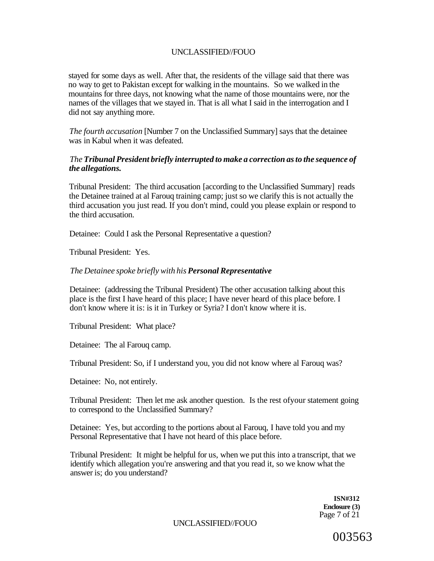stayed for some days as well. After that, the residents of the village said that there was no way to get to Pakistan except for walking in the mountains. So we walked in the mountains for three days, not knowing what the name of those mountains were, nor the names of the villages that we stayed in. That is all what I said in the interrogation and I did not say anything more.

*The fourth accusation* [Number 7 on the Unclassified Summary] says that the detainee was in Kabul when it was defeated.

#### *The Tribunal President briefly interrupted to make a correction as to the sequence of the allegations.*

Tribunal President: The third accusation [according to the Unclassified Summary] reads the Detainee trained at al Farouq training camp; just so we clarify this is not actually the third accusation you just read. If you don't mind, could you please explain or respond to the third accusation.

Detainee: Could I ask the Personal Representative a question?

Tribunal President: Yes.

#### *The Detainee spoke briefly with his Personal Representative*

Detainee: (addressing the Tribunal President) The other accusation talking about this place is the first I have heard of this place; I have never heard of this place before. I don't know where it is: is it in Turkey or Syria? I don't know where it is.

Tribunal President: What place?

Detainee: The al Farouq camp.

Tribunal President: So, if I understand you, you did not know where al Farouq was?

Detainee: No, not entirely.

Tribunal President: Then let me ask another question. Is the rest ofyour statement going to correspond to the Unclassified Summary?

Detainee: Yes, but according to the portions about al Farouq, I have told you and my Personal Representative that I have not heard of this place before.

Tribunal President: It might be helpful for us, when we put this into a transcript, that we identify which allegation you're answering and that you read it, so we know what the answer is; do you understand?

> **ISN#312 Enclosure (3)**  Page 7 of 21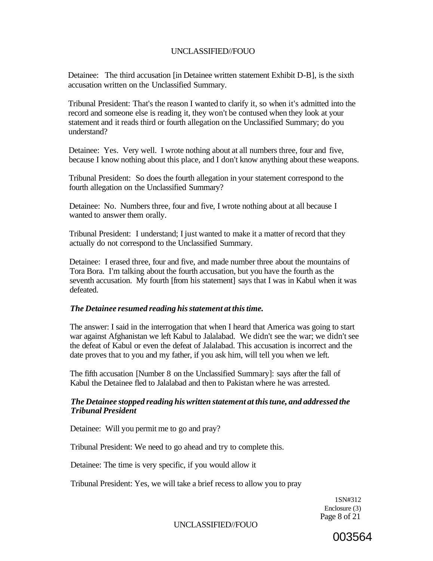Detainee: The third accusation [in Detainee written statement Exhibit D-B], is the sixth accusation written on the Unclassified Summary.

Tribunal President: That's the reason I wanted to clarify it, so when it's admitted into the record and someone else is reading it, they won't be contused when they look at your statement and it reads third or fourth allegation on the Unclassified Summary; do you understand?

Detainee: Yes. Very well. I wrote nothing about at all numbers three, four and five, because I know nothing about this place, and I don't know anything about these weapons.

Tribunal President: So does the fourth allegation in your statement correspond to the fourth allegation on the Unclassified Summary?

Detainee: No. Numbers three, four and five, I wrote nothing about at all because I wanted to answer them orally.

Tribunal President: I understand; I just wanted to make it a matter of record that they actually do not correspond to the Unclassified Summary.

Detainee: I erased three, four and five, and made number three about the mountains of Tora Bora. I'm talking about the fourth accusation, but you have the fourth as the seventh accusation. My fourth [from his statement] says that I was in Kabul when it was defeated.

#### *The Detainee resumed reading his statement at this time.*

The answer: I said in the interrogation that when I heard that America was going to start war against Afghanistan we left Kabul to Jalalabad. We didn't see the war; we didn't see the defeat of Kabul or even the defeat of Jalalabad. This accusation is incorrect and the date proves that to you and my father, if you ask him, will tell you when we left.

The fifth accusation [Number 8 on the Unclassified Summary]: says after the fall of Kabul the Detainee fled to Jalalabad and then to Pakistan where he was arrested.

#### *The Detainee stopped reading his written statement at this tune, and addressed the Tribunal President*

Detainee: Will you permit me to go and pray?

Tribunal President: We need to go ahead and try to complete this.

Detainee: The time is very specific, if you would allow it

Tribunal President: Yes, we will take a brief recess to allow you to pray

1SN#312 Enclosure (3) Page 8 of 21

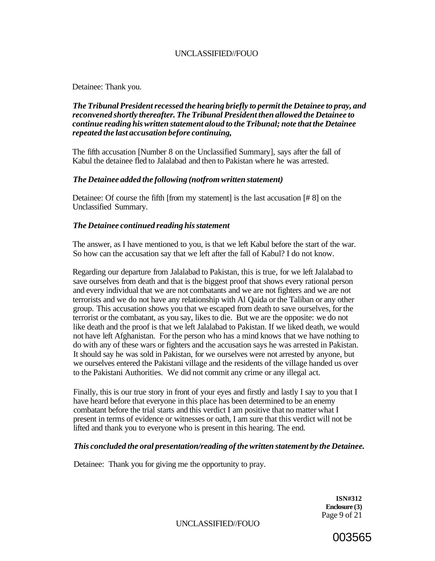Detainee: Thank you.

#### *The Tribunal President recessed the hearing briefly to permit the Detainee to pray, and reconvened shortly thereafter. The Tribunal President then allowed the Detainee to continue reading his written statement aloud to the Tribunal; note that the Detainee repeated the last accusation before continuing,*

The fifth accusation [Number 8 on the Unclassified Summary], says after the fall of Kabul the detainee fled to Jalalabad and then to Pakistan where he was arrested.

#### *The Detainee added the following (notfrom written statement)*

Detainee: Of course the fifth [from my statement] is the last accusation [# 8] on the Unclassified Summary.

#### *The Detainee continued reading his statement*

The answer, as I have mentioned to you, is that we left Kabul before the start of the war. So how can the accusation say that we left after the fall of Kabul? I do not know.

Regarding our departure from Jalalabad to Pakistan, this is true, for we left Jalalabad to save ourselves from death and that is the biggest proof that shows every rational person and every individual that we are not combatants and we are not fighters and we are not terrorists and we do not have any relationship with Al Qaida or the Taliban or any other group. This accusation shows you that we escaped from death to save ourselves, for the terrorist or the combatant, as you say, likes to die. But we are the opposite: we do not like death and the proof is that we left Jalalabad to Pakistan. If we liked death, we would not have left Afghanistan. For the person who has a mind knows that we have nothing to do with any of these wars or fighters and the accusation says he was arrested in Pakistan. It should say he was sold in Pakistan, for we ourselves were not arrested by anyone, but we ourselves entered the Pakistani village and the residents of the village handed us over to the Pakistani Authorities. We did not commit any crime or any illegal act.

Finally, this is our true story in front of your eyes and firstly and lastly I say to you that I have heard before that everyone in this place has been determined to be an enemy combatant before the trial starts and this verdict I am positive that no matter what I present in terms of evidence or witnesses or oath, I am sure that this verdict will not be lifted and thank you to everyone who is present in this hearing. The end.

### *This concluded the oral presentation/reading of the written statement by the Detainee.*

Detainee: Thank you for giving me the opportunity to pray.

**ISN#312 Enclosure (3)**  Page 9 of 21

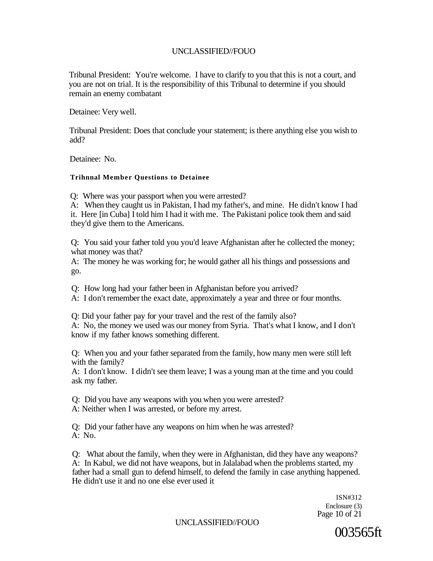Tribunal President: You're welcome. I have to clarify to you that this is not a court, and you are not on trial. It is the responsibility of this Tribunal to determine if you should remain an enemy combatant

Detainee: Very well.

Tribunal President: Does that conclude your statement; is there anything else you wish to add?

Detainee: No.

#### **Trihnnal Member Questions to Detainee**

Q: Where was your passport when you were arrested?

A: When they caught us in Pakistan, I had my father's, and mine. He didn't know I had it. Here [in Cuba] I told him I had it with me. The Pakistani police took them and said they'd give them to the Americans.

Q: You said your father told you you'd leave Afghanistan after he collected the money; what money was that?

A: The money he was working for; he would gather all his things and possessions and go.

Q: How long had your father been in Afghanistan before you arrived?

A: I don't remember the exact date, approximately a year and three or four months.

Q: Did your father pay for your travel and the rest of the family also? A: No, the money we used was our money from Syria. That's what I know, and I don't know if my father knows something different.

Q: When you and your father separated from the family, how many men were still left with the family?

A: I don't know. I didn't see them leave; I was a young man at the time and you could ask my father.

Q: Did you have any weapons with you when you were arrested? A: Neither when I was arrested, or before my arrest.

Q: Did your father have any weapons on him when he was arrested? A: No.

Q: What about the family, when they were in Afghanistan, did they have any weapons? A: In Kabul, we did not have weapons, but in Jalalabad when the problems started, my father had a small gun to defend himself, to defend the family in case anything happened. He didn't use it and no one else ever used it

> ISN#312 Enclosure (3) Page 10 of 21

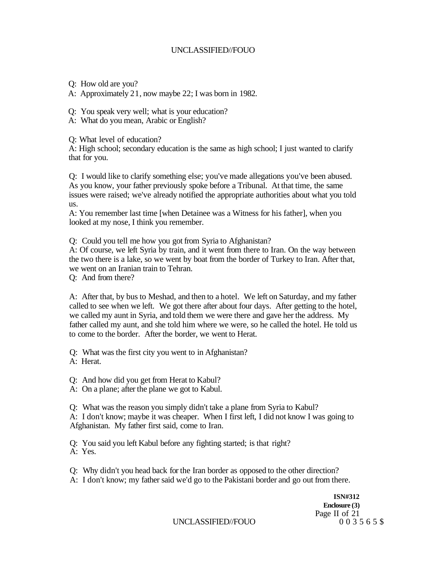- Q: How old are you?
- A: Approximately 21, now maybe 22; I was born in 1982.
- Q: You speak very well; what is your education?
- A: What do you mean, Arabic or English?

Q: What level of education?

A: High school; secondary education is the same as high school; I just wanted to clarify that for you.

Q: I would like to clarify something else; you've made allegations you've been abused. As you know, your father previously spoke before a Tribunal. At that time, the same issues were raised; we've already notified the appropriate authorities about what you told us.

A: You remember last time [when Detainee was a Witness for his father], when you looked at my nose, I think you remember.

Q: Could you tell me how you got from Syria to Afghanistan?

A: Of course, we left Syria by train, and it went from there to Iran. On the way between the two there is a lake, so we went by boat from the border of Turkey to Iran. After that, we went on an Iranian train to Tehran.

Q: And from there?

A: After that, by bus to Meshad, and then to a hotel. We left on Saturday, and my father called to see when we left. We got there after about four days. After getting to the hotel, we called my aunt in Syria, and told them we were there and gave her the address. My father called my aunt, and she told him where we were, so he called the hotel. He told us to come to the border. After the border, we went to Herat.

Q: What was the first city you went to in Afghanistan?

A: Herat.

Q: And how did you get from Herat to Kabul?

A: On a plane; after the plane we got to Kabul.

Q: What was the reason you simply didn't take a plane from Syria to Kabul?

A: I don't know; maybe it was cheaper. When I first left, I did not know I was going to Afghanistan. My father first said, come to Iran.

Q: You said you left Kabul before any fighting started; is that right? A: Yes.

Q: Why didn't you head back for the Iran border as opposed to the other direction?

A: I don't know; my father said we'd go to the Pakistani border and go out from there.

**ISN#312 Enclosure (3)**  Page II of 21<br>0 0 3 5 6 5 \$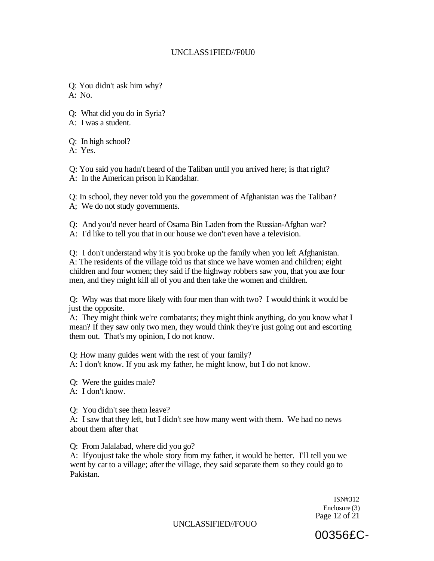#### UNCLASS1FIED//F0U0

Q: You didn't ask him why? A: No.

Q: What did you do in Syria?

A: I was a student.

Q: In high school?

A: Yes.

Q: You said you hadn't heard of the Taliban until you arrived here; is that right? A: In the American prison in Kandahar.

Q: In school, they never told you the government of Afghanistan was the Taliban? A; We do not study governments.

Q: And you'd never heard of Osama Bin Laden from the Russian-Afghan war? A: I'd like to tell you that in our house we don't even have a television.

Q: I don't understand why it is you broke up the family when you left Afghanistan. A: The residents of the village told us that since we have women and children; eight children and four women; they said if the highway robbers saw you, that you axe four men, and they might kill all of you and then take the women and children.

Q: Why was that more likely with four men than with two? I would think it would be just the opposite.

A: They might think we're combatants; they might think anything, do you know what I mean? If they saw only two men, they would think they're just going out and escorting them out. That's my opinion, I do not know.

Q: How many guides went with the rest of your family?

A: I don't know. If you ask my father, he might know, but I do not know.

Q: Were the guides male?

A: I don't know.

Q: You didn't see them leave?

A: I saw that they left, but I didn't see how many went with them. We had no news about them after that

Q: From Jalalabad, where did you go?

A: Ifyoujust take the whole story from my father, it would be better. I'll tell you we went by car to a village; after the village, they said separate them so they could go to Pakistan.

> ISN#312 Enclosure (3) Page 12 of 21

00356£C-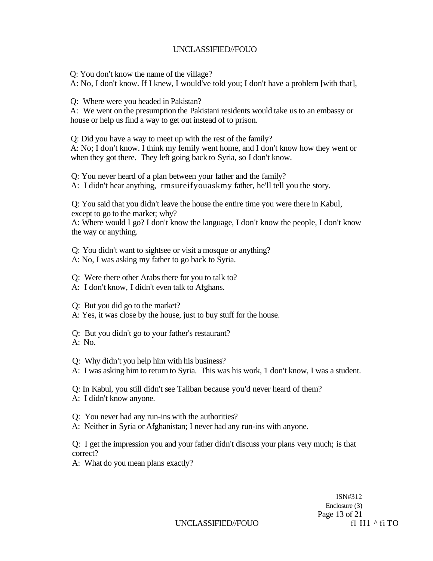Q: You don't know the name of the village?

A: No, I don't know. If I knew, I would've told you; I don't have a problem [with that],

Q: Where were you headed in Pakistan?

A: We went on the presumption the Pakistani residents would take us to an embassy or house or help us find a way to get out instead of to prison.

Q: Did you have a way to meet up with the rest of the family?

A: No; I don't know. I think my femily went home, and I don't know how they went or when they got there. They left going back to Syria, so I don't know.

Q: You never heard of a plan between your father and the family?

A: I didn't hear anything, rmsureifyouaskmy father, he'll tell you the story.

Q: You said that you didn't leave the house the entire time you were there in Kabul, except to go to the market; why?

A: Where would I go? I don't know the language, I don't know the people, I don't know the way or anything.

Q: You didn't want to sightsee or visit a mosque or anything?

- A: No, I was asking my father to go back to Syria.
- Q: Were there other Arabs there for you to talk to?
- A: I don't know, I didn't even talk to Afghans.
- Q: But you did go to the market?
- A: Yes, it was close by the house, just to buy stuff for the house.
- Q: But you didn't go to your father's restaurant? A: No.
- Q: Why didn't you help him with his business?
- A: I was asking him to return to Syria. This was his work, 1 don't know, I was a student.

Q: In Kabul, you still didn't see Taliban because you'd never heard of them? A: I didn't know anyone.

- Q: You never had any run-ins with the authorities?
- A: Neither in Syria or Afghanistan; I never had any run-ins with anyone.

Q: I get the impression you and your father didn't discuss your plans very much; is that correct?

A: What do you mean plans exactly?

ISN#312 Enclosure (3) Page 13 of 21

UNCLASSIFIED//FOUO fl H1 ^ fi TO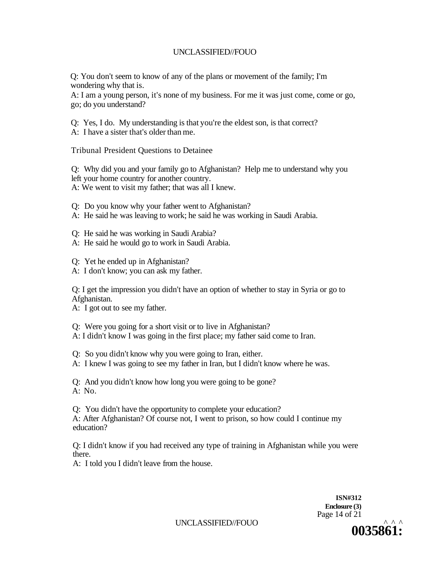Q: You don't seem to know of any of the plans or movement of the family; I'm wondering why that is.

A: I am a young person, it's none of my business. For me it was just come, come or go, go; do you understand?

Q: Yes, I do. My understanding is that you're the eldest son, is that correct?

A: I have a sister that's older than me.

Tribunal President Questions to Detainee

Q: Why did you and your family go to Afghanistan? Help me to understand why you left your home country for another country. A: We went to visit my father; that was all I knew.

Q: Do you know why your father went to Afghanistan?

A: He said he was leaving to work; he said he was working in Saudi Arabia.

Q: He said he was working in Saudi Arabia?

A: He said he would go to work in Saudi Arabia.

Q: Yet he ended up in Afghanistan?

A: I don't know; you can ask my father.

Q: I get the impression you didn't have an option of whether to stay in Syria or go to Afghanistan.

A: I got out to see my father.

Q: Were you going for a short visit or to live in Afghanistan?

A: I didn't know I was going in the first place; my father said come to Iran.

Q: So you didn't know why you were going to Iran, either.

A: I knew I was going to see my father in Iran, but I didn't know where he was.

Q: And you didn't know how long you were going to be gone? A: No.

Q: You didn't have the opportunity to complete your education? A: After Afghanistan? Of course not, I went to prison, so how could I continue my education?

Q: I didn't know if you had received any type of training in Afghanistan while you were there.

A: I told you I didn't leave from the house.

**ISN#312 Enclosure (3)**  Page 14 of 21

UNCLASSIFIED//FOUO *^^ ^* 

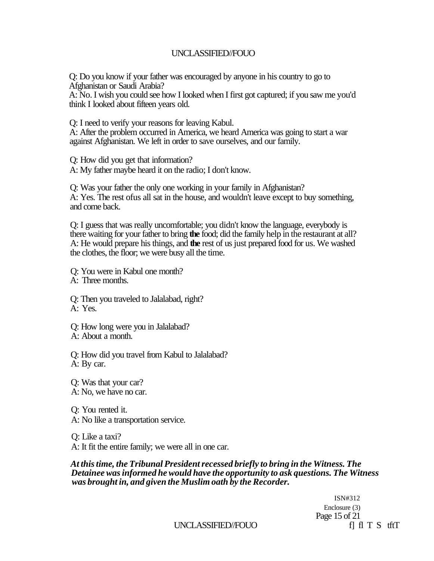Q: Do you know if your father was encouraged by anyone in his country to go to Afghanistan or Saudi Arabia?

A: No. I wish you could see how I looked when I first got captured; if you saw me you'd think I looked about fifteen years old.

Q: I need to verify your reasons for leaving Kabul.

A: After the problem occurred in America, we heard America was going to start a war against Afghanistan. We left in order to save ourselves, and our family.

Q: How did you get that information?

A: My father maybe heard it on the radio; I don't know.

Q: Was your father the only one working in your family in Afghanistan? A: Yes. The rest ofus all sat in the house, and wouldn't leave except to buy something, and come back.

Q: I guess that was really uncomfortable; you didn't know the language, everybody is there waiting for your father to bring **the** food; did the family help in the restaurant at all? A: He would prepare his things, and **the** rest of us just prepared food for us. We washed the clothes, the floor; we were busy all the time.

Q: You were in Kabul one month? A: Three months.

Q: Then you traveled to Jalalabad, right? A: Yes.

Q: How long were you in Jalalabad?

A: About a month.

Q: How did you travel from Kabul to Jalalabad? A: By car.

Q: Was that your car? A: No, we have no car.

Q: You rented it. A: No like a transportation service.

Q: Like a taxi? A: It fit the entire family; we were all in one car.

*At this time, the Tribunal President recessed briefly to bring in the Witness. The Detainee was informed he would have the opportunity to ask questions. The Witness was brought in, and given the Muslim oath by the Recorder.* 

> ISN#312 Enclosure (3) Page 15 of 21

UNCLASSIFIED//FOUO f i fi T S tftT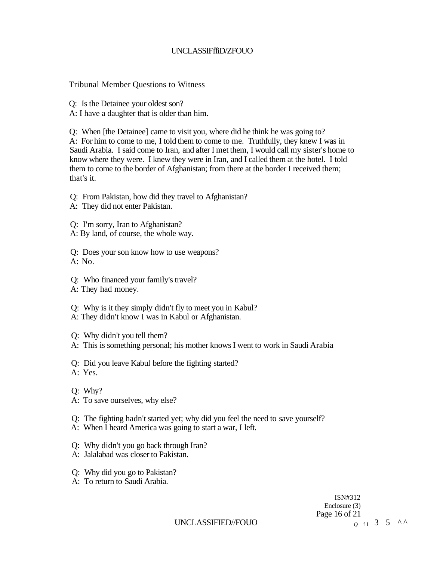#### UNCLASSIFffiD/ZFOUO

Tribunal Member Questions to Witness

Q: Is the Detainee your oldest son?

A: I have a daughter that is older than him.

Q: When [the Detainee] came to visit you, where did he think he was going to? A: For him to come to me, I told them to come to me. Truthfully, they knew I was in Saudi Arabia. I said come to Iran, and after I met them, I would call my sister's home to know where they were. I knew they were in Iran, and I called them at the hotel. I told them to come to the border of Afghanistan; from there at the border I received them; that's it.

Q: From Pakistan, how did they travel to Afghanistan?

- A: They did not enter Pakistan.
- Q: I'm sorry, Iran to Afghanistan?
- A: By land, of course, the whole way.

Q: Does your son know how to use weapons? A: No.

- Q: Who financed your family's travel?
- A: They had money.
- Q: Why is it they simply didn't fly to meet you in Kabul?
- A: They didn't know I was in Kabul or Afghanistan.
- Q: Why didn't you tell them?
- A: This is something personal; his mother knows I went to work in Saudi Arabia
- Q: Did you leave Kabul before the fighting started? A: Yes.
- Q: Why?
- A: To save ourselves, why else?
- Q: The fighting hadn't started yet; why did you feel the need to save yourself?
- A: When I heard America was going to start a war, I left.
- Q: Why didn't you go back through Iran?
- A: Jalalabad was closer to Pakistan.
- Q: Why did you go to Pakistan?
- A: To return to Saudi Arabia.

ISN#312 Enclosure (3) Page 16 of 21  $0 \t1 \t3 \t5 \tAA$ 

UNCLASSIFIED//FOUO *<sup>Q</sup>*<sup>f</sup> <sup>l</sup>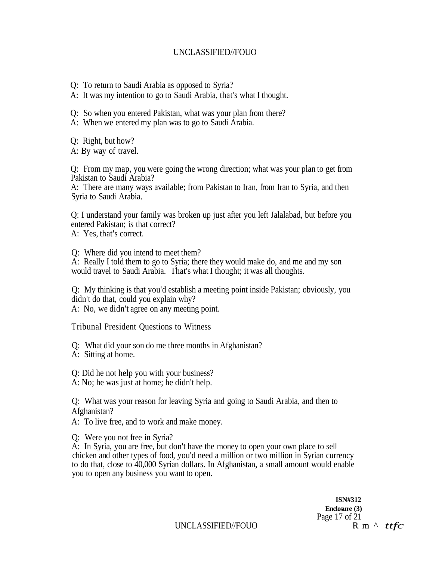- Q: To return to Saudi Arabia as opposed to Syria?
- A: It was my intention to go to Saudi Arabia, that's what I thought.
- Q: So when you entered Pakistan, what was your plan from there?
- A: When we entered my plan was to go to Saudi Arabia.
- Q: Right, but how?
- A: By way of travel.

Q: From my map, you were going the wrong direction; what was your plan to get from Pakistan to Saudi Arabia?

A: There are many ways available; from Pakistan to Iran, from Iran to Syria, and then Syria to Saudi Arabia.

Q: I understand your family was broken up just after you left Jalalabad, but before you entered Pakistan; is that correct?

A: Yes, that's correct.

Q: Where did you intend to meet them?

A: Really I told them to go to Syria; there they would make do, and me and my son would travel to Saudi Arabia. That's what I thought; it was all thoughts.

Q: My thinking is that you'd establish a meeting point inside Pakistan; obviously, you didn't do that, could you explain why?

A: No, we didn't agree on any meeting point.

Tribunal President Questions to Witness

Q: What did your son do me three months in Afghanistan? A: Sitting at home.

Q: Did he not help you with your business?

A: No; he was just at home; he didn't help.

Q: What was your reason for leaving Syria and going to Saudi Arabia, and then to Afghanistan?

A: To live free, and to work and make money.

Q: Were you not free in Syria?

A: In Syria, you are free, but don't have the money to open your own place to sell chicken and other types of food, you'd need a million or two million in Syrian currency to do that, close to 40,000 Syrian dollars. In Afghanistan, a small amount would enable you to open any business you want to open.

> **ISN#312 Enclosure (3)**  Page 17 of 21

UNCLASSIFIED//FOUO R m  $\wedge$  *ttfc*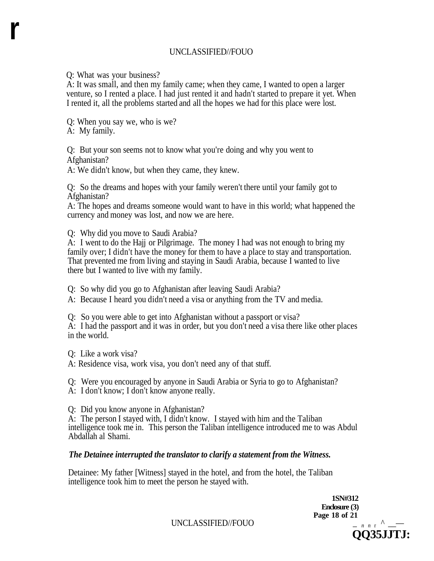Q: What was your business?

A: It was small, and then my family came; when they came, I wanted to open a larger venture, so I rented a place. I had just rented it and hadn't started to prepare it yet. When I rented it, all the problems started and all the hopes we had for this place were lost.

Q: When you say we, who is we?

A: My family.

**r** 

Q: But your son seems not to know what you're doing and why you went to Afghanistan?

A: We didn't know, but when they came, they knew.

Q: So the dreams and hopes with your family weren't there until your family got to Afghanistan?

A: The hopes and dreams someone would want to have in this world; what happened the currency and money was lost, and now we are here.

Q: Why did you move to Saudi Arabia?

A: I went to do the Hajj or Pilgrimage. The money I had was not enough to bring my family over; I didn't have the money for them to have a place to stay and transportation. That prevented me from living and staying in Saudi Arabia, because I wanted to live there but I wanted to live with my family.

Q: So why did you go to Afghanistan after leaving Saudi Arabia?

A: Because I heard you didn't need a visa or anything from the TV and media.

Q: So you were able to get into Afghanistan without a passport or visa?

A: I had the passport and it was in order, but you don't need a visa there like other places in the world.

Q: Like a work visa?

A: Residence visa, work visa, you don't need any of that stuff.

Q: Were you encouraged by anyone in Saudi Arabia or Syria to go to Afghanistan?

A: I don't know; I don't know anyone really.

Q: Did you know anyone in Afghanistan?

A: The person I stayed with, I didn't know. I stayed with him and the Taliban intelligence took me in. This person the Taliban intelligence introduced me to was Abdul Abdallah al Shami.

## *The Detainee interrupted the translator to clarify a statement from the Witness.*

Detainee: My father [Witness] stayed in the hotel, and from the hotel, the Taliban intelligence took him to meet the person he stayed with.

> **1SN#312 Enclosure (3) Page 18 of 21**  $\qquad$   $\qquad$   $\qquad$   $\qquad$   $\qquad$   $\qquad$   $\qquad$   $\qquad$   $\qquad$   $\qquad$   $\qquad$   $\qquad$   $\qquad$   $\qquad$   $\qquad$   $\qquad$   $\qquad$   $\qquad$   $\qquad$   $\qquad$   $\qquad$   $\qquad$   $\qquad$   $\qquad$   $\qquad$   $\qquad$   $\qquad$   $\qquad$   $\qquad$   $\qquad$   $\qquad$   $\qquad$   $\qquad$   $\qquad$

**QQ35JJTJ:** 

UNCLASSIFIED//FOUO \_ *n n*<sup>r</sup> *^* \_\_—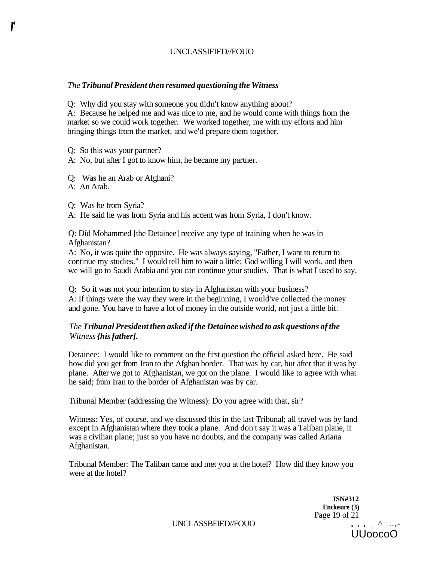#### *The Tribunal President then resumed questioning the Witness*

Q: Why did you stay with someone you didn't know anything about?

A: Because he helped me and was nice to me, and he would come with things from the market so we could work together. We worked together, me with my efforts and him bringing things from the market, and we'd prepare them together.

Q: So this was your partner?

A: No, but after I got to know him, he became my partner.

Q: Was he an Arab or Afghani?

A: An Arab.

*r* 

Q: Was he from Syria?

A: He said he was from Syria and his accent was from Syria, I don't know.

Q: Did Mohammed [the Detainee] receive any type of training when he was in Afghanistan?

A: No, it was quite the opposite. He was always saying, "Father, I want to return to continue my studies." I would tell him to wait a little; God willing I will work, and then we will go to Saudi Arabia and you can continue your studies. That is what I used to say.

Q: So it was not your intention to stay in Afghanistan with your business? A: If things were the way they were in the beginning, I would've collected the money and gone. You have to have a lot of money in the outside world, not just a little bit.

#### *The Tribunal President then asked if the Detainee wished to ask questions of the Witness {his father].*

Detainee: I would like to comment on the first question the official asked here. He said how did you get from Iran to the Afghan border. That was by car, but after that it was by plane. After we got to Afghanistan, we got on the plane. I would like to agree with what he said; from Iran to the border of Afghanistan was by car.

Tribunal Member (addressing the Witness): Do you agree with that, sir?

Witness: Yes, of course, and we discussed this in the last Tribunal; all travel was by land except in Afghanistan where they took a plane. And don't say it was a Taliban plane, it was a civilian plane; just so you have no doubts, and the company was called Ariana Afghanistan.

Tribunal Member: The Taliban came and met you at the hotel? How did they know you were at the hotel?

> **ISN#312 Enclosure (3)**  Page 19 of 21<br> $n \times n = \frac{\lambda}{n}$ UUoocoO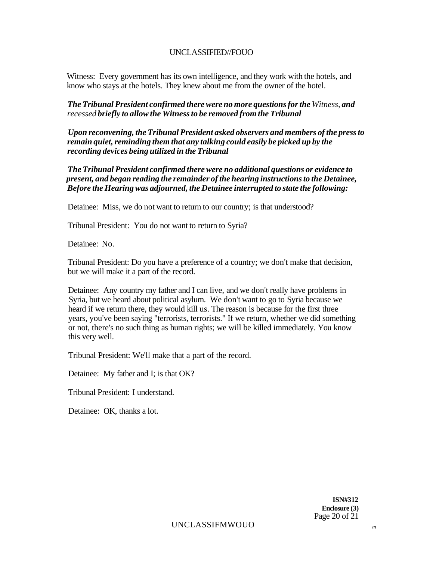Witness: Every government has its own intelligence, and they work with the hotels, and know who stays at the hotels. They knew about me from the owner of the hotel.

#### *The Tribunal President confirmed there were no more questions for the Witness, and recessed briefly to allow the Witness to be removed from the Tribunal*

*Upon reconvening, the Tribunal President asked observers and members of the press to remain quiet, reminding them that any talking could easily be picked up by the recording devices being utilized in the Tribunal* 

*The Tribunal President confirmed there were no additional questions or evidence to present, and began reading the remainder of the hearing instructions to the Detainee, Before the Hearing was adjourned, the Detainee interrupted to state the following:* 

Detainee: Miss, we do not want to return to our country; is that understood?

Tribunal President: You do not want to return to Syria?

Detainee: No.

Tribunal President: Do you have a preference of a country; we don't make that decision, but we will make it a part of the record.

Detainee: Any country my father and I can live, and we don't really have problems in Syria, but we heard about political asylum. We don't want to go to Syria because we heard if we return there, they would kill us. The reason is because for the first three years, you've been saying "terrorists, terrorists." If we return, whether we did something or not, there's no such thing as human rights; we will be killed immediately. You know this very well.

Tribunal President: We'll make that a part of the record.

Detainee: My father and I; is that OK?

Tribunal President: I understand.

Detainee: OK, thanks a lot.

**ISN#312 Enclosure (3)**  Page 20 of 21

UNCLASSIFMWOUO *<sup>m</sup>*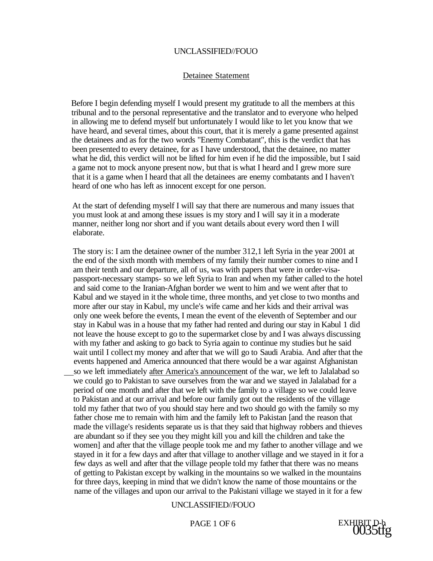#### Detainee Statement

Before I begin defending myself I would present my gratitude to all the members at this tribunal and to the personal representative and the translator and to everyone who helped in allowing me to defend myself but unfortunately I would like to let you know that we have heard, and several times, about this court, that it is merely a game presented against the detainees and as for the two words "Enemy Combatant", this is the verdict that has been presented to every detainee, for as I have understood, that the detainee, no matter what he did, this verdict will not be lifted for him even if he did the impossible, but I said a game not to mock anyone present now, but that is what I heard and I grew more sure that it is a game when I heard that all the detainees are enemy combatants and I haven't heard of one who has left as innocent except for one person.

At the start of defending myself I will say that there are numerous and many issues that you must look at and among these issues is my story and I will say it in a moderate manner, neither long nor short and if you want details about every word then I will elaborate.

The story is: I am the detainee owner of the number 312,1 left Syria in the year 2001 at the end of the sixth month with members of my family their number comes to nine and I am their tenth and our departure, all of us, was with papers that were in order-visapassport-necessary stamps- so we left Syria to Iran and when my father called to the hotel and said come to the Iranian-Afghan border we went to him and we went after that to Kabul and we stayed in it the whole time, three months, and yet close to two months and more after our stay in Kabul, my uncle's wife came and her kids and their arrival was only one week before the events, I mean the event of the eleventh of September and our stay in Kabul was in a house that my father had rented and during our stay in Kabul 1 did not leave the house except to go to the supermarket close by and I was always discussing with my father and asking to go back to Syria again to continue my studies but he said wait until I collect my money and after that we will go to Saudi Arabia. And after that the events happened and America announced that there would be a war against Afghanistan so we left immediately after America's announcement of the war, we left to Jalalabad so we could go to Pakistan to save ourselves from the war and we stayed in Jalalabad for a period of one month and after that we left with the family to a village so we could leave to Pakistan and at our arrival and before our family got out the residents of the village told my father that two of you should stay here and two should go with the family so my father chose me to remain with him and the family left to Pakistan [and the reason that made the village's residents separate us is that they said that highway robbers and thieves are abundant so if they see you they might kill you and kill the children and take the women] and after that the village people took me and my father to another village and we stayed in it for a few days and after that village to another village and we stayed in it for a few days as well and after that the village people told my father that there was no means of getting to Pakistan except by walking in the mountains so we walked in the mountains for three days, keeping in mind that we didn't know the name of those mountains or the name of the villages and upon our arrival to the Pakistani village we stayed in it for a few

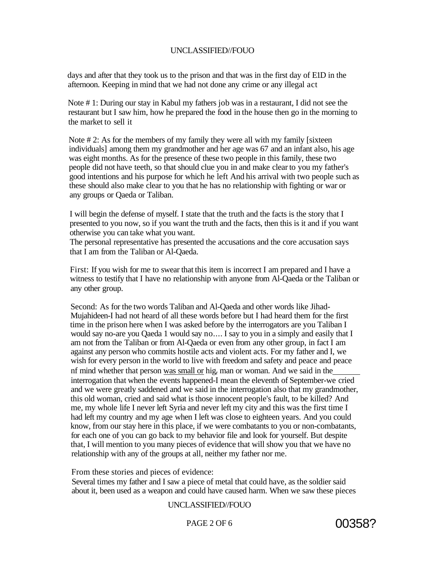days and after that they took us to the prison and that was in the first day of E1D in the afternoon. Keeping in mind that we had not done any crime or any illegal act

Note # 1: During our stay in Kabul my fathers job was in a restaurant, I did not see the restaurant but I saw him, how he prepared the food in the house then go in the morning to the market to sell it

Note  $\# 2$ : As for the members of my family they were all with my family [sixteen] individuals] among them my grandmother and her age was 67 and an infant also, his age was eight months. As for the presence of these two people in this family, these two people did not have teeth, so that should clue you in and make clear to you my father's good intentions and his purpose for which he left And his arrival with two people such as these should also make clear to you that he has no relationship with fighting or war or any groups or Qaeda or Taliban.

I will begin the defense of myself. I state that the truth and the facts is the story that I presented to you now, so if you want the truth and the facts, then this is it and if you want otherwise you can take what you want.

The personal representative has presented the accusations and the core accusation says that I am from the Taliban or Al-Qaeda.

First: If you wish for me to swear that this item is incorrect I am prepared and I have a witness to testify that I have no relationship with anyone from Al-Qaeda or the Taliban or any other group.

Second: As for the two words Taliban and Al-Qaeda and other words like Jihad-Mujahideen-I had not heard of all these words before but I had heard them for the first time in the prison here when I was asked before by the interrogators are you Taliban I would say no-are you Qaeda 1 would say no.... I say to you in a simply and easily that I am not from the Taliban or from Al-Qaeda or even from any other group, in fact I am against any person who commits hostile acts and violent acts. For my father and I, we wish for every person in the world to live with freedom and safety and peace and peace nf mind whether that person was small or hig<sub>r</sub> man or woman. And we said in the interrogation that when the events happened-I mean the eleventh of September-we cried and we were greatly saddened and we said in the interrogation also that my grandmother, this old woman, cried and said what is those innocent people's fault, to be killed? And me, my whole life I never left Syria and never left my city and this was the first time I had left my country and my age when I left was close to eighteen years. And you could know, from our stay here in this place, if we were combatants to you or non-combatants, for each one of you can go back to my behavior file and look for yourself. But despite that, I will mention to you many pieces of evidence that will show you that we have no relationship with any of the groups at all, neither my father nor me.

From these stories and pieces of evidence:

Several times my father and I saw a piece of metal that could have, as the soldier said about it, been used as a weapon and could have caused harm. When we saw these pieces

#### UNCLASSIFIED//FOUO

PAGE 2 OF 6 00358?

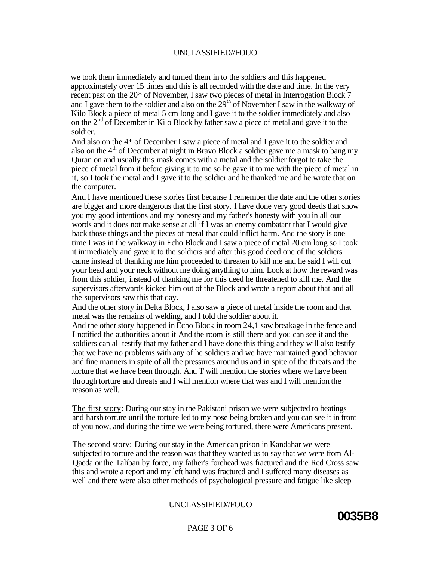we took them immediately and turned them in to the soldiers and this happened approximately over 15 times and this is all recorded with the date and time. In the very recent past on the 20\* of November, I saw two pieces of metal in Interrogation Block 7 and I gave them to the soldier and also on the  $29<sup>th</sup>$  of November I saw in the walkway of Kilo Block a piece of metal 5 cm long and I gave it to the soldier immediately and also on the  $2<sup>nd</sup>$  of December in Kilo Block by father saw a piece of metal and gave it to the soldier.

And also on the 4<sup>\*</sup> of December I saw a piece of metal and I gave it to the soldier and also on the  $4<sup>th</sup>$  of December at night in Bravo Block a soldier gave me a mask to bang my Quran on and usually this mask comes with a metal and the soldier forgot to take the piece of metal from it before giving it to me so he gave it to me with the piece of metal in it, so I took the metal and I gave it to the soldier and he thanked me and he wrote that on the computer.

And I have mentioned these stories first because I remember the date and the other stories are bigger and more dangerous that the first story. I have done very good deeds that show you my good intentions and my honesty and my father's honesty with you in all our words and it does not make sense at all if I was an enemy combatant that I would give back those things and the pieces of metal that could inflict harm. And the story is one time I was in the walkway in Echo Block and I saw a piece of metal 20 cm long so I took it immediately and gave it to the soldiers and after this good deed one of the soldiers came instead of thanking me him proceeded to threaten to kill me and he said I will cut your head and your neck without me doing anything to him. Look at how the reward was from this soldier, instead of thanking me for this deed he threatened to kill me. And the supervisors afterwards kicked him out of the Block and wrote a report about that and all the supervisors saw this that day.

And the other story in Delta Block, I also saw a piece of metal inside the room and that metal was the remains of welding, and I told the soldier about it.

And the other story happened in Echo Block in room 24,1 saw breakage in the fence and I notified the authorities about it And the room is still there and you can see it and the soldiers can all testify that my father and I have done this thing and they will also testify that we have no problems with any of he soldiers and we have maintained good behavior and fine manners in spite of all the pressures around us and in spite of the threats and the .torture that we have been through. And T will mention the stories where we have been through torture and threats and I will mention where that was and I will mention the reason as well.

The first story: During our stay in the Pakistani prison we were subjected to beatings and harsh torture until the torture led to my nose being broken and you can see it in front of you now, and during the time we were being tortured, there were Americans present.

The second storv: During our stay in the American prison in Kandahar we were subjected to torture and the reason was that they wanted us to say that we were from Al-Qaeda or the Taliban by force, my father's forehead was fractured and the Red Cross saw this and wrote a report and my left hand was fractured and I suffered many diseases as well and there were also other methods of psychological pressure and fatigue like sleep

## UNCLASSIFIED//FOUO



#### PAGE 3 OF 6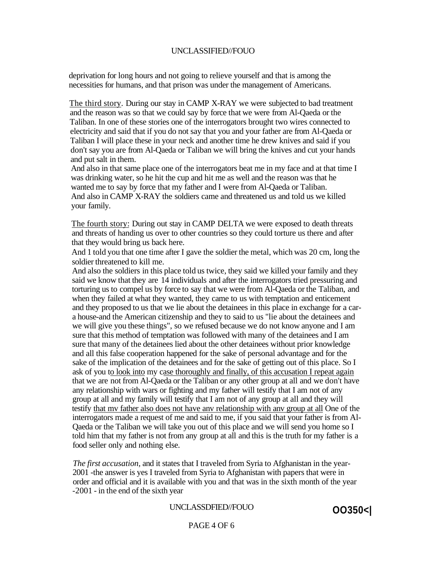deprivation for long hours and not going to relieve yourself and that is among the necessities for humans, and that prison was under the management of Americans.

The third story. During our stay in CAMP X-RAY we were subjected to bad treatment and the reason was so that we could say by force that we were from Al-Qaeda or the Taliban. In one of these stories one of the interrogators brought two wires connected to electricity and said that if you do not say that you and your father are from Al-Qaeda or Taliban I will place these in your neck and another time he drew knives and said if you don't say you are from Al-Qaeda or Taliban we will bring the knives and cut your hands and put salt in them.

And also in that same place one of the interrogators beat me in my face and at that time I was drinking water, so he hit the cup and hit me as well and the reason was that he wanted me to say by force that my father and I were from Al-Qaeda or Taliban. And also in CAMP X-RAY the soldiers came and threatened us and told us we killed your family.

The fourth story: During out stay in CAMP DELTA we were exposed to death threats and threats of handing us over to other countries so they could torture us there and after that they would bring us back here.

And 1 told you that one time after I gave the soldier the metal, which was 20 cm, long the soldier threatened to kill me.

And also the soldiers in this place told us twice, they said we killed your family and they said we know that they are 14 individuals and after the interrogators tried pressuring and torturing us to compel us by force to say that we were from Al-Qaeda or the Taliban, and when they failed at what they wanted, they came to us with temptation and enticement and they proposed to us that we lie about the detainees in this place in exchange for a cara house-and the American citizenship and they to said to us "lie about the detainees and we will give you these things", so we refused because we do not know anyone and I am sure that this method of temptation was followed with many of the detainees and I am sure that many of the detainees lied about the other detainees without prior knowledge and all this false cooperation happened for the sake of personal advantage and for the sake of the implication of the detainees and for the sake of getting out of this place. So I ask of you to look into my case thoroughly and finally, of this accusation I repeat again that we are not from Al-Qaeda or the Taliban or any other group at all and we don't have any relationship with wars or fighting and my father will testify that I am not of any group at all and my family will testify that I am not of any group at all and they will testify that mv father also does not have anv relationship with anv group at all One of the interrogators made a request of me and said to me, if you said that your father is from Al-Qaeda or the Taliban we will take you out of this place and we will send you home so I told him that my father is not from any group at all and this is the truth for my father is a food seller only and nothing else.

*The first accusation,* and it states that I traveled from Syria to Afghanistan in the year-2001 -the answer is yes I traveled from Syria to Afghanistan with papers that were in order and official and it is available with you and that was in the sixth month of the year -2001 - in the end of the sixth year

#### UNCLASSDFIED//FOUO

PAGE 4 OF 6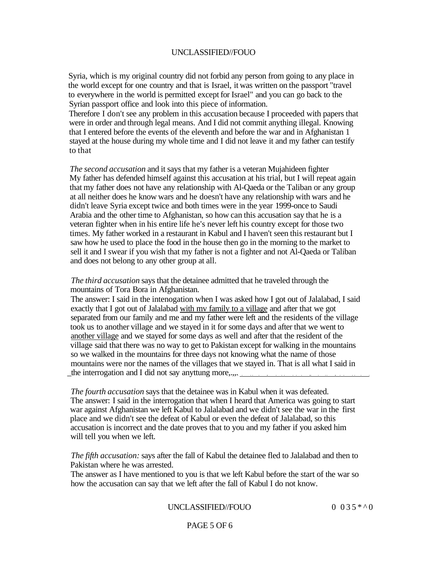Syria, which is my original country did not forbid any person from going to any place in the world except for one country and that is Israel, it was written on the passport "travel to everywhere in the world is permitted except for Israel" and you can go back to the Syrian passport office and look into this piece of information.

Therefore I don't see any problem in this accusation because I proceeded with papers that were in order and through legal means. And I did not commit anything illegal. Knowing that I entered before the events of the eleventh and before the war and in Afghanistan 1 stayed at the house during my whole time and I did not leave it and my father can testify to that

*The second accusation* and it says that my father is a veteran Mujahideen fighter My father has defended himself against this accusation at his trial, but I will repeat again that my father does not have any relationship with Al-Qaeda or the Taliban or any group at all neither does he know wars and he doesn't have any relationship with wars and he didn't leave Syria except twice and both times were in the year 1999-once to Saudi Arabia and the other time to Afghanistan, so how can this accusation say that he is a veteran fighter when in his entire life he's never left his country except for those two times. My father worked in a restaurant in Kabul and I haven't seen this restaurant but I saw how he used to place the food in the house then go in the morning to the market to sell it and I swear if you wish that my father is not a fighter and not Al-Qaeda or Taliban and does not belong to any other group at all.

*The third accusation* says that the detainee admitted that he traveled through the mountains of Tora Bora in Afghanistan.

The answer: I said in the intenogation when I was asked how I got out of Jalalabad, I said exactly that I got out of Jalalabad with mv family to a village and after that we got separated from our family and me and my father were left and the residents of the village took us to another village and we stayed in it for some days and after that we went to another village and we stayed for some days as well and after that the resident of the village said that there was no way to get to Pakistan except for walking in the mountains so we walked in the mountains for three days not knowing what the name of those mountains were nor the names of the villages that we stayed in. That is all what I said in \_the interrogation and I did not say anyttung more,.,,.

*The fourth accusation* says that the detainee was in Kabul when it was defeated. The answer: I said in the interrogation that when I heard that America was going to start war against Afghanistan we left Kabul to Jalalabad and we didn't see the war in the first place and we didn't see the defeat of Kabul or even the defeat of Jalalabad, so this accusation is incorrect and the date proves that to you and my father if you asked him will tell you when we left.

*The fifth accusation:* says after the fall of Kabul the detainee fled to Jalalabad and then to Pakistan where he was arrested.

The answer as I have mentioned to you is that we left Kabul before the start of the war so how the accusation can say that we left after the fall of Kabul I do not know.

## UNCLASSIFIED//FOUO  $0.035 *^0$

PAGE 5 OF 6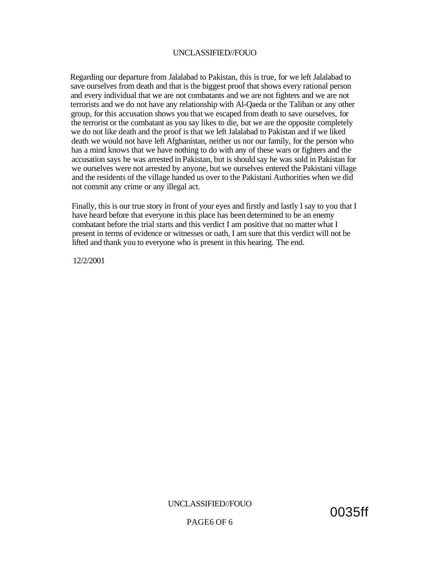Regarding our departure from Jalalabad to Pakistan, this is true, for we left Jalalabad to save ourselves from death and that is the biggest proof that shows every rational person and every individual that we are not combatants and we are not fighters and we are not terrorists and we do not have any relationship with Al-Qaeda or the Taliban or any other group, for this accusation shows you that we escaped from death to save ourselves, for the terrorist or the combatant as you say likes to die, but we are the opposite completely we do not like death and the proof is that we left Jalalabad to Pakistan and if we liked death we would not have left Afghanistan, neither us nor our family, for the person who has a mind knows that we have nothing to do with any of these wars or fighters and the accusation says he was arrested in Pakistan, but is should say he was sold in Pakistan for we ourselves were not arrested by anyone, but we ourselves entered the Pakistani village and the residents of the village handed us over to the Pakistani Authorities when we did not commit any crime or any illegal act.

Finally, this is our true story in front of your eyes and firstly and lastly I say to you that I have heard before that everyone in this place has been determined to be an enemy combatant before the trial starts and this verdict I am positive that no matter what I present in terms of evidence or witnesses or oath, I am sure that this verdict will not be lifted and thank you to everyone who is present in this hearing. The end.

12/2/2001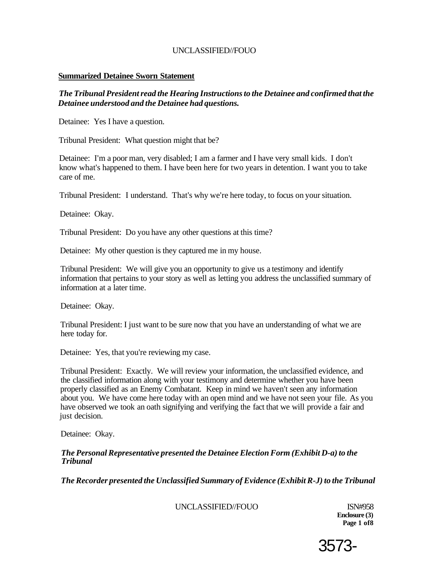#### **Summarized Detainee Sworn Statement**

*The Tribunal President read the Hearing Instructions to the Detainee and confirmed that the Detainee understood and the Detainee had questions.* 

Detainee: Yes I have a question.

Tribunal President: What question might that be?

Detainee: I'm a poor man, very disabled; I am a farmer and I have very small kids. I don't know what's happened to them. I have been here for two years in detention. I want you to take care of me.

Tribunal President: I understand. That's why we're here today, to focus on your situation.

Detainee: Okay.

Tribunal President: Do you have any other questions at this time?

Detainee: My other question is they captured me in my house.

Tribunal President: We will give you an opportunity to give us a testimony and identify information that pertains to your story as well as letting you address the unclassified summary of information at a later time.

Detainee: Okay.

Tribunal President: I just want to be sure now that you have an understanding of what we are here today for.

Detainee: Yes, that you're reviewing my case.

Tribunal President: Exactly. We will review your information, the unclassified evidence, and the classified information along with your testimony and determine whether you have been properly classified as an Enemy Combatant. Keep in mind we haven't seen any information about you. We have come here today with an open mind and we have not seen your file. As you have observed we took an oath signifying and verifying the fact that we will provide a fair and just decision.

Detainee: Okay.

#### *The Personal Representative presented the Detainee Election Form (Exhibit D-a) to the Tribunal*

*The Recorder presented the Unclassified Summary of Evidence (Exhibit R-J) to the Tribunal* 

UNCLASSIFIED//FOUO ISN#958

**Enclosure (3) Page 1 of8** 

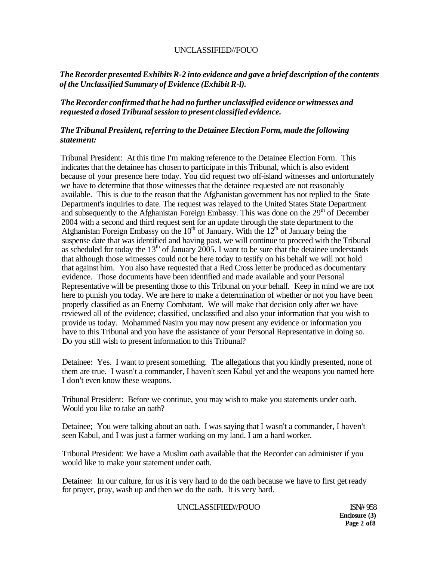## *The Recorder presented Exhibits R-2 into evidence and gave a brief description of the contents of the Unclassified Summary of Evidence (Exhibit R-l).*

## *The Recorder confirmed that he had no further unclassified evidence or witnesses and requested a dosed Tribunal session to present classified evidence.*

## *The Tribunal President, referring to the Detainee Election Form, made the following statement:*

Tribunal President: At this time I'm making reference to the Detainee Election Form. This indicates that the detainee has chosen to participate in this Tribunal, which is also evident because of your presence here today. You did request two off-island witnesses and unfortunately we have to determine that those witnesses that the detainee requested are not reasonably available. This is due to the reason that the Afghanistan government has not replied to the State Department's inquiries to date. The request was relayed to the United States State Department and subsequently to the Afghanistan Foreign Embassy. This was done on the 29<sup>th</sup> of December 2004 with a second and third request sent for an update through the state department to the Afghanistan Foreign Embassy on the  $10<sup>th</sup>$  of January. With the  $12<sup>th</sup>$  of January being the suspense date that was identified and having past, we will continue to proceed with the Tribunal as scheduled for today the  $13<sup>th</sup>$  of January 2005. I want to be sure that the detainee understands that although those witnesses could not be here today to testify on his behalf we will not hold that against him. You also have requested that a Red Cross letter be produced as documentary evidence. Those documents have been identified and made available and your Personal Representative will be presenting those to this Tribunal on your behalf. Keep in mind we are not here to punish you today. We are here to make a determination of whether or not you have been properly classified as an Enemy Combatant. We will make that decision only after we have reviewed all of the evidence; classified, unclassified and also your information that you wish to provide us today. Mohammed Nasim you may now present any evidence or information you have to this Tribunal and you have the assistance of your Personal Representative in doing so. Do you still wish to present information to this Tribunal?

Detainee: Yes. I want to present something. The allegations that you kindly presented, none of them are true. I wasn't a commander, I haven't seen Kabul yet and the weapons you named here I don't even know these weapons.

Tribunal President: Before we continue, you may wish to make you statements under oath. Would you like to take an oath?

Detainee; You were talking about an oath. I was saying that I wasn't a commander, I haven't seen Kabul, and I was just a farmer working on my land. I am a hard worker.

Tribunal President: We have a Muslim oath available that the Recorder can administer if you would like to make your statement under oath.

Detainee: In our culture, for us it is very hard to do the oath because we have to first get ready for prayer, pray, wash up and then we do the oath. It is very hard.

UNCLASSIFIED//FOUO ISN# 958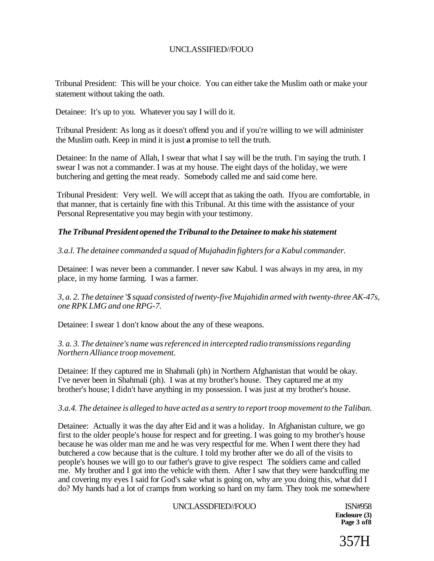Tribunal President: This will be your choice. You can either take the Muslim oath or make your statement without taking the oath.

Detainee: It's up to you. Whatever you say I will do it.

Tribunal President: As long as it doesn't offend you and if you're willing to we will administer the Muslim oath. Keep in mind it is just **a** promise to tell the truth.

Detainee: In the name of Allah, I swear that what I say will be the truth. I'm saying the truth. I swear I was not a commander. I was at my house. The eight days of the holiday, we were butchering and getting the meat ready. Somebody called me and said come here.

Tribunal President: Very well. We will accept that as taking the oath. Ifyou are comfortable, in that manner, that is certainly fine with this Tribunal. At this time with the assistance of your Personal Representative you may begin with your testimony.

## *The Tribunal President opened the Tribunal to the Detainee to make his statement*

*3.a.l. The detainee commanded a squad of Mujahadin fighters for a Kabul commander.* 

Detainee: I was never been a commander. I never saw Kabul. I was always in my area, in my place, in my home farming. I was a farmer.

*3, a. 2. The detainee '\$ squad consisted of twenty-five Mujahidin armed with twenty-three AK-47s, one RPK LMG and one RPG-7.* 

Detainee: I swear 1 don't know about the any of these weapons.

*3. a. 3. The detainee's name was referenced in intercepted radio transmissions regarding Northern Alliance troop movement.* 

Detainee: If they captured me in Shahmali (ph) in Northern Afghanistan that would be okay. I've never been in Shahmali (ph). I was at my brother's house. They captured me at my brother's house; I didn't have anything in my possession. I was just at my brother's house.

#### *3.a.4. The detainee is alleged to have acted as a sentry to report troop movement to the Taliban.*

Detainee: Actually it was the day after Eid and it was a holiday. In Afghanistan culture, we go first to the older people's house for respect and for greeting. I was going to my brother's house because he was older man me and he was very respectful for me. When I went there they had butchered a cow because that is the culture. I told my brother after we do all of the visits to people's houses we will go to our father's grave to give respect The soldiers came and called me. My brother and I got into the vehicle with them. After I saw that they were handcuffing me and covering my eyes I said for God's sake what is going on, why are you doing this, what did I do? My hands had a lot of cramps from working so hard on my farm. They took me somewhere

#### UNCLASSDFIED//FOUO ISN#958

**Enclosure (3) Page 3 of8** 

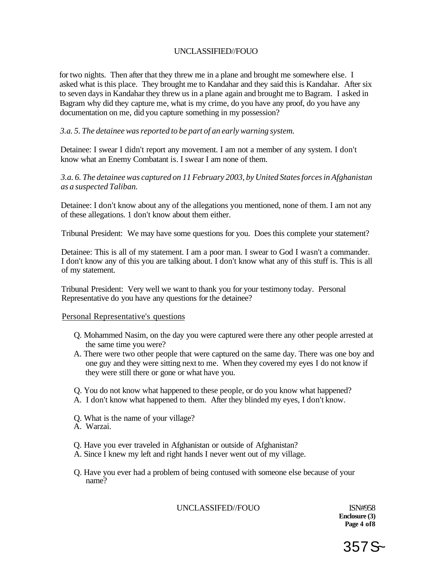for two nights. Then after that they threw me in a plane and brought me somewhere else. I asked what is this place. They brought me to Kandahar and they said this is Kandahar. After six to seven days in Kandahar they threw us in a plane again and brought me to Bagram. I asked in Bagram why did they capture me, what is my crime, do you have any proof, do you have any documentation on me, did you capture something in my possession?

## *3.a. 5. The detainee was reported to be part of an early warning system.*

Detainee: I swear I didn't report any movement. I am not a member of any system. I don't know what an Enemy Combatant is. I swear I am none of them.

## *3.a. 6. The detainee was captured on 11 February 2003, by United States forces in Afghanistan as a suspected Taliban.*

Detainee: I don't know about any of the allegations you mentioned, none of them. I am not any of these allegations. 1 don't know about them either.

Tribunal President: We may have some questions for you. Does this complete your statement?

Detainee: This is all of my statement. I am a poor man. I swear to God I wasn't a commander. I don't know any of this you are talking about. I don't know what any of this stuff is. This is all of my statement.

Tribunal President: Very well we want to thank you for your testimony today. Personal Representative do you have any questions for the detainee?

#### Personal Representative's questions

- Q. Mohammed Nasim, on the day you were captured were there any other people arrested at the same time you were?
- A. There were two other people that were captured on the same day. There was one boy and one guy and they were sitting next to me. When they covered my eyes I do not know if they were still there or gone or what have you.
- Q. You do not know what happened to these people, or do you know what happened?
- A. I don't know what happened to them. After they blinded my eyes, I don't know.
- Q. What is the name of your village?
- A. Warzai.
- Q. Have you ever traveled in Afghanistan or outside of Afghanistan?
- A. Since I knew my left and right hands I never went out of my village.
- Q. Have you ever had a problem of being contused with someone else because of your name?

UNCLASSIFED//FOUO ISN#958

**Enclosure (3) Page 4 of8** 

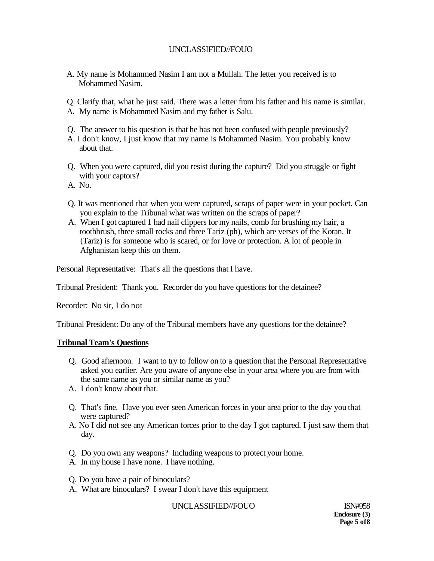- A. My name is Mohammed Nasim I am not a Mullah. The letter you received is to Mohammed Nasim.
- Q. Clarify that, what he just said. There was a letter from his father and his name is similar.
- A. My name is Mohammed Nasim and my father is Salu.
- Q. The answer to his question is that he has not been confused with people previously?
- A. I don't know, I just know that my name is Mohammed Nasim. You probably know about that.
- Q. When you were captured, did you resist during the capture? Did you struggle or fight with your captors?
- A. No.
- Q. It was mentioned that when you were captured, scraps of paper were in your pocket. Can you explain to the Tribunal what was written on the scraps of paper?
- A. When I got captured 1 had nail clippers for my nails, comb for brushing my hair, a toothbrush, three small rocks and three Tariz (ph), which are verses of the Koran. It (Tariz) is for someone who is scared, or for love or protection. A lot of people in Afghanistan keep this on them.

Personal Representative: That's all the questions that I have.

Tribunal President: Thank you. Recorder do you have questions for the detainee?

Recorder: No sir, I do not

Tribunal President: Do any of the Tribunal members have any questions for the detainee?

## **Tribunal Team's Questions**

- Q. Good afternoon. I want to try to follow on to a question that the Personal Representative asked you earlier. Are you aware of anyone else in your area where you are from with the same name as you or similar name as you?
- A. I don't know about that.
- Q. That's fine. Have you ever seen American forces in your area prior to the day you that were captured?
- A. No I did not see any American forces prior to the day I got captured. I just saw them that day.
- Q. Do you own any weapons? Including weapons to protect your home.
- A. In my house I have none. I have nothing.
- Q. Do you have a pair of binoculars?
- A. What are binoculars? I swear I don't have this equipment

## UNCLASSIFIED//FOUO ISN#958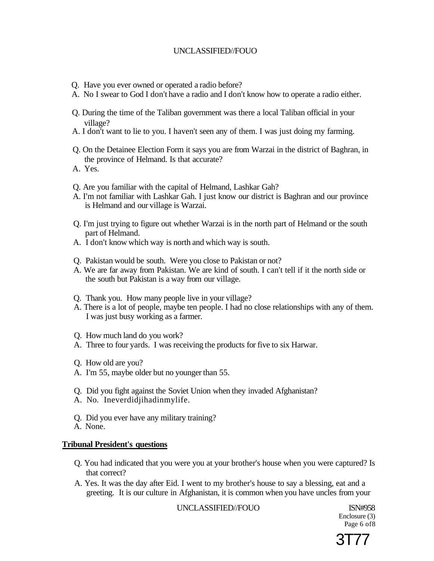- Q. Have you ever owned or operated a radio before?
- A. No I swear to God I don't have a radio and I don't know how to operate a radio either.
- Q. During the time of the Taliban government was there a local Taliban official in your village?
- A. I don't want to lie to you. I haven't seen any of them. I was just doing my farming.
- Q. On the Detainee Election Form it says you are from Warzai in the district of Baghran, in the province of Helmand. Is that accurate?
- A. Yes.
- Q. Are you familiar with the capital of Helmand, Lashkar Gah?
- A. I'm not familiar with Lashkar Gah. I just know our district is Baghran and our province is Helmand and our village is Warzai.
- Q. I'm just trying to figure out whether Warzai is in the north part of Helmand or the south part of Helmand.
- A. I don't know which way is north and which way is south.
- Q. Pakistan would be south. Were you close to Pakistan or not?
- A. We are far away from Pakistan. We are kind of south. I can't tell if it the north side or the south but Pakistan is a way from our village.
- Q. Thank you. How many people live in your village?
- A. There is a lot of people, maybe ten people. I had no close relationships with any of them. I was just busy working as a farmer.
- Q. How much land do you work?
- A. Three to four yards. I was receiving the products for five to six Harwar.
- Q. How old are you?
- A. I'm 55, maybe older but no younger than 55.
- Q. Did you fight against the Soviet Union when they invaded Afghanistan?
- A. No. Ineverdidjihadinmylife.
- Q. Did you ever have any military training?
- A. None.

#### **Tribunal President's questions**

- Q. You had indicated that you were you at your brother's house when you were captured? Is that correct?
- A. Yes. It was the day after Eid. I went to my brother's house to say a blessing, eat and a greeting. It is our culture in Afghanistan, it is common when you have uncles from your

UNCLASSIFIED//FOUO ISN#958

Enclosure (3) Page 6 of8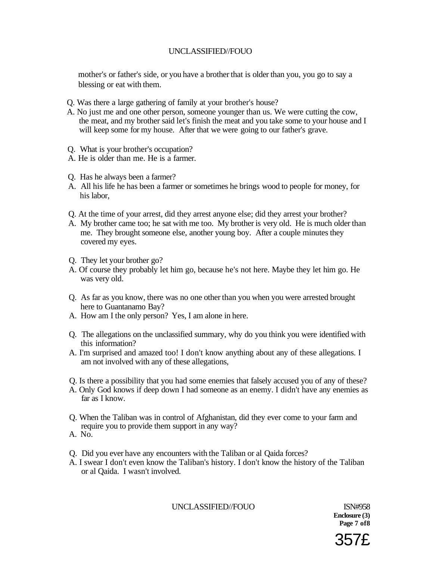mother's or father's side, or you have a brother that is older than you, you go to say a blessing or eat with them.

- Q. Was there a large gathering of family at your brother's house?
- A. No just me and one other person, someone younger than us. We were cutting the cow, the meat, and my brother said let's finish the meat and you take some to your house and I will keep some for my house. After that we were going to our father's grave.
- Q. What is your brother's occupation?
- A. He is older than me. He is a farmer.
- Q. Has he always been a farmer?
- A. All his life he has been a farmer or sometimes he brings wood to people for money, for his labor,
- Q. At the time of your arrest, did they arrest anyone else; did they arrest your brother?
- A. My brother came too; he sat with me too. My brother is very old. He is much older than me. They brought someone else, another young boy. After a couple minutes they covered my eyes.
- Q. They let your brother go?
- A. Of course they probably let him go, because he's not here. Maybe they let him go. He was very old.
- Q. As far as you know, there was no one other than you when you were arrested brought here to Guantanamo Bay?
- A. How am I the only person? Yes, I am alone in here.
- Q. The allegations on the unclassified summary, why do you think you were identified with this information?
- A. I'm surprised and amazed too! I don't know anything about any of these allegations. I am not involved with any of these allegations,
- Q. Is there a possibility that you had some enemies that falsely accused you of any of these?
- A. Only God knows if deep down I had someone as an enemy. I didn't have any enemies as far as I know.
- Q. When the Taliban was in control of Afghanistan, did they ever come to your farm and require you to provide them support in any way?
- A. No.
- Q. Did you ever have any encounters with the Taliban or al Qaida forces?
- A. I swear I don't even know the Taliban's history. I don't know the history of the Taliban or al Qaida. I wasn't involved.

UNCLASSIFIED//FOUO ISN#958

**Enclosure (3) Page 7 of8** 

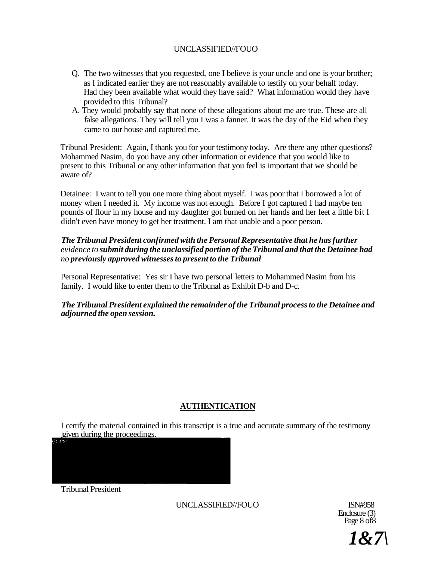- Q. The two witnesses that you requested, one I believe is your uncle and one is your brother; as I indicated earlier they are not reasonably available to testify on your behalf today. Had they been available what would they have said? What information would they have provided to this Tribunal?
- A. They would probably say that none of these allegations about me are true. These are all false allegations. They will tell you I was a fanner. It was the day of the Eid when they came to our house and captured me.

Tribunal President: Again, I thank you for your testimony today. Are there any other questions? Mohammed Nasim, do you have any other information or evidence that you would like to present to this Tribunal or any other information that you feel is important that we should be aware of?

Detainee: I want to tell you one more thing about myself. I was poor that I borrowed a lot of money when I needed it. My income was not enough. Before I got captured 1 had maybe ten pounds of flour in my house and my daughter got burned on her hands and her feet a little bit I didn't even have money to get her treatment. I am that unable and a poor person.

## *The Tribunal President confirmed with the Personal Representative that he has further evidence to submit during the unclassified portion of the Tribunal and that the Detainee had no previously approved witnesses to present to the Tribunal*

Personal Representative: Yes sir I have two personal letters to Mohammed Nasim from his family. I would like to enter them to the Tribunal as Exhibit D-b and D-c.

*The Tribunal President explained the remainder of the Tribunal process to the Detainee and adjourned the open session.* 

## **AUTHENTICATION**

I certify the material contained in this transcript is a true and accurate summary of the testimony given during the proceedings.

Tribunal President

UNCLASSIFIED//FOUO ISN#958

Enclosure (3) Page 8 of 8

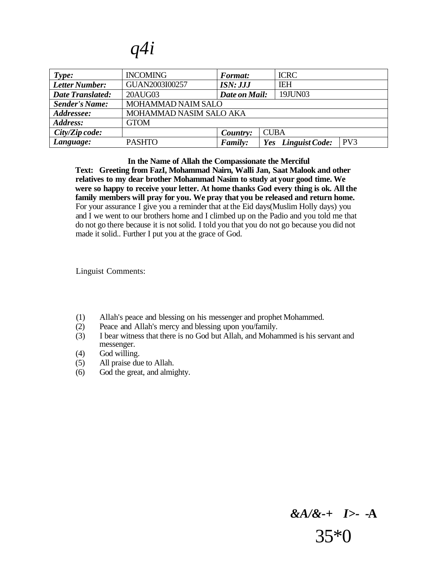*q4i* 

| Type:                   | <b>INCOMING</b>         | <b>Format:</b> | <b>ICRC</b>                           |  |
|-------------------------|-------------------------|----------------|---------------------------------------|--|
| Letter Number:          | GUAN2003I00257          | ISN: JJJ       | <b>IEH</b>                            |  |
| <b>Date Translated:</b> | 20AUG03                 | Date on Mail:  | 19JUN03                               |  |
| <b>Sender's Name:</b>   | MOHAMMAD NAIM SALO      |                |                                       |  |
| Addressee:              | MOHAMMAD NASIM SALO AKA |                |                                       |  |
| Address:                | <b>GTOM</b>             |                |                                       |  |
| City/Zip code:          |                         | Country:       | <b>CUBA</b>                           |  |
| Language:               | <b>PASHTO</b>           | <b>Family:</b> | PV <sub>3</sub><br>Yes Linguist Code: |  |

**In the Name of Allah the Compassionate the Merciful** 

**Text: Greeting from FazI, Mohammad Nairn, Walli Jan, Saat Malook and other relatives to my dear brother Mohammad Nasim to study at your good time. We were so happy to receive your letter. At home thanks God every thing is ok. All the family members will pray for you. We pray that you be released and return home.**  For your assurance I give you a reminder that at the Eid days(Muslim Holly days) you and I we went to our brothers home and I climbed up on the Padio and you told me that do not go there because it is not solid. I told you that you do not go because you did not made it solid.. Further I put you at the grace of God.

Linguist Comments:

- (1) Allah's peace and blessing on his messenger and prophet Mohammed.
- (2) Peace and Allah's mercy and blessing upon you/family.
- (3) I bear witness that there is no God but Allah, and Mohammed is his servant and messenger.
- (4) God willing.
- (5) All praise due to Allah.
- (6) God the great, and almighty.

## *&A/&-+ I>-* **-A**  35\*0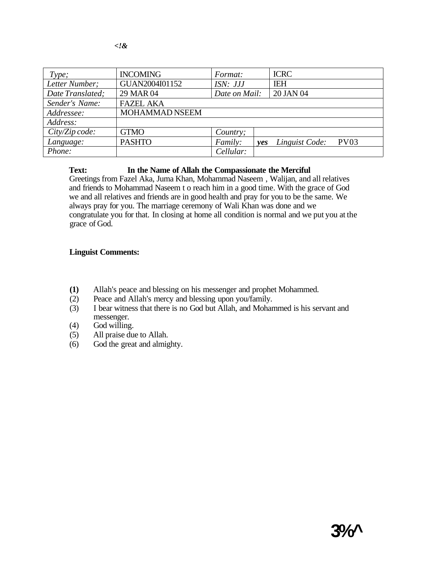| Type;            | <b>INCOMING</b>  | Format:       |     | <b>ICRC</b>    |      |
|------------------|------------------|---------------|-----|----------------|------|
| Letter Number;   | GUAN2004I01152   | ISN: JJJ      |     | <b>IEH</b>     |      |
| Date Translated; | 29 MAR 04        | Date on Mail: |     | 20 JAN 04      |      |
| Sender's Name:   | <b>FAZEL AKA</b> |               |     |                |      |
| Addressee:       | MOHAMMAD NSEEM   |               |     |                |      |
| Address:         |                  |               |     |                |      |
| City/Zip code:   | <b>GTMO</b>      | Country;      |     |                |      |
| Language:        | <b>PASHTO</b>    | Family:       | ves | Linguist Code: | PV03 |
| Phone:           |                  | Cellular:     |     |                |      |

# **Text: In the Name of Allah the Compassionate the Merciful**

Greetings from Fazel Aka, Juma Khan, Mohammad Naseem , Walijan, and all relatives and friends to Mohammad Naseem t o reach him in a good time. With the grace of God we and all relatives and friends are in good health and pray for you to be the same. We always pray for you. The marriage ceremony of Wali Khan was done and we congratulate you for that. In closing at home all condition is normal and we put you at the grace of God.

## **Linguist Comments:**

- **(1)** Allah's peace and blessing on his messenger and prophet Mohammed.
- (2) Peace and Allah's mercy and blessing upon you/family.
- (3) I bear witness that there is no God but Allah, and Mohammed is his servant and messenger.
- (4) God willing.
- (5) All praise due to Allah.
- (6) God the great and almighty.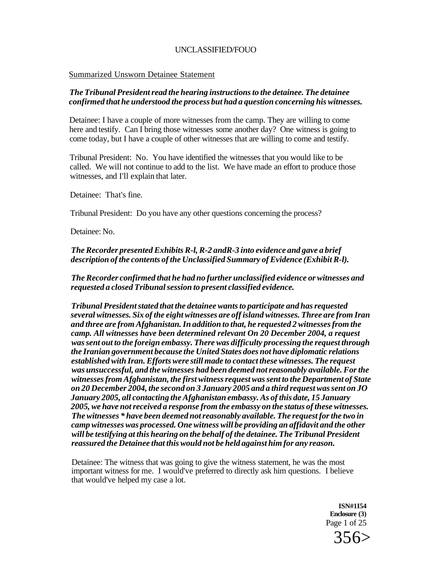#### Summarized Unsworn Detainee Statement

#### *The Tribunal President read the hearing instructions to the detainee. The detainee confirmed that he understood the process but had a question concerning his witnesses.*

Detainee: I have a couple of more witnesses from the camp. They are willing to come here and testify. Can I bring those witnesses some another day? One witness is going to come today, but I have a couple of other witnesses that are willing to come and testify.

Tribunal President: No. You have identified the witnesses that you would like to be called. We will not continue to add to the list. We have made an effort to produce those witnesses, and I'll explain that later.

Detainee: That's fine.

Tribunal President: Do you have any other questions concerning the process?

Detainee: No.

## *The Recorder presented Exhibits R-l, R-2 andR-3 into evidence and gave a brief description of the contents of the Unclassified Summary of Evidence (Exhibit R-l).*

*The Recorder confirmed that he had no further unclassified evidence or witnesses and requested a closed Tribunal session to present classified evidence.* 

*Tribunal President stated that the detainee wants to participate and has requested several witnesses. Six of the eight witnesses are off island witnesses. Three are from Iran and three are from Afghanistan. In addition to that, he requested 2 witnesses from the camp. All witnesses have been determined relevant On 20 December 2004, a request was sent out to the foreign embassy. There was difficulty processing the request through the Iranian government because the United States does not have diplomatic relations established with Iran. Efforts were still made to contact these witnesses. The request was unsuccessful, and the witnesses had been deemed not reasonably available. For the witnesses from Afghanistan, the first witness request was sent to the Department of State on 20 December 2004, the second on 3 January 2005 and a third request was sent on JO January 2005, all contacting the Afghanistan embassy. As of this date, 15 January 2005, we have not received a response from the embassy on the status of these witnesses. The witnesses \* have been deemed not reasonably available. The request for the two in camp witnesses was processed. One witness will be providing an affidavit and the other will be testifying at this hearing on the behalf of the detainee. The Tribunal President reassured the Detainee that this would not be held against him for any reason.* 

Detainee: The witness that was going to give the witness statement, he was the most important witness for me. I would've preferred to directly ask him questions. I believe that would've helped my case a lot.

> **ISN#1I54 Enclosure (3)**  Page 1 of 25

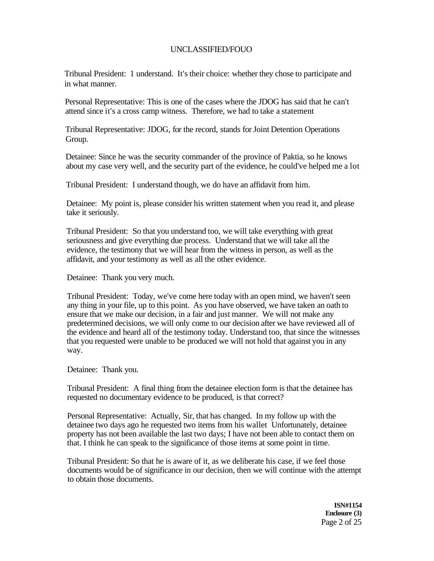Tribunal President: 1 understand. It's their choice: whether they chose to participate and in what manner.

Personal Representative: This is one of the cases where the JDOG has said that he can't attend since it's a cross camp witness. Therefore, we had to take a statement

Tribunal Representative: JDOG, for the record, stands for Joint Detention Operations Group.

Detainee: Since he was the security commander of the province of Paktia, so he knows about my case very well, and the security part of the evidence, he could've helped me a lot

Tribunal President: I understand though, we do have an affidavit from him.

Detainee: My point is, please consider his written statement when you read it, and please take it seriously.

Tribunal President: So that you understand too, we will take everything with great seriousness and give everything due process. Understand that we will take all the evidence, the testimony that we will hear from the witness in person, as well as the affidavit, and your testimony as well as all the other evidence.

Detainee: Thank you very much.

Tribunal President: Today, we've come here today with an open mind, we haven't seen any thing in your file, up to this point. As you have observed, we have taken an oath to ensure that we make our decision, in a fair and just manner. We will not make any predetermined decisions, we will only come to our decision after we have reviewed all of the evidence and heard all of the testimony today. Understand too, that since the witnesses that you requested were unable to be produced we will not hold that against you in any way.

Detainee: Thank you.

Tribunal President: A final thing from the detainee election form is that the detainee has requested no documentary evidence to be produced, is that correct?

Personal Representative: Actually, Sir, that has changed. In my follow up with the detainee two days ago he requested two items from his wallet Unfortunately, detainee property has not been available the last two days; I have not been able to contact them on that. I think he can speak to the significance of those items at some point in time.

Tribunal President: So that he is aware of it, as we deliberate his case, if we feel those documents would be of significance in our decision, then we will continue with the attempt to obtain those documents.

> **ISN#1154 Enclosure (3)**  Page 2 of 25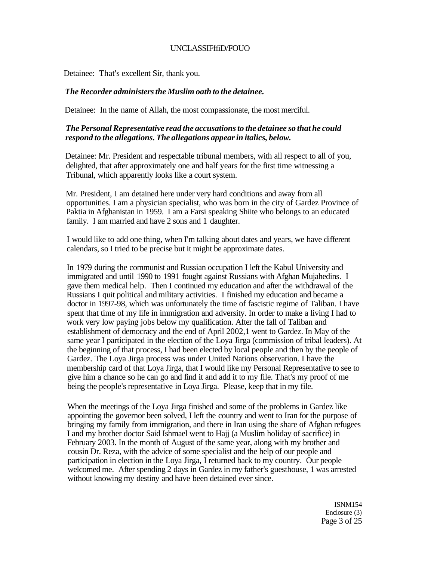## UNCLASSIFffiD/FOUO

Detainee: That's excellent Sir, thank you.

#### *The Recorder administers the Muslim oath to the detainee.*

Detainee: In the name of Allah, the most compassionate, the most merciful.

## *The Personal Representative read the accusations to the detainee so that he could respond to the allegations. The allegations appear in italics, below.*

Detainee: Mr. President and respectable tribunal members, with all respect to all of you, delighted, that after approximately one and half years for the first time witnessing a Tribunal, which apparently looks like a court system.

Mr. President, I am detained here under very hard conditions and away from all opportunities. I am a physician specialist, who was born in the city of Gardez Province of Paktia in Afghanistan in 1959. I am a Farsi speaking Shiite who belongs to an educated family. I am married and have 2 sons and 1 daughter.

I would like to add one thing, when I'm talking about dates and years, we have different calendars, so I tried to be precise but it might be approximate dates.

In 1979 during the communist and Russian occupation I left the Kabul University and immigrated and until 1990 to 1991 fought against Russians with Afghan Mujahedins. I gave them medical help. Then I continued my education and after the withdrawal of the Russians I quit political and military activities. I finished my education and became a doctor in 1997-98, which was unfortunately the time of fascistic regime of Taliban. I have spent that time of my life in immigration and adversity. In order to make a living I had to work very low paying jobs below my qualification. After the fall of Taliban and establishment of democracy and the end of April 2002,1 went to Gardez. In May of the same year I participated in the election of the Loya Jirga (commission of tribal leaders). At the beginning of that process, I had been elected by local people and then by the people of Gardez. The Loya Jirga process was under United Nations observation. I have the membership card of that Loya Jirga, that I would like my Personal Representative to see to give him a chance so he can go and find it and add it to my file. That's my proof of me being the people's representative in Loya Jirga. Please, keep that in my file.

When the meetings of the Loya Jirga finished and some of the problems in Gardez like appointing the governor been solved, I left the country and went to Iran for the purpose of bringing my family from immigration, and there in Iran using the share of Afghan refugees I and my brother doctor Said Ishmael went to Hajj (a Muslim holiday of sacrifice) in February 2003. In the month of August of the same year, along with my brother and cousin Dr. Reza, with the advice of some specialist and the help of our people and participation in election in the Loya Jirga, I returned back to my country. Our people welcomed me. After spending 2 days in Gardez in my father's guesthouse, 1 was arrested without knowing my destiny and have been detained ever since.

> ISNM154 Enclosure (3) Page 3 of 25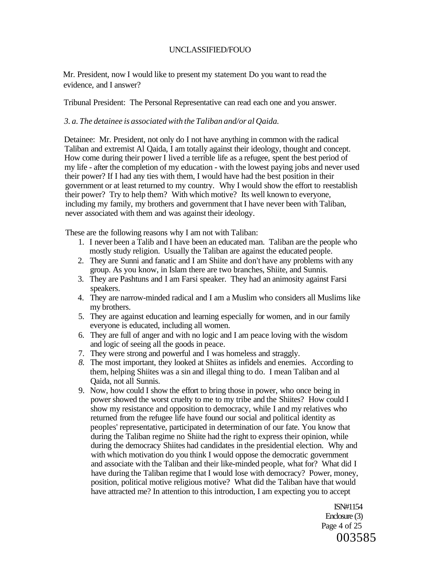Mr. President, now I would like to present my statement Do you want to read the evidence, and I answer?

Tribunal President: The Personal Representative can read each one and you answer.

#### *3. a. The detainee is associated with the Taliban and/or al Qaida.*

Detainee: Mr. President, not only do I not have anything in common with the radical Taliban and extremist Al Qaida, I am totally against their ideology, thought and concept. How come during their power I lived a terrible life as a refugee, spent the best period of my life - after the completion of my education - with the lowest paying jobs and never used their power? If I had any ties with them, I would have had the best position in their government or at least returned to my country. Why I would show the effort to reestablish their power? Try to help them? With which motive? Its well known to everyone, including my family, my brothers and government that I have never been with Taliban, never associated with them and was against their ideology.

These are the following reasons why I am not with Taliban:

- 1. I never been a Talib and I have been an educated man. Taliban are the people who mostly study religion. Usually the Taliban are against the educated people.
- 2. They are Sunni and fanatic and I am Shiite and don't have any problems with any group. As you know, in Islam there are two branches, Shiite, and Sunnis.
- 3. They are Pashtuns and I am Farsi speaker. They had an animosity against Farsi speakers.
- 4. They are narrow-minded radical and I am a Muslim who considers all Muslims like my brothers.
- 5. They are against education and learning especially for women, and in our family everyone is educated, including all women.
- 6. They are full of anger and with no logic and I am peace loving with the wisdom and logic of seeing all the goods in peace.
- 7. They were strong and powerful and I was homeless and straggly.
- *8.* The most important, they looked at Shiites as infidels and enemies. According to them, helping Shiites was a sin and illegal thing to do. I mean Taliban and al Qaida, not all Sunnis.
- 9. Now, how could I show the effort to bring those in power, who once being in power showed the worst cruelty to me to my tribe and the Shiites? How could I show my resistance and opposition to democracy, while I and my relatives who returned from the refugee life have found our social and political identity as peoples' representative, participated in determination of our fate. You know that during the Taliban regime no Shiite had the right to express their opinion, while during the democracy Shiites had candidates in the presidential election. Why and with which motivation do you think I would oppose the democratic government and associate with the Taliban and their like-minded people, what for? What did I have during the Taliban regime that I would lose with democracy? Power, money, position, political motive religious motive? What did the Taliban have that would have attracted me? In attention to this introduction, I am expecting you to accept

ISN#1154 Enclosure (3) Page 4 of 25 003585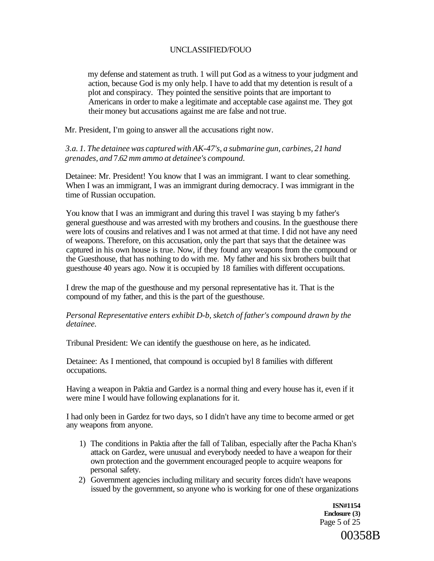my defense and statement as truth. 1 will put God as a witness to your judgment and action, because God is my only help. I have to add that my detention is result of a plot and conspiracy. They pointed the sensitive points that are important to Americans in order to make a legitimate and acceptable case against me. They got their money but accusations against me are false and not true.

Mr. President, I'm going to answer all the accusations right now.

*3.a. 1. The detainee was captured with AK-47's, a submarine gun, carbines, 21 hand grenades, and* 7.*62 mm ammo at detainee's compound.* 

Detainee: Mr. President! You know that I was an immigrant. I want to clear something. When I was an immigrant, I was an immigrant during democracy. I was immigrant in the time of Russian occupation.

You know that I was an immigrant and during this travel I was staying b my father's general guesthouse and was arrested with my brothers and cousins. In the guesthouse there were lots of cousins and relatives and I was not armed at that time. I did not have any need of weapons. Therefore, on this accusation, only the part that says that the detainee was captured in his own house is true. Now, if they found any weapons from the compound or the Guesthouse, that has nothing to do with me. My father and his six brothers built that guesthouse 40 years ago. Now it is occupied by 18 families with different occupations.

I drew the map of the guesthouse and my personal representative has it. That is the compound of my father, and this is the part of the guesthouse.

*Personal Representative enters exhibit D-b, sketch of father's compound drawn by the detainee.* 

Tribunal President: We can identify the guesthouse on here, as he indicated.

Detainee: As I mentioned, that compound is occupied byl 8 families with different occupations.

Having a weapon in Paktia and Gardez is a normal thing and every house has it, even if it were mine I would have following explanations for it.

I had only been in Gardez for two days, so I didn't have any time to become armed or get any weapons from anyone.

- 1) The conditions in Paktia after the fall of Taliban, especially after the Pacha Khan's attack on Gardez, were unusual and everybody needed to have a weapon for their own protection and the government encouraged people to acquire weapons for personal safety.
- 2) Government agencies including military and security forces didn't have weapons issued by the government, so anyone who is working for one of these organizations

**ISN#1154 Enclosure (3)**  Page 5 of 25

00358B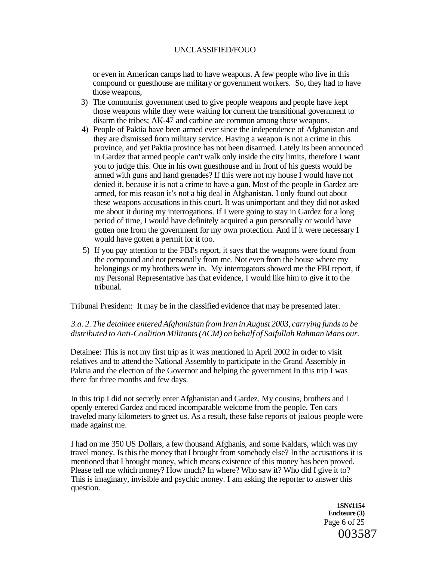or even in American camps had to have weapons. A few people who live in this compound or guesthouse are military or government workers. So, they had to have those weapons,

- 3) The communist government used to give people weapons and people have kept those weapons while they were waiting for current the transitional government to disarm the tribes; AK-47 and carbine are common among those weapons.
- 4) People of Paktia have been armed ever since the independence of Afghanistan and they are dismissed from military service. Having a weapon is not a crime in this province, and yet Paktia province has not been disarmed. Lately its been announced in Gardez that armed people can't walk only inside the city limits, therefore I want you to judge this. One in his own guesthouse and in front of his guests would be armed with guns and hand grenades? If this were not my house I would have not denied it, because it is not a crime to have a gun. Most of the people in Gardez are armed, for mis reason it's not a big deal in Afghanistan. I only found out about these weapons accusations in this court. It was unimportant and they did not asked me about it during my interrogations. If I were going to stay in Gardez for a long period of time, I would have definitely acquired a gun personally or would have gotten one from the government for my own protection. And if it were necessary I would have gotten a permit for it too.
- 5) If you pay attention to the FBI's report, it says that the weapons were found from the compound and not personally from me. Not even from the house where my belongings or my brothers were in. My interrogators showed me the FBI report, if my Personal Representative has that evidence, I would like him to give it to the tribunal.

Tribunal President: It may be in the classified evidence that may be presented later.

# *3.a. 2. The detainee entered Afghanistan from Iran in August 2003, carrying funds to be distributed to Anti-Coalition Militants (ACM) on behalf of Saifullah Rahman Mans our.*

Detainee: This is not my first trip as it was mentioned in April 2002 in order to visit relatives and to attend the National Assembly to participate in the Grand Assembly in Paktia and the election of the Governor and helping the government In this trip I was there for three months and few days.

In this trip I did not secretly enter Afghanistan and Gardez. My cousins, brothers and I openly entered Gardez and raced incomparable welcome from the people. Ten cars traveled many kilometers to greet us. As a result, these false reports of jealous people were made against me.

I had on me 350 US Dollars, a few thousand Afghanis, and some Kaldars, which was my travel money. Is this the money that I brought from somebody else? In the accusations it is mentioned that I brought money, which means existence of this money has been proved. Please tell me which money? How much? In where? Who saw it? Who did I give it to? This is imaginary, invisible and psychic money. I am asking the reporter to answer this question.

> **1SN#1154 Enclosure (3)**  Page 6 of 25 003587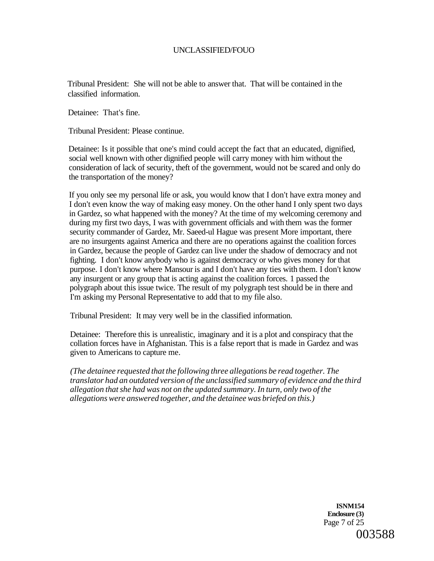Tribunal President: She will not be able to answer that. That will be contained in the classified information.

Detainee: That's fine.

Tribunal President: Please continue.

Detainee: Is it possible that one's mind could accept the fact that an educated, dignified, social well known with other dignified people will carry money with him without the consideration of lack of security, theft of the government, would not be scared and only do the transportation of the money?

If you only see my personal life or ask, you would know that I don't have extra money and I don't even know the way of making easy money. On the other hand I only spent two days in Gardez, so what happened with the money? At the time of my welcoming ceremony and during my first two days, I was with government officials and with them was the former security commander of Gardez, Mr. Saeed-ul Hague was present More important, there are no insurgents against America and there are no operations against the coalition forces in Gardez, because the people of Gardez can live under the shadow of democracy and not fighting. I don't know anybody who is against democracy or who gives money for that purpose. I don't know where Mansour is and I don't have any ties with them. I don't know any insurgent or any group that is acting against the coalition forces. 1 passed the polygraph about this issue twice. The result of my polygraph test should be in there and I'm asking my Personal Representative to add that to my file also.

Tribunal President: It may very well be in the classified information.

Detainee: Therefore this is unrealistic, imaginary and it is a plot and conspiracy that the collation forces have in Afghanistan. This is a false report that is made in Gardez and was given to Americans to capture me.

*(The detainee requested that the following three allegations be read together. The translator had an outdated version of the unclassified summary of evidence and the third allegation that she had was not on the updated summary. In turn, only two of the allegations were answered together, and the detainee was briefed on this.)* 

> **ISNM154 Enclosure (3)**  Page 7 of 25 003588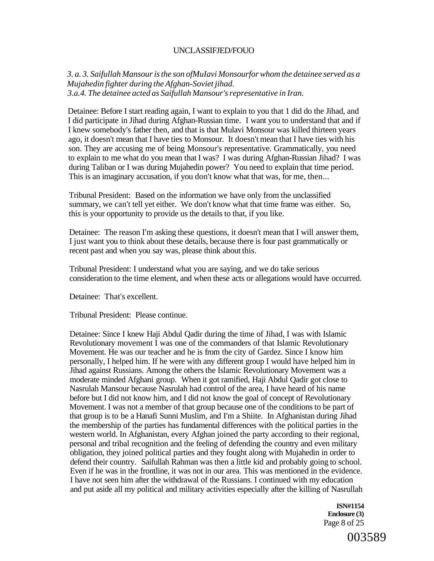*3. a. 3. Saifullah Mansour is the son ofMuIavi Monsourfor whom the detainee served as a Mujahedin fighter during the Afghan-Soviet jihad. 3.a.4. The detainee acted as Saifullah Mansour's representative in Iran.* 

Detainee: Before I start reading again, I want to explain to you that 1 did do the Jihad, and I did participate in Jihad during Afghan-Russian time. I want you to understand that and if I knew somebody's father then, and that is that Mulavi Monsour was killed thirteen years ago, it doesn't mean that I have ties to Monsour. It doesn't mean that I have ties with his son. They are accusing me of being Monsour's representative. Grammatically, you need to explain to me what do you mean that I was? I was during Afghan-Russian Jihad? I was during Taliban or I was during Mujahedin power? You need to explain that time period. This is an imaginary accusation, if you don't know what that was, for me, then...

Tribunal President: Based on the information we have only from the unclassified summary, we can't tell yet either. We don't know what that time frame was either. So, this is your opportunity to provide us the details to that, if you like.

Detainee: The reason I'm asking these questions, it doesn't mean that I will answer them, I just want you to think about these details, because there is four past grammatically or recent past and when you say was, please think about this.

Tribunal President: I understand what you are saying, and we do take serious consideration to the time element, and when these acts or allegations would have occurred.

Detainee: That's excellent.

Tribunal President: Please continue.

Detainee: Since I knew Haji Abdul Qadir during the time of Jihad, I was with Islamic Revolutionary movement I was one of the commanders of that Islamic Revolutionary Movement. He was our teacher and he is from the city of Gardez. Since I know him personally, I helped him. If he were with any different group I would have helped him in Jihad against Russians. Among the others the Islamic Revolutionary Movement was a moderate minded Afghani group. When it got ramified, Haji Abdul Qadir got close to Nasrulah Mansour because Nasrulah had control of the area, I have heard of his name before but I did not know him, and I did not know the goal of concept of Revolutionary Movement. I was not a member of that group because one of the conditions to be part of that group is to be a Hanafi Sunni Muslim, and I'm a Shiite. In Afghanistan during Jihad the membership of the parties has fundamental differences with the political parties in the western world. In Afghanistan, every Afghan joined the party according to their regional, personal and tribal recognition and the feeling of defending the country and even military obligation, they joined political parties and they fought along with Mujahedin in order to defend their country. Saifullah Rahman was then a little kid and probably going to school. Even if he was in the frontline, it was not in our area. This was mentioned in the evidence. I have not seen him after the withdrawal of the Russians. I continued with my education and put aside all my political and military activities especially after the killing of Nasrullah

> **ISN#1154 Enclosure (3)**  Page 8 of 25

> > 003589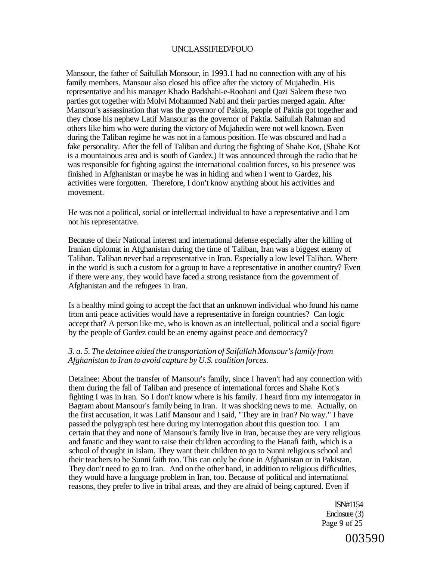Mansour, the father of Saifullah Monsour, in 1993.1 had no connection with any of his family members. Mansour also closed his office after the victory of Mujahedin. His representative and his manager Khado Badshahi-e-Roohani and Qazi Saleem these two parties got together with Molvi Mohammed Nabi and their parties merged again. After Mansour's assassination that was the governor of Paktia, people of Paktia got together and they chose his nephew Latif Mansour as the governor of Paktia. Saifullah Rahman and others like him who were during the victory of Mujahedin were not well known. Even during the Taliban regime he was not in a famous position. He was obscured and had a fake personality. After the fell of Taliban and during the fighting of Shahe Kot, (Shahe Kot is a mountainous area and is south of Gardez.) It was announced through the radio that he was responsible for fighting against the international coalition forces, so his presence was finished in Afghanistan or maybe he was in hiding and when I went to Gardez, his activities were forgotten. Therefore, I don't know anything about his activities and movement.

He was not a political, social or intellectual individual to have a representative and I am not his representative.

Because of their National interest and international defense especially after the killing of Iranian diplomat in Afghanistan during the time of Taliban, Iran was a biggest enemy of Taliban. Taliban never had a representative in Iran. Especially a low level Taliban. Where in the world is such a custom for a group to have a representative in another country? Even if there were any, they would have faced a strong resistance from the government of Afghanistan and the refugees in Iran.

Is a healthy mind going to accept the fact that an unknown individual who found his name from anti peace activities would have a representative in foreign countries? Can logic accept that? A person like me, who is known as an intellectual, political and a social figure by the people of Gardez could be an enemy against peace and democracy?

#### *3. a. 5. The detainee aided the transportation of Saifullah Monsour's family from Afghanistan to Iran to avoid capture by U.S. coalition forces.*

Detainee: About the transfer of Mansour's family, since I haven't had any connection with them during the fall of Taliban and presence of international forces and Shahe Kot's fighting I was in Iran. So I don't know where is his family. I heard from my interrogator in Bagram about Mansour's family being in Iran. It was shocking news to me. Actually, on the first accusation, it was Latif Mansour and I said, "They are in Iran? No way." I have passed the polygraph test here during my interrogation about this question too. I am certain that they and none of Mansour's family live in Iran, because they are very religious and fanatic and they want to raise their children according to the Hanafi faith, which is a school of thought in Islam. They want their children to go to Sunni religious school and their teachers to be Sunni faith too. This can only be done in Afghanistan or in Pakistan. They don't need to go to Iran. And on the other hand, in addition to religious difficulties, they would have a language problem in Iran, too. Because of political and international reasons, they prefer to live in tribal areas, and they are afraid of being captured. Even if

> ISN#1154 Enclosure (3) Page 9 of 25

> > 003590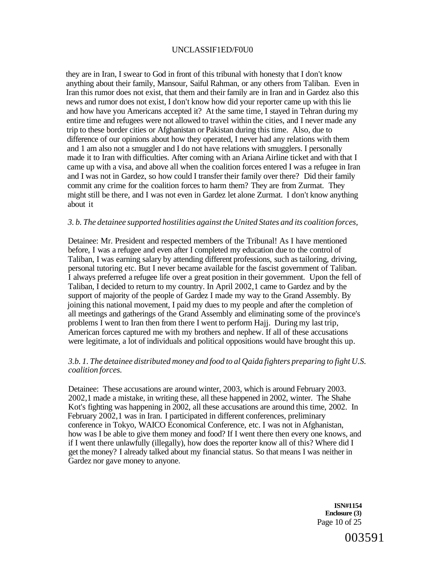## UNCLASSIF1ED/F0U0

they are in Iran, I swear to God in front of this tribunal with honesty that I don't know anything about their family, Mansour, Saiful Rahman, or any others from Taliban. Even in Iran this rumor does not exist, that them and their family are in Iran and in Gardez also this news and rumor does not exist, I don't know how did your reporter came up with this lie and how have you Americans accepted it? At the same time, I stayed in Tehran during my entire time and refugees were not allowed to travel within the cities, and I never made any trip to these border cities or Afghanistan or Pakistan during this time. Also, due to difference of our opinions about how they operated, I never had any relations with them and 1 am also not a smuggler and I do not have relations with smugglers. I personally made it to Iran with difficulties. After coming with an Ariana Airline ticket and with that I came up with a visa, and above all when the coalition forces entered I was a refugee in Iran and I was not in Gardez, so how could I transfer their family over there? Did their family commit any crime for the coalition forces to harm them? They are from Zurmat. They might still be there, and I was not even in Gardez let alone Zurmat. I don't know anything about it

#### *3. b. The detainee supported hostilities against the United States and its coalition forces,*

Detainee: Mr. President and respected members of the Tribunal! As I have mentioned before, I was a refugee and even after I completed my education due to the control of Taliban, I was earning salary by attending different professions, such as tailoring, driving, personal tutoring etc. But I never became available for the fascist government of Taliban. I always preferred a refugee life over a great position in their government. Upon the fell of Taliban, I decided to return to my country. In April 2002,1 came to Gardez and by the support of majority of the people of Gardez I made my way to the Grand Assembly. By joining this national movement, I paid my dues to my people and after the completion of all meetings and gatherings of the Grand Assembly and eliminating some of the province's problems I went to Iran then from there I went to perform Hajj. During my last trip, American forces captured me with my brothers and nephew. If all of these accusations were legitimate, a lot of individuals and political oppositions would have brought this up.

#### *3.b. 1. The detainee distributed money and food to al Qaida fighters preparing to fight U.S. coalition forces.*

Detainee: These accusations are around winter, 2003, which is around February 2003. 2002,1 made a mistake, in writing these, all these happened in 2002, winter. The Shahe Kot's fighting was happening in 2002, all these accusations are around this time, 2002. In February 2002,1 was in Iran. I participated in different conferences, preliminary conference in Tokyo, WAICO Economical Conference, etc. I was not in Afghanistan, how was I be able to give them money and food? If I went there then every one knows, and if I went there unlawfully (illegally), how does the reporter know all of this? Where did I get the money? I already talked about my financial status. So that means I was neither in Gardez nor gave money to anyone.

> **ISN#1154 Enclosure (3)**  Page 10 of 25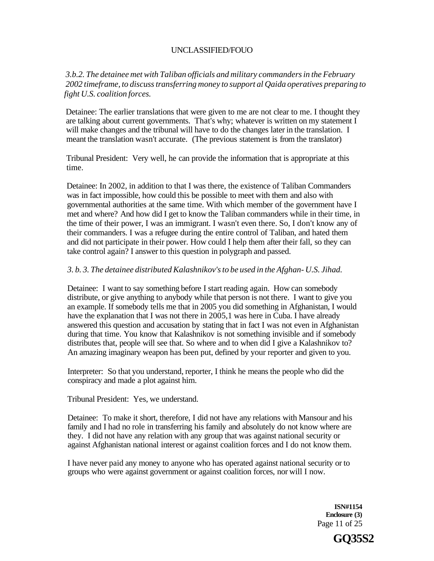*3.b.2. The detainee met with Taliban officials and military commanders in the February 2002 timeframe, to discuss transferring money to support al Qaida operatives preparing to fight U.S. coalition forces.* 

Detainee: The earlier translations that were given to me are not clear to me. I thought they are talking about current governments. That's why; whatever is written on my statement I will make changes and the tribunal will have to do the changes later in the translation. I meant the translation wasn't accurate. (The previous statement is from the translator)

Tribunal President: Very well, he can provide the information that is appropriate at this time.

Detainee: In 2002, in addition to that I was there, the existence of Taliban Commanders was in fact impossible, how could this be possible to meet with them and also with governmental authorities at the same time. With which member of the government have I met and where? And how did I get to know the Taliban commanders while in their time, in the time of their power, I was an immigrant. I wasn't even there. So, I don't know any of their commanders. I was a refugee during the entire control of Taliban, and hated them and did not participate in their power. How could I help them after their fall, so they can take control again? I answer to this question in polygraph and passed.

## *3. b. 3. The detainee distributed Kalashnikov's to be used in the Afghan- U.S. Jihad.*

Detainee: I want to say something before I start reading again. How can somebody distribute, or give anything to anybody while that person is not there. I want to give you an example. If somebody tells me that in 2005 you did something in Afghanistan, I would have the explanation that I was not there in 2005,1 was here in Cuba. I have already answered this question and accusation by stating that in fact I was not even in Afghanistan during that time. You know that Kalashnikov is not something invisible and if somebody distributes that, people will see that. So where and to when did I give a Kalashnikov to? An amazing imaginary weapon has been put, defined by your reporter and given to you.

Interpreter: So that you understand, reporter, I think he means the people who did the conspiracy and made a plot against him.

Tribunal President: Yes, we understand.

Detainee: To make it short, therefore, I did not have any relations with Mansour and his family and I had no role in transferring his family and absolutely do not know where are they. I did not have any relation with any group that was against national security or against Afghanistan national interest or against coalition forces and I do not know them.

I have never paid any money to anyone who has operated against national security or to groups who were against government or against coalition forces, nor will I now.

> **ISN#1154 Enclosure (3)**  Page 11 of 25

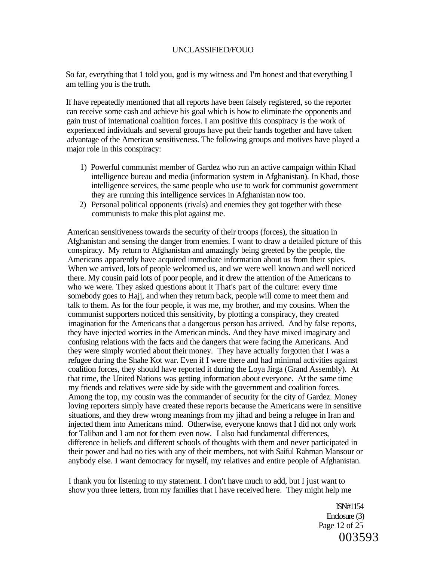So far, everything that 1 told you, god is my witness and I'm honest and that everything I am telling you is the truth.

If have repeatedly mentioned that all reports have been falsely registered, so the reporter can receive some cash and achieve his goal which is how to eliminate the opponents and gain trust of international coalition forces. I am positive this conspiracy is the work of experienced individuals and several groups have put their hands together and have taken advantage of the American sensitiveness. The following groups and motives have played a major role in this conspiracy:

- 1) Powerful communist member of Gardez who run an active campaign within Khad intelligence bureau and media (information system in Afghanistan). In Khad, those intelligence services, the same people who use to work for communist government they are running this intelligence services in Afghanistan now too.
- 2) Personal political opponents (rivals) and enemies they got together with these communists to make this plot against me.

American sensitiveness towards the security of their troops (forces), the situation in Afghanistan and sensing the danger from enemies. I want to draw a detailed picture of this conspiracy. My return to Afghanistan and amazingly being greeted by the people, the Americans apparently have acquired immediate information about us from their spies. When we arrived, lots of people welcomed us, and we were well known and well noticed there. My cousin paid lots of poor people, and it drew the attention of the Americans to who we were. They asked questions about it That's part of the culture: every time somebody goes to Hajj, and when they return back, people will come to meet them and talk to them. As for the four people, it was me, my brother, and my cousins. When the communist supporters noticed this sensitivity, by plotting a conspiracy, they created imagination for the Americans that a dangerous person has arrived. And by false reports, they have injected worries in the American minds. And they have mixed imaginary and confusing relations with the facts and the dangers that were facing the Americans. And they were simply worried about their money. They have actually forgotten that I was a refugee during the Shahe Kot war. Even if I were there and had minimal activities against coalition forces, they should have reported it during the Loya Jirga (Grand Assembly). At that time, the United Nations was getting information about everyone. At the same time my friends and relatives were side by side with the government and coalition forces. Among the top, my cousin was the commander of security for the city of Gardez. Money loving reporters simply have created these reports because the Americans were in sensitive situations, and they drew wrong meanings from my jihad and being a refugee in Iran and injected them into Americans mind. Otherwise, everyone knows that I did not only work for Taliban and I am not for them even now. I also had fundamental differences, difference in beliefs and different schools of thoughts with them and never participated in their power and had no ties with any of their members, not with Saiful Rahman Mansour or anybody else. I want democracy for myself, my relatives and entire people of Afghanistan.

I thank you for listening to my statement. I don't have much to add, but I just want to show you three letters, from my families that I have received here. They might help me

> ISN#1154 Enclosure (3) Page 12 of 25 003593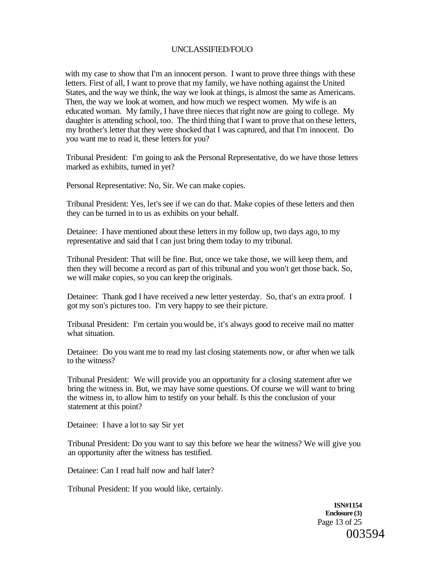with my case to show that I'm an innocent person. I want to prove three things with these letters. First of all, I want to prove that my family, we have nothing against the United States, and the way we think, the way we look at things, is almost the same as Americans. Then, the way we look at women, and how much we respect women. My wife is an educated woman. My family, I have three nieces that right now are going to college. My daughter is attending school, too. The third thing that I want to prove that on these letters, my brother's letter that they were shocked that I was captured, and that I'm innocent. Do you want me to read it, these letters for you?

Tribunal President: I'm going to ask the Personal Representative, do we have those letters marked as exhibits, turned in yet?

Personal Representative: No, Sir. We can make copies.

Tribunal President: Yes, let's see if we can do that. Make copies of these letters and then they can be turned in to us as exhibits on your behalf.

Detainee: I have mentioned about these letters in my follow up, two days ago, to my representative and said that I can just bring them today to my tribunal.

Tribunal President: That will be fine. But, once we take those, we will keep them, and then they will become a record as part of this tribunal and you won't get those back. So, we will make copies, so you can keep the originals.

Detainee: Thank god I have received a new letter yesterday. So, that's an extra proof. I got my son's pictures too. I'm very happy to see their picture.

Tribunal President: I'm certain you would be, it's always good to receive mail no matter what situation.

Detainee: Do you want me to read my last closing statements now, or after when we talk to the witness?

Tribunal President: We will provide you an opportunity for a closing statement after we bring the witness in. But, we may have some questions. Of course we will want to bring the witness in, to allow him to testify on your behalf. Is this the conclusion of your statement at this point?

Detainee: I have a lot to say Sir yet

Tribunal President: Do you want to say this before we hear the witness? We will give you an opportunity after the witness has testified.

Detainee: Can I read half now and half later?

Tribunal President: If you would like, certainly.

**ISN#1154 Enclosure (3)**  Page 13 of 25 003594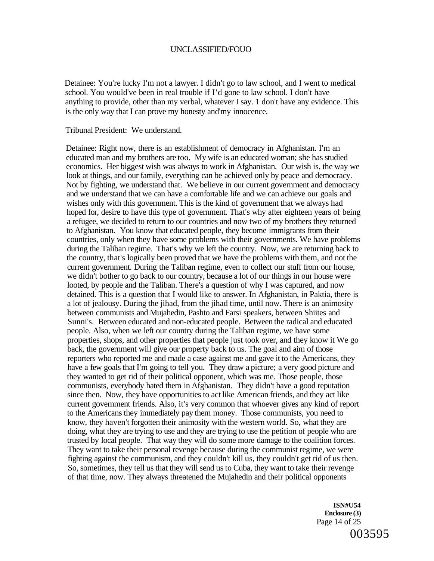Detainee: You're lucky I'm not a lawyer. I didn't go to law school, and I went to medical school. You would've been in real trouble if I'd gone to law school. I don't have anything to provide, other than my verbal, whatever I say. 1 don't have any evidence. This is the only way that I can prove my honesty and'my innocence.

Tribunal President: We understand.

Detainee: Right now, there is an establishment of democracy in Afghanistan. I'm an educated man and my brothers are too. My wife is an educated woman; she has studied economics. Her biggest wish was always to work in Afghanistan. Our wish is, the way we look at things, and our family, everything can be achieved only by peace and democracy. Not by fighting, we understand that. We believe in our current government and democracy and we understand that we can have a comfortable life and we can achieve our goals and wishes only with this government. This is the kind of government that we always had hoped for, desire to have this type of government. That's why after eighteen years of being a refugee, we decided to return to our countries and now two of my brothers they returned to Afghanistan. You know that educated people, they become immigrants from their countries, only when they have some problems with their governments. We have problems during the Taliban regime. That's why we left the country. Now, we are returning back to the country, that's logically been proved that we have the problems with them, and not the current government. During the Taliban regime, even to collect our stuff from our house, we didn't bother to go back to our country, because a lot of our things in our house were looted, by people and the Taliban. There's a question of why I was captured, and now detained. This is a question that I would like to answer. In Afghanistan, in Paktia, there is a lot of jealousy. During the jihad, from the jihad time, until now. There is an animosity between communists and Mujahedin, Pashto and Farsi speakers, between Shiites and Sunni's. Between educated and non-educated people. Between the radical and educated people. Also, when we left our country during the Taliban regime, we have some properties, shops, and other properties that people just took over, and they know it We go back, the government will give our property back to us. The goal and aim of those reporters who reported me and made a case against me and gave it to the Americans, they have a few goals that I'm going to tell you. They draw a picture; a very good picture and they wanted to get rid of their political opponent, which was me. Those people, those communists, everybody hated them in Afghanistan. They didn't have a good reputation since then. Now, they have opportunities to act like American friends, and they act like current government friends. Also, it's very common that whoever gives any kind of report to the Americans they immediately pay them money. Those communists, you need to know, they haven't forgotten their animosity with the western world. So, what they are doing, what they are trying to use and they are trying to use the petition of people who are trusted by local people. That way they will do some more damage to the coalition forces. They want to take their personal revenge because during the communist regime, we were fighting against the communism, and they couldn't kill us, they couldn't get rid of us then. So, sometimes, they tell us that they will send us to Cuba, they want to take their revenge of that time, now. They always threatened the Mujahedin and their political opponents

> **ISN#U54 Enclosure (3)**  Page 14 of 25 003595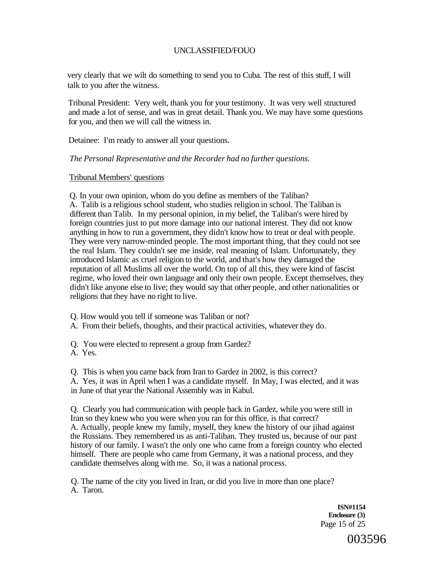very clearly that we wilt do something to send you to Cuba. The rest of this stuff, I will talk to you after the witness.

Tribunal President: Very welt, thank you for your testimony. It was very well structured and made a lot of sense, and was in great detail. Thank you. We may have some questions for you, and then we will call the witness in.

Detainee: I'm ready to answer all your questions.

## *The Personal Representative and the Recorder had no further questions.*

## Tribunal Members' questions

Q. In your own opinion, whom do you define as members of the Taliban? A. Talib is a religious school student, who studies religion in school. The Taliban is different than Talib. In my personal opinion, in my belief, the Taliban's were hired by foreign countries just to put more damage into our national interest. They did not know anything in how to run a government, they didn't know how to treat or deal with people. They were very narrow-minded people. The most important thing, that they could not see the real Islam. They couldn't see me inside, real meaning of Islam. Unfortunately, they introduced Islamic as cruel religion to the world, and that's how they damaged the reputation of all Muslims all over the world. On top of all this, they were kind of fascist regime, who loved their own language and only their own people. Except themselves, they didn't like anyone else to live; they would say that other people, and other nationalities or religions that they have no right to live.

Q. How would you tell if someone was Taliban or not?

A. From their beliefs, thoughts, and their practical activities, whatever they do.

Q. You were elected to represent a group from Gardez?

A. Yes.

Q. This is when you came back from Iran to Gardez in 2002, is this correct?

A. Yes, it was in April when I was a candidate myself. In May, I was elected, and it was in June of that year the National Assembly was in Kabul.

Q. Clearly you had communication with people back in Gardez, while you were still in Iran so they knew who you were when you ran for this office, is that correct? A. Actually, people knew my family, myself, they knew the history of our jihad against the Russians. They remembered us as anti-Taliban. They trusted us, because of our past history of our family. I wasn't the only one who came from a foreign country who elected himself. There are people who came from Germany, it was a national process, and they candidate themselves along with me. So, it was a national process.

Q. The name of the city you lived in Iran, or did you live in more than one place? A. Taron.

> **ISN#1154 Enclosure (3)**  Page 15 of 25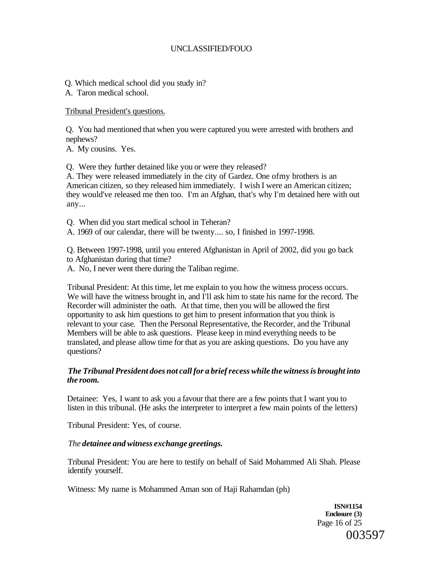Q. Which medical school did you study in?

A. Taron medical school.

Tribunal President's questions.

Q. You had mentioned that when you were captured you were arrested with brothers and nephews?

A. My cousins. Yes.

Q. Were they further detained like you or were they released?

A. They were released immediately in the city of Gardez. One ofmy brothers is an American citizen, so they released him immediately. I wish I were an American citizen; they would've released me then too. I'm an Afghan, that's why I'm detained here with out any...

Q. When did you start medical school in Teheran?

A. 1969 of our calendar, there will be twenty.... so, I finished in 1997-1998.

Q. Between 1997-1998, until you entered Afghanistan in April of 2002, did you go back to Afghanistan during that time?

A. No, I never went there during the Taliban regime.

Tribunal President: At this time, let me explain to you how the witness process occurs. We will have the witness brought in, and I'll ask him to state his name for the record. The Recorder will administer the oath. At that time, then you will be allowed the first opportunity to ask him questions to get him to present information that you think is relevant to your case. Then the Personal Representative, the Recorder, and the Tribunal Members will be able to ask questions. Please keep in mind everything needs to be translated, and please allow time for that as you are asking questions. Do you have any questions?

## *The Tribunal President does not call for a brief recess while the witness is brought into the room.*

Detainee: Yes, I want to ask you a favour that there are a few points that I want you to listen in this tribunal. (He asks the interpreter to interpret a few main points of the letters)

Tribunal President: Yes, of course.

## *The detainee and witness exchange greetings.*

Tribunal President: You are here to testify on behalf of Said Mohammed Ali Shah. Please identify yourself.

Witness: My name is Mohammed Aman son of Haji Rahamdan (ph)

**ISN#1154 Enclosure (3)**  Page 16 of 25 003597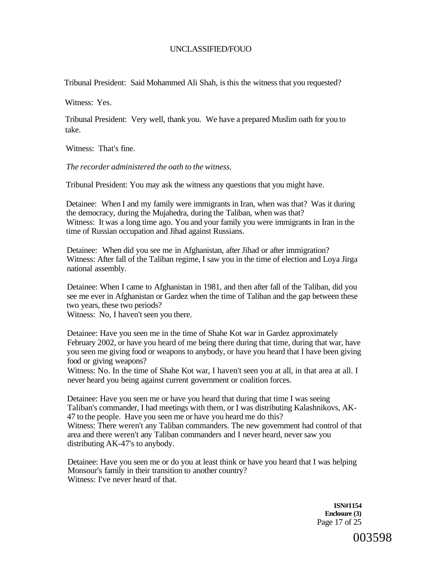Tribunal President: Said Mohammed Ali Shah, is this the witness that you requested?

Witness: Yes.

Tribunal President: Very well, thank you. We have a prepared Muslim oath for you to take.

Witness: That's fine.

*The recorder administered the oath to the witness.* 

Tribunal President: You may ask the witness any questions that you might have.

Detainee: When I and my family were immigrants in Iran, when was that? Was it during the democracy, during the Mujahedra, during the Taliban, when was that? Witness: It was a long time ago. You and your family you were immigrants in Iran in the time of Russian occupation and Jihad against Russians.

Detainee: When did you see me in Afghanistan, after Jihad or after immigration? Witness: After fall of the Taliban regime, I saw you in the time of election and Loya Jirga national assembly.

Detainee: When I came to Afghanistan in 1981, and then after fall of the Taliban, did you see me ever in Afghanistan or Gardez when the time of Taliban and the gap between these two years, these two periods?

Witness: No, I haven't seen you there.

Detainee: Have you seen me in the time of Shahe Kot war in Gardez approximately February 2002, or have you heard of me being there during that time, during that war, have you seen me giving food or weapons to anybody, or have you heard that I have been giving food or giving weapons?

Witness: No. In the time of Shahe Kot war, I haven't seen you at all, in that area at all. I never heard you being against current government or coalition forces.

Detainee: Have you seen me or have you heard that during that time I was seeing Taliban's commander, I had meetings with them, or I was distributing Kalashnikovs, AK-47 to the people. Have you seen me or have you heard me do this? Witness: There weren't any Taliban commanders. The new government had control of that area and there weren't any Taliban commanders and I never heard, never saw you distributing AK-47's to anybody.

Detainee: Have you seen me or do you at least think or have you heard that I was helping Monsour's family in their transition to another country? Witness: I've never heard of that.

> **ISN#1154 Enclosure (3)**  Page 17 of 25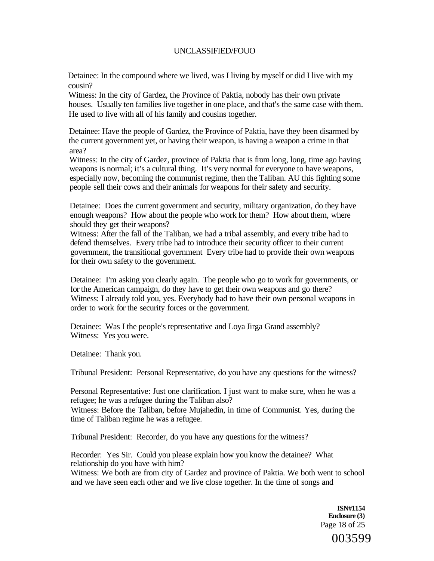Detainee: In the compound where we lived, was I living by myself or did I live with my cousin?

Witness: In the city of Gardez, the Province of Paktia, nobody has their own private houses. Usually ten families live together in one place, and that's the same case with them. He used to live with all of his family and cousins together.

Detainee: Have the people of Gardez, the Province of Paktia, have they been disarmed by the current government yet, or having their weapon, is having a weapon a crime in that area?

Witness: In the city of Gardez, province of Paktia that is from long, long, time ago having weapons is normal; it's a cultural thing. It's very normal for everyone to have weapons, especially now, becoming the communist regime, then the Taliban. AU this fighting some people sell their cows and their animals for weapons for their safety and security.

Detainee: Does the current government and security, military organization, do they have enough weapons? How about the people who work for them? How about them, where should they get their weapons?

Witness: After the fall of the Taliban, we had a tribal assembly, and every tribe had to defend themselves. Every tribe had to introduce their security officer to their current government, the transitional government Every tribe had to provide their own weapons for their own safety to the government.

Detainee: I'm asking you clearly again. The people who go to work for governments, or for the American campaign, do they have to get their own weapons and go there? Witness: I already told you, yes. Everybody had to have their own personal weapons in order to work for the security forces or the government.

Detainee: Was I the people's representative and Loya Jirga Grand assembly? Witness: Yes you were.

Detainee: Thank you.

Tribunal President: Personal Representative, do you have any questions for the witness?

Personal Representative: Just one clarification. I just want to make sure, when he was a refugee; he was a refugee during the Taliban also?

Witness: Before the Taliban, before Mujahedin, in time of Communist. Yes, during the time of Taliban regime he was a refugee.

Tribunal President: Recorder, do you have any questions for the witness?

Recorder: Yes Sir. Could you please explain how you know the detainee? What relationship do you have with him?

Witness: We both are from city of Gardez and province of Paktia. We both went to school and we have seen each other and we live close together. In the time of songs and

> **ISN#1154 Enclosure (3)**  Page 18 of 25

> > 003599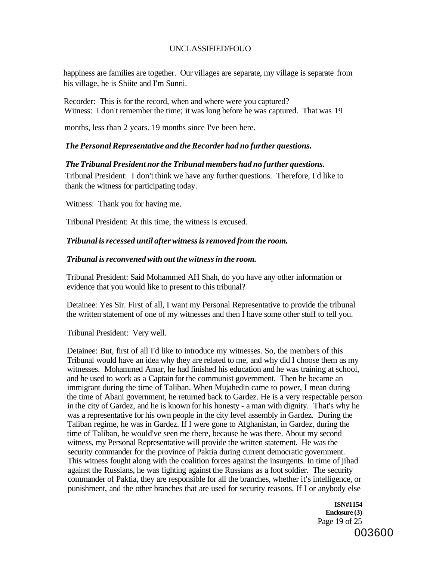happiness are families are together. Our villages are separate, my village is separate from his village, he is Shiite and I'm Sunni.

Recorder: This is for the record, when and where were you captured? Witness: I don't remember the time; it was long before he was captured. That was 19

months, less than 2 years. 19 months since I've been here.

## *The Personal Representative and the Recorder had no further questions.*

## *The Tribunal President nor the Tribunal members had no further questions.*

Tribunal President: I don't think we have any further questions. Therefore, I'd like to thank the witness for participating today.

Witness: Thank you for having me.

Tribunal President: At this time, the witness is excused.

## *Tribunal is recessed until after witness is removed from the room.*

## *Tribunal is reconvened with out the witness in the room.*

Tribunal President: Said Mohammed AH Shah, do you have any other information or evidence that you would like to present to this tribunal?

Detainee: Yes Sir. First of all, I want my Personal Representative to provide the tribunal the written statement of one of my witnesses and then I have some other stuff to tell you.

Tribunal President: Very well.

Detainee: But, first of all I'd like to introduce my witnesses. So, the members of this Tribunal would have an idea why they are related to me, and why did I choose them as my witnesses. Mohammed Amar, he had finished his education and he was training at school, and he used to work as a Captain for the communist government. Then he became an immigrant during the time of Taliban. When Mujahedin came to power, I mean during the time of Abani government, he returned back to Gardez. He is a very respectable person in the city of Gardez, and he is known for his honesty - a man with dignity. That's why he was a representative for his own people in the city level assembly in Gardez. During the Taliban regime, he was in Gardez. If I were gone to Afghanistan, in Gardez, during the time of Taliban, he would've seen me there, because he was there. About my second witness, my Personal Representative will provide the written statement. He was the security commander for the province of Paktia during current democratic government. This witness fought along with the coalition forces against the insurgents. In time of jihad against the Russians, he was fighting against the Russians as a foot soldier. The security commander of Paktia, they are responsible for all the branches, whether it's intelligence, or punishment, and the other branches that are used for security reasons. If I or anybody else

> **ISN#1154 Enclosure (3)**  Page 19 of 25 003600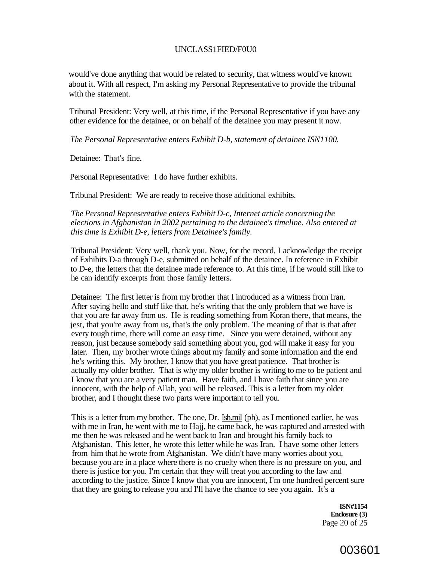#### UNCLASS1FIED/F0U0

would've done anything that would be related to security, that witness would've known about it. With all respect, I'm asking my Personal Representative to provide the tribunal with the statement.

Tribunal President: Very well, at this time, if the Personal Representative if you have any other evidence for the detainee, or on behalf of the detainee you may present it now.

*The Personal Representative enters Exhibit D-b, statement of detainee ISN1100.* 

Detainee: That's fine.

Personal Representative: I do have further exhibits.

Tribunal President: We are ready to receive those additional exhibits.

#### *The Personal Representative enters Exhibit D-c, Internet article concerning the elections in Afghanistan in 2002 pertaining to the detainee's timeline. Also entered at this time is Exhibit D-e, letters from Detainee's family.*

Tribunal President: Very well, thank you. Now, for the record, I acknowledge the receipt of Exhibits D-a through D-e, submitted on behalf of the detainee. In reference in Exhibit to D-e, the letters that the detainee made reference to. At this time, if he would still like to he can identify excerpts from those family letters.

Detainee: The first letter is from my brother that I introduced as a witness from Iran. After saying hello and stuff like that, he's writing that the only problem that we have is that you are far away from us. He is reading something from Koran there, that means, the jest, that you're away from us, that's the only problem. The meaning of that is that after every tough time, there will come an easy time. Since you were detained, without any reason, just because somebody said something about you, god will make it easy for you later. Then, my brother wrote things about my family and some information and the end he's writing this. My brother, I know that you have great patience. That brother is actually my older brother. That is why my older brother is writing to me to be patient and I know that you are a very patient man. Have faith, and I have faith that since you are innocent, with the help of Allah, you will be released. This is a letter from my older brother, and I thought these two parts were important to tell you.

This is a letter from my brother. The one, Dr. [Ish.mil \(](http://Ish.mil)ph), as I mentioned earlier, he was with me in Iran, he went with me to Hajj, he came back, he was captured and arrested with me then he was released and he went back to Iran and brought his family back to Afghanistan. This letter, he wrote this letter while he was Iran. I have some other letters from him that he wrote from Afghanistan. We didn't have many worries about you, because you are in a place where there is no cruelty when there is no pressure on you, and there is justice for you. I'm certain that they will treat you according to the law and according to the justice. Since I know that you are innocent, I'm one hundred percent sure that they are going to release you and I'll have the chance to see you again. It's a

> **ISN#1154 Enclosure (3)**  Page 20 of 25

# 003601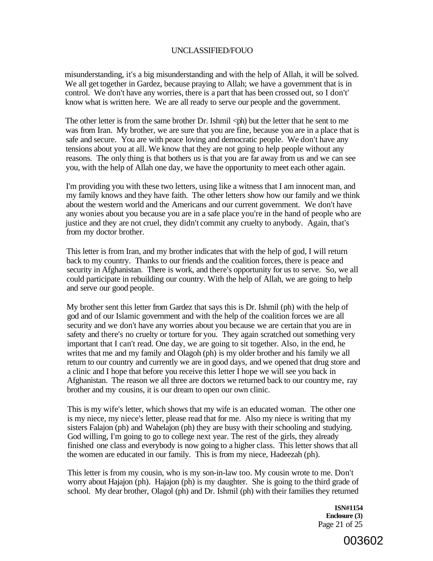misunderstanding, it's a big misunderstanding and with the help of Allah, it will be solved. We all get together in Gardez, because praying to Allah; we have a government that is in control. We don't have any worries, there is a part that has been crossed out, so I don't' know what is written here. We are all ready to serve our people and the government.

The other letter is from the same brother Dr. Ishmil  $\langle$ ph) but the letter that he sent to me was from Iran. My brother, we are sure that you are fine, because you are in a place that is safe and secure. You are with peace loving and democratic people. We don't have any tensions about you at all. We know that they are not going to help people without any reasons. The only thing is that bothers us is that you are far away from us and we can see you, with the help of Allah one day, we have the opportunity to meet each other again.

I'm providing you with these two letters, using like a witness that I am innocent man, and my family knows and they have faith. The other letters show how our family and we think about the western world and the Americans and our current government. We don't have any wonies about you because you are in a safe place you're in the hand of people who are justice and they are not cruel, they didn't commit any cruelty to anybody. Again, that's from my doctor brother.

This letter is from Iran, and my brother indicates that with the help of god, I will return back to my country. Thanks to our friends and the coalition forces, there is peace and security in Afghanistan. There is work, and there's opportunity for us to serve. So, we all could participate in rebuilding our country. With the help of Allah, we are going to help and serve our good people.

My brother sent this letter from Gardez that says this is Dr. Ishmil (ph) with the help of god and of our Islamic government and with the help of the coalition forces we are all security and we don't have any worries about you because we are certain that you are in safety and there's no cruelty or torture for you. They again scratched out something very important that I can't read. One day, we are going to sit together. Also, in the end, he writes that me and my family and Olagoh (ph) is my older brother and his family we all return to our country and currently we are in good days, and we opened that drug store and a clinic and I hope that before you receive this letter I hope we will see you back in Afghanistan. The reason we all three are doctors we returned back to our country me, ray brother and my cousins, it is our dream to open our own clinic.

This is my wife's letter, which shows that my wife is an educated woman. The other one is my niece, my niece's letter, please read that for me. Also my niece is writing that my sisters Falajon (ph) and Wahelajon (ph) they are busy with their schooling and studying. God willing, I'm going to go to college next year. The rest of the girls, they already finished one class and everybody is now going to a higher class. This letter shows that all the women are educated in our family. This is from my niece, Hadeezah (ph).

This letter is from my cousin, who is my son-in-law too. My cousin wrote to me. Don't worry about Hajajon (ph). Hajajon (ph) is my daughter. She is going to the third grade of school. My dear brother, Olagol (ph) and Dr. Ishmil (ph) with their families they returned

> **ISN#1154 Enclosure (3)**  Page 21 of 25

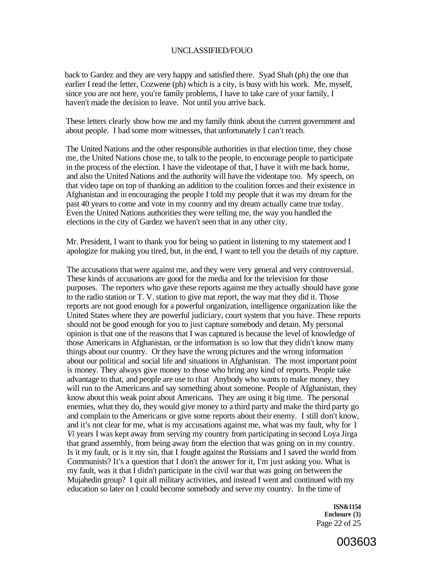back to Gardez and they are very happy and satisfied there. Syad Shah (ph) the one that earlier I read the letter, Cozwene (ph) which is a city, is busy with his work. Me, myself, since you are not here, you're family problems, I have to take care of your family, I haven't made the decision to leave. Not until you arrive back.

These letters clearly show how me and my family think about the current government and about people. I had some more witnesses, that unfortunately I can't reach.

The United Nations and the other responsible authorities in that election time, they chose me, the United Nations chose me, to talk to the people, to encourage people to participate in the process of the election. I have the videotape of that, I have it with me back home, and also the United Nations and the authority will have the videotape too. My speech, on that video tape on top of thanking an addition to the coalition forces and their existence in Afghanistan and in encouraging the people I told my people that it was my dream for the past 40 years to come and vote in my country and my dream actually came true today. Even the United Nations authorities they were telling me, the way you handled the elections in the city of Gardez we haven't seen that in any other city.

Mr. President, I want to thank you for being so patient in listening to my statement and I apologize for making you tired, but, in the end, I want to tell you the details of my capture.

The accusations that were against me, and they were very general and very controversial. These kinds of accusations are good for the media and for the television for those purposes. The reporters who gave these reports against me they actually should have gone to the radio station or T. V. station to give mat report, the way mat they did it. Those reports are not good enough for a powerful organization, intelligence organization like the United States where they are powerful judiciary, court system that you have. These reports should not be good enough for you to just capture somebody and detain. My personal opinion is that one of the reasons that I was captured is because the level of knowledge of those Americans in Afghanistan, or the information is so low that they didn't know many things about our country. Or they have the wrong pictures and the wrong information about our political and social life and situations in Afghanistan. The most important point is money. They always give money to those who bring any kind of reports. People take advantage to that, and people are use to that Anybody who wants to make money, they will run to the Americans and say something about someone. People of Afghanistan, they know about this weak point about Americans. They are using it big time. The personal enemies, what they do, they would give money to a third party and make the third party go and complain to the Americans or give some reports about their enemy. I still don't know, and it's not clear for me, what is my accusations against me, what was my fault, why for 1 *Vi* years I was kept away from serving my country from participating in second Loya Jirga that grand assembly, from being away from the election that was going on in my country. Is it my fault, or is it my sin, that I fought against the Russians and I saved the world from Communists? It's a question that I don't the answer for it, I'm just asking you. What is my fault, was it that I didn't participate in the civil war that was going on between the Mujahedin group? I quit all military activities, and instead I went and continued with my education so later on I could become somebody and serve my country. In the time of

> **ISN&1154 Enclosure (3)**  Page 22 of 25

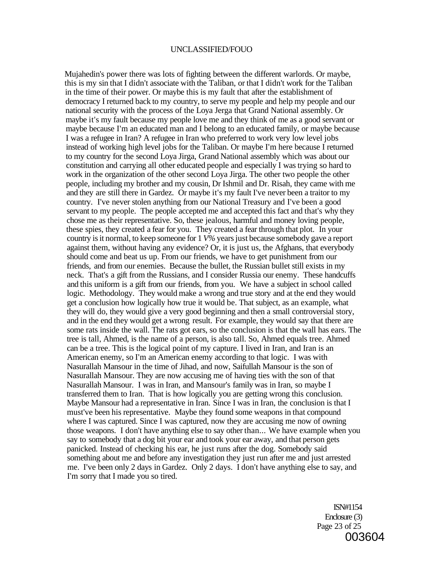Mujahedin's power there was lots of fighting between the different warlords. Or maybe, this is my sin that I didn't associate with the Taliban, or that I didn't work for the Taliban in the time of their power. Or maybe this is my fault that after the establishment of democracy I returned back to my country, to serve my people and help my people and our national security with the process of the Loya Jerga that Grand National assembly. Or maybe it's my fault because my people love me and they think of me as a good servant or maybe because I'm an educated man and I belong to an educated family, or maybe because I was a refugee in Iran? A refugee in Iran who preferred to work very low level jobs instead of working high level jobs for the Taliban. Or maybe I'm here because I returned to my country for the second Loya Jirga, Grand National assembly which was about our constitution and carrying all other educated people and especially I was trying so hard to work in the organization of the other second Loya Jirga. The other two people the other people, including my brother and my cousin, Dr Ishmil and Dr. Risah, they came with me and they are still there in Gardez. Or maybe it's my fault I've never been a traitor to my country. I've never stolen anything from our National Treasury and I've been a good servant to my people. The people accepted me and accepted this fact and that's why they chose me as their representative. So, these jealous, harmful and money loving people, these spies, they created a fear for you. They created a fear through that plot. In your country is it normal, to keep someone for 1 *V%* years just because somebody gave a report against them, without having any evidence? Or, it is just us, the Afghans, that everybody should come and beat us up. From our friends, we have to get punishment from our friends, and from our enemies. Because the bullet, the Russian bullet still exists in my neck. That's a gift from the Russians, and I consider Russia our enemy. These handcuffs and this uniform is a gift from our friends, from you. We have a subject in school called logic. Methodology. They would make a wrong and true story and at the end they would get a conclusion how logically how true it would be. That subject, as an example, what they will do, they would give a very good beginning and then a small controversial story, and in the end they would get a wrong result. For example, they would say that there are some rats inside the wall. The rats got ears, so the conclusion is that the wall has ears. The tree is tall, Ahmed, is the name of a person, is also tall. So, Ahmed equals tree. Ahmed can be a tree. This is the logical point of my capture. I lived in Iran, and Iran is an American enemy, so I'm an American enemy according to that logic. I was with Nasurallah Mansour in the time of Jihad, and now, Saifullah Mansour is the son of Nasurallah Mansour. They are now accusing me of having ties with the son of that Nasurallah Mansour. I was in Iran, and Mansour's family was in Iran, so maybe I transferred them to Iran. That is how logically you are getting wrong this conclusion. Maybe Mansour had a representative in Iran. Since I was in Iran, the conclusion is that I must've been his representative. Maybe they found some weapons in that compound where I was captured. Since I was captured, now they are accusing me now of owning those weapons. I don't have anything else to say other than... We have example when you say to somebody that a dog bit your ear and took your ear away, and that person gets panicked. Instead of checking his ear, he just runs after the dog. Somebody said something about me and before any investigation they just run after me and just arrested me. I've been only 2 days in Gardez. Only 2 days. I don't have anything else to say, and I'm sorry that I made you so tired.

> ISN#1154 Enclosure (3) Page 23 of 25 003604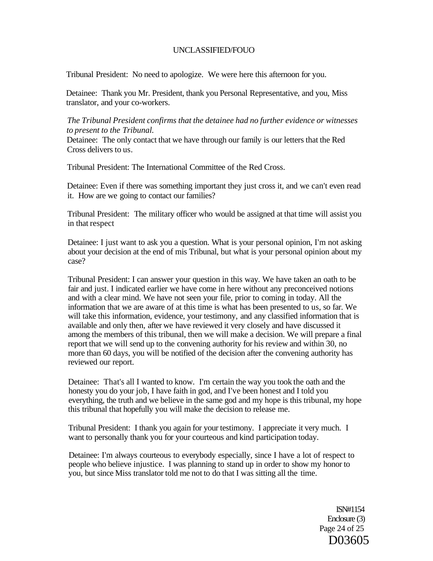Tribunal President: No need to apologize. We were here this afternoon for you.

Detainee: Thank you Mr. President, thank you Personal Representative, and you, Miss translator, and your co-workers.

*The Tribunal President confirms that the detainee had no further evidence or witnesses to present to the Tribunal.* 

Detainee: The only contact that we have through our family is our letters that the Red Cross delivers to us.

Tribunal President: The International Committee of the Red Cross.

Detainee: Even if there was something important they just cross it, and we can't even read it. How are we going to contact our families?

Tribunal President: The military officer who would be assigned at that time will assist you in that respect

Detainee: I just want to ask you a question. What is your personal opinion, I'm not asking about your decision at the end of mis Tribunal, but what is your personal opinion about my case?

Tribunal President: I can answer your question in this way. We have taken an oath to be fair and just. I indicated earlier we have come in here without any preconceived notions and with a clear mind. We have not seen your file, prior to coming in today. All the information that we are aware of at this time is what has been presented to us, so far. We will take this information, evidence, your testimony, and any classified information that is available and only then, after we have reviewed it very closely and have discussed it among the members of this tribunal, then we will make a decision. We will prepare a final report that we will send up to the convening authority for his review and within 30, no more than 60 days, you will be notified of the decision after the convening authority has reviewed our report.

Detainee: That's all I wanted to know. I'm certain the way you took the oath and the honesty you do your job, I have faith in god, and I've been honest and I told you everything, the truth and we believe in the same god and my hope is this tribunal, my hope this tribunal that hopefully you will make the decision to release me.

Tribunal President: I thank you again for your testimony. I appreciate it very much. I want to personally thank you for your courteous and kind participation today.

Detainee: I'm always courteous to everybody especially, since I have a lot of respect to people who believe injustice. I was planning to stand up in order to show my honor to you, but since Miss translator told me not to do that I was sitting all the time.

> ISN#1154 Enclosure (3) Page 24 of 25 D03605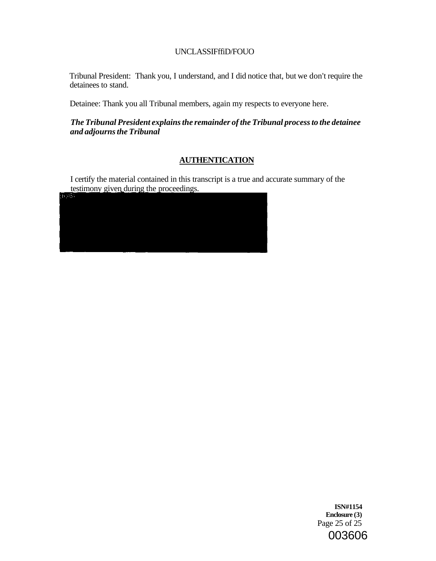## UNCLASSIFffiD/FOUO

Tribunal President: Thank you, I understand, and I did notice that, but we don't require the detainees to stand.

Detainee: Thank you all Tribunal members, again my respects to everyone here.

## *The Tribunal President explains the remainder of the Tribunal process to the detainee and adjourns the Tribunal*

# **AUTHENTICATION**

I certify the material contained in this transcript is a true and accurate summary of the testimony given during the proceedings.



**ISN#1154 Enclosure (3)**  Page 25 of 25 003606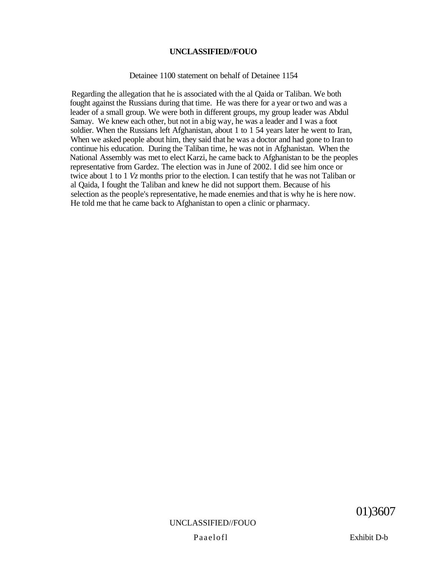#### Detainee 1100 statement on behalf of Detainee 1154

Regarding the allegation that he is associated with the al Qaida or Taliban. We both fought against the Russians during that time. He was there for a year or two and was a leader of a small group. We were both in different groups, my group leader was Abdul Samay. We knew each other, but not in a big way, he was a leader and I was a foot soldier. When the Russians left Afghanistan, about 1 to 1 54 years later he went to Iran, When we asked people about him, they said that he was a doctor and had gone to Iran to continue his education. During the Taliban time, he was not in Afghanistan. When the National Assembly was met to elect Karzi, he came back to Afghanistan to be the peoples representative from Gardez. The election was in June of 2002. I did see him once or twice about 1 to 1 *Vz* months prior to the election. I can testify that he was not Taliban or al Qaida, I fought the Taliban and knew he did not support them. Because of his selection as the people's representative, he made enemies and that is why he is here now. He told me that he came back to Afghanistan to open a clinic or pharmacy.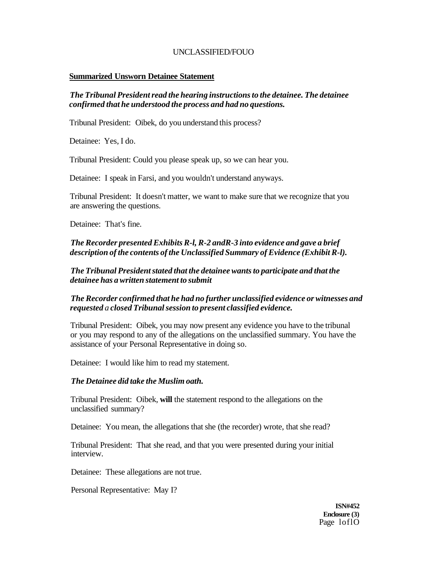#### **Summarized Unsworn Detainee Statement**

## *The Tribunal President read the hearing instructions to the detainee. The detainee confirmed that he understood the process and had no questions.*

Tribunal President: Oibek, do you understand this process?

Detainee: Yes, I do.

Tribunal President: Could you please speak up, so we can hear you.

Detainee: I speak in Farsi, and you wouldn't understand anyways.

Tribunal President: It doesn't matter, we want to make sure that we recognize that you are answering the questions.

Detainee: That's fine.

*The Recorder presented Exhibits R-l, R-2 andR-3 into evidence and gave a brief description of the contents of the Unclassified Summary of Evidence (Exhibit R-l).* 

*The Tribunal President stated that the detainee wants to participate and that the detainee has a written statement to submit* 

# *The Recorder confirmed that he had no further unclassified evidence or witnesses and requested a closed Tribunal session to present classified evidence.*

Tribunal President: Oibek, you may now present any evidence you have to the tribunal or you may respond to any of the allegations on the unclassified summary. You have the assistance of your Personal Representative in doing so.

Detainee: I would like him to read my statement.

## *The Detainee did take the Muslim oath.*

Tribunal President: Oibek, **will** the statement respond to the allegations on the unclassified summary?

Detainee: You mean, the allegations that she (the recorder) wrote, that she read?

Tribunal President: That she read, and that you were presented during your initial interview.

Detainee: These allegations are not true.

Personal Representative: May I?

**ISN#452 Enclosure (3)**  Page loflO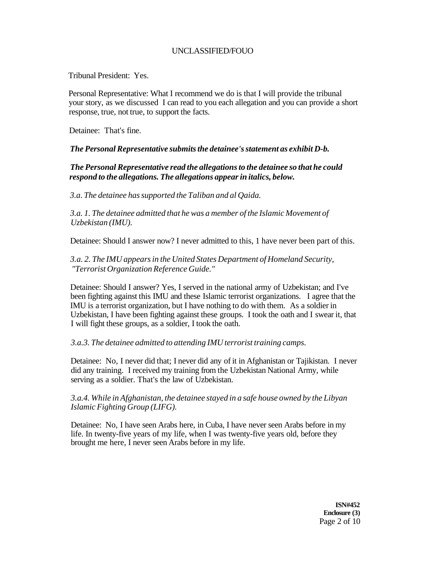Tribunal President: Yes.

Personal Representative: What I recommend we do is that I will provide the tribunal your story, as we discussed I can read to you each allegation and you can provide a short response, true, not true, to support the facts.

Detainee: That's fine.

## *The Personal Representative submits the detainee's statement as exhibit D-b.*

# *The Personal Representative read the allegations to the detainee so that he could respond to the allegations. The allegations appear in italics, below.*

*3.a. The detainee has supported the Taliban and al Qaida.* 

*3.a. 1. The detainee admitted that he was a member of the Islamic Movement of Uzbekistan (IMU).* 

Detainee: Should I answer now? I never admitted to this, 1 have never been part of this.

*3.a. 2. The IMU appears in the United States Department of Homeland Security, "Terrorist Organization Reference Guide."* 

Detainee: Should I answer? Yes, I served in the national army of Uzbekistan; and I've been fighting against this IMU and these Islamic terrorist organizations. I agree that the IMU is a terrorist organization, but I have nothing to do with them. As a soldier in Uzbekistan, I have been fighting against these groups. I took the oath and I swear it, that I will fight these groups, as a soldier, I took the oath.

## *3.a.3. The detainee admitted to attending IMU terrorist training camps.*

Detainee: No, I never did that; I never did any of it in Afghanistan or Tajikistan. I never did any training. I received my training from the Uzbekistan National Army, while serving as a soldier. That's the law of Uzbekistan.

*3.a.4. While in Afghanistan, the detainee stayed in a safe house owned by the Libyan Islamic Fighting Group (LIFG).* 

Detainee: No, I have seen Arabs here, in Cuba, I have never seen Arabs before in my life. In twenty-five years of my life, when I was twenty-five years old, before they brought me here, I never seen Arabs before in my life.

> **ISN#452 Enclosure (3)**  Page 2 of 10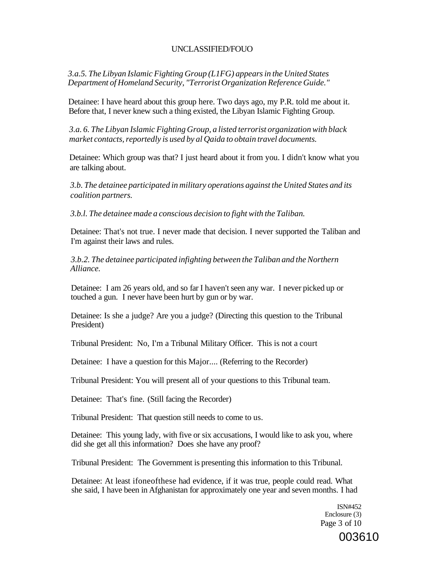*3.a.5. The Libyan Islamic Fighting Group (L1FG) appears in the United States Department of Homeland Security, "Terrorist Organization Reference Guide."* 

Detainee: I have heard about this group here. Two days ago, my P.R. told me about it. Before that, I never knew such a thing existed, the Libyan Islamic Fighting Group.

*3.a. 6. The Libyan Islamic Fighting Group, a listed terrorist organization with black market contacts, reportedly is used by al Qaida to obtain travel documents.* 

Detainee: Which group was that? I just heard about it from you. I didn't know what you are talking about.

*3.b. The detainee participated in military operations against the United States and its coalition partners.* 

*3.b.l. The detainee made a conscious decision to fight with the Taliban.* 

Detainee: That's not true. I never made that decision. I never supported the Taliban and I'm against their laws and rules.

*3.b.2. The detainee participated infighting between the Taliban and the Northern Alliance.* 

Detainee: I am 26 years old, and so far I haven't seen any war. I never picked up or touched a gun. I never have been hurt by gun or by war.

Detainee: Is she a judge? Are you a judge? (Directing this question to the Tribunal President)

Tribunal President: No, I'm a Tribunal Military Officer. This is not a court

Detainee: I have a question for this Major.... (Referring to the Recorder)

Tribunal President: You will present all of your questions to this Tribunal team.

Detainee: That's fine. (Still facing the Recorder)

Tribunal President: That question still needs to come to us.

Detainee: This young lady, with five or six accusations, I would like to ask you, where did she get all this information? Does she have any proof?

Tribunal President: The Government is presenting this information to this Tribunal.

Detainee: At least ifoneofthese had evidence, if it was true, people could read. What she said, I have been in Afghanistan for approximately one year and seven months. I had

> ISN#452 Enclosure (3) Page 3 of 10

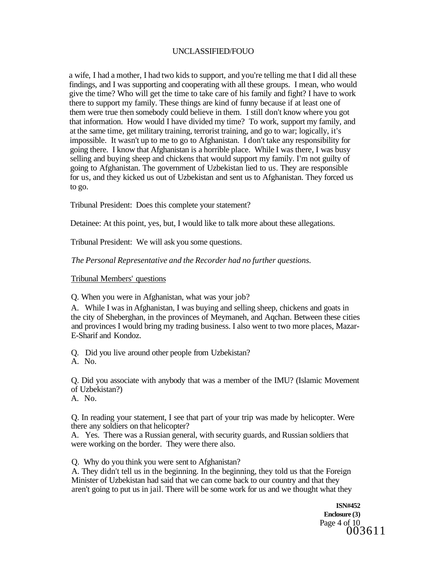a wife, I had a mother, I had two kids to support, and you're telling me that I did all these findings, and I was supporting and cooperating with all these groups. I mean, who would give the time? Who will get the time to take care of his family and fight? I have to work there to support my family. These things are kind of funny because if at least one of them were true then somebody could believe in them. I still don't know where you got that information. How would I have divided my time? To work, support my family, and at the same time, get military training, terrorist training, and go to war; logically, it's impossible. It wasn't up to me to go to Afghanistan. I don't take any responsibility for going there. I know that Afghanistan is a horrible place. While I was there, I was busy selling and buying sheep and chickens that would support my family. I'm not guilty of going to Afghanistan. The government of Uzbekistan lied to us. They are responsible for us, and they kicked us out of Uzbekistan and sent us to Afghanistan. They forced us to go.

Tribunal President: Does this complete your statement?

Detainee: At this point, yes, but, I would like to talk more about these allegations.

Tribunal President: We will ask you some questions.

#### *The Personal Representative and the Recorder had no further questions.*

Tribunal Members' questions

Q. When you were in Afghanistan, what was your job?

A. While I was in Afghanistan, I was buying and selling sheep, chickens and goats in the city of Sheberghan, in the provinces of Meymaneh, and Aqchan. Between these cities and provinces I would bring my trading business. I also went to two more places, Mazar-E-Sharif and Kondoz.

Q. Did you live around other people from Uzbekistan? A. No.

Q. Did you associate with anybody that was a member of the IMU? (Islamic Movement of Uzbekistan?)

A. No.

Q. In reading your statement, I see that part of your trip was made by helicopter. Were there any soldiers on that helicopter?

A. Yes. There was a Russian general, with security guards, and Russian soldiers that were working on the border. They were there also.

Q. Why do you think you were sent to Afghanistan?

A. They didn't tell us in the beginning. In the beginning, they told us that the Foreign Minister of Uzbekistan had said that we can come back to our country and that they aren't going to put us in jail. There will be some work for us and we thought what they

> **ISN#452 Enclosure (3)**  Page 4 of 10 003611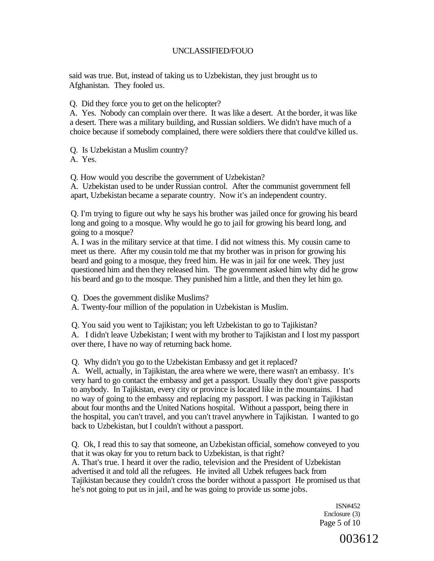said was true. But, instead of taking us to Uzbekistan, they just brought us to Afghanistan. They fooled us.

Q. Did they force you to get on the helicopter?

A. Yes. Nobody can complain over there. It was like a desert. At the border, it was like a desert. There was a military building, and Russian soldiers. We didn't have much of a choice because if somebody complained, there were soldiers there that could've killed us.

Q. Is Uzbekistan a Muslim country?

A. Yes.

Q. How would you describe the government of Uzbekistan?

A. Uzbekistan used to be under Russian control. After the communist government fell apart, Uzbekistan became a separate country. Now it's an independent country.

Q. I'm trying to figure out why he says his brother was jailed once for growing his beard long and going to a mosque. Why would he go to jail for growing his beard long, and going to a mosque?

A. I was in the military service at that time. I did not witness this. My cousin came to meet us there. After my cousin told me that my brother was in prison for growing his beard and going to a mosque, they freed him. He was in jail for one week. They just questioned him and then they released him. The government asked him why did he grow his beard and go to the mosque. They punished him a little, and then they let him go.

Q. Does the government dislike Muslims?

A. Twenty-four million of the population in Uzbekistan is Muslim.

Q. You said you went to Tajikistan; you left Uzbekistan to go to Tajikistan?

A. I didn't leave Uzbekistan; I went with my brother to Tajikistan and I lost my passport over there, I have no way of returning back home.

Q. Why didn't you go to the Uzbekistan Embassy and get it replaced?

A. Well, actually, in Tajikistan, the area where we were, there wasn't an embassy. It's very hard to go contact the embassy and get a passport. Usually they don't give passports to anybody. In Tajikistan, every city or province is located like in the mountains. I had no way of going to the embassy and replacing my passport. I was packing in Tajikistan about four months and the United Nations hospital. Without a passport, being there in the hospital, you can't travel, and you can't travel anywhere in Tajikistan. I wanted to go back to Uzbekistan, but I couldn't without a passport.

Q. Ok, I read this to say that someone, an Uzbekistan official, somehow conveyed to you that it was okay for you to return back to Uzbekistan, is that right? A. That's true. I heard it over the radio, television and the President of Uzbekistan advertised it and told all the refugees. He invited all Uzbek refugees back from Tajikistan because they couldn't cross the border without a passport He promised us that he's not going to put us in jail, and he was going to provide us some jobs.

> ISN#452 Enclosure (3) Page 5 of 10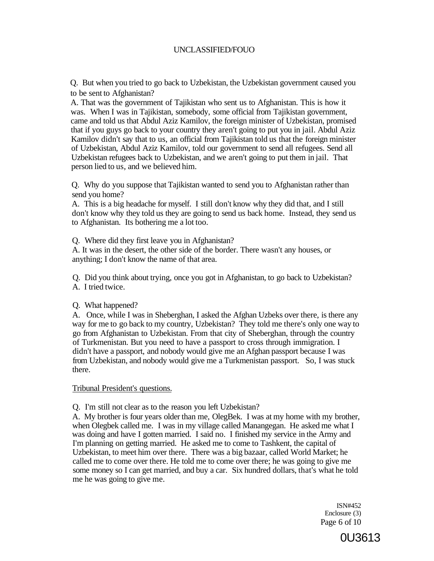Q. But when you tried to go back to Uzbekistan, the Uzbekistan government caused you to be sent to Afghanistan?

A. That was the government of Tajikistan who sent us to Afghanistan. This is how it was. When I was in Tajikistan, somebody, some official from Tajikistan government, came and told us that Abdul Aziz Kamilov, the foreign minister of Uzbekistan, promised that if you guys go back to your country they aren't going to put you in jail. Abdul Aziz Kamilov didn't say that to us, an official from Tajikistan told us that the foreign minister of Uzbekistan, Abdul Aziz Kamilov, told our government to send all refugees. Send all Uzbekistan refugees back to Uzbekistan, and we aren't going to put them in jail. That person lied to us, and we believed him.

Q. Why do you suppose that Tajikistan wanted to send you to Afghanistan rather than send you home?

A. This is a big headache for myself. I still don't know why they did that, and I still don't know why they told us they are going to send us back home. Instead, they send us to Afghanistan. Its bothering me a lot too.

Q. Where did they first leave you in Afghanistan? A. It was in the desert, the other side of the border. There wasn't any houses, or anything; I don't know the name of that area.

Q. Did you think about trying, once you got in Afghanistan, to go back to Uzbekistan? A. I tried twice.

Q. What happened?

A. Once, while I was in Sheberghan, I asked the Afghan Uzbeks over there, is there any way for me to go back to my country, Uzbekistan? They told me there's only one way to go from Afghanistan to Uzbekistan. From that city of Sheberghan, through the country of Turkmenistan. But you need to have a passport to cross through immigration. I didn't have a passport, and nobody would give me an Afghan passport because I was from Uzbekistan, and nobody would give me a Turkmenistan passport. So, I was stuck there.

Tribunal President's questions.

Q. I'm still not clear as to the reason you left Uzbekistan?

A. My brother is four years older than me, OlegBek. I was at my home with my brother, when Olegbek called me. I was in my village called Manangegan. He asked me what I was doing and have I gotten married. I said no. I finished my service in the Army and I'm planning on getting married. He asked me to come to Tashkent, the capital of Uzbekistan, to meet him over there. There was a big bazaar, called World Market; he called me to come over there. He told me to come over there; he was going to give me some money so I can get married, and buy a car. Six hundred dollars, that's what he told me he was going to give me.

> ISN#452 Enclosure (3) Page 6 of 10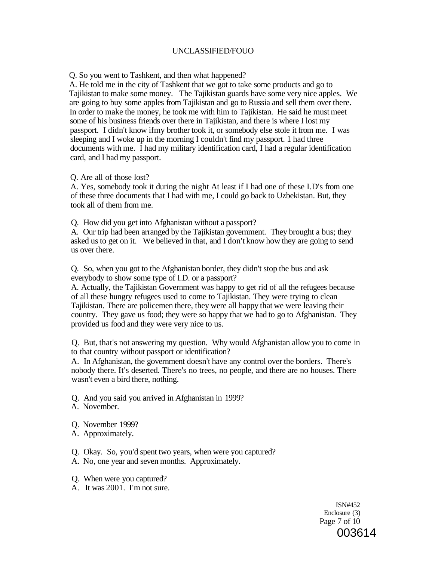Q. So you went to Tashkent, and then what happened?

A. He told me in the city of Tashkent that we got to take some products and go to Tajikistan to make some money. The Tajikistan guards have some very nice apples. We are going to buy some apples from Tajikistan and go to Russia and sell them over there. In order to make the money, he took me with him to Tajikistan. He said he must meet some of his business friends over there in Tajikistan, and there is where I lost my passport. I didn't know ifmy brother took it, or somebody else stole it from me. I was sleeping and I woke up in the morning I couldn't find my passport. 1 had three documents with me. I had my military identification card, I had a regular identification card, and I had my passport.

Q. Are all of those lost?

A. Yes, somebody took it during the night At least if I had one of these I.D's from one of these three documents that I had with me, I could go back to Uzbekistan. But, they took all of them from me.

Q. How did you get into Afghanistan without a passport?

A. Our trip had been arranged by the Tajikistan government. They brought a bus; they asked us to get on it. We believed in that, and I don't know how they are going to send us over there.

Q. So, when you got to the Afghanistan border, they didn't stop the bus and ask everybody to show some type of I.D. or a passport?

A. Actually, the Tajikistan Government was happy to get rid of all the refugees because of all these hungry refugees used to come to Tajikistan. They were trying to clean Tajikistan. There are policemen there, they were all happy that we were leaving their country. They gave us food; they were so happy that we had to go to Afghanistan. They provided us food and they were very nice to us.

Q. But, that's not answering my question. Why would Afghanistan allow you to come in to that country without passport or identification?

A. In Afghanistan, the government doesn't have any control over the borders. There's nobody there. It's deserted. There's no trees, no people, and there are no houses. There wasn't even a bird there, nothing.

Q. And you said you arrived in Afghanistan in 1999?

- A. November.
- Q. November 1999?
- A. Approximately.
- Q. Okay. So, you'd spent two years, when were you captured?
- A. No, one year and seven months. Approximately.
- Q. When were you captured?
- A. It was 2001. I'm not sure.

ISN#452 Enclosure (3) Page 7 of 10 003614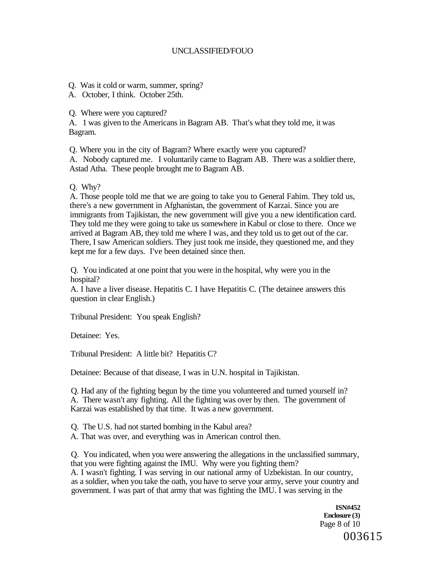- Q. Was it cold or warm, summer, spring?
- A. October, I think. October 25th.

Q. Where were you captured?

A. 1 was given to the Americans in Bagram AB. That's what they told me, it was Bagram.

Q. Where you in the city of Bagram? Where exactly were you captured?

A. Nobody captured me. I voluntarily came to Bagram AB. There was a soldier there, Astad Atha. These people brought me to Bagram AB.

## Q. Why?

A. Those people told me that we are going to take you to General Fahim. They told us, there's a new government in Afghanistan, the government of Karzai. Since you are immigrants from Tajikistan, the new government will give you a new identification card. They told me they were going to take us somewhere in Kabul or close to there. Once we arrived at Bagram AB, they told me where I was, and they told us to get out of the car. There, I saw American soldiers. They just took me inside, they questioned me, and they kept me for a few days. I've been detained since then.

Q. You indicated at one point that you were in the hospital, why were you in the hospital?

A. I have a liver disease. Hepatitis C. I have Hepatitis C. (The detainee answers this question in clear English.)

Tribunal President: You speak English?

Detainee: Yes.

Tribunal President: A little bit? Hepatitis C?

Detainee: Because of that disease, I was in U.N. hospital in Tajikistan.

Q. Had any of the fighting begun by the time you volunteered and turned yourself in? A. There wasn't any fighting. All the fighting was over by then. The government of Karzai was established by that time. It was a new government.

Q. The U.S. had not started bombing in the Kabul area?

A. That was over, and everything was in American control then.

Q. You indicated, when you were answering the allegations in the unclassified summary, that you were fighting against the IMU. Why were you fighting them?

A. I wasn't fighting. I was serving in our national army of Uzbekistan. In our country, as a soldier, when you take the oath, you have to serve your army, serve your country and government. I was part of that army that was fighting the IMU. I was serving in the

> **ISN#452 Enclosure (3)**  Page 8 of 10 003615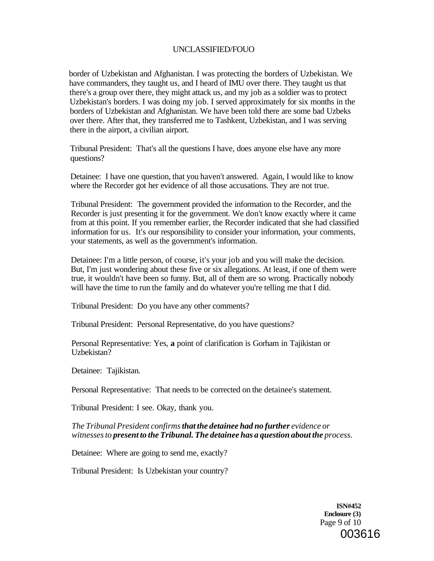border of Uzbekistan and Afghanistan. I was protecting the borders of Uzbekistan. We have commanders, they taught us, and I heard of IMU over there. They taught us that there's a group over there, they might attack us, and my job as a soldier was to protect Uzbekistan's borders. I was doing my job. I served approximately for six months in the borders of Uzbekistan and Afghanistan. We have been told there are some bad Uzbeks over there. After that, they transferred me to Tashkent, Uzbekistan, and I was serving there in the airport, a civilian airport.

Tribunal President: That's all the questions I have, does anyone else have any more questions?

Detainee: I have one question, that you haven't answered. Again, I would like to know where the Recorder got her evidence of all those accusations. They are not true.

Tribunal President: The government provided the information to the Recorder, and the Recorder is just presenting it for the government. We don't know exactly where it came from at this point. If you remember earlier, the Recorder indicated that she had classified information for us. It's our responsibility to consider your information, your comments, your statements, as well as the government's information.

Detainee: I'm a little person, of course, it's your job and you will make the decision. But, I'm just wondering about these five or six allegations. At least, if one of them were true, it wouldn't have been so funny. But, all of them are so wrong. Practically nobody will have the time to run the family and do whatever you're telling me that I did.

Tribunal President: Do you have any other comments?

Tribunal President: Personal Representative, do you have questions?

Personal Representative: Yes, **a** point of clarification is Gorham in Tajikistan or Uzbekistan?

Detainee: Tajikistan.

Personal Representative: That needs to be corrected on the detainee's statement.

Tribunal President: I see. Okay, thank you.

*The Tribunal President confirms that the detainee had no further evidence or witnesses to present to the Tribunal. The detainee has a question about the process.* 

Detainee: Where are going to send me, exactly?

Tribunal President: Is Uzbekistan your country?

**ISN#452 Enclosure (3)**  Page 9 of 10 003616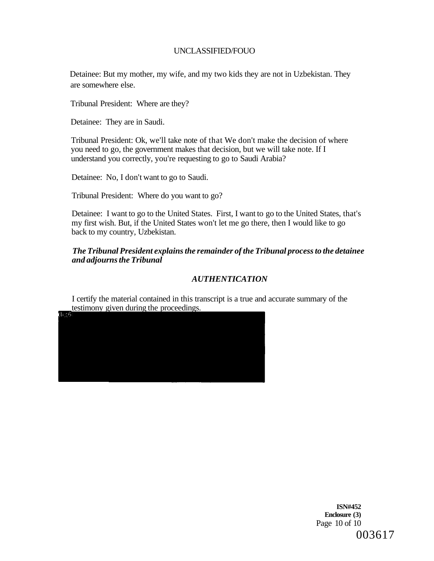Detainee: But my mother, my wife, and my two kids they are not in Uzbekistan. They are somewhere else.

Tribunal President: Where are they?

Detainee: They are in Saudi.

Tribunal President: Ok, we'll take note of that We don't make the decision of where you need to go, the government makes that decision, but we will take note. If I understand you correctly, you're requesting to go to Saudi Arabia?

Detainee: No, I don't want to go to Saudi.

Tribunal President: Where do you want to go?

Detainee: I want to go to the United States. First, I want to go to the United States, that's my first wish. But, if the United States won't let me go there, then I would like to go back to my country, Uzbekistan.

### *The Tribunal President explains the remainder of the Tribunal process to the detainee and adjourns the Tribunal*

# *AUTHENTICATION*

I certify the material contained in this transcript is a true and accurate summary of the testimony given during the proceedings.

**ISN#452 Enclosure (3)**  Page 10 of 10 003617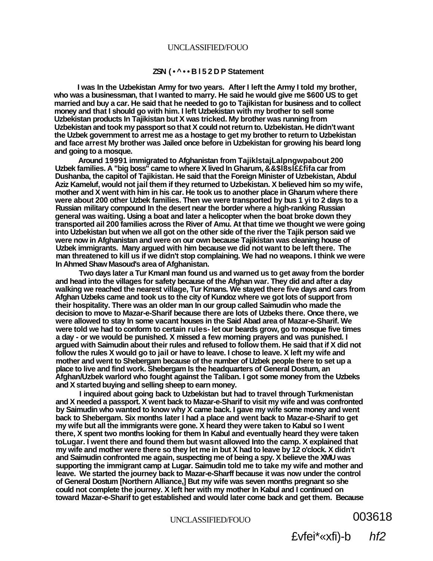#### **ZSN (•^••Bl52D P Statement**

**I was In the Uzbekistan Army for two years. After I left the Army I told my brother, who was a businessman, that I wanted to marry. He said he would give me \$600 US to get married and buy a car. He said that he needed to go to Tajikistan for business and to collect money and that I should go with him. I left Uzbekistan with my brother to sell some Uzbekistan products In Tajikistan but X was tricked. My brother was running from Uzbekistan and took my passport so that X could not return to. Uzbekistan. He didn't want the Uzbek government to arrest me as a hostage to get my brother to return to Uzbekistan and face arrest My brother was Jailed once before in Uzbekistan for growing his beard long and going to a mosque.** 

**Around 19991 immigrated to Afghanistan from TajiklstajLalpngwpabout 200 Uzbek families. A "big boss" came to where X lived In Gharum, &&\$l8sl££fifa car from Dushanba, the capitol of Tajikistan. He said that the Foreign Minister of Uzbekistan, Abdul Aziz Kameluf, would not jail them if they returned to Uzbekistan. X believed him so my wife, mother and X went with him in his car. He took us to another place in Gharum where there were about 200 other Uzbek families. Then we were transported by bus 1 yi to 2 days to a Russian military compound In the desert near the border where a high-ranking Russian general was waiting. Using a boat and later a helicopter when the boat broke down they transported ail 200 families across the River of Amu. At that time we thought we were going into Uzbekistan but when we all got on the other side of the river the Tajik person said we were now in Afghanistan and were on our own because Tajikistan was cleaning house of Uzbek immigrants. Many argued with him because we did not want to be left there. The man threatened to kill us if we didn't stop complaining. We had no weapons. I think we were In Ahmed Shaw Masoud's area of Afghanistan.** 

**Two days later a Tur Kmanl man found us and warned us to get away from the border and head into the villages for safety because of the Afghan war. They did and after a day walking we reached the nearest village, Tur Kmans. We stayed there five days and cars from Afghan Uzbeks came and took us to the city of Kundoz where we got lots of support from their hospitality. There was an older man In our group called Saimudin who made the decision to move to Mazar-e-Sharif because there are lots of Uzbeks there. Once there, we were allowed to stay In some vacant houses in the Said Abad area of Mazar-e-Sharif. We were told we had to conform to certain rules- let our beards grow, go to mosque five times a day - or we would be punished. X missed a few morning prayers and was punished. I argued with Saimudin about their rules and refused to follow them. He said that if X did not follow the rules X would go to jail or have to leave. I chose to leave. X left my wife and mother and went to Shebergam because of the number of Uzbek people there to set up a place to live and find work. Shebergam Is the headquarters of General Dostum, an Afghan/Uzbek warlord who fought against the Taliban. I got some money from the Uzbeks and X started buying and selling sheep to earn money.** 

**I inquired about going back to Uzbekistan but had to travel through Turkmenistan and X needed a passport. X went back to Mazar-e-Sharif to visit my wife and was confronted by Saimudin who wanted to know why X came back. I gave my wife some money and went back to Shebergam. Six months later I had a place and went back to Mazar-e-Sharif to get my wife but all the immigrants were gone. X heard they were taken to Kabul so I went there, X spent two months looking for them In Kabul and eventually heard they were taken toLugar. I went there and found them but wasnt allowed Into the camp. X explained that my wife and mother were there so they let me in but X had to leave by 12 o'clock. X didn't and Saimudin confronted me again, suspecting me of being a spy. X believe the XMU was supporting the immigrant camp at Lugar. Saimudin told me to take my wife and mother and leave. We started the journey back to Mazar-e-Sharff because it was now under the control of General Dostum [Northern Alliance,] But my wife was seven months pregnant so she could not complete the journey. X left her with my mother In Kabul and I continued on toward Mazar-e-Sharif to get established and would later come back and get them. Because** 

UNCLASSIFIED/FOUO **003618** 

£vfei\*«xfi)-b hf2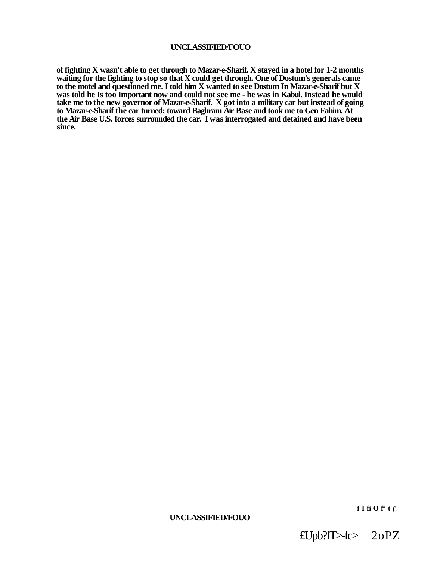**of fighting X wasn't able to get through to Mazar-e-Sharif. X stayed in a hotel for 1-2 months waiting for the fighting to stop so that X could get through. One of Dostum's generals came to the motel and questioned me. I told him X wanted to see Dostum In Mazar-e-Sharif but X was told he Is too Important now and could not see me - he was in Kabul. Instead he would take me to the new governor of Mazar-e-Sharif. X got into a military car but instead of going to Mazar-e-Sharif the car turned; toward Baghram Air Base and took me to Gen Fahim. At the Air Base U.S. forces surrounded the car. I was interrogated and detained and have been since.** 

# **UNCLASSIFIED/FOUO**

£Upb?fT>-fc> 2oPZ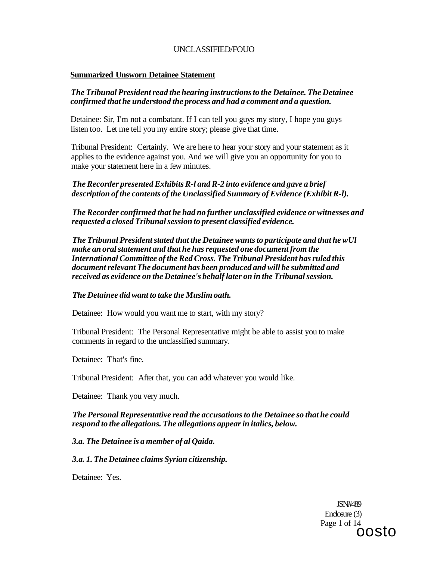### **Summarized Unsworn Detainee Statement**

### *The Tribunal President read the hearing instructions to the Detainee. The Detainee confirmed that he understood the process and had a comment and a question.*

Detainee: Sir, I'm not a combatant. If I can tell you guys my story, I hope you guys listen too. Let me tell you my entire story; please give that time.

Tribunal President: Certainly. We are here to hear your story and your statement as it applies to the evidence against you. And we will give you an opportunity for you to make your statement here in a few minutes.

# *The Recorder presented Exhibits R-l and R-2 into evidence and gave a brief description of the contents of the Unclassified Summary of Evidence (Exhibit R-l).*

*The Recorder confirmed that he had no further unclassified evidence or witnesses and requested a closed Tribunal session to present classified evidence.* 

*The Tribunal President stated that the Detainee wants to participate and that he wUl make an oral statement and that he has requested one document from the International Committee of the Red Cross. The Tribunal President has ruled this document relevant The document has been produced and will be submitted and received as evidence on the Detainee's behalf later on in the Tribunal session.* 

#### *The Detainee did want to take the Muslim oath.*

Detainee: How would you want me to start, with my story?

Tribunal President: The Personal Representative might be able to assist you to make comments in regard to the unclassified summary.

Detainee: That's fine.

Tribunal President: After that, you can add whatever you would like.

Detainee: Thank you very much.

#### *The Personal Representative read the accusations to the Detainee so that he could respond to the allegations. The allegations appear in italics, below.*

#### *3.a. The Detainee is a member of al Qaida.*

*3.a. 1. The Detainee claims Syrian citizenship.* 

Detainee: Yes.

JSN#489 Enclosure (3) Page 1 of 14 oosto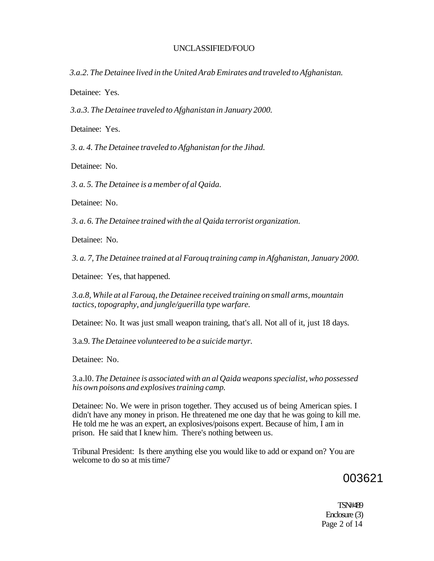*3.a.2. The Detainee lived in the United Arab Emirates and traveled to Afghanistan.* 

Detainee: Yes.

*3.a.3. The Detainee traveled to Afghanistan in January 2000.* 

Detainee: Yes.

*3. a. 4. The Detainee traveled to Afghanistan for the Jihad.* 

Detainee: No.

*3. a. 5. The Detainee is a member of al Qaida.* 

Detainee: No.

*3. a. 6. The Detainee trained with the al Qaida terrorist organization.* 

Detainee: No.

*3. a. 7, The Detainee trained at al Farouq training camp in Afghanistan, January 2000.* 

Detainee: Yes, that happened.

*3.a.8, While at al Farouq, the Detainee received training on small arms, mountain tactics, topography, and jungle/guerilla type warfare.* 

Detainee: No. It was just small weapon training, that's all. Not all of it, just 18 days.

3.a.9. *The Detainee volunteered to be a suicide martyr.* 

Detainee: No.

3.a.l0. *The Detainee is associated with an al Qaida weapons specialist, who possessed his own poisons and explosives training camp.* 

Detainee: No. We were in prison together. They accused us of being American spies. I didn't have any money in prison. He threatened me one day that he was going to kill me. He told me he was an expert, an explosives/poisons expert. Because of him, I am in prison. He said that I knew him. There's nothing between us.

Tribunal President: Is there anything else you would like to add or expand on? You are welcome to do so at mis time7

# 003621

TSN#489 Enclosure (3) Page 2 of 14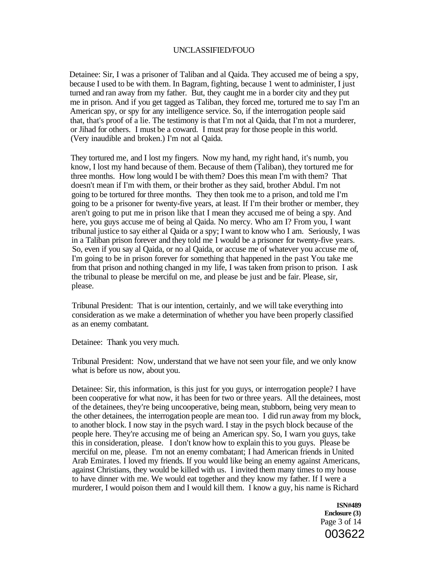Detainee: Sir, I was a prisoner of Taliban and al Qaida. They accused me of being a spy, because I used to be with them. In Bagram, fighting, because 1 went to administer, I just turned and ran away from my father. But, they caught me in a border city and they put me in prison. And if you get tagged as Taliban, they forced me, tortured me to say I'm an American spy, or spy for any intelligence service. So, if the interrogation people said that, that's proof of a lie. The testimony is that I'm not al Qaida, that I'm not a murderer, or Jihad for others. I must be a coward. I must pray for those people in this world. (Very inaudible and broken.) I'm not al Qaida.

They tortured me, and I lost my fingers. Now my hand, my right hand, it's numb, you know, I lost my hand because of them. Because of them (Taliban), they tortured me for three months. How long would I be with them? Does this mean I'm with them? That doesn't mean if I'm with them, or their brother as they said, brother Abdul. I'm not going to be tortured for three months. They then took me to a prison, and told me I'm going to be a prisoner for twenty-five years, at least. If I'm their brother or member, they aren't going to put me in prison like that I mean they accused me of being a spy. And here, you guys accuse me of being al Qaida. No mercy. Who am I? From you, I want tribunal justice to say either al Qaida or a spy; I want to know who I am. Seriously, I was in a Taliban prison forever and they told me I would be a prisoner for twenty-five years. So, even if you say al Qaida, or no al Qaida, or accuse me of whatever you accuse me of, I'm going to be in prison forever for something that happened in the past You take me from that prison and nothing changed in my life, I was taken from prison to prison. I ask the tribunal to please be merciful on me, and please be just and be fair. Please, sir, please.

Tribunal President: That is our intention, certainly, and we will take everything into consideration as we make a determination of whether you have been properly classified as an enemy combatant.

Detainee: Thank you very much.

Tribunal President: Now, understand that we have not seen your file, and we only know what is before us now, about you.

Detainee: Sir, this information, is this just for you guys, or interrogation people? I have been cooperative for what now, it has been for two or three years. All the detainees, most of the detainees, they're being uncooperative, being mean, stubborn, being very mean to the other detainees, the interrogation people are mean too. I did run away from my block, to another block. I now stay in the psych ward. I stay in the psych block because of the people here. They're accusing me of being an American spy. So, I warn you guys, take this in consideration, please. I don't know how to explain this to you guys. Please be merciful on me, please. I'm not an enemy combatant; I had American friends in United Arab Emirates. I loved my friends. If you would like being an enemy against Americans, against Christians, they would be killed with us. I invited them many times to my house to have dinner with me. We would eat together and they know my father. If I were a murderer, I would poison them and I would kill them. I know a guy, his name is Richard

> **ISN#489 Enclosure (3)**  Page 3 of 14 003622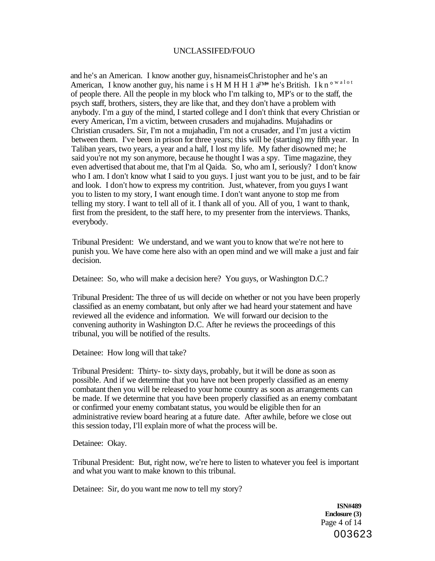and he's an American. I know another guy, hisnameisChristopher and he's an American, I know another guy, his name is H M H H 1  $a^{TM*}$  he's British. I k n<sup>ow alot</sup> of people there. All the people in my block who I'm talking to, MP's or to the staff, the psych staff, brothers, sisters, they are like that, and they don't have a problem with anybody. I'm a guy of the mind, I started college and I don't think that every Christian or every American, I'm a victim, between crusaders and mujahadins. Mujahadins or Christian crusaders. Sir, I'm not a mujahadin, I'm not a crusader, and I'm just a victim between them. I've been in prison for three years; this will be (starting) my fifth year. In Taliban years, two years, a year and a half, I lost my life. My father disowned me; he said you're not my son anymore, because he thought I was a spy. Time magazine, they even advertised that about me, that I'm al Qaida. So, who am I, seriously? I don't know who I am. I don't know what I said to you guys. I just want you to be just, and to be fair and look. I don't how to express my contrition. Just, whatever, from you guys I want you to listen to my story, I want enough time. I don't want anyone to stop me from telling my story. I want to tell all of it. I thank all of you. All of you, 1 want to thank, first from the president, to the staff here, to my presenter from the interviews. Thanks, everybody.

Tribunal President: We understand, and we want you to know that we're not here to punish you. We have come here also with an open mind and we will make a just and fair decision.

Detainee: So, who will make a decision here? You guys, or Washington D.C.?

Tribunal President: The three of us will decide on whether or not you have been properly classified as an enemy combatant, but only after we had heard your statement and have reviewed all the evidence and information. We will forward our decision to the convening authority in Washington D.C. After he reviews the proceedings of this tribunal, you will be notified of the results.

Detainee: How long will that take?

Tribunal President: Thirty- to- sixty days, probably, but it will be done as soon as possible. And if we determine that you have not been properly classified as an enemy combatant then you will be released to your home country as soon as arrangements can be made. If we determine that you have been properly classified as an enemy combatant or confirmed your enemy combatant status, you would be eligible then for an administrative review board hearing at a future date. After awhile, before we close out this session today, I'll explain more of what the process will be.

Detainee: Okay.

Tribunal President: But, right now, we're here to listen to whatever you feel is important and what you want to make known to this tribunal.

Detainee: Sir, do you want me now to tell my story?

**ISN#489 Enclosure (3)**  Page 4 of 14 003623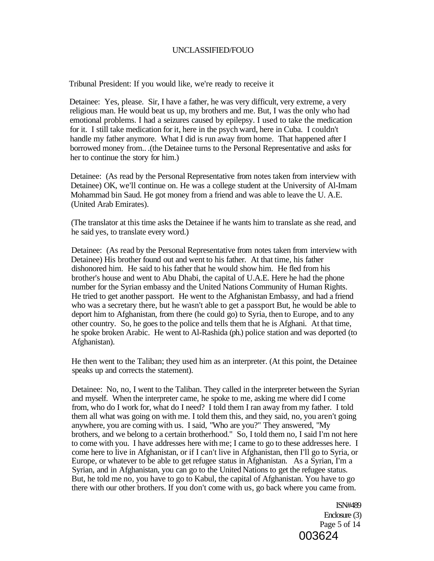Tribunal President: If you would like, we're ready to receive it

Detainee: Yes, please. Sir, I have a father, he was very difficult, very extreme, a very religious man. He would beat us up, my brothers and me. But, I was the only who had emotional problems. I had a seizures caused by epilepsy. I used to take the medication for it. I still take medication for it, here in the psych ward, here in Cuba. I couldn't handle my father anymore. What I did is run away from home. That happened after I borrowed money from.. .(the Detainee turns to the Personal Representative and asks for her to continue the story for him.)

Detainee: (As read by the Personal Representative from notes taken from interview with Detainee) OK, we'll continue on. He was a college student at the University of Al-Imam Mohammad bin Saud. He got money from a friend and was able to leave the U. A.E. (United Arab Emirates).

(The translator at this time asks the Detainee if he wants him to translate as she read, and he said yes, to translate every word.)

Detainee: (As read by the Personal Representative from notes taken from interview with Detainee) His brother found out and went to his father. At that time, his father dishonored him. He said to his father that he would show him. He fled from his brother's house and went to Abu Dhabi, the capital of U.A.E. Here he had the phone number for the Syrian embassy and the United Nations Community of Human Rights. He tried to get another passport. He went to the Afghanistan Embassy, and had a friend who was a secretary there, but he wasn't able to get a passport But, he would be able to deport him to Afghanistan, from there (he could go) to Syria, then to Europe, and to any other country. So, he goes to the police and tells them that he is Afghani. At that time, he spoke broken Arabic. He went to Al-Rashida (ph.) police station and was deported (to Afghanistan).

He then went to the Taliban; they used him as an interpreter. (At this point, the Detainee speaks up and corrects the statement).

Detainee: No, no, I went to the Taliban. They called in the interpreter between the Syrian and myself. When the interpreter came, he spoke to me, asking me where did I come from, who do I work for, what do I need? I told them I ran away from my father. I told them all what was going on with me. I told them this, and they said, no, you aren't going anywhere, you are coming with us. I said, "Who are you?" They answered, "My brothers, and we belong to a certain brotherhood." So, I told them no, I said I'm not here to come with you. I have addresses here with me; I came to go to these addresses here. I come here to live in Afghanistan, or if I can't live in Afghanistan, then I'll go to Syria, or Europe, or whatever to be able to get refugee status in Afghanistan. As a Syrian, I'm a Syrian, and in Afghanistan, you can go to the United Nations to get the refugee status. But, he told me no, you have to go to Kabul, the capital of Afghanistan. You have to go there with our other brothers. If you don't come with us, go back where you came from.

> ISN#489 Enclosure (3) Page 5 of 14 003624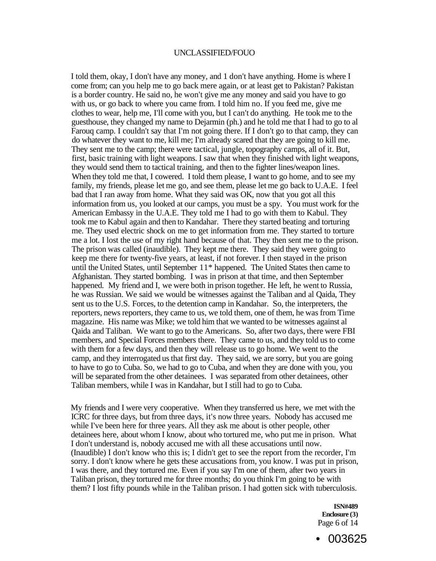I told them, okay, I don't have any money, and 1 don't have anything. Home is where I come from; can you help me to go back mere again, or at least get to Pakistan? Pakistan is a border country. He said no, he won't give me any money and said you have to go with us, or go back to where you came from. I told him no. If you feed me, give me clothes to wear, help me, I'll come with you, but I can't do anything. He took me to the guesthouse, they changed my name to Dejarmin (ph.) and he told me that I had to go to al Farouq camp. I couldn't say that I'm not going there. If I don't go to that camp, they can do whatever they want to me, kill me; I'm already scared that they are going to kill me. They sent me to the camp; there were tactical, jungle, topography camps, all of it. But, first, basic training with light weapons. I saw that when they finished with light weapons, they would send them to tactical training, and then to the fighter lines/weapon lines. When they told me that, I cowered. I told them please, I want to go home, and to see my family, my friends, please let me go, and see them, please let me go back to U.A.E. I feel bad that I ran away from home. What they said was OK, now that you got all this information from us, you looked at our camps, you must be a spy. You must work for the American Embassy in the U.A.E. They told me I had to go with them to Kabul. They took me to Kabul again and then to Kandahar. There they started beating and torturing me. They used electric shock on me to get information from me. They started to torture me a lot. I lost the use of my right hand because of that. They then sent me to the prison. The prison was called (inaudible). They kept me there. They said they were going to keep me there for twenty-five years, at least, if not forever. I then stayed in the prison until the United States, until September 11\* happened. The United States then came to Afghanistan. They started bombing. I was in prison at that time, and then September happened. My friend and I, we were both in prison together. He left, he went to Russia, he was Russian. We said we would be witnesses against the Taliban and al Qaida, They sent us to the U.S. Forces, to the detention camp in Kandahar. So, the interpreters, the reporters, news reporters, they came to us, we told them, one of them, he was from Time magazine. His name was Mike; we told him that we wanted to be witnesses against al Qaida and Taliban. We want to go to the Americans. So, after two days, there were FBI members, and Special Forces members there. They came to us, and they told us to come with them for a few days, and then they will release us to go home. We went to the camp, and they interrogated us that first day. They said, we are sorry, but you are going to have to go to Cuba. So, we had to go to Cuba, and when they are done with you, you will be separated from the other detainees. I was separated from other detainees, other Taliban members, while I was in Kandahar, but I still had to go to Cuba.

My friends and I were very cooperative. When they transferred us here, we met with the ICRC for three days, but from three days, it's now three years. Nobody has accused me while I've been here for three years. All they ask me about is other people, other detainees here, about whom I know, about who tortured me, who put me in prison. What I don't understand is, nobody accused me with all these accusations until now. (Inaudible) I don't know who this is; I didn't get to see the report from the recorder, I'm sorry. I don't know where he gets these accusations from, you know. I was put in prison, I was there, and they tortured me. Even if you say I'm one of them, after two years in Taliban prison, they tortured me for three months; do you think I'm going to be with them? I lost fifty pounds while in the Taliban prison. I had gotten sick with tuberculosis.

> **ISN#489 Enclosure (3)**  Page 6 of 14

• 003625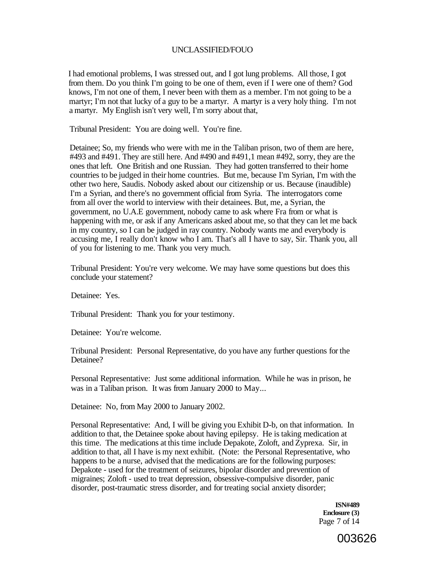I had emotional problems, I was stressed out, and I got lung problems. All those, I got from them. Do you think I'm going to be one of them, even if I were one of them? God knows, I'm not one of them, I never been with them as a member. I'm not going to be a martyr; I'm not that lucky of a guy to be a martyr. A martyr is a very holy thing. I'm not a martyr. My English isn't very well, I'm sorry about that,

Tribunal President: You are doing well. You're fine.

Detainee; So, my friends who were with me in the Taliban prison, two of them are here, #493 and #491. They are still here. And #490 and #491,1 mean #492, sorry, they are the ones that left. One British and one Russian. They had gotten transferred to their home countries to be judged in their home countries. But me, because I'm Syrian, I'm with the other two here, Saudis. Nobody asked about our citizenship or us. Because (inaudible) I'm a Syrian, and there's no government official from Syria. The interrogators come from all over the world to interview with their detainees. But, me, a Syrian, the government, no U.A.E government, nobody came to ask where Fra from or what is happening with me, or ask if any Americans asked about me, so that they can let me back in my country, so I can be judged in ray country. Nobody wants me and everybody is accusing me, I really don't know who I am. That's all I have to say, Sir. Thank you, all of you for listening to me. Thank you very much.

Tribunal President: You're very welcome. We may have some questions but does this conclude your statement?

Detainee: Yes.

Tribunal President: Thank you for your testimony.

Detainee: You're welcome.

Tribunal President: Personal Representative, do you have any further questions for the Detainee?

Personal Representative: Just some additional information. While he was in prison, he was in a Taliban prison. It was from January 2000 to May...

Detainee: No, from May 2000 to January 2002.

Personal Representative: And, I will be giving you Exhibit D-b, on that information. In addition to that, the Detainee spoke about having epilepsy. He is taking medication at this time. The medications at this time include Depakote, Zoloft, and Zyprexa. Sir, in addition to that, all I have is my next exhibit. (Note: the Personal Representative, who happens to be a nurse, advised that the medications are for the following purposes: Depakote - used for the treatment of seizures, bipolar disorder and prevention of migraines; Zoloft - used to treat depression, obsessive-compulsive disorder, panic disorder, post-traumatic stress disorder, and for treating social anxiety disorder;

> **ISN#489 Enclosure (3)**  Page 7 of 14

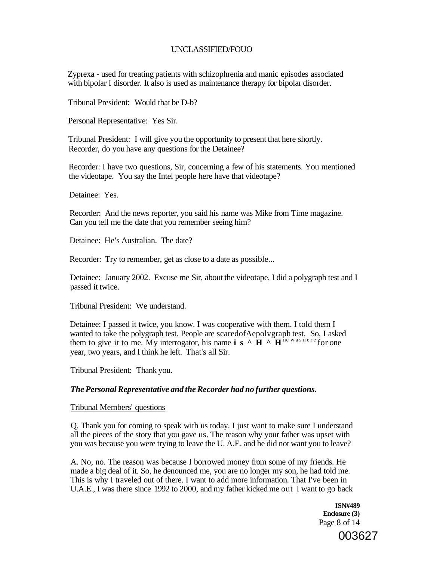Zyprexa - used for treating patients with schizophrenia and manic episodes associated with bipolar I disorder. It also is used as maintenance therapy for bipolar disorder.

Tribunal President: Would that be D-b?

Personal Representative: Yes Sir.

Tribunal President: I will give you the opportunity to present that here shortly. Recorder, do you have any questions for the Detainee?

Recorder: I have two questions, Sir, concerning a few of his statements. You mentioned the videotape. You say the Intel people here have that videotape?

Detainee: Yes.

Recorder: And the news reporter, you said his name was Mike from Time magazine. Can you tell me the date that you remember seeing him?

Detainee: He's Australian. The date?

Recorder: Try to remember, get as close to a date as possible...

Detainee: January 2002. Excuse me Sir, about the videotape, I did a polygraph test and I passed it twice.

Tribunal President: We understand.

Detainee: I passed it twice, you know. I was cooperative with them. I told them I wanted to take the polygraph test. People are scaredofAepolvgraph test. So, I asked them to give it to me. My interrogator, his name  $\mathbf{i} \times \mathbf{H}$   $\sim \mathbf{H}^{\text{he was never}}$  for one year, two years, and I think he left. That's all Sir.

Tribunal President: Thank you.

# *The Personal Representative and the Recorder had no further questions.*

#### Tribunal Members' questions

Q. Thank you for coming to speak with us today. I just want to make sure I understand all the pieces of the story that you gave us. The reason why your father was upset with you was because you were trying to leave the U. A.E. and he did not want you to leave?

A. No, no. The reason was because I borrowed money from some of my friends. He made a big deal of it. So, he denounced me, you are no longer my son, he had told me. This is why I traveled out of there. I want to add more information. That I've been in U.A.E., I was there since 1992 to 2000, and my father kicked me out I want to go back

> **ISN#489 Enclosure (3)**  Page 8 of 14

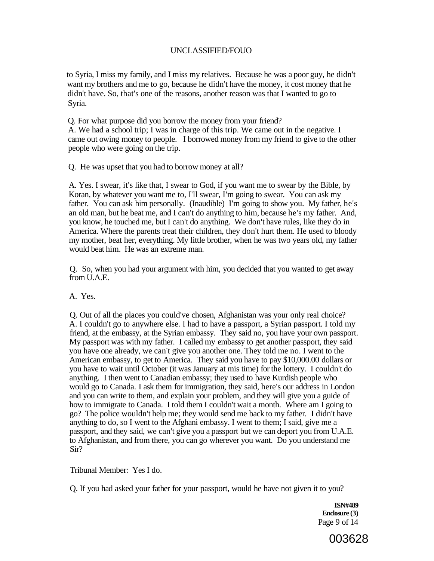to Syria, I miss my family, and I miss my relatives. Because he was a poor guy, he didn't want my brothers and me to go, because he didn't have the money, it cost money that he didn't have. So, that's one of the reasons, another reason was that I wanted to go to Syria.

Q. For what purpose did you borrow the money from your friend?

A. We had a school trip; I was in charge of this trip. We came out in the negative. I came out owing money to people. I borrowed money from my friend to give to the other people who were going on the trip.

Q. He was upset that you had to borrow money at all?

A. Yes. I swear, it's like that, I swear to God, if you want me to swear by the Bible, by Koran, by whatever you want me to, I'll swear, I'm going to swear. You can ask my father. You can ask him personally. (Inaudible) I'm going to show you. My father, he's an old man, but he beat me, and I can't do anything to him, because he's my father. And, you know, he touched me, but I can't do anything. We don't have rules, like they do in America. Where the parents treat their children, they don't hurt them. He used to bloody my mother, beat her, everything. My little brother, when he was two years old, my father would beat him. He was an extreme man.

Q. So, when you had your argument with him, you decided that you wanted to get away from U.A.E.

A. Yes.

Q. Out of all the places you could've chosen, Afghanistan was your only real choice? A. I couldn't go to anywhere else. I had to have a passport, a Syrian passport. I told my friend, at the embassy, at the Syrian embassy. They said no, you have your own passport. My passport was with my father. I called my embassy to get another passport, they said you have one already, we can't give you another one. They told me no. I went to the American embassy, to get to America. They said you have to pay \$10,000.00 dollars or you have to wait until October (it was January at mis time) for the lottery. I couldn't do anything. I then went to Canadian embassy; they used to have Kurdish people who would go to Canada. I ask them for immigration, they said, here's our address in London and you can write to them, and explain your problem, and they will give you a guide of how to immigrate to Canada. I told them I couldn't wait a month. Where am I going to go? The police wouldn't help me; they would send me back to my father. I didn't have anything to do, so I went to the Afghani embassy. I went to them; I said, give me a passport, and they said, we can't give you a passport but we can deport you from U.A.E. to Afghanistan, and from there, you can go wherever you want. Do you understand me Sir?

Tribunal Member: Yes I do.

Q. If you had asked your father for your passport, would he have not given it to you?

**ISN#489 Enclosure (3)**  Page 9 of 14

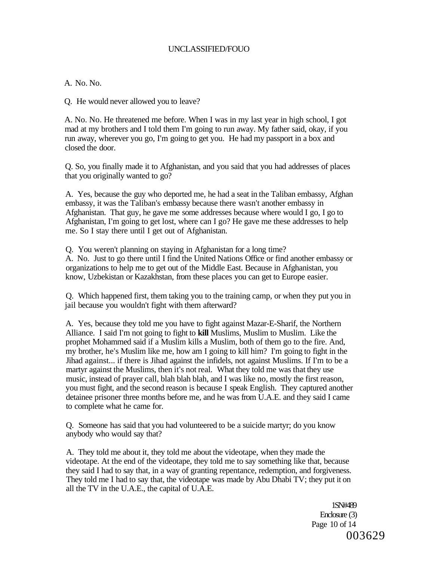#### A. No. No.

Q. He would never allowed you to leave?

A. No. No. He threatened me before. When I was in my last year in high school, I got mad at my brothers and I told them I'm going to run away. My father said, okay, if you run away, wherever you go, I'm going to get you. He had my passport in a box and closed the door.

Q. So, you finally made it to Afghanistan, and you said that you had addresses of places that you originally wanted to go?

A. Yes, because the guy who deported me, he had a seat in the Taliban embassy, Afghan embassy, it was the Taliban's embassy because there wasn't another embassy in Afghanistan. That guy, he gave me some addresses because where would I go, I go to Afghanistan, I'm going to get lost, where can I go? He gave me these addresses to help me. So I stay there until I get out of Afghanistan.

Q. You weren't planning on staying in Afghanistan for a long time? A. No. Just to go there until I find the United Nations Office or find another embassy or organizations to help me to get out of the Middle East. Because in Afghanistan, you know, Uzbekistan or Kazakhstan, from these places you can get to Europe easier.

Q. Which happened first, them taking you to the training camp, or when they put you in jail because you wouldn't fight with them afterward?

A. Yes, because they told me you have to fight against Mazar-E-Sharif, the Northern Alliance. I said I'm not going to fight to **kill** Muslims, Muslim to Muslim. Like the prophet Mohammed said if a Muslim kills a Muslim, both of them go to the fire. And, my brother, he's Muslim like me, how am I going to kill him? I'm going to fight in the Jihad against... if there is Jihad against the infidels, not against Muslims. If I'm to be a martyr against the Muslims, then it's not real. What they told me was that they use music, instead of prayer call, blah blah blah, and I was like no, mostly the first reason, you must fight, and the second reason is because I speak English. They captured another detainee prisoner three months before me, and he was from U.A.E. and they said I came to complete what he came for.

Q. Someone has said that you had volunteered to be a suicide martyr; do you know anybody who would say that?

A. They told me about it, they told me about the videotape, when they made the videotape. At the end of the videotape, they told me to say something like that, because they said I had to say that, in a way of granting repentance, redemption, and forgiveness. They told me I had to say that, the videotape was made by Abu Dhabi TV; they put it on all the TV in the U.A.E., the capital of U.A.E.

> 1SN#489 Enclosure (3) Page 10 of 14 003629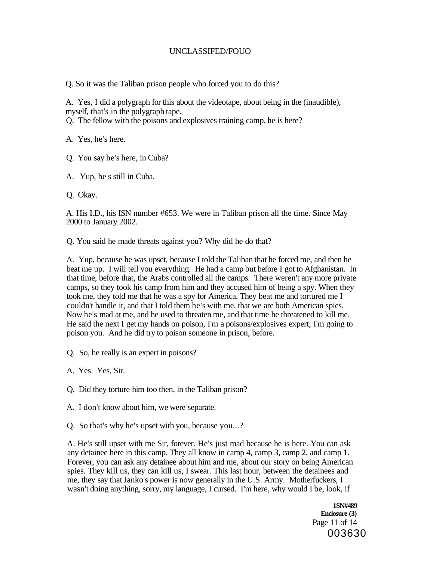Q. So it was the Taliban prison people who forced you to do this?

A. Yes, I did a polygraph for this about the videotape, about being in the (inaudible), myself, that's in the polygraph tape.

Q. The fellow with the poisons and explosives training camp, he is here?

A. Yes, he's here.

Q. You say he's here, in Cuba?

A. Yup, he's still in Cuba.

Q. Okay.

A. His I.D., his ISN number #653. We were in Taliban prison all the time. Since May 2000 to January 2002.

Q. You said he made threats against you? Why did he do that?

A. Yup, because he was upset, because I told the Taliban that he forced me, and then he beat me up. I will tell you everything. He had a camp but before I got to Afghanistan. In that time, before that, the Arabs controlled all the camps. There weren't any more private camps, so they took his camp from him and they accused him of being a spy. When they took me, they told me that he was a spy for America. They beat me and tortured me I couldn't handle it, and that I told them he's with me, that we are both American spies. Now he's mad at me, and he used to threaten me, and that time he threatened to kill me. He said the next I get my hands on poison, I'm a poisons/explosives expert; I'm going to poison you. And he did try to poison someone in prison, before.

Q. So, he really is an expert in poisons?

A. Yes. Yes, Sir.

Q. Did they torture him too then, in the Taliban prison?

A. I don't know about him, we were separate.

Q. So that's why he's upset with you, because you...?

A. He's still upset with me Sir, forever. He's just mad because he is here. You can ask any detainee here in this camp. They all know in camp 4, camp 3, camp 2, and camp 1. Forever, you can ask any detainee about him and me, about our story on being American spies. They kill us, they can kill us, I swear. This last hour, between the detainees and me, they say that Janko's power is now generally in the U.S. Army. Motherfuckers, I wasn't doing anything, sorry, my language, I cursed. I'm here, why would I be, look, if

> **1SN#489 Enclosure (3)**  Page 11 of 14 003630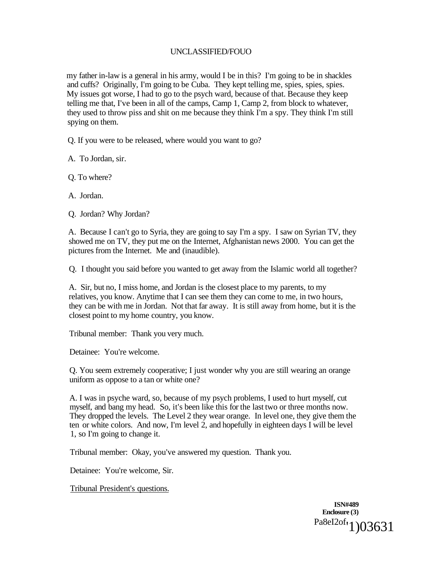my father in-law is a general in his army, would I be in this? I'm going to be in shackles and cuffs? Originally, I'm going to be Cuba. They kept telling me, spies, spies, spies. My issues got worse, I had to go to the psych ward, because of that. Because they keep telling me that, I've been in all of the camps, Camp 1, Camp 2, from block to whatever, they used to throw piss and shit on me because they think I'm a spy. They think I'm still spying on them.

Q. If you were to be released, where would you want to go?

A. To Jordan, sir.

Q. To where?

A. Jordan.

Q. Jordan? Why Jordan?

A. Because I can't go to Syria, they are going to say I'm a spy. I saw on Syrian TV, they showed me on TV, they put me on the Internet, Afghanistan news 2000. You can get the pictures from the Internet. Me and (inaudible).

Q. I thought you said before you wanted to get away from the Islamic world all together?

A. Sir, but no, I miss home, and Jordan is the closest place to my parents, to my relatives, you know. Anytime that I can see them they can come to me, in two hours, they can be with me in Jordan. Not that far away. It is still away from home, but it is the closest point to my home country, you know.

Tribunal member: Thank you very much.

Detainee: You're welcome.

Q. You seem extremely cooperative; I just wonder why you are still wearing an orange uniform as oppose to a tan or white one?

A. I was in psyche ward, so, because of my psych problems, I used to hurt myself, cut myself, and bang my head. So, it's been like this for the last two or three months now. They dropped the levels. The Level 2 they wear orange. In level one, they give them the ten or white colors. And now, I'm level 2, and hopefully in eighteen days I will be level 1, so I'm going to change it.

Tribunal member: Okay, you've answered my question. Thank you.

Detainee: You're welcome, Sir.

Tribunal President's questions.

**ISN#489 Enclosure (3)**  Pa8eI2of<sub>'1</sub>)03631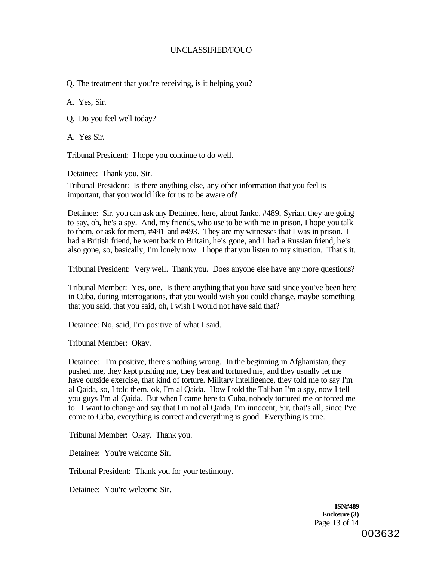Q. The treatment that you're receiving, is it helping you?

A. Yes, Sir.

Q. Do you feel well today?

A. Yes Sir.

Tribunal President: I hope you continue to do well.

Detainee: Thank you, Sir.

Tribunal President: Is there anything else, any other information that you feel is important, that you would like for us to be aware of?

Detainee: Sir, you can ask any Detainee, here, about Janko, #489, Syrian, they are going to say, oh, he's a spy. And, my friends, who use to be with me in prison, I hope you talk to them, or ask for mem, #491 and #493. They are my witnesses that I was in prison. I had a British friend, he went back to Britain, he's gone, and I had a Russian friend, he's also gone, so, basically, I'm lonely now. I hope that you listen to my situation. That's it.

Tribunal President: Very well. Thank you. Does anyone else have any more questions?

Tribunal Member: Yes, one. Is there anything that you have said since you've been here in Cuba, during interrogations, that you would wish you could change, maybe something that you said, that you said, oh, I wish I would not have said that?

Detainee: No, said, I'm positive of what I said.

Tribunal Member: Okay.

Detainee: I'm positive, there's nothing wrong. In the beginning in Afghanistan, they pushed me, they kept pushing me, they beat and tortured me, and they usually let me have outside exercise, that kind of torture. Military intelligence, they told me to say I'm al Qaida, so, I told them, ok, I'm al Qaida. How I told the Taliban I'm a spy, now I tell you guys I'm al Qaida. But when I came here to Cuba, nobody tortured me or forced me to. I want to change and say that I'm not al Qaida, I'm innocent, Sir, that's all, since I've come to Cuba, everything is correct and everything is good. Everything is true.

Tribunal Member: Okay. Thank you.

Detainee: You're welcome Sir.

Tribunal President: Thank you for your testimony.

Detainee: You're welcome Sir.

**ISN#489 Enclosure (3)**  Page 13 of 14 003632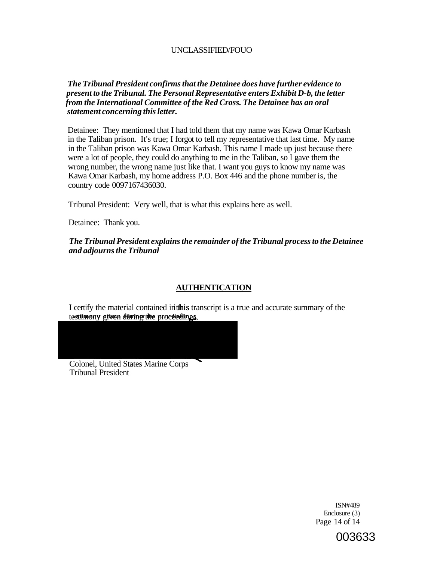# *The Tribunal President confirms that the Detainee does have further evidence to present to the Tribunal. The Personal Representative enters Exhibit D-b, the letter from the International Committee of the Red Cross. The Detainee has an oral statement concerning this letter.*

Detainee: They mentioned that I had told them that my name was Kawa Omar Karbash in the Taliban prison. It's true; I forgot to tell my representative that last time. My name in the Taliban prison was Kawa Omar Karbash. This name I made up just because there were a lot of people, they could do anything to me in the Taliban, so I gave them the wrong number, the wrong name just like that. I want you guys to know my name was Kawa Omar Karbash, my home address P.O. Box 446 and the phone number is, the country code 0097167436030.

Tribunal President: Very well, that is what this explains here as well.

Detainee: Thank you.

*The Tribunal President explains the remainder of the Tribunal process to the Detainee and adjourns the Tribunal* 

# **AUTHENTICATION**

I certify the material contained in this transcript is a true and accurate summary of the testimony given during the proceedin **»stimnnv crivcn Hirrincr the nrrv-fieHinos** 

Colonel, United States Marine Corps Tribunal President

> ISN#489 Enclosure (3) Page 14 of 14

> > 003633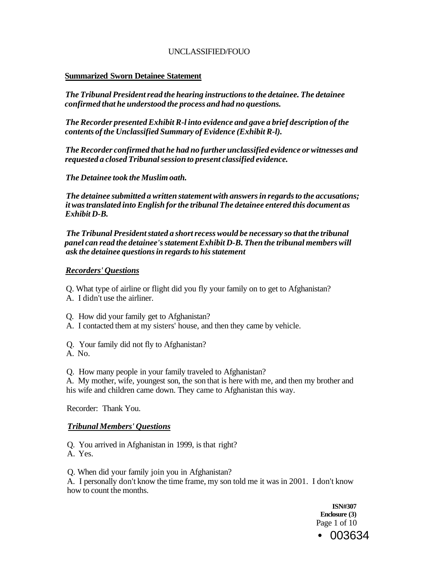### **Summarized Sworn Detainee Statement**

*The Tribunal President read the hearing instructions to the detainee. The detainee confirmed that he understood the process and had no questions.* 

*The Recorder presented Exhibit R-l into evidence and gave a brief description of the contents of the Unclassified Summary of Evidence (Exhibit R-l).* 

*The Recorder confirmed that he had no further unclassified evidence or witnesses and requested a closed Tribunal session to present classified evidence.* 

*The Detainee took the Muslim oath.* 

*The detainee submitted a written statement with answers in regards to the accusations; it was translated into English for the tribunal The detainee entered this document as Exhibit D-B.* 

*The Tribunal President stated a short recess would be necessary so that the tribunal panel can read the detainee's statement Exhibit D-B. Then the tribunal members will ask the detainee questions in regards to his statement* 

#### *Recorders' Questions*

- Q. What type of airline or flight did you fly your family on to get to Afghanistan?
- A. I didn't use the airliner.
- Q. How did your family get to Afghanistan?
- A. I contacted them at my sisters' house, and then they came by vehicle.
- Q. Your family did not fly to Afghanistan?
- A. No.

Q. How many people in your family traveled to Afghanistan?

A. My mother, wife, youngest son, the son that is here with me, and then my brother and his wife and children came down. They came to Afghanistan this way.

Recorder: Thank You.

# *Tribunal Members' Questions*

Q. You arrived in Afghanistan in 1999, is that right? A. Yes.

Q. When did your family join you in Afghanistan?

A. I personally don't know the time frame, my son told me it was in 2001. I don't know how to count the months.

> **ISN#307 Enclosure (3)**  Page 1 of 10 • 003634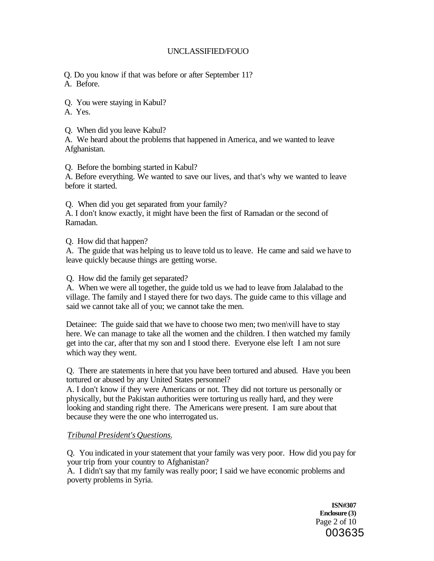Q. Do you know if that was before or after September 11? A. Before.

Q. You were staying in Kabul?

A. Yes.

Q. When did you leave Kabul?

A. We heard about the problems that happened in America, and we wanted to leave Afghanistan.

Q. Before the bombing started in Kabul?

A. Before everything. We wanted to save our lives, and that's why we wanted to leave before it started.

Q. When did you get separated from your family?

A. I don't know exactly, it might have been the first of Ramadan or the second of Ramadan.

Q. How did that happen?

A. The guide that was helping us to leave told us to leave. He came and said we have to leave quickly because things are getting worse.

Q. How did the family get separated?

A. When we were all together, the guide told us we had to leave from Jalalabad to the village. The family and I stayed there for two days. The guide came to this village and said we cannot take all of you; we cannot take the men.

Detainee: The guide said that we have to choose two men; two men\vill have to stay here. We can manage to take all the women and the children. I then watched my family get into the car, after that my son and I stood there. Everyone else left I am not sure which way they went.

Q. There are statements in here that you have been tortured and abused. Have you been tortured or abused by any United States personnel?

A. I don't know if they were Americans or not. They did not torture us personally or physically, but the Pakistan authorities were torturing us really hard, and they were looking and standing right there. The Americans were present. I am sure about that because they were the one who interrogated us.

# *Tribunal President's Questions.*

Q. You indicated in your statement that your family was very poor. How did you pay for your trip from your country to Afghanistan?

A. I didn't say that my family was really poor; I said we have economic problems and poverty problems in Syria.

> **ISN#307 Enclosure (3)**  Page 2 of 10 003635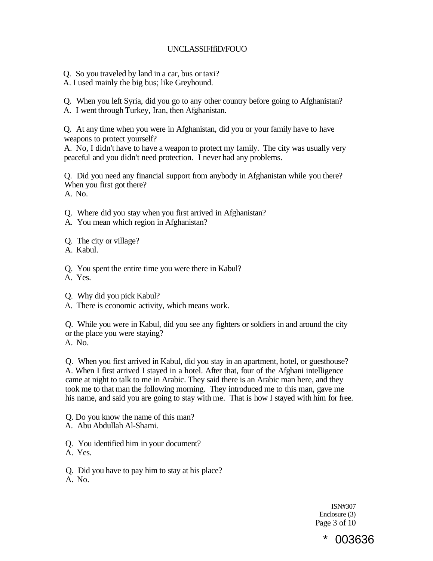# UNCLASSIFffiD/FOUO

Q. So you traveled by land in a car, bus or taxi?

A. I used mainly the big bus; like Greyhound.

Q. When you left Syria, did you go to any other country before going to Afghanistan? A. I went through Turkey, Iran, then Afghanistan.

Q. At any time when you were in Afghanistan, did you or your family have to have weapons to protect yourself?

A. No, I didn't have to have a weapon to protect my family. The city was usually very peaceful and you didn't need protection. I never had any problems.

Q. Did you need any financial support from anybody in Afghanistan while you there? When you first got there? A. No.

Q. Where did you stay when you first arrived in Afghanistan?

A. You mean which region in Afghanistan?

Q. The city or village?

A. Kabul.

Q. You spent the entire time you were there in Kabul?

A. Yes.

- Q. Why did you pick Kabul?
- A. There is economic activity, which means work.

Q. While you were in Kabul, did you see any fighters or soldiers in and around the city or the place you were staying?

A. No.

Q. When you first arrived in Kabul, did you stay in an apartment, hotel, or guesthouse? A. When I first arrived I stayed in a hotel. After that, four of the Afghani intelligence came at night to talk to me in Arabic. They said there is an Arabic man here, and they took me to that man the following morning. They introduced me to this man, gave me his name, and said you are going to stay with me. That is how I stayed with him for free.

Q. Do you know the name of this man?

A. Abu Abdullah Al-Shami.

Q. You identified him in your document?

A. Yes.

Q. Did you have to pay him to stay at his place?

A. No.

ISN#307 Enclosure (3) Page 3 of 10

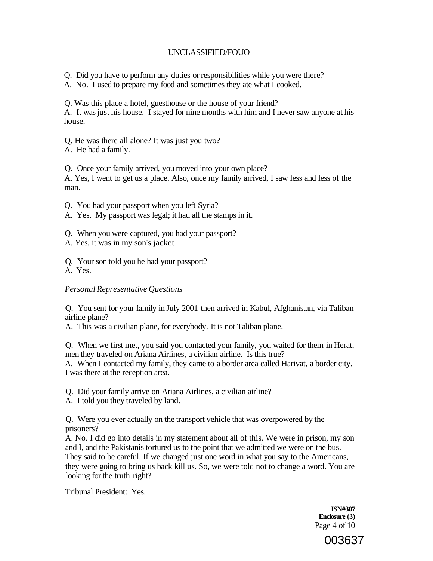Q. Did you have to perform any duties or responsibilities while you were there?

A. No. I used to prepare my food and sometimes they ate what I cooked.

Q. Was this place a hotel, guesthouse or the house of your friend?

A. It was just his house. I stayed for nine months with him and I never saw anyone at his house.

Q. He was there all alone? It was just you two?

A. He had a family.

Q. Once your family arrived, you moved into your own place?

A. Yes, I went to get us a place. Also, once my family arrived, I saw less and less of the man.

Q. You had your passport when you left Syria?

A. Yes. My passport was legal; it had all the stamps in it.

Q. When you were captured, you had your passport?

A. Yes, it was in my son's jacket

Q. Your son told you he had your passport?

A. Yes.

# *Personal Representative Questions*

Q. You sent for your family in July 2001 then arrived in Kabul, Afghanistan, via Taliban airline plane?

A. This was a civilian plane, for everybody. It is not Taliban plane.

Q. When we first met, you said you contacted your family, you waited for them in Herat, men they traveled on Ariana Airlines, a civilian airline. Is this true?

A. When I contacted my family, they came to a border area called Harivat, a border city. I was there at the reception area.

Q. Did your family arrive on Ariana Airlines, a civilian airline?

A. I told you they traveled by land.

Q. Were you ever actually on the transport vehicle that was overpowered by the prisoners?

A. No. I did go into details in my statement about all of this. We were in prison, my son and I, and the Pakistanis tortured us to the point that we admitted we were on the bus. They said to be careful. If we changed just one word in what you say to the Americans, they were going to bring us back kill us. So, we were told not to change a word. You are looking for the truth right?

Tribunal President: Yes.

**ISN#307 Enclosure (3)**  Page 4 of 10

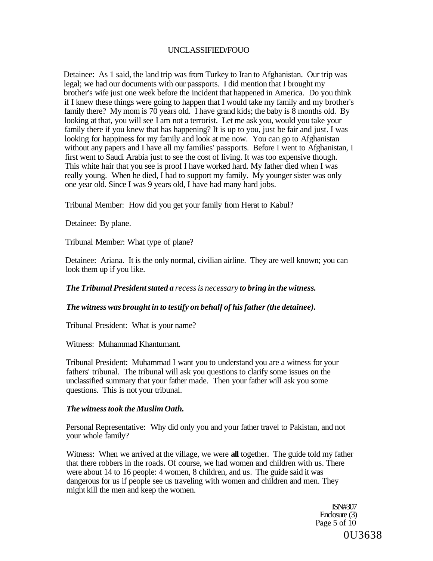Detainee: As 1 said, the land trip was from Turkey to Iran to Afghanistan. Our trip was legal; we had our documents with our passports. I did mention that I brought my brother's wife just one week before the incident that happened in America. Do you think if I knew these things were going to happen that I would take my family and my brother's family there? My mom is 70 years old. I have grand kids; the baby is 8 months old. By looking at that, you will see I am not a terrorist. Let me ask you, would you take your family there if you knew that has happening? It is up to you, just be fair and just. I was looking for happiness for my family and look at me now. You can go to Afghanistan without any papers and I have all my families' passports. Before I went to Afghanistan, I first went to Saudi Arabia just to see the cost of living. It was too expensive though. This white hair that you see is proof I have worked hard. My father died when I was really young. When he died, I had to support my family. My younger sister was only one year old. Since I was 9 years old, I have had many hard jobs.

Tribunal Member: How did you get your family from Herat to Kabul?

Detainee: By plane.

Tribunal Member: What type of plane?

Detainee: Ariana. It is the only normal, civilian airline. They are well known; you can look them up if you like.

*The Tribunal President stated a recess is necessary to bring in the witness.* 

# *The witness was brought in to testify on behalf of his father (the detainee).*

Tribunal President: What is your name?

Witness: Muhammad Khantumant.

Tribunal President: Muhammad I want you to understand you are a witness for your fathers' tribunal. The tribunal will ask you questions to clarify some issues on the unclassified summary that your father made. Then your father will ask you some questions. This is not your tribunal.

#### *The witness took the Muslim Oath.*

Personal Representative: Why did only you and your father travel to Pakistan, and not your whole family?

Witness: When we arrived at the village, we were **all** together. The guide told my father that there robbers in the roads. Of course, we had women and children with us. There were about 14 to 16 people: 4 women, 8 children, and us. The guide said it was dangerous for us if people see us traveling with women and children and men. They might kill the men and keep the women.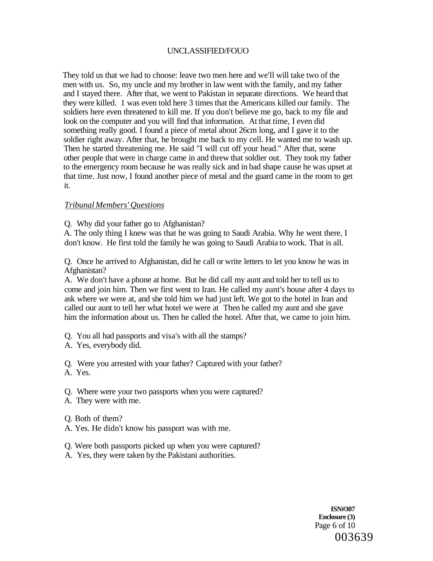They told us that we had to choose: leave two men here and we'll will take two of the men with us. So, my uncle and my brother in law went with the family, and my father and I stayed there. After that, we went to Pakistan in separate directions. We heard that they were killed. 1 was even told here 3 times that the Americans killed our family. The soldiers here even threatened to kill me. If you don't believe me go, back to my file and look on the computer and you will find that information. At that time, I even did something really good. I found a piece of metal about 26cm long, and I gave it to the soldier right away. After that, he brought me back to my cell. He wanted me to wash up. Then he started threatening me. He said "I will cut off your head." After that, some other people that were in charge came in and threw that soldier out. They took my father to the emergency room because he was really sick and in bad shape cause he was upset at that time. Just now, I found another piece of metal and the guard came in the room to get it.

#### *Tribunal Members' Questions*

Q. Why did your father go to Afghanistan?

A. The only thing I knew was that he was going to Saudi Arabia. Why he went there, I don't know. He first told the family he was going to Saudi Arabia to work. That is all.

Q. Once he arrived to Afghanistan, did he call or write letters to let you know he was in Afghanistan?

A. We don't have a phone at home. But he did call my aunt and told her to tell us to come and join him. Then we first went to Iran. He called my aunt's house after 4 days to ask where we were at, and she told him we had just left. We got to the hotel in Iran and called our aunt to tell her what hotel we were at Then he called my aunt and she gave him the information about us. Then he called the hotel. After that, we came to join him.

- Q. You all had passports and visa's with all the stamps?
- A. Yes, everybody did.
- Q. Were you arrested with your father? Captured with your father?
- A. Yes.
- Q. Where were your two passports when you were captured?
- A. They were with me.
- Q. Both of them?
- A. Yes. He didn't know his passport was with me.
- Q. Were both passports picked up when you were captured?
- A. Yes, they were taken by the Pakistani authorities.

**ISN#307 Enclosure (3)**  Page 6 of 10 003639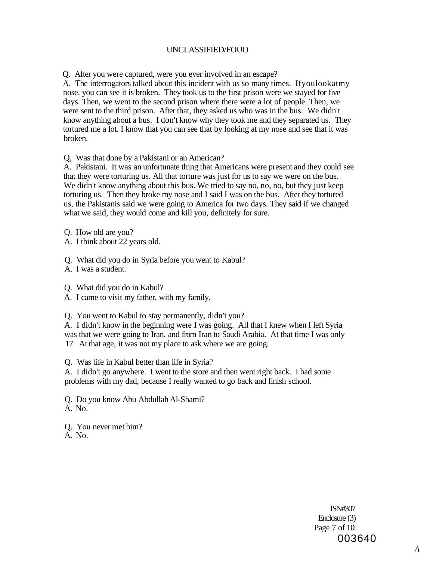Q. After you were captured, were you ever involved in an escape?

A. The interrogators talked about this incident with us so many times. Ifyoulookatmy nose, you can see it is broken. They took us to the first prison were we stayed for five days. Then, we went to the second prison where there were a lot of people. Then, we were sent to the third prison. After that, they asked us who was in the bus. We didn't know anything about a bus. I don't know why they took me and they separated us. They tortured me a lot. I know that you can see that by looking at my nose and see that it was broken.

Q, Was that done by a Pakistani or an American?

A. Pakistani. It was an unfortunate thing that Americans were present and they could see that they were torturing us. All that torture was just for us to say we were on the bus. We didn't know anything about this bus. We tried to say no, no, no, but they just keep torturing us. Then they broke my nose and I said I was on the bus. After they tortured us, the Pakistanis said we were going to America for two days. They said if we changed what we said, they would come and kill you, definitely for sure.

Q. How old are you?

A. I think about 22 years old.

Q. What did you do in Syria before you went to Kabul?

A. I was a student.

Q. What did you do in Kabul?

A. I came to visit my father, with my family.

Q. You went to Kabul to stay permanently, didn't you?

A. I didn't know in the beginning were I was going. All that I knew when I left Syria was that we were going to Iran, and from Iran to Saudi Arabia. At that time I was only 17. At that age, it was not my place to ask where we are going.

Q. Was life in Kabul better than life in Syria?

A. I didn't go anywhere. I went to the store and then went right back. I had some problems with my dad, because I really wanted to go back and finish school.

Q. Do you know Abu Abdullah Al-Shami? A. No.

Q. You never met him? A. No.

> ISN#307 Enclosure (3) Page 7 of 10 003640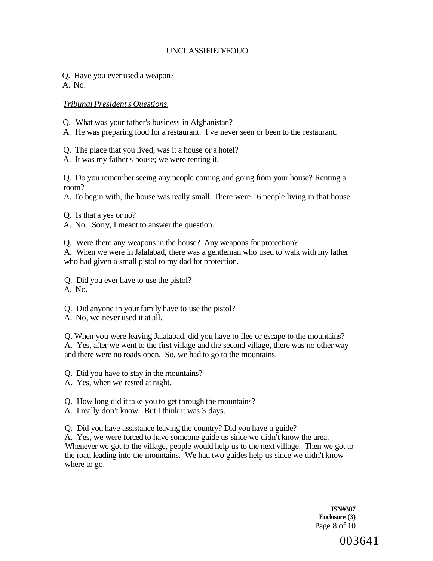Q. Have you ever used a weapon?

A. No.

*Tribunal President's Questions.* 

Q. What was your father's business in Afghanistan?

A. He was preparing food for a restaurant. I've never seen or been to the restaurant.

Q. The place that you lived, was it a house or a hotel?

A. It was my father's house; we were renting it.

Q. Do you remember seeing any people coming and going from your house? Renting a room?

A. To begin with, the house was really small. There were 16 people living in that house.

Q. Is that a yes or no?

A. No. Sorry, I meant to answer the question.

Q. Were there any weapons in the house? Any weapons for protection?

A. When we were in Jalalabad, there was a gentleman who used to walk with my father who had given a small pistol to my dad for protection.

Q. Did you ever have to use the pistol? A. No.

Q. Did anyone in your family have to use the pistol?

A. No, we never used it at all.

Q. When you were leaving Jalalabad, did you have to flee or escape to the mountains? A. Yes, after we went to the first village and the second village, there was no other way and there were no roads open. So, we had to go to the mountains.

Q. Did you have to stay in the mountains?

A. Yes, when we rested at night.

Q. How long did it take you to get through the mountains?

A. I really don't know. But I think it was 3 days.

Q. Did you have assistance leaving the country? Did you have a guide?

A. Yes, we were forced to have someone guide us since we didn't know the area. Whenever we got to the village, people would help us to the next village. Then we got to the road leading into the mountains. We had two guides help us since we didn't know where to go.

> **ISN#307 Enclosure (3)**  Page 8 of 10